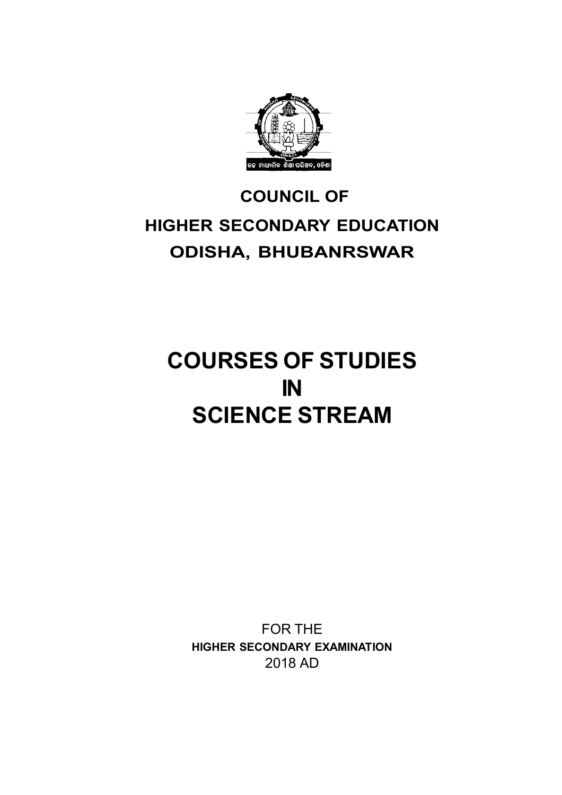

# **COUNCIL OF HIGHER SECONDARY EDUCATION ODISHA, BHUBANRSWAR**

# **COURSES OF STUDIES IN SCIENCE STREAM**

FOR THE **HIGHER SECONDARY EXAMINATION** 2018 AD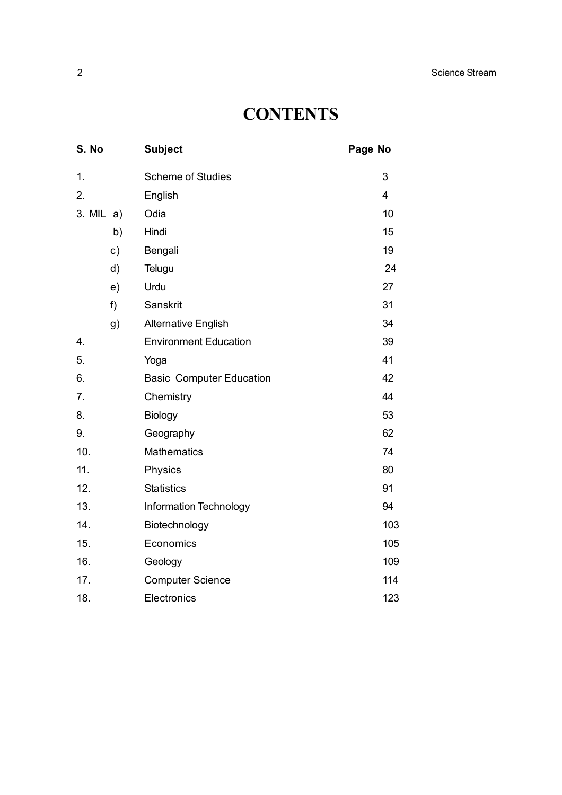# **CONTENTS**

| S. No               |       | <b>Subject</b>                  | Page No        |
|---------------------|-------|---------------------------------|----------------|
| 1.                  |       | <b>Scheme of Studies</b>        | 3              |
| 2.                  |       | English                         | $\overline{4}$ |
| $3. \text{ MIL} a)$ |       | Odia                            | 10             |
|                     | b)    | Hindi                           | 15             |
|                     | c)    | Bengali                         | 19             |
|                     | d)    | Telugu                          | 24             |
|                     | e)    | Urdu                            | 27             |
|                     | $f$ ) | Sanskrit                        | 31             |
|                     | g)    | <b>Alternative English</b>      | 34             |
| 4.                  |       | <b>Environment Education</b>    | 39             |
| 5.                  |       | Yoga                            | 41             |
| 6.                  |       | <b>Basic Computer Education</b> | 42             |
| 7.                  |       | Chemistry                       | 44             |
| 8.                  |       | Biology                         | 53             |
| 9.                  |       | Geography                       | 62             |
| 10.                 |       | <b>Mathematics</b>              | 74             |
| 11.                 |       | Physics                         | 80             |
| 12.                 |       | <b>Statistics</b>               | 91             |
| 13.                 |       | <b>Information Technology</b>   | 94             |
| 14.                 |       | Biotechnology                   | 103            |
| 15.                 |       | Economics                       | 105            |
| 16.                 |       | Geology                         | 109            |
| 17.                 |       | <b>Computer Science</b>         | 114            |
| 18.                 |       | Electronics                     | 123            |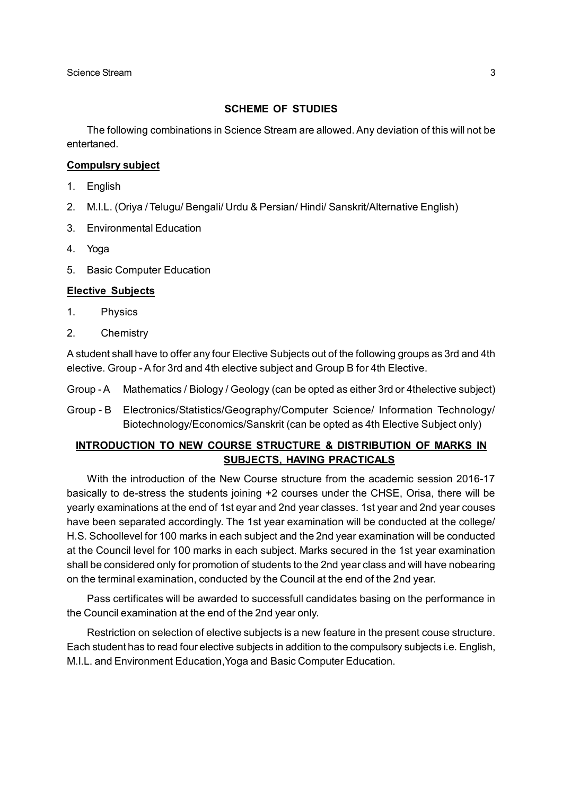#### **SCHEME OF STUDIES**

The following combinations in Science Stream are allowed. Any deviation of this will not be entertaned.

#### **Compulsry subject**

- 1. English
- 2. M.I.L. (Oriya / Telugu/ Bengali/ Urdu & Persian/ Hindi/ Sanskrit/Alternative English)
- 3. Environmental Education
- 4. Yoga
- 5. Basic Computer Education

#### **Elective Subjects**

- 1. Physics
- 2. Chemistry

A student shall have to offer any four Elective Subjects out of the following groups as 3rd and 4th elective. Group - A for 3rd and 4th elective subject and Group B for 4th Elective.

- Group A Mathematics / Biology / Geology (can be opted as either 3rd or 4thelective subject)
- Group B Electronics/Statistics/Geography/Computer Science/ Information Technology/ Biotechnology/Economics/Sanskrit (can be opted as 4th Elective Subject only)

#### **INTRODUCTION TO NEW COURSE STRUCTURE & DISTRIBUTION OF MARKS IN SUBJECTS, HAVING PRACTICALS**

With the introduction of the New Course structure from the academic session 2016-17 basically to de-stress the students joining +2 courses under the CHSE, Orisa, there will be yearly examinations at the end of 1st eyar and 2nd year classes. 1st year and 2nd year couses have been separated accordingly. The 1st year examination will be conducted at the college/ H.S. Schoollevel for 100 marks in each subject and the 2nd year examination will be conducted at the Council level for 100 marks in each subject. Marks secured in the 1st year examination shall be considered only for promotion of students to the 2nd year class and will have nobearing on the terminal examination, conducted by the Council at the end of the 2nd year.

Pass certificates will be awarded to successfull candidates basing on the performance in the Council examination at the end of the 2nd year only.

Restriction on selection of elective subjects is a new feature in the present couse structure. Each student has to read four elective subjects in addition to the compulsory subjects i.e. English, M.I.L. and Environment Education,Yoga and Basic Computer Education.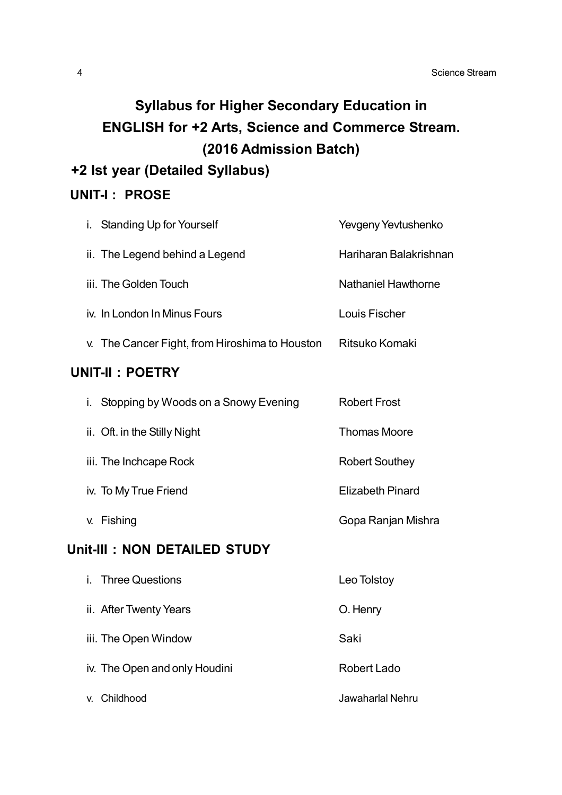# **Syllabus for Higher Secondary Education in ENGLISH for +2 Arts, Science and Commerce Stream. (2016 Admission Batch)**

# **+2 Ist year (Detailed Syllabus)**

# **UNIT-I : PROSE**

| i.<br><b>Standing Up for Yourself</b>          | Yevgeny Yevtushenko        |
|------------------------------------------------|----------------------------|
| ii. The Legend behind a Legend                 | Hariharan Balakrishnan     |
| iii. The Golden Touch                          | <b>Nathaniel Hawthorne</b> |
| iv. In London In Minus Fours                   | Louis Fischer              |
| v. The Cancer Fight, from Hiroshima to Houston | Ritsuko Komaki             |
| <b>UNIT-II: POETRY</b>                         |                            |
| Stopping by Woods on a Snowy Evening<br>i.     | <b>Robert Frost</b>        |
| ii. Oft. in the Stilly Night                   | <b>Thomas Moore</b>        |
| iii. The Inchcape Rock                         | <b>Robert Southey</b>      |
| iv. To My True Friend                          | <b>Elizabeth Pinard</b>    |
| v. Fishing                                     | Gopa Ranjan Mishra         |
| Unit-III : NON DETAILED STUDY                  |                            |
| <b>Three Questions</b><br>i.                   | Leo Tolstoy                |
| ii. After Twenty Years                         | O. Henry                   |
| iii. The Open Window                           | Saki                       |
| iv. The Open and only Houdini                  | <b>Robert Lado</b>         |
| v. Childhood                                   | Jawaharlal Nehru           |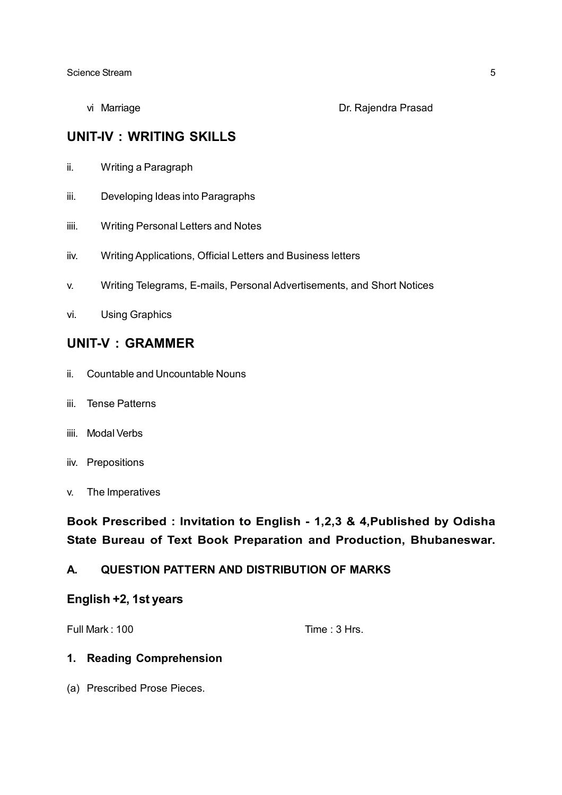#### vi Marriage Dr. Rajendra Prasad

# **UNIT-IV : WRITING SKILLS**

- ii. Writing a Paragraph
- iii. Developing Ideas into Paragraphs
- iiii. Writing Personal Letters and Notes
- iiv. Writing Applications, Official Letters and Business letters
- v. Writing Telegrams, E-mails, Personal Advertisements, and Short Notices
- vi. Using Graphics

### **UNIT-V : GRAMMER**

- ii. Countable and Uncountable Nouns
- iii. Tense Patterns
- iiii. Modal Verbs
- iiv. Prepositions
- v. The Imperatives

# **Book Prescribed : Invitation to English - 1,2,3 & 4,Published by Odisha State Bureau of Text Book Preparation and Production, Bhubaneswar.**

### **A. QUESTION PATTERN AND DISTRIBUTION OF MARKS**

#### **English +2, 1st years**

Full Mark : 100 Time : 3 Hrs.

#### **1. Reading Comprehension**

(a) Prescribed Prose Pieces.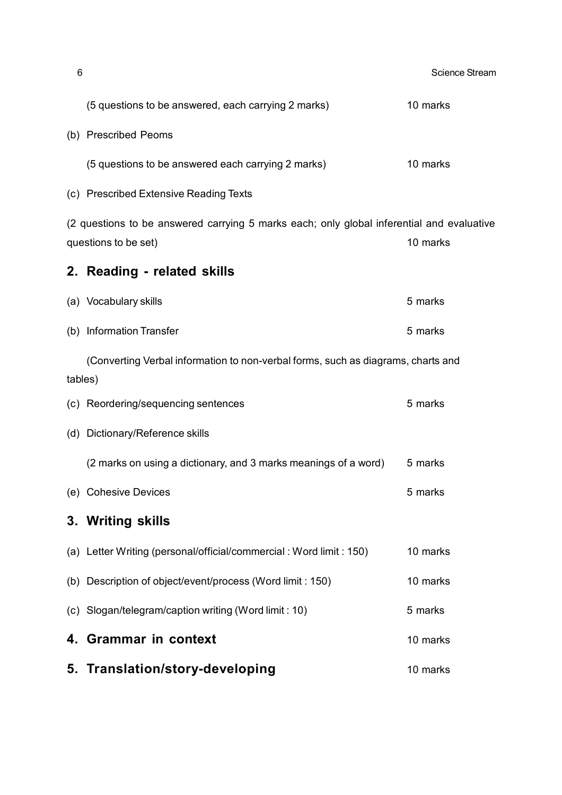| 6       |                                                                                                                   | <b>Science Stream</b> |
|---------|-------------------------------------------------------------------------------------------------------------------|-----------------------|
|         | (5 questions to be answered, each carrying 2 marks)                                                               | 10 marks              |
|         | (b) Prescribed Peoms                                                                                              |                       |
|         | (5 questions to be answered each carrying 2 marks)                                                                | 10 marks              |
|         | (c) Prescribed Extensive Reading Texts                                                                            |                       |
|         | (2 questions to be answered carrying 5 marks each; only global inferential and evaluative<br>questions to be set) | 10 marks              |
|         | 2. Reading - related skills                                                                                       |                       |
|         | (a) Vocabulary skills                                                                                             | 5 marks               |
|         | (b) Information Transfer                                                                                          | 5 marks               |
|         | (Converting Verbal information to non-verbal forms, such as diagrams, charts and                                  |                       |
| tables) |                                                                                                                   |                       |
|         | (c) Reordering/sequencing sentences                                                                               | 5 marks               |
|         | (d) Dictionary/Reference skills                                                                                   |                       |
|         | (2 marks on using a dictionary, and 3 marks meanings of a word)                                                   | 5 marks               |
|         | (e) Cohesive Devices                                                                                              | 5 marks               |
|         | 3. Writing skills                                                                                                 |                       |
|         | (a) Letter Writing (personal/official/commercial: Word limit: 150)                                                | 10 marks              |
|         | (b) Description of object/event/process (Word limit : 150)                                                        | 10 marks              |
|         | (c) Slogan/telegram/caption writing (Word limit : 10)                                                             | 5 marks               |
| 4.      | <b>Grammar in context</b>                                                                                         | 10 marks              |
|         | 5. Translation/story-developing                                                                                   | 10 marks              |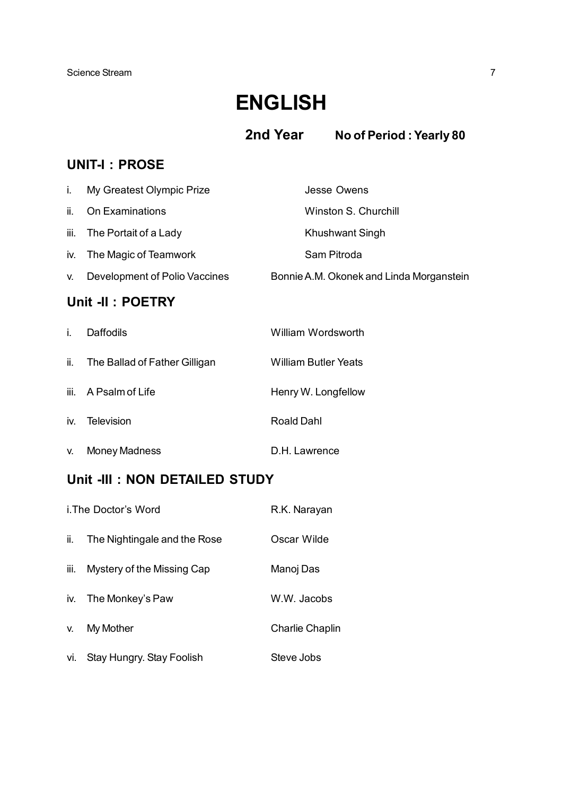# **ENGLISH**

 **2nd Year No of Period : Yearly 80**

# **UNIT-I : PROSE**

| j. | My Greatest Olympic Prize     | <b>Jesse Owens</b>                       |
|----|-------------------------------|------------------------------------------|
|    | ii. On Examinations           | Winston S. Churchill                     |
|    | iii. The Portait of a Lady    | Khushwant Singh                          |
|    | iv. The Magic of Teamwork     | Sam Pitroda                              |
| V. | Development of Polio Vaccines | Bonnie A.M. Okonek and Linda Morganstein |

# **Unit -II : POETRY**

| j.  | <b>Daffodils</b>              | William Wordsworth          |
|-----|-------------------------------|-----------------------------|
| ii. | The Ballad of Father Gilligan | <b>William Butler Yeats</b> |
|     | iii. A Psalm of Life          | Henry W. Longfellow         |
| iv. | Television                    | Roald Dahl                  |
| V.  | <b>Money Madness</b>          | D.H. Lawrence               |

# **Unit -III : NON DETAILED STUDY**

|      | i. The Doctor's Word         | R.K. Narayan           |
|------|------------------------------|------------------------|
| ii.  | The Nightingale and the Rose | Oscar Wilde            |
| iii. | Mystery of the Missing Cap   | Manoj Das              |
|      | iv. The Monkey's Paw         | W.W. Jacobs            |
| V.   | My Mother                    | <b>Charlie Chaplin</b> |
| vi.  | Stay Hungry. Stay Foolish    | Steve Jobs             |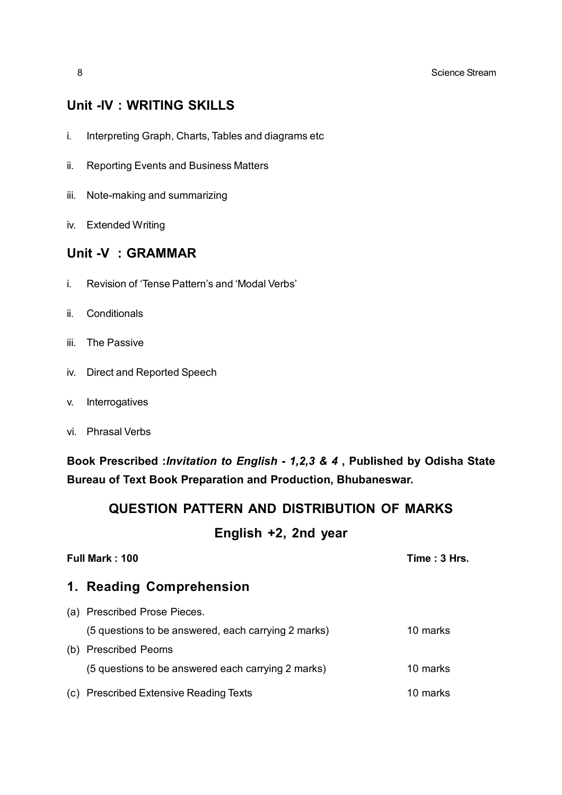## **Unit -IV : WRITING SKILLS**

- i. Interpreting Graph, Charts, Tables and diagrams etc
- ii. Reporting Events and Business Matters
- iii. Note-making and summarizing
- iv. Extended Writing

### **Unit -V : GRAMMAR**

- i. Revision of 'Tense Pattern's and 'Modal Verbs'
- ii. Conditionals
- iii. The Passive
- iv. Direct and Reported Speech
- v. Interrogatives
- vi. Phrasal Verbs

**Book Prescribed :***Invitation to English - 1,2,3 & 4* **, Published by Odisha State Bureau of Text Book Preparation and Production, Bhubaneswar.**

# **QUESTION PATTERN AND DISTRIBUTION OF MARKS**

## **English +2, 2nd year**

| Full Mark: 100 |                                                     | Time: 3 Hrs. |
|----------------|-----------------------------------------------------|--------------|
|                | 1. Reading Comprehension                            |              |
|                | (a) Prescribed Prose Pieces.                        |              |
|                | (5 questions to be answered, each carrying 2 marks) | 10 marks     |
|                | (b) Prescribed Peoms                                |              |
|                | (5 questions to be answered each carrying 2 marks)  | 10 marks     |
|                | (c) Prescribed Extensive Reading Texts              | 10 marks     |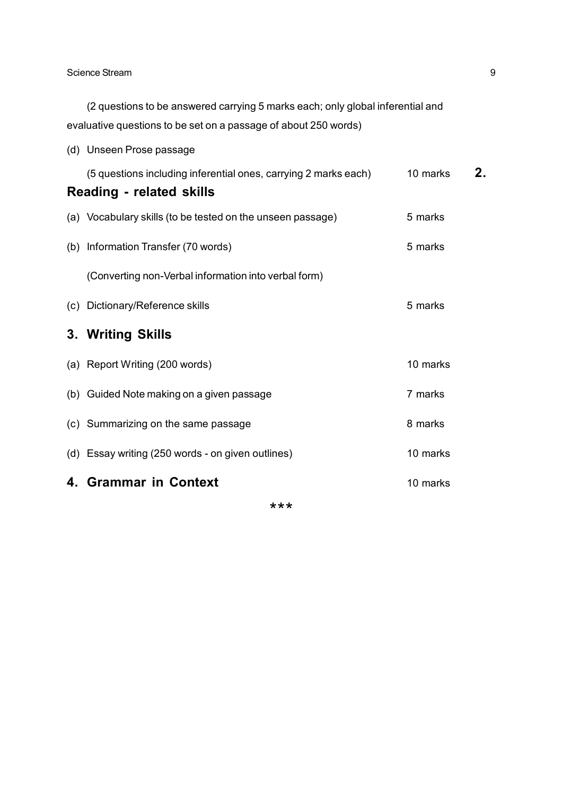(2 questions to be answered carrying 5 marks each; only global inferential and evaluative questions to be set on a passage of about 250 words)

(d) Unseen Prose passage

| (5 questions including inferential ones, carrying 2 marks each)<br><b>Reading - related skills</b> | 10 marks | 2. |
|----------------------------------------------------------------------------------------------------|----------|----|
|                                                                                                    |          |    |
| (a) Vocabulary skills (to be tested on the unseen passage)                                         | 5 marks  |    |
| (b) Information Transfer (70 words)                                                                | 5 marks  |    |
| (Converting non-Verbal information into verbal form)                                               |          |    |
| (c) Dictionary/Reference skills                                                                    | 5 marks  |    |
| 3. Writing Skills                                                                                  |          |    |
| (a) Report Writing (200 words)                                                                     | 10 marks |    |
| (b) Guided Note making on a given passage                                                          | 7 marks  |    |
| (c) Summarizing on the same passage                                                                | 8 marks  |    |
| (d) Essay writing (250 words - on given outlines)                                                  | 10 marks |    |
| 4. Grammar in Context                                                                              | 10 marks |    |
|                                                                                                    |          |    |

\*\*\*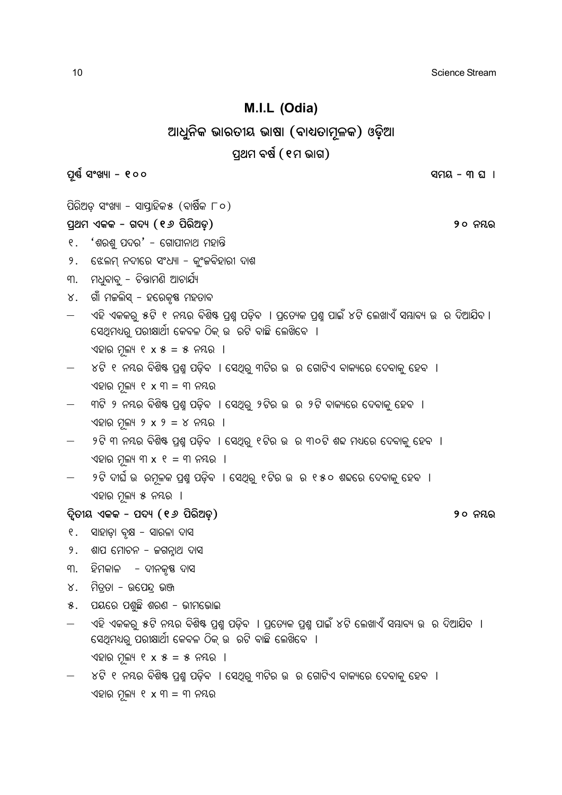10 Science Stream and the stream stream stream stream stream stream stream stream stream stream stream stream

### **M.I.L (Odia)**

### $\mathbb{Z}$ ାଧୁନିକ ଭାରତୀୟ ଭାଷା (ବାଧ୍ୟତାମୂଳକ) ଓଡ଼ିଆ

#### ପ୍**ଥମ ବର୍ଷ (**୧ମ ଭାଗ)

**\_ì‰ð iõLýû - 100 icd - 3 N û**

ପିରିଅଡ଼ ସଂଖ୍ୟା - ସାପ୍ତାହିକ $\ast$  (ବାର୍ଷିକ ୮୦)

**\_â[c GKK - M\ý (16 \_òeò@Wÿ) 20 ^´e**

- $9.$  'ଶରଶ୍ ପଦର' ଗୋପୀନାଥ ମହାନ୍ତି
- ୨. ଝେଲମ୍ ନଦୀରେ ସଂଧ୍ୟା କ୍ୱଂଜବିହାରୀ ଦାଶ
- ୩. ମଧୁବାବ୍ ଚିନ୍ତାମଣି ଆଚାର୍ଯ୍ୟ
- ୪. ଗାଁ ମକଲିସ୍ ହରେକୃଷ୍ଣ ମହତାବ
- ଏହି ଏକକର୍ ୫ଟି ୧ ନୟର ବିଶିଷ୍ଟ ପଶ୍ୱ ପଡିବ । ପ୍ରତ୍ୟେକ ପଶ୍ୱ ପାଇଁ ୪ଟି ଲେଖାଏଁ ସୟାବ୍ୟ ଉ ର ଦିଆଯିବ । ିସେଥିମଧ୍ୟରୁ ପରୀକ୍ଷାର୍ଥୀ କେବଳ ଠିକ୍ ଉ ରଟି ବାଛି ଲେଖିବେ । ଏହାର ମଲ୍ୟ ୧ x ୫ = ୫ ନୟର ।
- $\times$ ଟି ୧ ନୟର ବିଶିଷ୍ଟ ପ୍ରଶ୍ମ ପଡ଼ିବ । ସେଥିରୁ ୩ଟିର ଉ ର ଗୋଟିଏ ବାକ୍ୟରେ ଦେବାକୁ ହେବ । ଏହାର ମୂଲ୍ୟ ୧ x ୩ = ୩ ନୟର
- ୩ଟି ୨ ନୟର ବିଶିଷ୍ଟ ପ୍ରଶ୍ନ ପଡ଼ିବ । ସେଥିରୁ ୨ଟିର ଉ ର ୨ଟି ବାକ୍ୟରେ ଦେବାକୁ ହେବ । ଏହାର ମୂଲ୍ୟ ୨ x ୨ = ୪ ନୟର ।
- $9$ ଟି ୩ ନୟର ବିଶିଷ ପଶ୍ଚ ପଡିବ । ସେଥିର୍ ୧ଟିର ଉ ର ୩୦ଟି ଶବ୍ଦ ମଧ୍ୟରେ ଦେବାକ୍ ହେବ । ଏହାର ମଲ୍ୟ ୩ $x$  ୧ = ୩ ନୟର ।
- ୨ଟି ଦାର୍ଘ ଉ ରମୂଳକ ପ୍ରଶ୍ନ ପଡ଼ିବ । ସେଥିରୁ ୧ଟିର ଉ ର ୧୫୦ ଶବ୍ଦରେ ଦେବାକୁ ହେବ । ଏହାର ମୂଲ୍ୟ ୫ ନୟର ।

**\ßòZúd GKK - \_\ý (16 \_òeò@Wÿ) 20 ^´e**

- ୧. ସାହାଡ଼ା ବୃକ୍ଷ ସାରଳା ଦାସ
- $9.$  ଶାପ ମୋଚନ ଜଗନ୍ନାଥ ଦାସ
- ୩. ହିମକାଳ *–* ଦୀନକୃଷ୍ଣ ଦାସ
- ୪. ମିତ୍ତା − ଉପେନ୍ଦ ଭଞ୍ଜ
- ୫. ପୟରେ ପଶ୍ଚିଛି ଶରଣ ଭୀମଭୋଇ
- ଏହି ଏକକରୁ ୫ଟି ନୟର ବିଶିଷ୍ଟ ପ୍ରଶ୍ମ ପଡ଼ିବ । ପ୍ରତ୍ୟେକ ପ୍ରଶ୍ମ ପାଇଁ ୪ଟି ଲେଖାଏଁ ସୟାବ୍ୟ ଉ ର ଦିଆଯିବ । । ସେଥିମଧ୍ୟରୁ ପରୀକ୍ଷାର୍ଥୀ କେବଳ ଠିକ୍ ଉ ରଟି ବାଛି ଲେଖିବେ । ଏହାର ମଲ୍ୟ ୧ x ୫ = ୫ ନୟର ।
- $\times$ ଟି ୧ ନୟର ବିଶିଷ୍ଟ ପ୍ରଶ୍ମ ପଡ଼ିବ । ସେଥିର୍ ୩ଟିର ଉ ର ଗୋଟିଏ ବାକ୍ୟରେ ଦେବାକୁ ହେବ । ଏହାର ମୂଲ୍ୟ ୧ $x$  ୩ = ୩ ନୟର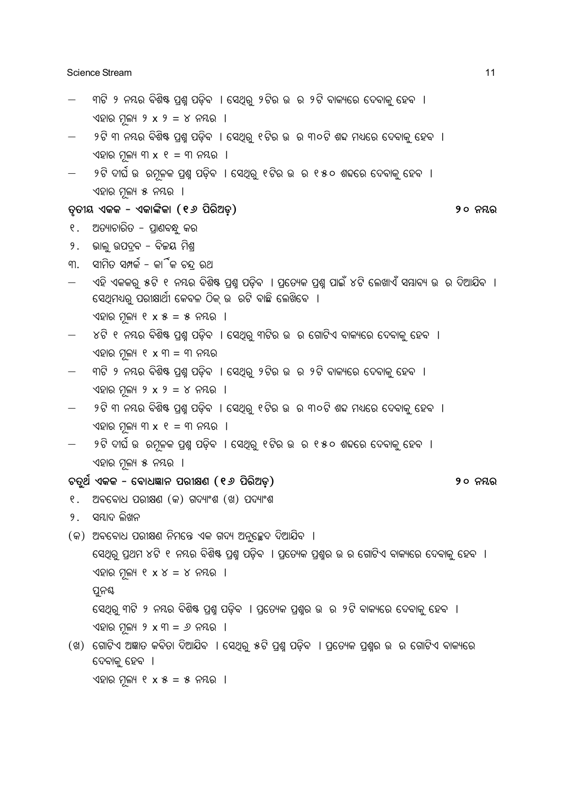Science Stream 11 and 200 and 200 and 200 and 200 and 200 and 200 and 200 and 200 and 200 and 200 and 200 and 200 and 200 and 200 and 200 and 200 and 200 and 200 and 200 and 200 and 200 and 200 and 200 and 200 and 200 and

- ୍କୀଟି ୨ ନୟର ବିଶିଷ୍ଟ ପ୍ରଶ୍ମ ପଡ଼ିବ । ସେଥିରୁ ୨ଟିର ଉ ର ୨ଟି ବାକ୍ୟରେ ଦେବାକୁ ହେବ । ଏହାର ମୂଲ୍ୟ ୨ x ୨ = ୪ ନୟର ।
- ୨ଟି ୩ ନୟର ବିଶିଷ ପ୍ରଶ୍ମ ପଡ଼ିବ । ସେଥିରୁ ୧ଟିର ଉ ର ୩୦ଟି ଶବ୍ଦ ମଧ୍ୟରେ ଦେବାକୁ ହେବ । ଏହାର ମଲ୍ୟ ୩ $x$  ୧ = ୩ ନୟର ।
- ୍ର ୨ଟି ଦୀର୍ଘ ଉ ରମ୍ଳକ ପ୍ରଶ୍ମ ପଡ଼ିବ । ସେଥିରୁ ୧ଟିର ଉ ର ୧୫୦ ଶବ୍ଦରେ ଦେବାକୁ ହେବ । ଏହାର ମୁଲ୍ୟ ୫ ନୟର ।

#### **ZéZúd GKK - GKûuòKû (16 \_òeò@Wÿ) 20 ^´e**

- ୧. ଅତ୍ୟାଚାରିତ ପ୍ରାଣବନ୍ଧୁ କର
- $9.$  ଭାଲୁ ଉପଦ୍ରବ ବିଜୟ ମିଶ୍ର
- ୩. ସୀମିତ ସମ୍ପର୍କ କାିଁକ ଚନ୍ଦ ରଥ
- ୍ଏହି ଏକକର୍ ୫ଟି ୧ ନୟର ବିଶିଷ୍ଟ ପ୍ରଶ୍ମ ପଡ଼ିବ । ପ୍ରତ୍ୟେକ ପ୍ରଶ୍ମ ପାଇଁ ୪ଟି ଲେଖାଏଁ ସୟାବ୍ୟ ଉ ର ଦିଆଯିବ । । ସେଥିମଧ୍ୟର୍ ପରୀକ୍ଷାର୍ଥୀ କେବଳ ଠିକ୍ ଉ ରଟି ବାଛି ଲେଖିବେ ।

ଏହାର ମୁଲ୍ୟ ୧ $x$ ୫ = ୫ ନୟର ।

- $\sim$ ୪ଟି ୧ ନୟର ବିଶିଷ ପ୍ରଶ୍ମ ପଡ଼ିବ । ସେଥିରୁ ୩ଟିର ଉ ର ଗୋଟିଏ ବାକ୍ୟରେ ଦେବାକୁ ହେବ । ଏହାର ମୂଲ୍ୟ ୧ x ୩ = ୩ ନୟର
- ୍କାଟି ୨ ନୟର ବିଶିଷ୍ଟ ପ୍ରଶ୍ନ ପଡ଼ିବ । ସେଥିରୁ ୨ଟିର ଉ ର ୨ଟି ବାକ୍ୟରେ ଦେବାକୁ ହେବ । ଏହାର ମଲ୍ୟ ୨ x ୨ = ୪ ନୟର ।
- $\,$  ୨ଟି ୩ ନୟର ବିଶିଷ୍ଟ ପ୍ରଶ୍ନ ପଡ଼ିବ । ସେଥିରୁ ୧ଟିର ଉ ର ୩୦ଟି ଶବ୍ଦ ମଧ୍ୟରେ ଦେବାକୁ ହେବ ।  $\sqrt{2}$ ର ମୁଲ୍ୟ ୩ x ୧ = ୩ ନୟର ।
- ୍ରୀଟି ଦୀର୍ଘ ଉ ରମ୍ଳକ ପ୍ରଶ୍ମ ପଡ଼ିବ । ସେଥିରୁ ୧ଟିର ଉ ର ୧୫୦ ଶବ୍ଦରେ ଦେବାକୁ ହେବ । ଏହାର ମୁଲ୍ୟ ୫ ନୟର ।

#### **PZê[ð GKK - ùaû]mû^ \_eúlY (16 \_òeò@Wÿ) 20 ^´e**

- ୧. ଅବବୋଧ ପରୀକ୍ଷଣ (କ) ଗଦ୍ୟାଂଶ (ଖ) ପଦ୍ୟାଂଶ
- ୨. ସମ୍ଭାଦ ଲିଖନ
- (କ) ଅବବୋଧ ପରୀକ୍ଷଣ ନିମନ୍ତେ ଏକ ଗଦ୍ୟ ଅନୁଚ୍ଛେଦ ଦିଆଯିବ ।
	- ସେଥିରୁ ପ୍ରଥମ ୪ଟି ୧ ନୟର ବିଶିଷ୍ଟ ପ୍ରଶ୍ମ ପଡ଼ିବ । ପ୍ରତ୍ୟେକ ପ୍ରଶ୍ୱର ଉ ର ଗୋଟିଏ ବାକ୍ୟରେ ଦେବାକୁ ହେବ । ଏହାର ମଲ୍ୟ ୧ $x$  $x = x$  ନୟର ।

ପୁନୟ

ପେଥିରୁ ୩ଟି ୨ ନୟର ବିଶିଷ୍ଟ ପ୍ରଶ୍ମ ପଡ଼ିବ । ପ୍ରତ୍ୟେକ ପ୍ରଶ୍ନର ଉ ର ୨ଟି ବାକ୍ୟରେ ଦେବାକୁ ହେବ । ଏହାର ମୁଲ୍ୟ ୨ $x$ ୩ = ୬ ନୟର ।

(ଖ) ଗୋଟିଏ ଅଜ୍ଞାତ କବିତା ଦିଆଯିବ । ସେଥିରୁ ୫ଟି ପ୍ରଶ୍ଚ ପଡ଼ିବ । ପ୍ରତ୍ୟେକ ପ୍ରଶ୍ୱର ଉ ର ଗୋଟିଏ ବାକ୍ୟରେ ଦେବାକ୍ ହେବ ।

 $\sqrt{2}$ ସାର ମୂଲ୍ୟ ୧ x ୫ = ୫ ନୟର ।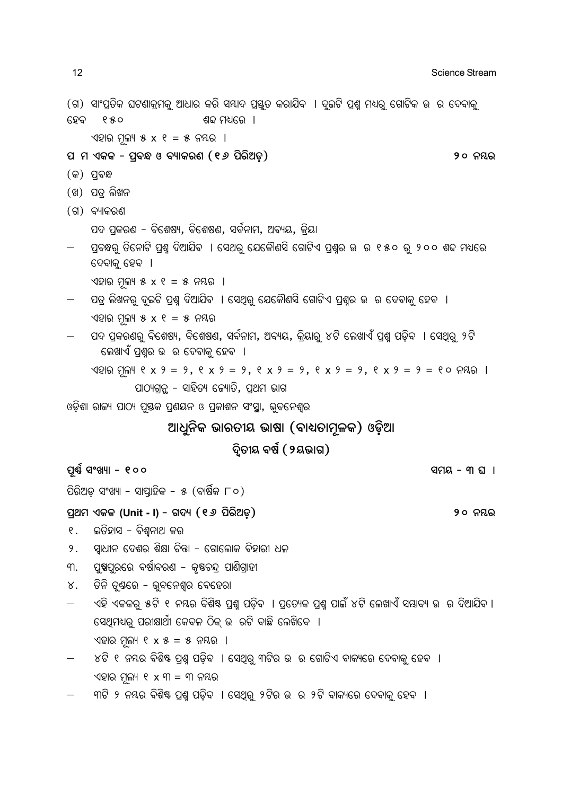| 12             | Science Stream                                                                                                                   |
|----------------|----------------------------------------------------------------------------------------------------------------------------------|
| ହେବ            | (ଗ)  ସାଂପ୍ରତିକ ଘଟଣାକ୍ରମକୁ ଆଧାର କରି ସୟାଦ ପ୍ରସ୍ତୁତ କରାଯିବ  । ଦୁଇଟି ପ୍ରଶ୍ନ ମଧ୍ୟରୁ ଗୋଟିକ ଉ  ର ଦେବାକୁ<br>880<br>ଶବ୍ଦ ମଧ୍ୟରେ ।         |
|                | ଏହାର ମୂଲ୍ୟ ୫ x ୧ = ୫ ନୟର ।                                                                                                       |
|                | ପ  ମ ଏକକ - ପ୍ରବନ୍ଧ ଓ ବ୍ୟାକରଣ (୧ <i>୬</i> ପିରିଅଡ଼)<br>୨୦ ନୟର                                                                      |
|                | (କ) ପ୍ରବନ୍ଧ                                                                                                                      |
|                | (ଖ) ପତ୍ର ଲିଖନ                                                                                                                    |
|                | (ଗ) ବ୍ୟାକରଣ                                                                                                                      |
|                | ପଦ ପ୍ରକରଣ - ବିଶେଷ୍ୟ, ବିଶେଷଣ, ସବନାମ, ଅବ୍ୟୟ, କ୍ରିୟା                                                                                |
|                | ପ୍ରବନ୍ଧରୁ ତିନୋଟି ପ୍ରଶ୍ନ ଦିଆଯିବ  । ସେଥରୁ ଯେକୌଣସି ଗୋଟିଏ ପ୍ରଶ୍ନର ଉ  ର ୧୫୦ ରୁ ୨୦୦ ଶବ୍ଦ ମଧ୍ୟରେ<br>ଦେବାକୁ ହେବ  ।                       |
|                | ଏହାର ମୂଲ୍ୟ ୫ x ୧ = ୫ ନୟର ।                                                                                                       |
|                | ପତ୍ର ଲିଖନରୁ ଦୁଇଟି ପ୍ରଶ୍ନ ଦିଆଯିବ  । ସେଥିରୁ ଯେକୌଣସି ଗୋଟିଏ ପ୍ରଶ୍ନର ଉ  ର ଦେବାକୁ ହେବ  ।                                               |
|                | ଏହାର ମୂଲ୍ୟ ୫ x ୧ = ୫ ନୟର                                                                                                         |
|                | ପଦ ପ୍ରକରଣରୁ ବିଶେଷ୍ୟ, ବିଶେଷଣ, ସର୍ବନାମ, ଅବ୍ୟୟ, କ୍ରିୟାରୁ ୪ଟି ଲେଖାଏଁ ପ୍ରଶ୍ମ ପଡ଼ିବ  । ସେଥିରୁ ୨ଟି<br>ଲେଖାଏଁ ପ୍ରଶ୍ନର ଉ  ର ଦେବାକୁ ହେବ  । |
|                | ଏହାର ମୂଲ୍ୟ ୧ x ୨ = ୨, ୧ x ୨ = ୨, ୧ x ୨ = ୨, ୧ x ୨ = ୨, ୧ x ୨ = ୨ = ୧୦ ନୟର ।                                                      |
|                | ପାଠ୍ୟଗ୍ରନ୍ଥ – ସାହିତ୍ୟ କ୍ୟୋତି, ପ୍ରଥମ ଭାଗ                                                                                          |
|                | ଓଡ଼ିଶା ରାଜ୍ୟ ପାଠ୍ୟ ପୁଷକ ପ୍ରଶୟନ ଓ ପ୍ରକାଶନ ସଂସ୍ଥା, ଭୁବନେଶ୍ୱର                                                                       |
|                | ଆଧୁନିକ ଭାରତୀୟ ଭାଷା (ବାଧ୍ୟତାମୂଳକ) ଓଡ଼ିଆ                                                                                           |
|                | ଦ୍ୱିତୀୟ ବର୍ଷ ( ୨ୟଭାଗ)                                                                                                            |
|                | ପୂର୍ଣ୍ଣ ସଂଖ୍ୟା - ୧୦୦<br>ସମୟ - ୩ ଘା                                                                                               |
|                | ପିରିଅଡ଼ ସଂଖ୍ୟା – ସାପ୍ତାହିକ – ୫ (ବାର୍ଷିକ ୮୦)                                                                                      |
|                | ପ୍ରଥମ ଏକକ (Unit - I) – ଗଦ୍ୟ (୧ <i>୬</i> ପିରିଅଡ଼)<br>୨୦ ନୟର                                                                       |
| $\mathsf{R}$ . | ଇତିହାସ – ବିଶ୍ୱନାଥ କର                                                                                                             |
| 9.             | ସ୍ୱାଧୀନ ଦେଶର ଶିକ୍ଷା ଚିନ୍ତା – ଗୋଲୋକ ବିହାରୀ ଧଳ                                                                                     |
| ୩.             | ପୁଷ୍ପପୁରରେ ବର୍ଷାବରଣ – କୃଷଚନ୍ଦ୍ର ପାଣିଗ୍ରାହୀ                                                                                       |
| ४.             | ଡିନି ତୁଷରେ – ଭୁବନେଶ୍ୱର ବେହେରା                                                                                                    |
| —              | ଏହି ଏକକରୁ ୫ଟି ୧ ନୟର ବିଶିଷ୍ଟ ପ୍ରଶ୍ମ ପଡ଼ିବ  । ପ୍ରତ୍ୟେକ ପ୍ରଶ୍ମ ପାଇଁ ୪ଟି ଲେଖାଏଁ ସୟାବ୍ୟ ଉ  ର ଦିଆଯିବ ।                                 |
|                | ସେଥିମଧ୍ୟରୁ ପରୀକ୍ଷାର୍ଥୀ କେବଳ ଠିକ୍ ଉ  ରଟି ବାଛି ଲେଖିବେ  ।                                                                           |
|                | ଏହାର ମୂଲ୍ୟ ୧ x ୫ = ୫ ନୟର ।                                                                                                       |
|                | ୪ଟି ୧ ନୟର ବିଶିଷ୍ଟ ପ୍ରଶ୍ମ ପଡ଼ିବ  । ସେଥିରୁ ୩ଟିର ଉ  ର ଗୋଟିଏ ବାକ୍ୟରେ ଦେବାକୁ ହେବ  ।                                                   |
|                | ଏହାର ମୂଲ୍ୟ ୧ x ୩ = ୩ ନୟର                                                                                                         |
|                | ୩ଟି ୨ ନୟର ବିଶିଷ୍ଟ ପ୍ରଶ୍ମ ପଡ଼ିବ  । ସେଥିରୁ ୨ଟିର ଉ  ର ୨ଟି ବାକ୍ୟରେ ଦେବାକୁ ହେବ  ।                                                     |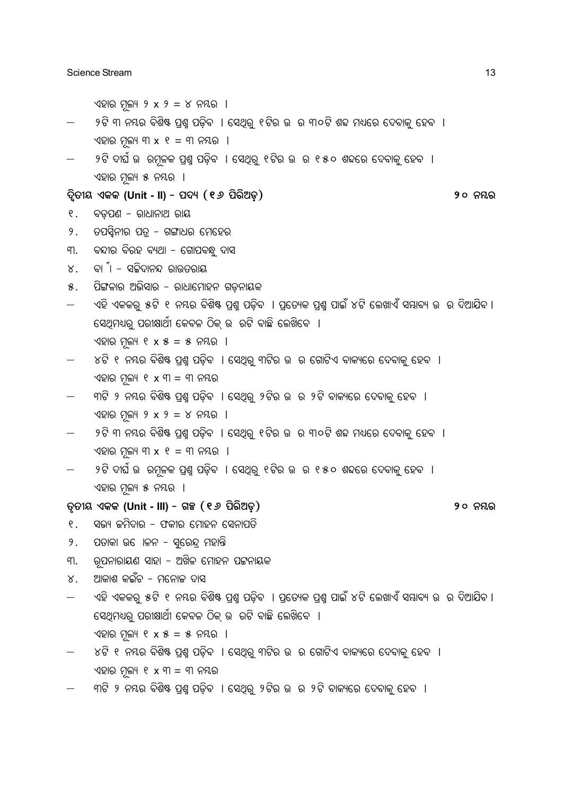ଏହାର ମଲ୍ୟ ୨ x ୨ = ୪ ନୟର ।

- $9$ ଟି ୩ ନୟର ବିଶିଷ ପଶ୍ଚ ପଡିବ । ସେଥିର୍ ୧ଟିର ଉ ର ୩୦ଟି ଶବ୍ଦ ମଧ୍ୟରେ ଦେବାକ୍ ହେବ । ଏହାର ମଲ୍ୟ ୩ $x$  ୧ = ୩ ନୟର ।
- ୨ଟି ଦାର୍ଘ ଉ ରମୂଳକ ପ୍ରଶ୍ନ ପଡ଼ିବ । ସେଥିରୁ ୧ଟିର ଉ ର ୧ ୫୦ ଶବ୍ଦରେ ଦେବାକୁ ହେବ । ଏହାର ମୂଲ୍ୟ ୫ ନୟର ।

**\ßòZúd GKK (Unit - II) - \_\ý (16 \_òeò@Wÿ) 20 ^´e**

- ୧. ବଡ଼ପଣ ରାଧାନାଥ ରାୟ
- ୨. ତପସ୍ୱିନୀର ପତ୍ର ଗଙ୍ଗାଧର ମେହେର
- ୩. ବନ୍ଦୀର ବିରହ ବ୍ୟଥା ଗୋପବନ୍ଧୁ ଦାସ
- $8.$  ବା $^5$ । ସଚ୍ଚିଦାନନ୍ଦ ରାଉତରାୟ
- $8.$  ପିଙ୍ଗଳାର ଅଭିସାର ରାଧାମୋହନ ଗଡନାୟକ
- ଏହି ଏକକର୍ ୫ଟି ୧ ନୟର ବିଶିଷ୍ଟ ପ୍ରଶ୍ୱ ପଡ଼ିବ । ପ୍ରତ୍ୟେକ ପ୍ରଶ୍ୱ ପାଇଁ ୪ଟି ଲେଖାଏଁ ସୟାବ୍ୟ ଉ ର ଦିଆଯିବ । ିସେଥିମଧ୍ୟର ପରୀକ୍ଷାର୍ଥୀ କେବଳ ଠିକ୍ ଉ ରଟି ବାଛି ଲେଖିବେ । ଏହାର ମଲ୍ୟ ୧ x ୫ = ୫ ନୟର ।
- $\times$ ଟି ୧ ନୟର ବିଶିଷ୍ଟ ପ୍ରଶ୍ମ ପଡ଼ିବ । ସେଥିରୁ ୩ଟିର ଉ ର ଗୋଟିଏ ବାକ୍ୟରେ ଦେବାକୁ ହେବ । ଏହାର ମଲ୍ୟ ୧ $x$  ୩ = ୩ ନୟର
- ୍କୀଟି ୨ ନୟର ବିଶିଷ୍ଟ ପ୍ରଶ୍ନ ପଡ଼ିବ । ସେଥିରୁ ୨ଟିର ଉ ର ୨ଟି ବାକ୍ୟରେ ଦେବାକୁ ହେବ । ଏହାର ମୂଲ୍ୟ ୨ x ୨ = ୪ ନୟର ।
- $9$ ଟି ୩ ନୟର ବିଶିଷ ପ୍ରଶ୍ମ ପଡ଼ିବ । ସେଥିରୁ ୧ଟିର ଉ ର ୩୦ଟି ଶବ୍ଦ ମଧ୍ୟରେ ଦେବାକୁ ହେବ । ଏହାର ମଲ୍ୟ ୩ $x$  ୧ = ୩ ନୟର ।
- $9$ ଟି ଦୀର୍ଘ ଉ ରମ୍ଳକ ପ୍ରଶ୍ମ ପଡ଼ିବ । ସେଥିର୍ ୧ଟିର ଉ ର ୧୫୦ ଶବ୍ଦରେ ଦେବାକ୍ର ହେବ । ଏହାର ମୂଲ୍ୟ ୫ ନୟର ।

#### **ZéZúd GKK (Unit - III) - MÌ (16 \_òeò@Wÿ) 20 ^´e**

- ୧. ସଭ୍ୟ ଜମିଦାର ଫକୀର ମୋହନ ସେନାପତି
- 9. ପତାକା ଉ ୋଳନ ସରେନ୍ଦ୍ର ମହାନ୍ତି
- ୩. ରୂପନାରାୟଣ ସାହା ଅଖିଳ ମୋହନ ପଟ୍ଟନାୟକ
- ୪. ଆକାଶ କଇଁଚ ମନୋଜ ଦାସ
- ଏହି ଏକକର୍ ୫ଟି ୧ ନୟର ବିଶିଷ୍ଟ ପ୍ରଶ୍ୱ ପଡିବ । ପ୍ରତ୍ୟେକ ପ୍ରଶ୍ୱ ପାଇଁ ୪ଟି ଲେଖାଏଁ ସୟାବ୍ୟ ଉ ର ଦିଆଯିବ । ।<br>ସେଥିମଧ୍ୟର ପରୀକ୍ଷାର୍ଥୀ କେବଳ ଠିକ୍ ଉ ରଟି ବାଛି ଲେଖିବେ ।  $\sqrt{2}$ ାର ମଲ୍ୟ ୧ x ୫ = ୫ ନୟର ।
- ୪ଟି ୧ ନୟର ବିଶିଷ୍ଟ ପ୍ରଶ୍ନ ପଡ଼ିବ । ସେଥିରୁ ୩ଟିର ଉ ର ଗୋଟିଏ ବାକ୍ୟରେ ଦେବାକୁ ହେବ । ଏହାର ମଲ୍ୟ ୧ x ୩ = ୩ ନୟର
- ୍କାଟି ୨ ନୟର ବିଶିଷ୍ଟ ପଶ୍ଚ ପଡିବ । ସେଥିର୍ ୨ଟିର ଉ ର ୨ଟି ବାକ୍ୟରେ ଦେବାକ୍ ହେବ ।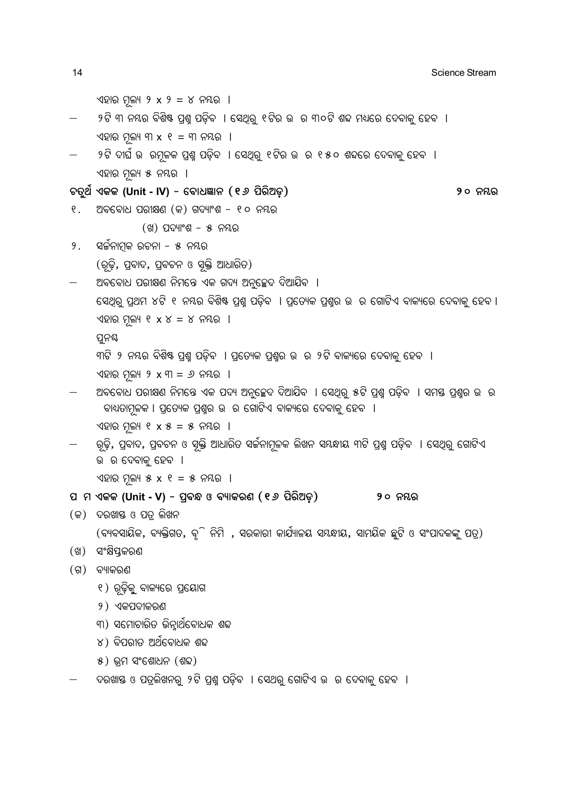```
\sqrt{2}ାର ମୁଲ୍ୟ ୨ x ୨ = ୪ ନୟର ।
     ୍ର ୨ଟି ୩ ନୟର ବିଶିଷ୍ଟ ପ୍ରଶ୍ମ ପଡ଼ିବ  । ସେଥିରୁ ୧ଟିର ଉ  ର ୩୦ଟି ଶବ୍ଦ ମଧ୍ୟରେ ଦେବାକୁ ହେବ  ।
     ଏହାର ମୂଲ୍ୟ ୩x ୧ = ୩ ନୟର ।
      ୨ଟି ଦାର୍ଘ ଉ  ରମୂଳକ ପ୍ରଶ୍ନ ପଡ଼ିବ  । ସେଥିରୁ ୧ଟିର ଉ  ର ୧୫୦ ଶବ୍ଦରେ ଦେବାକୁ ହେବ  ।
     \sqrt{2}ାର ମୂଲ୍ୟ ୫ ନୟର ।
PZê[ð GKK (Unit - IV) - ùaû]mû^ (16 _òeò@Wÿ) 20 ^´e
୧.   ଅବବୋଧ ପରୀକ୍ଷଣ (କ) ଗଦ୍ୟାଂଶ – ୧୦ ନୟର
               (S) ପଦ୍ୟାଂଶ - ୫ ନୟର
୨.     ସର୍ଜନାମକ ରଚନା – ୫  ନୟର
     (ରୃତି, ପ୍ରବାଦ, ପ୍ରବଚନ ଓ ସ୍କ୍ତି ଆଧାରିତ)
     ଅବବୋଧ ପରୀକ୍ଷଣ ନିମନ୍ତେ ଏକ ଗଦ୍ୟ ଅନ୍ତଚ୍ଛେଦ ଦିଆଯିବ ।
     ପେଥିରୁ ପ୍ରଥମ ୪ଟି ୧ ନୟର ବିଶିଷ୍ଟ ପ୍ରଶ୍ନ ପଡ଼ିବ  । ପ୍ରତ୍ୟେକ ପ୍ରଶ୍ନର ଉ  ର ଗୋଟିଏ ବାକ୍ୟରେ ଦେବାକୁ ହେବ ।
     ଏହାର ମୁଲ୍ୟ ୧xx = x ନୟର ।
     ପୁନୟ
     ୩ଟି ୨ ନୟର ବିଶିଷ୍ଟ ପ୍ରଶ୍ନ ପଡ଼ିବ  । ପ୍ରତ୍ୟେକ ପ୍ରଶ୍ନର ଉ  ର ୨ଟି ବାକ୍ୟରେ ଦେବାକୁ ହେବ  ।
     ଏହାର ମୂଲ୍ୟ ୨x ୩ = 9 ନୟର ।
     ଅବବୋଧ ପରୀକ୍ଷଣ ନିମନ୍ତେ ଏକ ପଦ୍ୟ ଅନୁଚ୍ଛେଦ ଦିଆଯିବ  । ସେଥିରୁ ୫ଟି ପ୍ରଶ୍ମ ପଡ଼ିବ  । ସମସ୍ତ ପ୍ରଶ୍ନର ଉ  ର
       ବାଧ୍ୟତାମୂଳକ । ପ୍ରତ୍ୟେକ ପ୍ରଶ୍ନର ଉ  ର ଗୋଟିଏ ବାକ୍ୟରେ ଦେବାକୁ ହେବ  ।
     \sqrt{2}ାର ମୂଲ୍ୟ ୧ x ୫ = ୫ ନୟର ।
     ଼ରଢ଼ି, ପ୍ରବାଦ, ପ୍ରବଚନ ଓ ସ୍ନକ୍ତି ଆଧାରିତ ସର୍ଜନାମୂଳକ ଲିଖନ ସୟନ୍ଧୀୟ ୩ଟି ପ୍ରଶ୍ମ ପଡ଼ିବ  । ସେଥିରୁ ଗୋଟିଏ
     ଉ ର ଦେବାକ୍ ହେବ ।
     \sqrt{2}ାର ମଳ୍ୟ ୫ x ୧ = ୫ ନୟର ।
\alpha ମ ଏକକ (Unit - V) - ପ୍ରବନ୍ଧ ଓ ବ୍ୟାକରଣ (୧୬ ପିରିଅଡ଼)                 ୨୦ ନୟର
(R) ଦରଖାସ୍ତ ଓ ପତ୍ର ଲିଖନ
     (ବ୍ୟବସାୟିକ, ବ୍ୟକ୍ତିଗତ, ବୃି ନିମି , ସରକାରୀ କାର୍ଯ୍ୟାଳୟ ସୟନ୍ଧୀୟ, ସାମୟିକ ଛୁଟି ଓ ସଂପାଦକଙ୍କୁ ପତ୍ର)
(ଖ) ସଂକ୍ଷିପ୍ତକରଣ
(ଗ) ବ୍ୟାକରଣ
      ୧) ରୂଢ଼ିକୁ ବାକ୍ୟରେ ପ୍ରୟୋଗ
      ୨) ଏକପଦୀକରଣ
     ୍କୀ) ସମୋଚାରିତ ଭିନାର୍ଥବୋଧକ ଶବ୍ଦ
     \chi) ବିପରୀତ ଅର୍ଥିବୋଧକ ଶବ୍ଦ
```

```
8) ଭମ ସଂଶୋଧନ (ଶବ୍ଦ)
```
-ଦରଖାୟ ଓ ପତ୍ରଲିଖନର୍ ୨ଟି ପ୍ରଶ୍ୱ ପଡ଼ିବ । ସେଥର୍ ଗୋଟିଏ ଉ ର ଦେବାକୁ ହେବ ।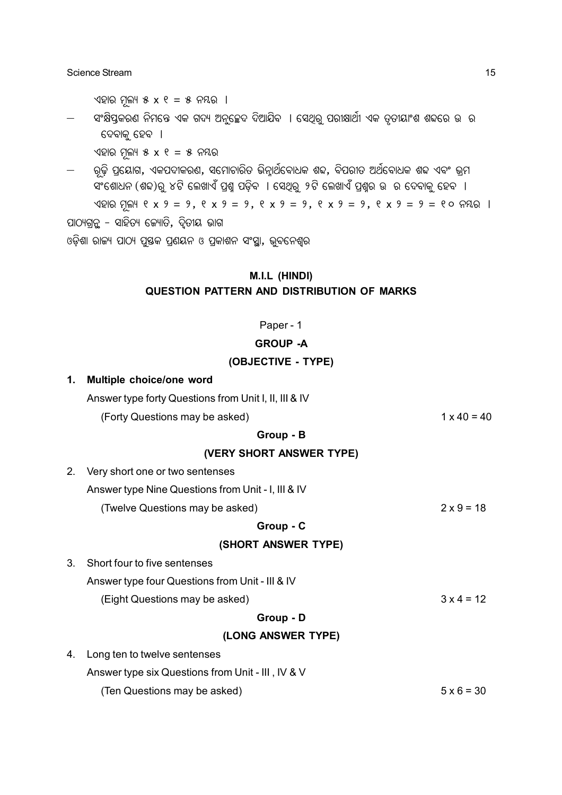ଏହାର ମୂଲ୍ୟ ୫ x ୧ = ୫ ନୟର ।

ସଂକ୍ଷିପ୍ତକରଣ ନିମନ୍ତେ ଏକ ଗଦ୍ୟ ଅନୁଚ୍ଛେଦ ଦିଆଯିବ । ସେଥିରୁ ପରୀକ୍ଷାର୍ଥୀ ଏକ ତୂତୀୟାଂଶ ଶବ୍ଦରେ ଉ ର ଦେବାକୁ ହେବ ।

ଏହାର ମୁଲ୍ୟ ୫ $x$  ୧ = ୫ ନୟର

୍ରତି ପ୍ରୟୋଗ, ଏକପଦୀକରଣ, ସମୋଚାରିତ ଭିନ୍ନାର୍ଥିବୋଧକ ଶବ୍ଦ, ବିପରୀତ ଅର୍ଥବୋଧକ ଶବ୍ଦ ଏବଂ ଭମ ଁ ଏଂଶୋଧନ (ଶଢ)ରୁ ୪ଟି ଲେଖାଏଁ ପ୍ରଶ୍ମ ପଡ଼ିବ । ସେଥିରୁ ୨ଟି ଲେଖାଏଁ ପ୍ରଶ୍ନର ଉ ର ଦେବାକୁ ହେବ । ଏହାର ମୂଲ୍ୟ ୧ x ୨ = ୨, ୧ x ୨ = ୨, ୧ x ୨ = ୨, ୧ x ୨ = ୨, ୧ x ୨ = ୨ = ୧୦ ନୟର । ପାଠ୍ୟଗ୍ରନ୍ଥ – ସାହିତ୍ୟ କ୍ୟୋତି, ଦ୍ୱିତୀୟ ଭାଗ ଓଡ଼ିଶା ରାଜ୍ୟ ପାଠ୍ୟ ପୁସ୍ତକ ପ୍ରଶୟନ ଓ ପ୍ରକାଶନ ସଂସ୍ଥା, ଭୁବନେଶ୍ୱର

#### **M.I.L (HINDI)**

#### **QUESTION PATTERN AND DISTRIBUTION OF MARKS**

#### Paper - 1

#### **GROUP -A**

#### **(OBJECTIVE - TYPE)**

| Multiple choice/one word                              |                    |
|-------------------------------------------------------|--------------------|
| Answer type forty Questions from Unit I, II, III & IV |                    |
| (Forty Questions may be asked)                        | $1 \times 40 = 40$ |
| Group - B                                             |                    |
| (VERY SHORT ANSWER TYPE)                              |                    |
| Very short one or two sentenses                       |                    |
| Answer type Nine Questions from Unit - I, III & IV    |                    |
| (Twelve Questions may be asked)                       | $2 \times 9 = 18$  |
| Group - C                                             |                    |
| (SHORT ANSWER TYPE)                                   |                    |
| Short four to five sentenses                          |                    |
| Answer type four Questions from Unit - III & IV       |                    |
| (Eight Questions may be asked)                        | $3x4 = 12$         |
| Group - D                                             |                    |
| (LONG ANSWER TYPE)                                    |                    |
| Long ten to twelve sentenses                          |                    |
| Answer type six Questions from Unit - III, IV & V     |                    |
| (Ten Questions may be asked)                          | $5 \times 6 = 30$  |
|                                                       |                    |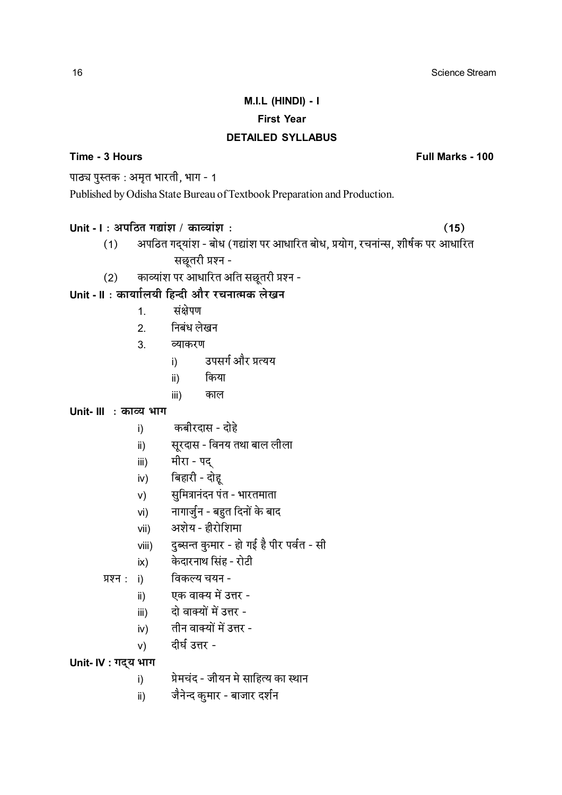# M.I.L (HINDI) - I **First Year**

#### **DETAILED SYLLABUS**

### Time - 3 Hours

Full Marks - 100

 $(15)$ 

पाठ्य पुस्तक: अमृत भारती, भाग - 1

Published by Odisha State Bureau of Textbook Preparation and Production.

### Unit - I: अपठित गद्यांश / काव्यांश:

- अपठित गदयांश बोध (गद्यांश पर आधारित बोध, प्रयोग, रचनांन्स, शीर्षक पर आधारित  $(1)$ सछूतरी प्रश्न -
- काव्यांश पर आधारित अति सछूतरी प्रश्न - $(2)$

# Unit - II : कार्याालयी हिन्दी और रचनात्मक लेखन

- संक्षेपण  $1<sup>1</sup>$
- निबंध लेखन  $2<sup>1</sup>$
- $3<sup>1</sup>$ व्याकरण
	- उपसर्ग और प्रत्यय  $i)$ 
		- किया  $\mathsf{ii}$
		- $iii)$ काल

## Unit- III : काव्य भाग

- कबीरदास दोहे  $\mathsf{i}$
- सूरदास विनय तथा बाल लीला  $\mathsf{ii}$ )
- मीरा पद  $iii)$
- बिहारी दोह  $iv)$
- सुमित्रानंदन पंत भारतमाता  $V)$
- नागार्जुन बहुत दिनों के बाद vi)
- अशेय हीरोशिमा vii)
- दुब्सन्त कुमार हो गई है पीर पर्वत सी viii)
- केदारनाथ सिंह रोटी  $\mathsf{ix)}$
- विकल्य चयन -प्रश्न:  $i)$ 
	- एक वाक्य में उत्तर - $\mathsf{ii}$ )
		- दो वाक्यों में उत्तर  $iii)$
	- तीन वाक्यों में उत्तर  $iv)$
	- दीर्घ उत्तर - $V)$

### Unit- IV: गद्य भाग

- प्रेमचंद जीयन मे साहित्य का स्थान  $i)$
- जैनेन्द कुमार बाजार दर्शन  $\mathsf{ii}$ )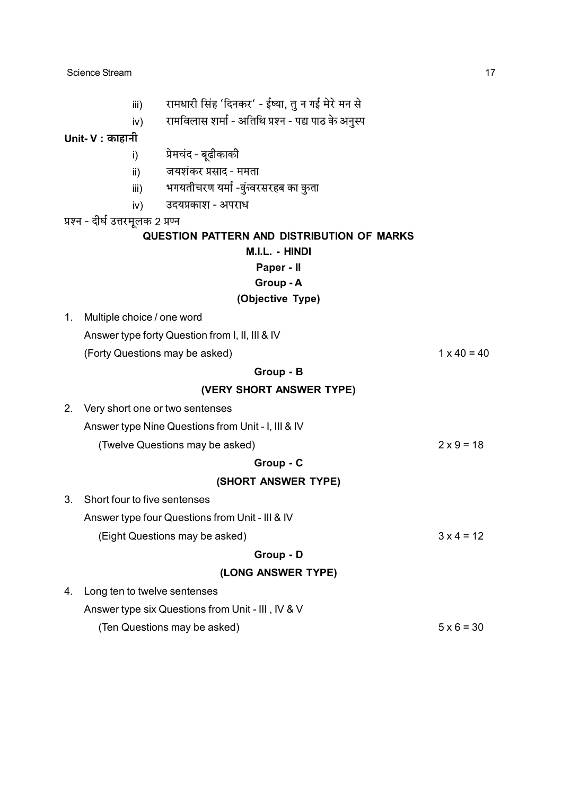- रामधारी सिंह 'दिनकर' ईष्या, तु न गई मेरे मन से  $iii)$
- रामविलास शर्मा अतिथि प्रश्न पद्य पाठ के अनुस्प  $iv)$

Unit-  $V:$  काहानी

- प्रेमचंद बूढीकाकी  $i)$
- जयशंकर प्रसाद ममता  $\mathbf{ii}$
- भगयतीचरण यर्मा -वुंग्वरसरहब का वुग्ता iii)
- उदयप्रकाश अपराध  $iv)$

प्रश्न - दीर्घ उत्तरमूलक 2 प्रण्न

#### QUESTION PATTERN AND DISTRIBUTION OF MARKS

M.I.L. - HINDI

Paper - II

#### Group - A

#### (Objective Type)

1. Multiple choice / one word

Answer type forty Question from I, II, III & IV

(Forty Questions may be asked)

#### Group - B

(VERY SHORT ANSWER TYPE)

- 2. Very short one or two sentenses
	- Answer type Nine Questions from Unit I, III & IV

(Twelve Questions may be asked)

#### Group - C

#### (SHORT ANSWER TYPE)

- 3. Short four to five sentenses Answer type four Questions from Unit - III & IV  $3x 4 = 12$ (Eight Questions may be asked) Group - D (LONG ANSWER TYPE) 4. Long ten to twelve sentenses
- Answer type six Questions from Unit III, IV & V (Ten Questions may be asked)  $5 \times 6 = 30$

 $1 \times 40 = 40$ 

 $2 \times 9 = 18$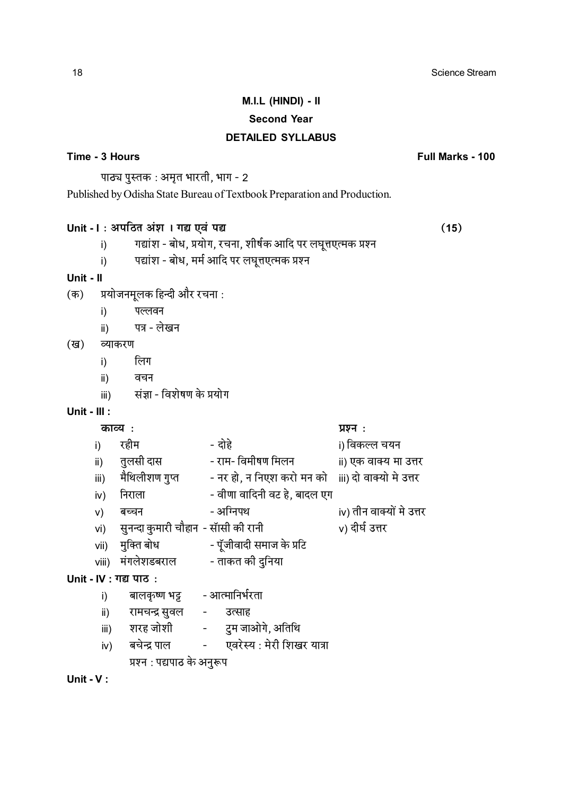## M.I.L (HINDI) - II **Second Year DETAILED SYLLABUS**

#### Time - 3 Hours

Full Marks - 100

 $(15)$ 

पाठ्य पुस्तक: अमृत भारती, भाग - 2

Published by Odisha State Bureau of Textbook Preparation and Production.

### Unit - I: अपठित अंश । गद्य एवं पद्य

- गद्यांश बोध, प्रयोग, रचना, शीर्षक आदि पर लघुत्तएत्मक प्रश्न  $i)$
- पद्यांश बोध, मर्म आदि पर लघुत्तएत्मक प्रश्न  $i)$

#### Unit -  $II$

- प्रयोजनमूलक हिन्दी और रचना: (क)
	- पल्लवन  $i)$
	- पत्र लेखन  $\mathsf{ii}$

#### (ख) व्याकरण

- लिग  $i)$
- वचन  $\mathbf{ii}$
- संज्ञा विशेषण के प्रयोग  $iii)$

#### Unit -  $III$  :

#### काव्य:

- दोहे रहीम i) विकल्ल चयन  $i)$ तुलसी दास - राम- विमीषण मिलन ii) एक वाक्य मा उत्तर  $\mathsf{ii}$ ) उँ<br>मैथिलीशण गुप्त - नर हो, न निएश करो मन को iii) दो वाक्यो मे उत्तर  $iii)$ - वीणा वादिनी वट हे, बादल एग निराला  $iv)$ - अग्निपथ iv) तीन वाक्यों मे उत्तर बच्चन  $V)$ सुनन्दा कुमारी चौहान - सॉसी की रानी v) दीर्घ उत्तर  $Vi)$ मुक्ति बोध - पूँजीवादी समाज के प्रटि vii) viii) मंगलेशडबराल - ताकत की दुनिया Unit - IV : गद्य पाठ : बालकृष्ण भट्ट - आत्मानिर्भरता  $i)$ रामचन्द्र सुवल -उत्साह  $\mathsf{ii}$ ) शरह जोशी -टम जाओगे, अतिथि  $iii)$ बचेन्द्र पाल एवरेस्य : मेरी शिखर यात्रा  $\mathsf{iv}$  $\sim 10^{11}$ 

प्रश्न:

प्रश्न : पद्यपाठ के अनुरूप

Unit -  $V$  :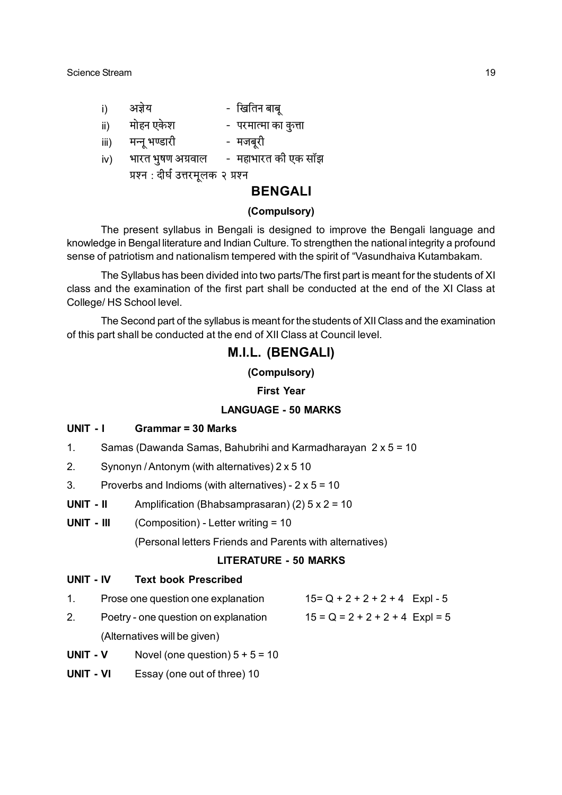| $\vert$ | अर्जय | - खितिन बाब् |
|---------|-------|--------------|
|         |       |              |

- मोहन एकेश - परमात्मा का कुत्ता  $\mathsf{ii}$
- मन्न भण्डारी  $\overline{\mathsf{iii}}$ - मजबरी
- महाभारत की एक सॉझ भारत भूषण अग्रवाल  $iv)$ 
	- प्रश्न : दीर्घ उत्तरमूलक २ प्रश्न

### **BENGALI**

#### (Compulsory)

The present syllabus in Bengali is designed to improve the Bengali language and knowledge in Bengal literature and Indian Culture. To strengthen the national integrity a profound sense of patriotism and nationalism tempered with the spirit of "Vasundhaiva Kutambakam.

The Syllabus has been divided into two parts/The first part is meant for the students of XI class and the examination of the first part shall be conducted at the end of the XI Class at College/HS School level.

The Second part of the syllabus is meant for the students of XII Class and the examination of this part shall be conducted at the end of XII Class at Council level.

## M.I.L. (BENGALI)

(Compulsory)

#### **First Year**

#### **I ANGUAGE - 50 MARKS**

#### **UNIT - I Grammar = 30 Marks**

- $1<sub>1</sub>$ Samas (Dawanda Samas, Bahubrihi and Karmadharayan 2 x 5 = 10
- $2<sub>1</sub>$ Synonyn / Antonym (with alternatives) 2 x 5 10
- $\mathbf{3}$ Proverbs and Indioms (with alternatives) -  $2 \times 5 = 10$
- $I$  II TIMIT Amplification (Bhabsamprasaran) (2)  $5 \times 2 = 10$
- UNIT III (Composition) - Letter writing = 10

(Personal letters Friends and Parents with alternatives)

#### **LITERATURE - 50 MARKS**

#### UNIT - IV **Text book Prescribed**

- $1<sub>1</sub>$  $15 = Q + 2 + 2 + 2 + 4$  Expl - 5 Prose one question one explanation
- $2<sup>1</sup>$ Poetry - one question on explanation  $15 = Q = 2 + 2 + 2 + 4$  Expl = 5 (Alternatives will be given)
- UNIT V Novel (one question)  $5 + 5 = 10$
- UNIT VI Essay (one out of three) 10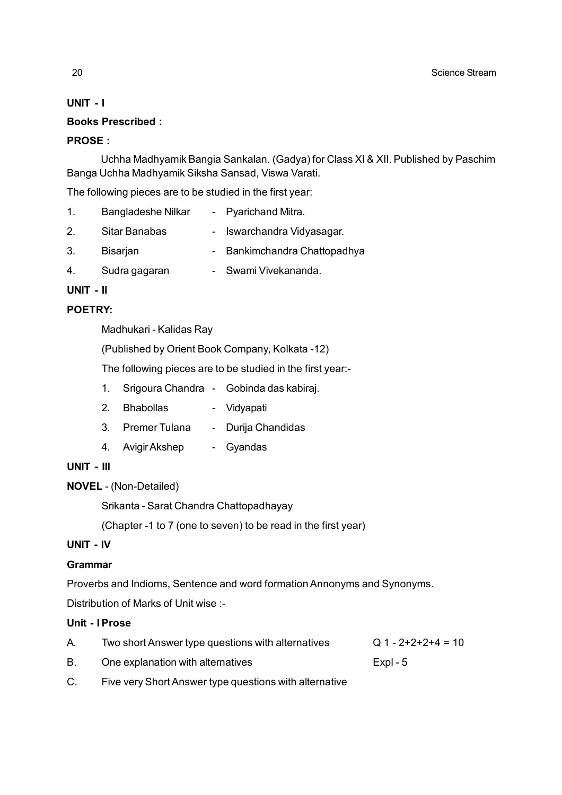#### **UNIT - I**

#### **Books Prescribed :**

#### **PROSE :**

Uchha Madhyamik Bangia Sankalan. (Gadya) for Class XI & XII. Published by Paschim Banga Uchha Madhyamik Siksha Sansad, Viswa Varati.

The following pieces are to be studied in the first year:

| 1.      | Bangladeshe Nilkar | - Pyarichand Mitra.          |
|---------|--------------------|------------------------------|
| $2_{-}$ | Sitar Banabas      | - Iswarchandra Vidyasagar.   |
| 3.      | Bisarjan           | - Bankimchandra Chattopadhya |

4. Sudra gagaran - Swami Vivekananda.

### **UNIT - II**

### **POETRY:**

Madhukari - Kalidas Ray

(Published by Orient Book Company, Kolkata -12)

The following pieces are to be studied in the first year:-

- 1. Srigoura Chandra Gobinda das kabiraj.
- 2. Bhabollas Vidyapati
- 3. Premer Tulana Durija Chandidas
- 4. Avigir Akshep Gyandas
- **UNIT III**
- **NOVEL**  (Non-Detailed)

Srikanta - Sarat Chandra Chattopadhayay

(Chapter -1 to 7 (one to seven) to be read in the first year)

### **UNIT - IV**

#### **Grammar**

Proverbs and Indioms, Sentence and word formation Annonyms and Synonyms.

Distribution of Marks of Unit wise :-

#### **Unit - I Prose**

| А. | Two short Answer type questions with alternatives      | $Q$ 1 - 2+2+2+4 = 10 |
|----|--------------------------------------------------------|----------------------|
| В. | One explanation with alternatives                      | Expl - $5$           |
|    | Eivo vory Short Angwor type questions with alternative |                      |

C. Five very Short Answer type questions with alternative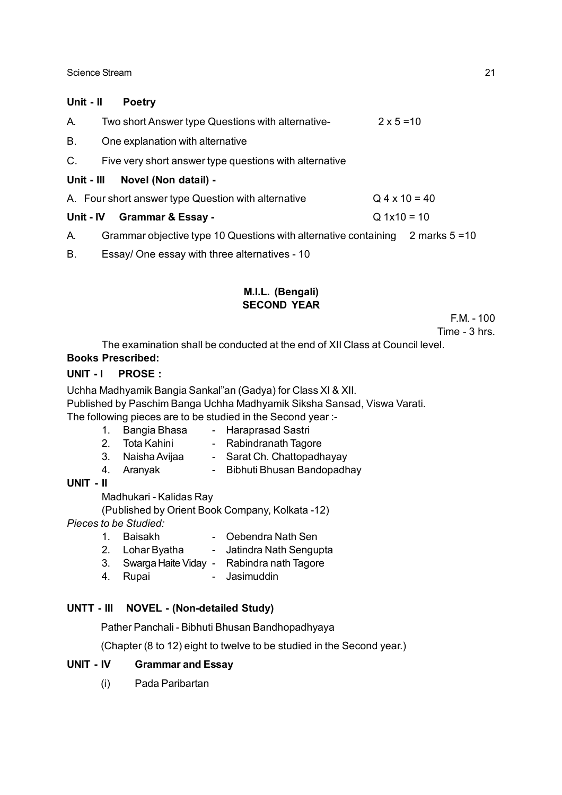#### Science Stream 21 and 22 and 22 and 22 and 22 and 22 and 22 and 22 and 22 and 22 and 22 and 22 and 22 and 22 and 22 and 22 and 22 and 22 and 22 and 22 and 22 and 22 and 22 and 22 and 22 and 22 and 22 and 22 and 22 and 22 a

#### **Unit - II Poetry**

| А.         | Two short Answer type Questions with alternative-                                | $2 \times 5 = 10$ |  |
|------------|----------------------------------------------------------------------------------|-------------------|--|
| Β.         | One explanation with alternative                                                 |                   |  |
| C.         | Five very short answer type questions with alternative                           |                   |  |
| Unit - III | Novel (Non datail) -                                                             |                   |  |
|            | A. Four short answer type Question with alternative                              | $Q$ 4 x 10 = 40   |  |
|            | Unit - IV Grammar & Essay -                                                      | $Q 1x10 = 10$     |  |
| A.         | Grammar objective type 10 Questions with alternative containing 2 marks $5 = 10$ |                   |  |
| В.         | Essay/ One essay with three alternatives - 10                                    |                   |  |

#### **M.I.L. (Bengali) SECOND YEAR**

F.M. - 100

Time - 3 hrs.

The examination shall be conducted at the end of XII Class at Council level.

#### **Books Prescribed:**

#### UNIT - I PROSE :

Uchha Madhyamik Bangia Sankal"an (Gadya) for Class XI & XII.

Published by Paschim Banga Uchha Madhyamik Siksha Sansad, Viswa Varati.

The following pieces are to be studied in the Second year :-

- 1. Bangia Bhasa Haraprasad Sastri
- 2. Tota Kahini Rabindranath Tagore
- 3. Naisha Avijaa Sarat Ch. Chattopadhayay
- 4. Aranyak Bibhuti Bhusan Bandopadhay

#### **UNIT - II**

Madhukari - Kalidas Ray

(Published by Orient Book Company, Kolkata -12)

*Pieces to be Studied:*

- 1. Baisakh Oebendra Nath Sen 2. Lohar Byatha - Jatindra Nath Sengupta
- 3. Swarga Haite Viday Rabindra nath Tagore
- 
- 4. Rupai Jasimuddin

#### **UNTT - III NOVEL - (Non-detailed Study)**

Pather Panchali - Bibhuti Bhusan Bandhopadhyaya

(Chapter (8 to 12) eight to twelve to be studied in the Second year.)

#### **UNIT - IV Grammar and Essay**

(i) Pada Paribartan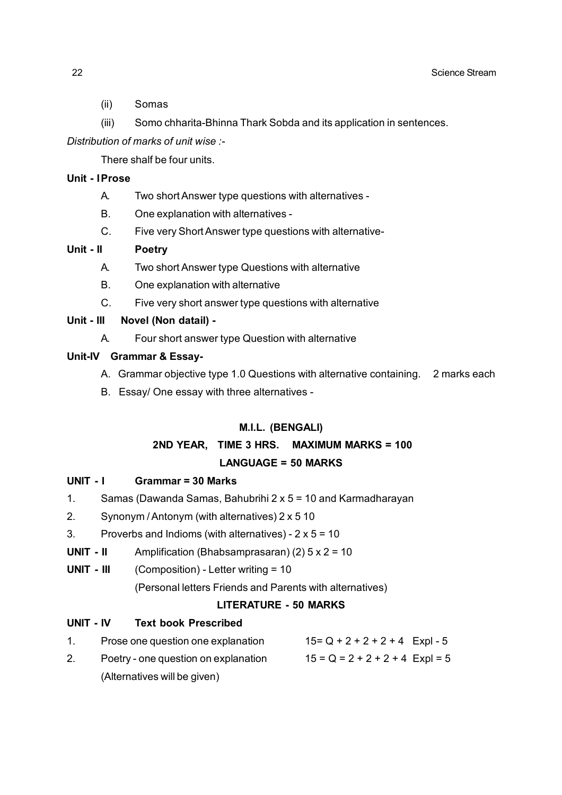- (ii) Somas
- (iii) Somo chharita-Bhinna Thark Sobda and its application in sentences.

*Distribution of marks of unit wise :-*

There shalf be four units.

#### **Unit - IProse**

- A. Two short Answer type questions with alternatives -
- B. One explanation with alternatives -
- C. Five very Short Answer type questions with alternative-

#### **Unit - II Poetry**

- A. Two short Answer type Questions with alternative
- B. One explanation with alternative
- C. Five very short answer type questions with alternative

#### **Unit - III Novel (Non datail) -**

A. Four short answer type Question with alternative

#### **Unit-IV Grammar & Essay-**

- A. Grammar objective type 1.0 Questions with alternative containing. 2 marks each
- B. Essay/ One essay with three alternatives -

#### **M.I.L. (BENGALI)**

### **2ND YEAR, TIME 3 HRS. MAXIMUM MARKS = 100**

### **LANGUAGE = 50 MARKS**

#### **UNIT - I Grammar = 30 Marks**

- 1. Samas (Dawanda Samas, Bahubrihi 2 x 5 = 10 and Karmadharayan
- 2. Synonym / Antonym (with alternatives) 2 x 5 10
- 3. Proverbs and Indioms (with alternatives)  $2 \times 5 = 10$
- **UNIT II** Amplification (Bhabsamprasaran) (2) 5 x 2 = 10
- **UNIT III** (Composition) Letter writing = 10

(Personal letters Friends and Parents with alternatives)

#### **LITERATURE - 50 MARKS**

### **UNIT - IV Text book Prescribed**

| Prose one question one explanation   | $15 = Q + 2 + 2 + 2 + 4$ Expl - 5 |
|--------------------------------------|-----------------------------------|
| Poetry - one question on explanation | $15 = Q = 2 + 2 + 2 + 4$ Expl = 5 |
| (Alternatives will be given)         |                                   |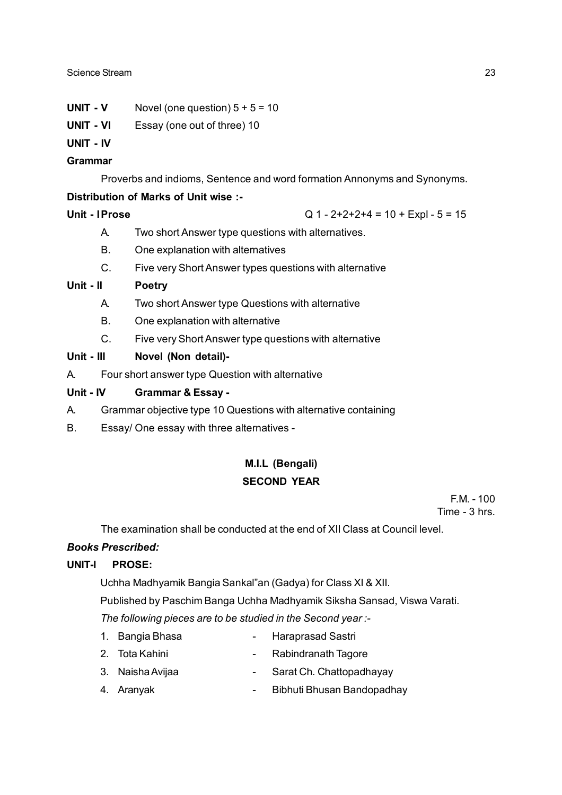- **UNIT V** Novel (one question)  $5 + 5 = 10$
- **UNIT VI** Essay (one out of three) 10
- **UNIT IV**

#### **Grammar**

Proverbs and indioms, Sentence and word formation Annonyms and Synonyms.

#### **Distribution of Marks of Unit wise :-**

**Unit - IProse** Q 1 - 2+2+2+4 = 10 + Expl - 5 = 15

- A. Two short Answer type questions with alternatives.
- B. One explanation with alternatives
- C. Five very Short Answer types questions with alternative

#### **Unit - II Poetry**

- A. Two short Answer type Questions with alternative
- B. One explanation with alternative
- C. Five very Short Answer type questions with alternative

#### **Unit - III Novel (Non detail)-**

A. Four short answer type Question with alternative

#### **Unit - IV Grammar & Essay -**

- A. Grammar objective type 10 Questions with alternative containing
- B. Essay/ One essay with three alternatives -

# **M.I.L (Bengali) SECOND YEAR**

 $FM - 100$ Time - 3 hrs.

The examination shall be conducted at the end of XII Class at Council level.

#### *Books Prescribed:*

#### **UNIT-I PROSE:**

Uchha Madhyamik Bangia Sankal"an (Gadya) for Class XI & XII.

Published by Paschim Banga Uchha Madhyamik Siksha Sansad, Viswa Varati.

*The following pieces are to be studied in the Second year :-*

- 1. Bangia Bhasa  **Haraprasad Sastri**
- 2. Tota Kahini Rabindranath Tagore
- 3. Naisha Avijaa  $\overline{\phantom{a}}$  Sarat Ch. Chattopadhayay
- 4. Aranyak Bibhuti Bhusan Bandopadhay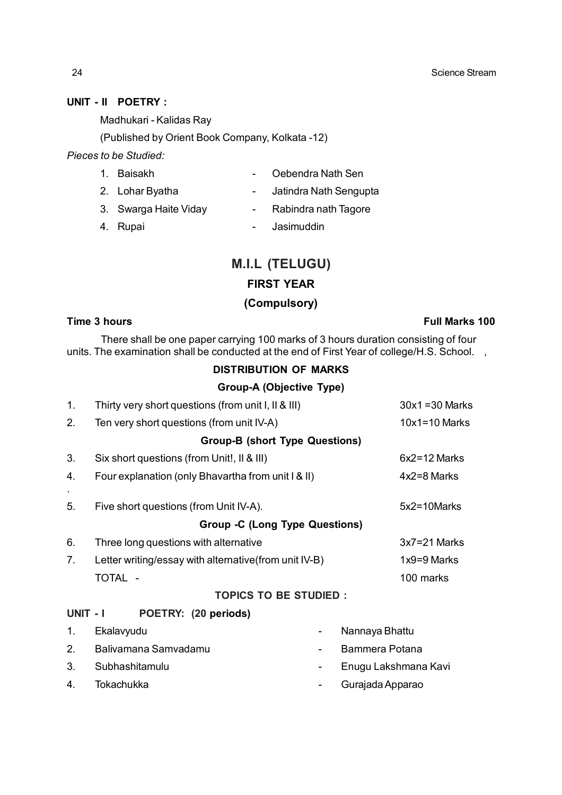#### **UNIT - II POETRY :**

Madhukari - Kalidas Ray

(Published by Orient Book Company, Kolkata -12)

*Pieces to be Studied:*

| 1. Baisakh            | $\sim 100$ | Oebendra Nath Sen      |
|-----------------------|------------|------------------------|
| 2. Lohar Byatha       |            | Jatindra Nath Sengupta |
| 3. Swarga Haite Viday |            | Rabindra nath Tagore   |

4. Rupai **- Jasimuddin** 

# **M.I.L (TELUGU) FIRST YEAR (Compulsory)**

#### **Time 3 hours Full Marks 100**

There shall be one paper carrying 100 marks of 3 hours duration consisting of four units. The examination shall be conducted at the end of First Year of college/H.S. School.,

#### **DISTRIBUTION OF MARKS**

#### **Group-A (Objective Type)**

| 1.       | Thirty very short questions (from unit I, II & III)   |                   | $30x1 = 30$ Marks    |
|----------|-------------------------------------------------------|-------------------|----------------------|
| 2.       | Ten very short questions (from unit IV-A)             | $10x1 = 10$ Marks |                      |
|          | <b>Group-B (short Type Questions)</b>                 |                   |                      |
| 3.       | Six short questions (from Unit!, II & III)            |                   | $6x2 = 12$ Marks     |
| 4.       | Four explanation (only Bhavartha from unit I & II)    |                   | $4x2=8$ Marks        |
| 5.       | Five short questions (from Unit IV-A).                |                   | 5x2=10Marks          |
|          | <b>Group -C (Long Type Questions)</b>                 |                   |                      |
| 6.       | Three long questions with alternative                 |                   | $3x7 = 21$ Marks     |
| 7.       | Letter writing/essay with alternative(from unit IV-B) |                   | $1x9=9$ Marks        |
|          | TOTAL -                                               |                   | 100 marks            |
|          | <b>TOPICS TO BE STUDIED:</b>                          |                   |                      |
| UNIT - I | POETRY: (20 periods)                                  |                   |                      |
| 1.       | Ekalavyudu                                            |                   | Nannaya Bhattu       |
| 2.       | Balivamana Samvadamu                                  |                   | Bammera Potana       |
| 3.       | Subhashitamulu                                        |                   | Enugu Lakshmana Kavi |

- 4. Tokachukka Gurajada Apparao
- -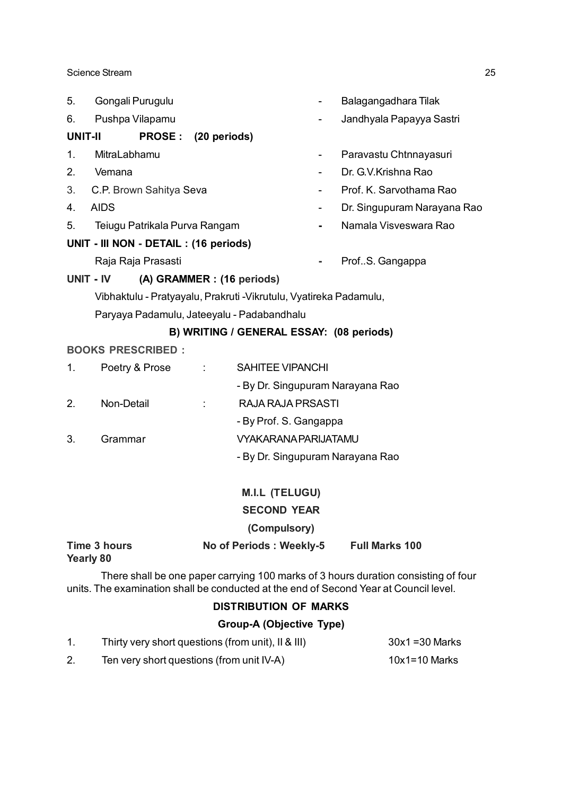| 5. | Gongali Purugulu                                                   |    |                                          |                              | Balagangadhara Tilak             |
|----|--------------------------------------------------------------------|----|------------------------------------------|------------------------------|----------------------------------|
| 6. | Pushpa Vilapamu                                                    |    |                                          |                              | Jandhyala Papayya Sastri         |
|    | <b>UNIT-II</b><br>PROSE: (20 periods)                              |    |                                          |                              |                                  |
| 1. | MitraLabhamu                                                       |    |                                          | $\qquad \qquad \blacksquare$ | Paravastu Chtnnayasuri           |
| 2. | Vemana                                                             |    |                                          |                              | Dr. G.V.Krishna Rao              |
| 3. | C.P. Brown Sahitya Seva                                            |    |                                          |                              | Prof. K. Sarvothama Rao          |
| 4. | <b>AIDS</b>                                                        |    |                                          |                              | Dr. Singupuram Narayana Rao      |
| 5. | Teiugu Patrikala Purva Rangam                                      |    |                                          |                              | Namala Visveswara Rao            |
|    | UNIT - III NON - DETAIL : (16 periods)                             |    |                                          |                              |                                  |
|    | Raja Raja Prasasti                                                 |    |                                          |                              | ProfS. Gangappa                  |
|    | UNIT - IV                                                          |    | (A) GRAMMER : (16 periods)               |                              |                                  |
|    | Vibhaktulu - Pratyayalu, Prakruti - Vikrutulu, Vyatireka Padamulu, |    |                                          |                              |                                  |
|    | Paryaya Padamulu, Jateeyalu - Padabandhalu                         |    |                                          |                              |                                  |
|    |                                                                    |    | B) WRITING / GENERAL ESSAY: (08 periods) |                              |                                  |
|    | <b>BOOKS PRESCRIBED:</b>                                           |    |                                          |                              |                                  |
| 1. | Poetry & Prose                                                     |    | <b>SAHITEE VIPANCHI</b>                  |                              |                                  |
|    |                                                                    |    |                                          |                              | - By Dr. Singupuram Narayana Rao |
| 2. | Non-Detail                                                         | ÷. | <b>RAJA RAJA PRSASTI</b>                 |                              |                                  |
|    |                                                                    |    | - By Prof. S. Gangappa                   |                              |                                  |
| 3. | Grammar                                                            |    | <b>VYAKARANA PARIJATAMU</b>              |                              |                                  |
|    |                                                                    |    |                                          |                              | - By Dr. Singupuram Narayana Rao |
|    |                                                                    |    |                                          |                              |                                  |
|    |                                                                    |    | <b>M.I.L (TELUGU)</b>                    |                              |                                  |

**SECOND YEAR**

#### **(Compulsory)**

### **Time 3 hours No of Periods : Weekly-5 Full Marks 100 Yearly 80**

There shall be one paper carrying 100 marks of 3 hours duration consisting of four units. The examination shall be conducted at the end of Second Year at Council level.

#### **DISTRIBUTION OF MARKS**

#### **Group-A (Objective Type)**

|    | Thirty very short questions (from unit), II & III) | $30x1 = 30$ Marks |
|----|----------------------------------------------------|-------------------|
| 2. | Ten very short questions (from unit IV-A)          | $10x1 = 10$ Marks |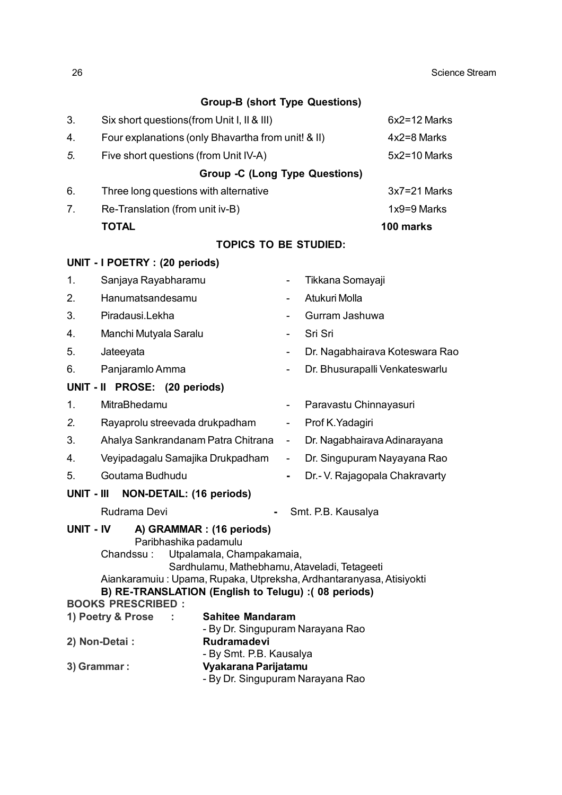|                                                                                                                                     |                                                                                                                                                                                                                                                                                       | <b>Group-B (short Type Questions)</b> |                          |                                |                  |  |
|-------------------------------------------------------------------------------------------------------------------------------------|---------------------------------------------------------------------------------------------------------------------------------------------------------------------------------------------------------------------------------------------------------------------------------------|---------------------------------------|--------------------------|--------------------------------|------------------|--|
| 3.                                                                                                                                  | Six short questions (from Unit I, II & III)                                                                                                                                                                                                                                           |                                       |                          |                                | $6x2 = 12$ Marks |  |
| 4.                                                                                                                                  | Four explanations (only Bhavartha from unit! & II)                                                                                                                                                                                                                                    |                                       |                          |                                | 4x2=8 Marks      |  |
| 5.                                                                                                                                  | Five short questions (from Unit IV-A)                                                                                                                                                                                                                                                 |                                       |                          |                                | $5x2 = 10$ Marks |  |
|                                                                                                                                     |                                                                                                                                                                                                                                                                                       | <b>Group -C (Long Type Questions)</b> |                          |                                |                  |  |
| 6.                                                                                                                                  | Three long questions with alternative                                                                                                                                                                                                                                                 |                                       |                          |                                | $3x7 = 21$ Marks |  |
| 7.                                                                                                                                  | Re-Translation (from unit iv-B)                                                                                                                                                                                                                                                       |                                       |                          |                                | $1x9=9$ Marks    |  |
|                                                                                                                                     | <b>TOTAL</b>                                                                                                                                                                                                                                                                          |                                       |                          |                                | 100 marks        |  |
|                                                                                                                                     |                                                                                                                                                                                                                                                                                       | <b>TOPICS TO BE STUDIED:</b>          |                          |                                |                  |  |
|                                                                                                                                     | UNIT - I POETRY : (20 periods)                                                                                                                                                                                                                                                        |                                       |                          |                                |                  |  |
| 1.                                                                                                                                  | Sanjaya Rayabharamu                                                                                                                                                                                                                                                                   |                                       | $\overline{\phantom{a}}$ | Tikkana Somayaji               |                  |  |
| 2.                                                                                                                                  | Hanumatsandesamu                                                                                                                                                                                                                                                                      |                                       | $\overline{\phantom{a}}$ | Atukuri Molla                  |                  |  |
| 3.                                                                                                                                  | Piradausi.Lekha                                                                                                                                                                                                                                                                       |                                       |                          | Gurram Jashuwa                 |                  |  |
| 4.                                                                                                                                  | Manchi Mutyala Saralu                                                                                                                                                                                                                                                                 |                                       |                          | Sri Sri                        |                  |  |
| 5.                                                                                                                                  | Jateeyata                                                                                                                                                                                                                                                                             |                                       |                          | Dr. Nagabhairava Koteswara Rao |                  |  |
| Panjaramlo Amma<br>6.                                                                                                               |                                                                                                                                                                                                                                                                                       |                                       | $\overline{\phantom{a}}$ | Dr. Bhusurapalli Venkateswarlu |                  |  |
|                                                                                                                                     | UNIT - II PROSE: (20 periods)                                                                                                                                                                                                                                                         |                                       |                          |                                |                  |  |
| 1.                                                                                                                                  | MitraBhedamu                                                                                                                                                                                                                                                                          |                                       | $\overline{\phantom{a}}$ | Paravastu Chinnayasuri         |                  |  |
| 2.                                                                                                                                  | Rayaprolu streevada drukpadham                                                                                                                                                                                                                                                        |                                       | $\overline{\phantom{a}}$ | Prof K. Yadagiri               |                  |  |
| 3.                                                                                                                                  | Ahalya Sankrandanam Patra Chitrana                                                                                                                                                                                                                                                    |                                       | $\overline{\phantom{a}}$ | Dr. Nagabhairava Adinarayana   |                  |  |
| 4.                                                                                                                                  | Veyipadagalu Samajika Drukpadham                                                                                                                                                                                                                                                      |                                       | $\blacksquare$           | Dr. Singupuram Nayayana Rao    |                  |  |
| 5.                                                                                                                                  | Goutama Budhudu                                                                                                                                                                                                                                                                       |                                       |                          | Dr.- V. Rajagopala Chakravarty |                  |  |
| UNIT - III                                                                                                                          | <b>NON-DETAIL: (16 periods)</b>                                                                                                                                                                                                                                                       |                                       |                          |                                |                  |  |
|                                                                                                                                     | Rudrama Devi                                                                                                                                                                                                                                                                          |                                       |                          | Smt. P.B. Kausalya             |                  |  |
|                                                                                                                                     | UNIT - IV<br>A) GRAMMAR : (16 periods)<br>Paribhashika padamulu<br>Chandssu: Utpalamala, Champakamaia,<br>Sardhulamu, Mathebhamu, Ataveladi, Tetageeti<br>Aiankaramuiu: Upama, Rupaka, Utpreksha, Ardhantaranyasa, Atisiyokti<br>B) RE-TRANSLATION (English to Telugu) :( 08 periods) |                                       |                          |                                |                  |  |
|                                                                                                                                     | <b>BOOKS PRESCRIBED:</b>                                                                                                                                                                                                                                                              |                                       |                          |                                |                  |  |
|                                                                                                                                     | 1) Poetry & Prose                                                                                                                                                                                                                                                                     | <b>Sahitee Mandaram</b>               |                          |                                |                  |  |
| - By Dr. Singupuram Narayana Rao<br>2) Non-Detai :<br>Rudramadevi<br>- By Smt. P.B. Kausalya<br>Vyakarana Parijatamu<br>3) Grammar: |                                                                                                                                                                                                                                                                                       |                                       |                          |                                |                  |  |
|                                                                                                                                     |                                                                                                                                                                                                                                                                                       | - By Dr. Singupuram Narayana Rao      |                          |                                |                  |  |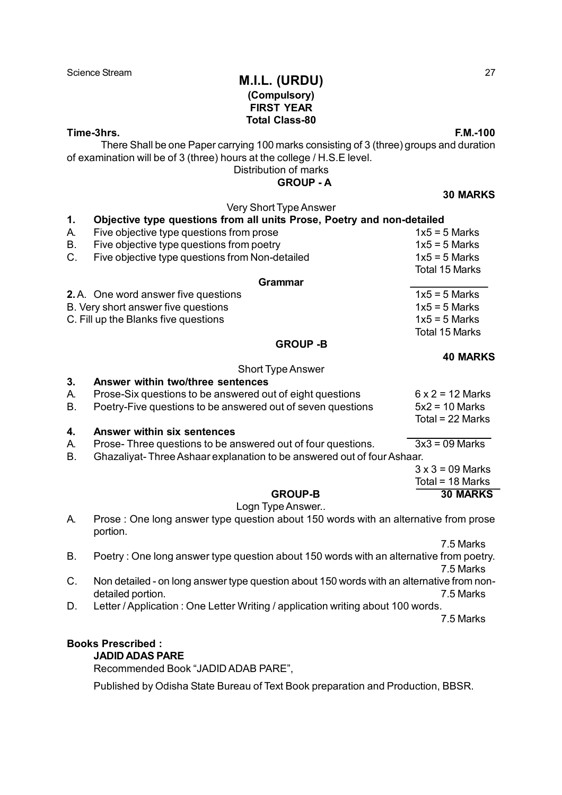### Science Stream **M.I.L. (URDU)** 27 **(Compulsory) FIRST YEAR Total Class-80**

**Time-3hrs. F.M.-100**

There Shall be one Paper carrying 100 marks consisting of 3 (three) groups and duration of examination will be of 3 (three) hours at the college / H.S.E level.

Distribution of marks

 **GROUP - A**

**30 MARKS**

|           | Very Short Type Answer                                                                    |                         |  |  |  |  |
|-----------|-------------------------------------------------------------------------------------------|-------------------------|--|--|--|--|
| 1.        | Objective type questions from all units Prose, Poetry and non-detailed                    |                         |  |  |  |  |
| А.        | Five objective type questions from prose                                                  | $1x5 = 5$ Marks         |  |  |  |  |
| <b>B.</b> | Five objective type questions from poetry                                                 | $1x5 = 5$ Marks         |  |  |  |  |
| C.        | Five objective type questions from Non-detailed                                           | $1x5 = 5$ Marks         |  |  |  |  |
|           |                                                                                           | <b>Total 15 Marks</b>   |  |  |  |  |
|           | <b>Grammar</b>                                                                            |                         |  |  |  |  |
|           | 2.A. One word answer five questions                                                       | $1x5 = 5$ Marks         |  |  |  |  |
|           | B. Very short answer five questions                                                       | $1x5 = 5$ Marks         |  |  |  |  |
|           | C. Fill up the Blanks five questions                                                      | $1x5 = 5$ Marks         |  |  |  |  |
|           |                                                                                           | <b>Total 15 Marks</b>   |  |  |  |  |
|           | <b>GROUP -B</b>                                                                           |                         |  |  |  |  |
|           |                                                                                           | <b>40 MARKS</b>         |  |  |  |  |
|           | <b>Short Type Answer</b>                                                                  |                         |  |  |  |  |
| 3.        | Answer within two/three sentences                                                         |                         |  |  |  |  |
| А.        | Prose-Six questions to be answered out of eight questions                                 | $6 \times 2 = 12$ Marks |  |  |  |  |
| <b>B.</b> | Poetry-Five questions to be answered out of seven questions                               | $5x2 = 10$ Marks        |  |  |  |  |
|           |                                                                                           | Total = 22 Marks        |  |  |  |  |
| 4.        | <b>Answer within six sentences</b>                                                        |                         |  |  |  |  |
| А.        | Prose-Three questions to be answered out of four questions.                               | $3x3 = 09$ Marks        |  |  |  |  |
| <b>B.</b> | Ghazaliyat-Three Ashaar explanation to be answered out of four Ashaar.                    |                         |  |  |  |  |
|           |                                                                                           | $3 \times 3 = 09$ Marks |  |  |  |  |
|           |                                                                                           | Total = 18 Marks        |  |  |  |  |
|           | <b>GROUP-B</b>                                                                            | <b>30 MARKS</b>         |  |  |  |  |
|           | Logn Type Answer                                                                          |                         |  |  |  |  |
| А.        | Prose : One long answer type question about 150 words with an alternative from prose      |                         |  |  |  |  |
|           | portion.                                                                                  |                         |  |  |  |  |
|           |                                                                                           | 7.5 Marks               |  |  |  |  |
| B.        | Poetry: One long answer type question about 150 words with an alternative from poetry.    |                         |  |  |  |  |
|           |                                                                                           | 7.5 Marks               |  |  |  |  |
| C.        | Non detailed - on long answer type question about 150 words with an alternative from non- |                         |  |  |  |  |
|           | detailed portion.                                                                         | 7.5 Marks               |  |  |  |  |
| D.        | Letter / Application : One Letter Writing / application writing about 100 words.          |                         |  |  |  |  |
|           |                                                                                           | 7.5 Marks               |  |  |  |  |
|           |                                                                                           |                         |  |  |  |  |
|           | <b>Books Prescribed:</b>                                                                  |                         |  |  |  |  |

**JADID ADAS PARE**

Recommended Book "JADID ADAB PARE",

Published by Odisha State Bureau of Text Book preparation and Production, BBSR.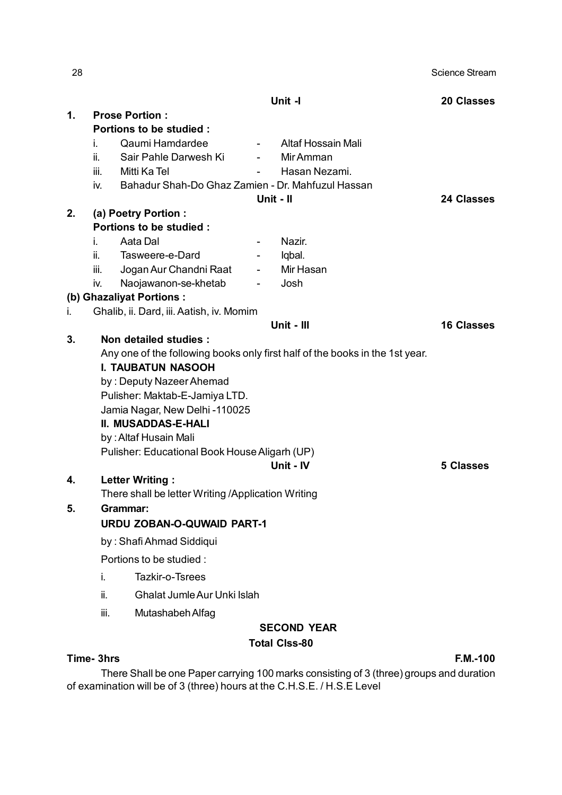| 28 |                                                                              |                                                    |                          |                      | Science Stream    |
|----|------------------------------------------------------------------------------|----------------------------------------------------|--------------------------|----------------------|-------------------|
|    |                                                                              |                                                    |                          | Unit -I              | <b>20 Classes</b> |
| 1. |                                                                              | <b>Prose Portion:</b>                              |                          |                      |                   |
|    |                                                                              | Portions to be studied :                           |                          |                      |                   |
|    | L.                                                                           | Qaumi Hamdardee                                    | $\sim 100$               | Altaf Hossain Mali   |                   |
|    | ii.                                                                          | Sair Pahle Darwesh Ki                              |                          | Mir Amman            |                   |
|    | iii.                                                                         | Mitti Ka Tel                                       | $\blacksquare$           | Hasan Nezami.        |                   |
|    | iv.                                                                          | Bahadur Shah-Do Ghaz Zamien - Dr. Mahfuzul Hassan  |                          |                      |                   |
|    |                                                                              |                                                    |                          | Unit - II            | <b>24 Classes</b> |
| 2. |                                                                              | (a) Poetry Portion :                               |                          |                      |                   |
|    |                                                                              | Portions to be studied :                           |                          |                      |                   |
|    | İ.                                                                           | Aata Dal                                           |                          | Nazir.               |                   |
|    | ii.                                                                          | Tasweere-e-Dard                                    | $\overline{\phantom{a}}$ | Iqbal.               |                   |
|    | iii.                                                                         | Jogan Aur Chandni Raat                             | $\sim$                   | Mir Hasan            |                   |
|    | İV.                                                                          | Naojawanon-se-khetab<br>(b) Ghazaliyat Portions:   |                          | Josh                 |                   |
| i. |                                                                              | Ghalib, ii. Dard, iii. Aatish, iv. Momim           |                          |                      |                   |
|    |                                                                              |                                                    |                          | Unit - III           | <b>16 Classes</b> |
| 3. |                                                                              | Non detailed studies :                             |                          |                      |                   |
|    | Any one of the following books only first half of the books in the 1st year. |                                                    |                          |                      |                   |
|    | <b>I. TAUBATUN NASOOH</b>                                                    |                                                    |                          |                      |                   |
|    |                                                                              | by: Deputy Nazeer Ahemad                           |                          |                      |                   |
|    |                                                                              | Pulisher: Maktab-E-Jamiya LTD.                     |                          |                      |                   |
|    |                                                                              | Jamia Nagar, New Delhi -110025                     |                          |                      |                   |
|    |                                                                              | <b>II. MUSADDAS-E-HALI</b>                         |                          |                      |                   |
|    |                                                                              | by: Altaf Husain Mali                              |                          |                      |                   |
|    |                                                                              | Pulisher: Educational Book House Aligarh (UP)      |                          |                      |                   |
|    |                                                                              |                                                    |                          | Unit - IV            | <b>5 Classes</b>  |
| 4. |                                                                              | <b>Letter Writing:</b>                             |                          |                      |                   |
|    |                                                                              | There shall be letter Writing /Application Writing |                          |                      |                   |
| 5. |                                                                              | <b>Grammar:</b>                                    |                          |                      |                   |
|    |                                                                              | <b>URDU ZOBAN-O-QUWAID PART-1</b>                  |                          |                      |                   |
|    |                                                                              | by: Shafi Ahmad Siddiqui                           |                          |                      |                   |
|    |                                                                              | Portions to be studied :                           |                          |                      |                   |
|    | i.                                                                           | Tazkir-o-Tsrees                                    |                          |                      |                   |
|    | ii.                                                                          | Ghalat Jumle Aur Unki Islah                        |                          |                      |                   |
|    | iii.                                                                         | Mutashabeh Alfag                                   |                          |                      |                   |
|    |                                                                              |                                                    |                          | <b>SECOND YEAR</b>   |                   |
|    |                                                                              |                                                    |                          | <b>Total Clss-80</b> |                   |

### **Time- 3hrs F.M.-100**

There Shall be one Paper carrying 100 marks consisting of 3 (three) groups and duration of examination will be of 3 (three) hours at the C.H.S.E. / H.S.E Level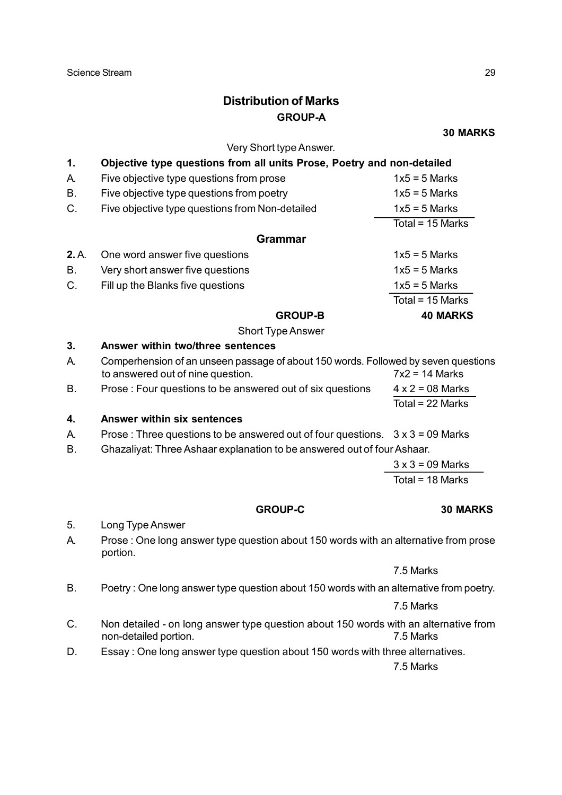# **Distribution of Marks GROUP-A**

**30 MARKS**

|       | Very Short type Answer.                                                                                       |                         |
|-------|---------------------------------------------------------------------------------------------------------------|-------------------------|
| 1.    | Objective type questions from all units Prose, Poetry and non-detailed                                        |                         |
| А.    | Five objective type questions from prose                                                                      | $1x5 = 5$ Marks         |
| Β.    | Five objective type questions from poetry                                                                     | $1x5 = 5$ Marks         |
| C.    | Five objective type questions from Non-detailed                                                               | $1x5 = 5$ Marks         |
|       |                                                                                                               | Total = $15$ Marks      |
|       | <b>Grammar</b>                                                                                                |                         |
| 2. A. | One word answer five questions                                                                                | $1x5 = 5$ Marks         |
| Β.    | Very short answer five questions                                                                              | $1x5 = 5$ Marks         |
| C.    | Fill up the Blanks five questions                                                                             | $1x5 = 5$ Marks         |
|       |                                                                                                               | Total = $15$ Marks      |
|       | <b>GROUP-B</b>                                                                                                | <b>40 MARKS</b>         |
|       | <b>Short Type Answer</b>                                                                                      |                         |
| 3.    | Answer within two/three sentences                                                                             |                         |
| А.    | Comperhension of an unseen passage of about 150 words. Followed by seven questions                            |                         |
|       | to answered out of nine question.                                                                             | $7x2 = 14$ Marks        |
| В.    | Prose: Four questions to be answered out of six questions                                                     | $4 \times 2 = 08$ Marks |
|       |                                                                                                               | Total = 22 Marks        |
| 4.    | <b>Answer within six sentences</b>                                                                            |                         |
| А.    | Prose: Three questions to be answered out of four questions.                                                  | $3 \times 3 = 09$ Marks |
| Β.    | Ghazaliyat: Three Ashaar explanation to be answered out of four Ashaar.                                       |                         |
|       |                                                                                                               | $3 \times 3 = 09$ Marks |
|       |                                                                                                               | Total = 18 Marks        |
|       | <b>GROUP-C</b>                                                                                                | <b>30 MARKS</b>         |
| 5.    | Long Type Answer                                                                                              |                         |
| А.    | Prose: One long answer type question about 150 words with an alternative from prose<br>portion.               |                         |
|       |                                                                                                               | 7.5 Marks               |
| Β.    | Poetry: One long answer type question about 150 words with an alternative from poetry.                        |                         |
|       |                                                                                                               | 7.5 Marks               |
| C.    | Non detailed - on long answer type question about 150 words with an alternative from<br>non-detailed portion. | 7.5 Marks               |
| D.    | Essay: One long answer type question about 150 words with three alternatives.                                 |                         |
|       |                                                                                                               | 7.5 Marks               |
|       |                                                                                                               |                         |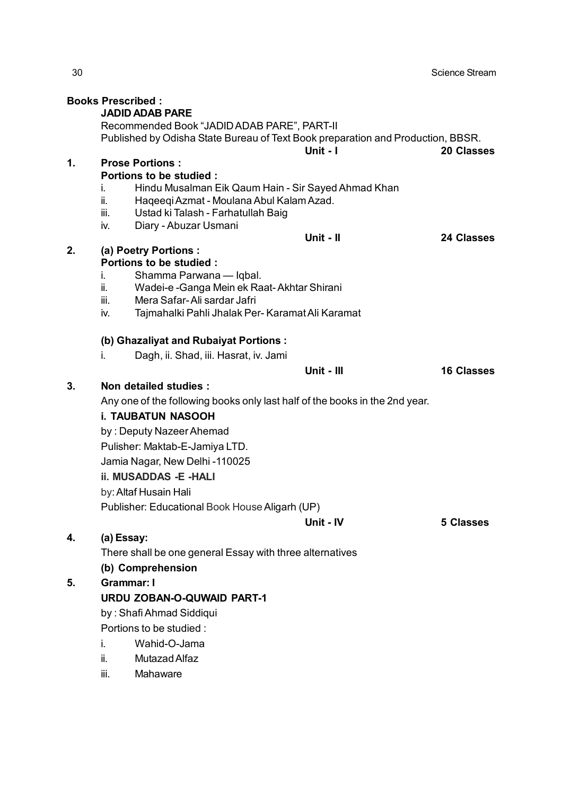|    | <b>Books Prescribed:</b>                                                                                                       |                                                                             |            |                   |  |  |  |  |
|----|--------------------------------------------------------------------------------------------------------------------------------|-----------------------------------------------------------------------------|------------|-------------------|--|--|--|--|
|    |                                                                                                                                | <b>JADID ADAB PARE</b>                                                      |            |                   |  |  |  |  |
|    | Recommended Book "JADID ADAB PARE", PART-II<br>Published by Odisha State Bureau of Text Book preparation and Production, BBSR. |                                                                             |            |                   |  |  |  |  |
|    |                                                                                                                                |                                                                             | Unit - I   | <b>20 Classes</b> |  |  |  |  |
| 1. |                                                                                                                                | <b>Prose Portions:</b>                                                      |            |                   |  |  |  |  |
|    |                                                                                                                                | Portions to be studied :                                                    |            |                   |  |  |  |  |
|    | i.                                                                                                                             | Hindu Musalman Eik Qaum Hain - Sir Sayed Ahmad Khan                         |            |                   |  |  |  |  |
|    | ii.                                                                                                                            | Haqeeqi Azmat - Moulana Abul Kalam Azad.                                    |            |                   |  |  |  |  |
|    | iii.                                                                                                                           | Ustad ki Talash - Farhatullah Baig                                          |            |                   |  |  |  |  |
|    | iv.                                                                                                                            | Diary - Abuzar Usmani                                                       |            |                   |  |  |  |  |
|    |                                                                                                                                |                                                                             | Unit - II  | <b>24 Classes</b> |  |  |  |  |
| 2. |                                                                                                                                | (a) Poetry Portions :                                                       |            |                   |  |  |  |  |
|    |                                                                                                                                | Portions to be studied :                                                    |            |                   |  |  |  |  |
|    | İ.<br>ii.                                                                                                                      | Shamma Parwana — Iqbal.                                                     |            |                   |  |  |  |  |
|    | iii.                                                                                                                           | Wadei-e -Ganga Mein ek Raat-Akhtar Shirani<br>Mera Safar-Ali sardar Jafri   |            |                   |  |  |  |  |
|    | iv.                                                                                                                            | Tajmahalki Pahli Jhalak Per- Karamat Ali Karamat                            |            |                   |  |  |  |  |
|    |                                                                                                                                |                                                                             |            |                   |  |  |  |  |
|    |                                                                                                                                | (b) Ghazaliyat and Rubaiyat Portions:                                       |            |                   |  |  |  |  |
|    | i.                                                                                                                             | Dagh, ii. Shad, iii. Hasrat, iv. Jami                                       |            |                   |  |  |  |  |
|    |                                                                                                                                |                                                                             | Unit - III | <b>16 Classes</b> |  |  |  |  |
| 3. |                                                                                                                                | Non detailed studies :                                                      |            |                   |  |  |  |  |
|    |                                                                                                                                | Any one of the following books only last half of the books in the 2nd year. |            |                   |  |  |  |  |
|    |                                                                                                                                | <b>i. TAUBATUN NASOOH</b>                                                   |            |                   |  |  |  |  |
|    |                                                                                                                                | by: Deputy Nazeer Ahemad                                                    |            |                   |  |  |  |  |
|    |                                                                                                                                | Pulisher: Maktab-E-Jamiya LTD.                                              |            |                   |  |  |  |  |
|    |                                                                                                                                | Jamia Nagar, New Delhi -110025                                              |            |                   |  |  |  |  |
|    |                                                                                                                                | <b>ii. MUSADDAS - E-HALI</b>                                                |            |                   |  |  |  |  |
|    |                                                                                                                                | by: Altaf Husain Hali                                                       |            |                   |  |  |  |  |
|    |                                                                                                                                | Publisher: Educational Book House Aligarh (UP)                              |            |                   |  |  |  |  |
|    |                                                                                                                                |                                                                             | Unit - IV  | <b>5 Classes</b>  |  |  |  |  |
| 4. | (a) Essay:                                                                                                                     |                                                                             |            |                   |  |  |  |  |
|    |                                                                                                                                | There shall be one general Essay with three alternatives                    |            |                   |  |  |  |  |
|    |                                                                                                                                | (b) Comprehension                                                           |            |                   |  |  |  |  |
| 5. | <b>Grammar: I</b>                                                                                                              |                                                                             |            |                   |  |  |  |  |
|    |                                                                                                                                | <b>URDU ZOBAN-O-QUWAID PART-1</b>                                           |            |                   |  |  |  |  |
|    |                                                                                                                                | by: Shafi Ahmad Siddiqui                                                    |            |                   |  |  |  |  |
|    |                                                                                                                                | Portions to be studied :                                                    |            |                   |  |  |  |  |
|    | i.                                                                                                                             | Wahid-O-Jama                                                                |            |                   |  |  |  |  |
|    | ii.                                                                                                                            | Mutazad Alfaz                                                               |            |                   |  |  |  |  |
|    | iii.                                                                                                                           | Mahaware                                                                    |            |                   |  |  |  |  |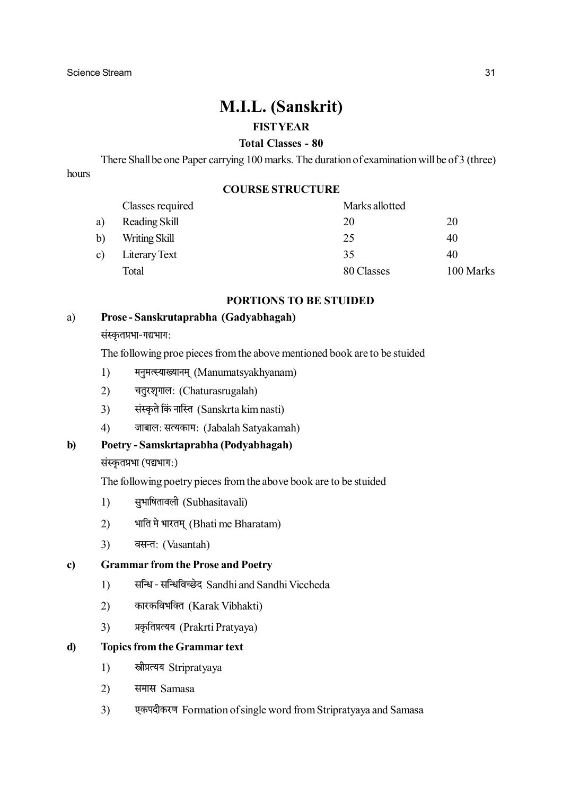# **M.I.L. (Sanskrit)**

### **FIST YEAR**

## **Total Classes - 80**

There Shall be one Paper carrying 100 marks. The duration of examination will be of 3 (three) hours

#### **COURSE STRUCTURE**

|              | Classes required | Marks allotted |           |
|--------------|------------------|----------------|-----------|
| a)           | Reading Skill    | 20             | 20        |
| $\mathbf{b}$ | Writing Skill    | 25             | 40        |
| c)           | Literary Text    | 35             | 40        |
|              | Total            | 80 Classes     | 100 Marks |

#### **PORTIONS TO BE STUIDED**

#### Prose-Sanskrutaprabha (Gadyabhagah)  $a)$

संस्कृतप्रभा-गद्यभाग:

The following proe pieces from the above mentioned book are to be stuided

- $1)$ मनुमत्स्याख्यानम् (Manumatsyakhyanam)
- चतूरशृगालः (Chaturasrugalah)  $(2)$
- संस्कृते किं नास्ति (Sanskrta kim nasti)  $\overline{3}$
- $4)$ जाबाल: सत्यकाम: (Jabalah Satyakamah)

#### $\mathbf{b}$ Poetry - Samskrtaprabha (Podyabhagah)

#### संस्कृतप्रभा (पद्यभाग:)

The following poetry pieces from the above book are to be stuided

- सुभाषितावली (Subhasitavali)  $1)$
- भाति मे भारतम् (Bhati me Bharatam)  $(2)$
- $3)$ वसन्त: (Vasantah)

#### **Grammar from the Prose and Poetry**  $\mathbf{c}$

- सन्धि सन्धिविच्छेद Sandhi and Sandhi Viccheda  $1)$
- कारकविभक्ति (Karak Vibhakti)  $(2)$
- $3)$ प्रकृतिप्रत्यय (Prakrti Pratyaya)

#### **Topics from the Grammar text**  $\mathbf{d}$

- $1)$ स्त्रीप्रत्यय Stripratvava
- $2)$ समास Samasa
- $3)$ एकपदीकरण Formation of single word from Stripratyaya and Samasa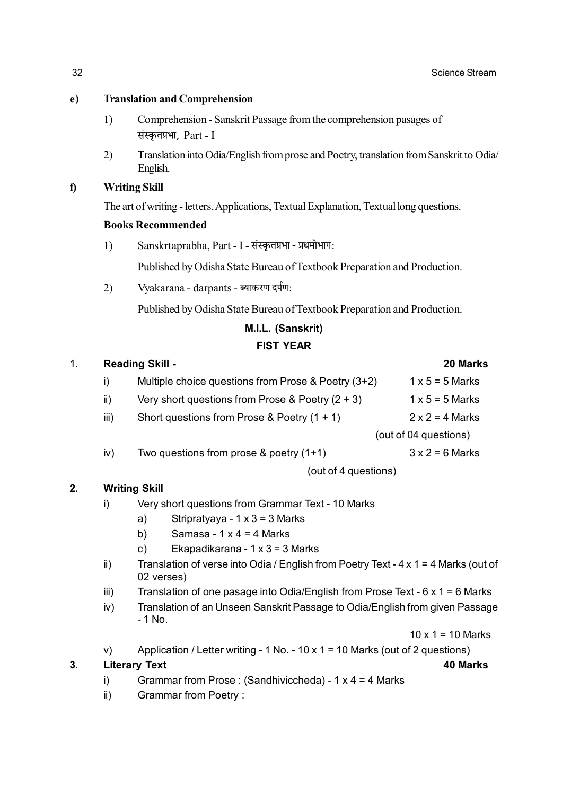#### **Translation and Comprehension**  $e)$

- $1)$ Comprehension - Sanskrit Passage from the comprehension pasages of संस्कृतप्रभा, Part - I
- $(2)$ Translation into Odia/English from prose and Poetry, translation from Sanskrit to Odia/ English.

#### $f$ **Writing Skill**

The art of writing - letters, Applications, Textual Explanation, Textual long questions.

#### **Books Recommended**

Sanskrtaprabha, Part - I - संस्कृतप्रभा - प्रथमोभाग:  $1)$ 

Published by Odisha State Bureau of Textbook Preparation and Production.

 $(2)$ Vyakarana - darpants - ब्याकरण दर्पण:

Published by Odisha State Bureau of Textbook Preparation and Production.

# M.I.L. (Sanskrit)

#### **FIST YEAR**

| $\mathbf{1}$ . |                      | <b>Reading Skill -</b>                              | <b>20 Marks</b>        |  |
|----------------|----------------------|-----------------------------------------------------|------------------------|--|
|                | i)                   | Multiple choice questions from Prose & Poetry (3+2) | $1 \times 5 = 5$ Marks |  |
|                | ii)                  | Very short questions from Prose & Poetry $(2 + 3)$  | $1 \times 5 = 5$ Marks |  |
|                | iii)                 | Short questions from Prose & Poetry $(1 + 1)$       | $2 \times 2 = 4$ Marks |  |
|                |                      | (out of 04 questions)                               |                        |  |
|                | iv)                  | Two questions from prose $\&$ poetry (1+1)          | $3 \times 2 = 6$ Marks |  |
|                | (out of 4 questions) |                                                     |                        |  |
| 2.             |                      | <b>Writing Skill</b>                                |                        |  |
|                | I)                   | Very short questions from Grammar Text - 10 Marks   |                        |  |

#### Stripratyaya -  $1 \times 3 = 3$  Marks a)

- Samasa 1 x 4 = 4 Marks  $b)$
- $c)$ Ekapadikarana - 1 x 3 = 3 Marks
- Translation of verse into Odia / English from Poetry Text 4 x 1 = 4 Marks (out of  $\mathbf{ii}$ 02 verses)
- Translation of one pasage into Odia/English from Prose Text  $6 \times 1 = 6$  Marks  $iii)$
- Translation of an Unseen Sanskrit Passage to Odia/English from given Passage  $iv)$  $-1$  No.

 $10 \times 1 = 10$  Marks

40 Marks

Application / Letter writing - 1 No. - 10 x 1 = 10 Marks (out of 2 questions)  $V$ 

#### $3.$ **Literary Text**

- Grammar from Prose: (Sandhiviccheda) 1 x 4 = 4 Marks  $i)$
- **Grammar from Poetry:**  $\mathsf{ii}$ )

32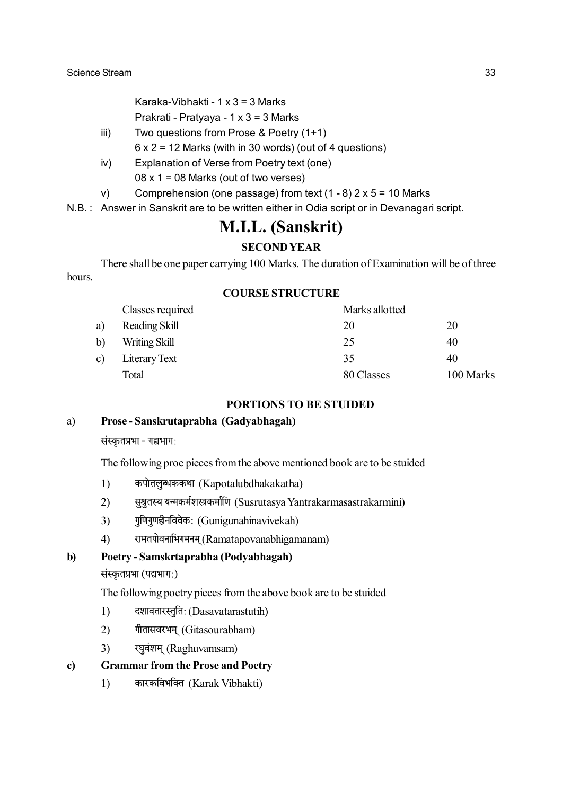Karaka-Vibhakti - 1 x 3 = 3 Marks Prakrati - Pratyaya - 1 x 3 = 3 Marks

Two questions from Prose & Poetry (1+1)  $iii)$ 

 $6 \times 2 = 12$  Marks (with in 30 words) (out of 4 questions)

- Explanation of Verse from Poetry text (one)  $iv)$ 
	- $08 \times 1 = 08$  Marks (out of two verses)
- Comprehension (one passage) from text  $(1 8)$  2 x 5 = 10 Marks  $V$

N.B.: Answer in Sanskrit are to be written either in Odia script or in Devanagari script.

# **M.I.L. (Sanskrit)**

#### **SECOND YEAR**

There shall be one paper carrying 100 Marks. The duration of Examination will be of three hours.

#### **COURSE STRUCTURE**

|              | Classes required | Marks allotted |           |
|--------------|------------------|----------------|-----------|
| a)           | Reading Skill    | 20             | 20        |
| b)           | Writing Skill    | 25             | 40        |
| $\mathbf{c}$ | Literary Text    | 35             | 40        |
|              | Total            | 80 Classes     | 100 Marks |

#### **PORTIONS TO BE STUIDED**

#### $a)$ Prose-Sanskrutaprabha (Gadyabhagah)

संस्कृतप्रभा - गद्यभाग:

The following proe pieces from the above mentioned book are to be stuided

- कपोतलुब्धककथा (Kapotalubdhakakatha)  $1)$
- सुश्रुतस्य यन्मकर्मशस्त्रकर्माणि (Susrutasva Yantrakarmasastrakarmini)  $(2)$
- $3)$ गुणिगुणहीनविवेकः (Gunigunahinavivekah)
- $4)$ रामतपोवनाभिगमनम (Ramatapovanabhigamanam)

#### $\mathbf{b}$ Poetry - Samskrtaprabha (Podyabhagah)

संस्कृतप्रभा (पद्यभाग:)

The following poetry pieces from the above book are to be stuided

- दशावतारस्तुति: (Dasavatarastutih)  $1)$
- $(2)$ गीतासवरभम् (Gitasourabham)
- $\overline{3}$ रघवंशम् (Raghuvamsam)

#### $\mathbf{c}$ **Grammar from the Prose and Poetry**

 $1)$ कारकविभक्ति (Karak Vibhakti)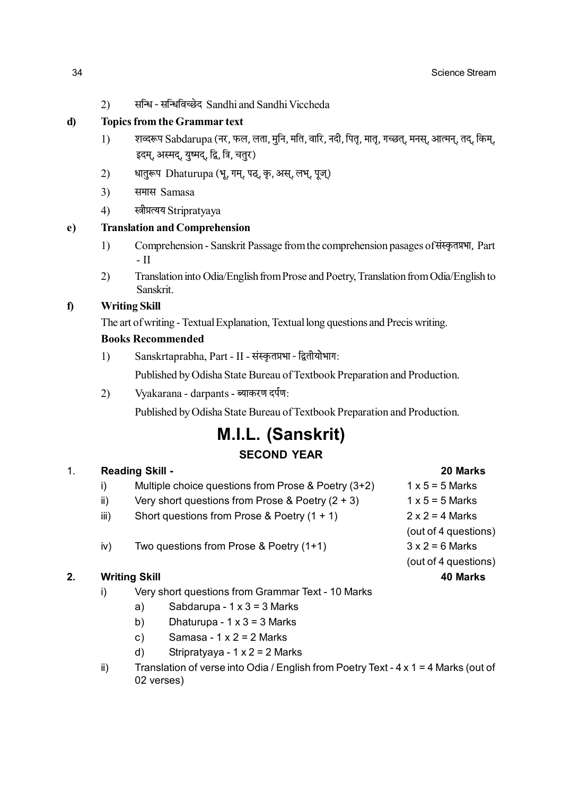सन्धि - सन्धिविच्छेद Sandhi and Sandhi Viccheda  $(2)$ 

#### d **Topics from the Grammar text**

- $1)$ शव्दरूप Sabdarupa (नर, फल, लता, मुनि, मति, वारि, नदी, पितृ, मातृ, गच्छत्, मनस्, आत्मन्, तद्, किम्, इदम, अस्मद, यष्मद, द्वि, त्रि, चतुर)
- $2)$ धातुरूप Dhaturupa (भू, गम्, पठ्, कृ, अस्, लभ्, पूज्)
- $3)$ समास Samasa
- $4)$ स्त्रीप्रत्यय Stripratyaya

#### **Translation and Comprehension**

- Comprehension Sanskrit Passage from the comprehension pasages of संस्कृतप्रभा, Part  $1)$  $-$ II
- Translation into Odia/English from Prose and Poetry, Translation from Odia/English to  $(2)$ Sanskrit.

#### $\mathbf{f}$ **Writing Skill**

The art of writing - Textual Explanation, Textual long questions and Precis writing.

#### **Books Recommended**

Sanskrtaprabha, Part - II - संस्कृतप्रभा - द्वितीयोभाग:  $1)$ 

Published by Odisha State Bureau of Textbook Preparation and Production.

 $(2)$ Vyakarana - darpants - ब्याकरण दर्पण:

Published by Odisha State Bureau of Textbook Preparation and Production.

# **M.I.L. (Sanskrit) SECOND YEAR**

#### $\overline{1}$ Reading Skill -

| i)   | Multiple choice questions from Prose & Poetry (3+2) | $1 \times 5 = 5$ Marks |
|------|-----------------------------------------------------|------------------------|
| ii)  | Very short questions from Prose & Poetry $(2 + 3)$  | $1 \times 5 = 5$ Marks |
| iii) | Short questions from Prose & Poetry $(1 + 1)$       | $2 \times 2 = 4$ Marks |
|      |                                                     | (out of 4 questions)   |
| iv)  | Two questions from Prose & Poetry (1+1)             | $3x2 = 6$ Marks        |
|      |                                                     | (out of 4 questions)   |
|      |                                                     |                        |

#### **Writing Skill**  $2.$

- Very short questions from Grammar Text 10 Marks  $\mathbf{i}$ 
	- $a)$ Sabdarupa -  $1 \times 3 = 3$  Marks
	- b) Dhaturupa -  $1 \times 3 = 3$  Marks
	- Samasa  $1 \times 2 = 2$  Marks  $c)$
	- Stripratyaya  $1 \times 2 = 2$  Marks  $\mathsf{d}$
- Translation of verse into Odia / English from Poetry Text 4 x 1 = 4 Marks (out of  $\mathsf{ii}$ ) 02 verses)

 $e)$ 

20 Marks

40 Marks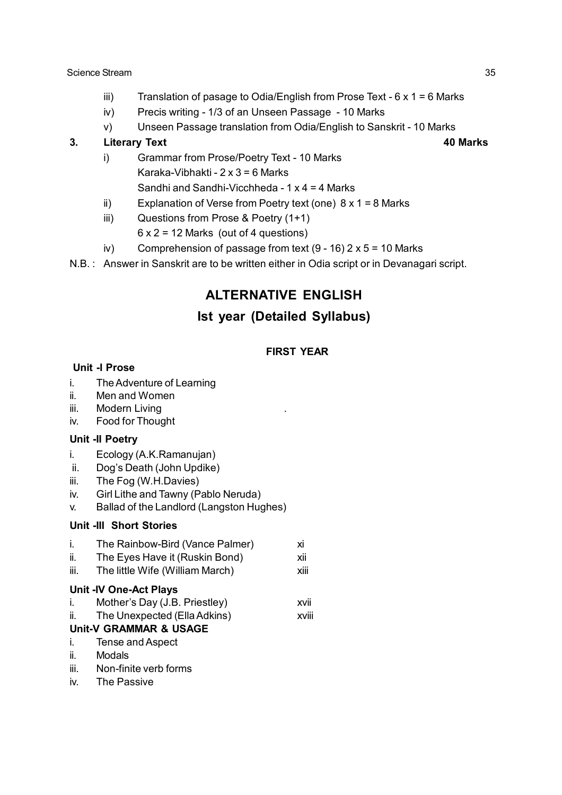- iii) Translation of pasage to Odia/English from Prose Text  $6 \times 1 = 6$  Marks
- iv) Precis writing 1/3 of an Unseen Passage 10 Marks
- v) Unseen Passage translation from Odia/English to Sanskrit 10 Marks

#### **3. Literary Text 40 Marks**

- 
- i) Grammar from Prose/Poetry Text 10 Marks Karaka-Vibhakti -  $2 \times 3 = 6$  Marks Sandhi and Sandhi-Vicchheda - 1 x 4 = 4 Marks
- ii) Explanation of Verse from Poetry text (one)  $8 \times 1 = 8$  Marks
- iii) Questions from Prose & Poetry (1+1)
	- $6 \times 2 = 12$  Marks (out of 4 questions)
- iv) Comprehension of passage from text  $(9 16) 2 \times 5 = 10$  Marks
- N.B. : Answer in Sanskrit are to be written either in Odia script or in Devanagari script.

# **ALTERNATIVE ENGLISH**

# **Ist year (Detailed Syllabus)**

#### **FIRST YEAR**

#### **Unit -I Prose**

- i. The Adventure of Learning
- ii. Men and Women
- iii. Modern Living
- iv. Food for Thought

#### **Unit -II Poetry**

- i. Ecology (A.K.Ramanujan)
- ii. Dog's Death (John Updike)
- iii. The Fog (W.H.Davies)
- iv. Girl Lithe and Tawny (Pablo Neruda)
- v. Ballad of the Landlord (Langston Hughes)

#### **Unit -III Short Stories**

- i. The Rainbow-Bird (Vance Palmer) xi ii. The Eyes Have it (Ruskin Bond) xii
- iii. The little Wife (William March) xiii

#### **Unit -IV One-Act Plays**

- i. Mother's Day (J.B. Priestley) xvii
- ii. The Unexpected (Ella Adkins) xviii

### **Unit-V GRAMMAR & USAGE**

- i. Tense and Aspect
- ii. Modals
- iii. Non-finite verb forms
- iv. The Passive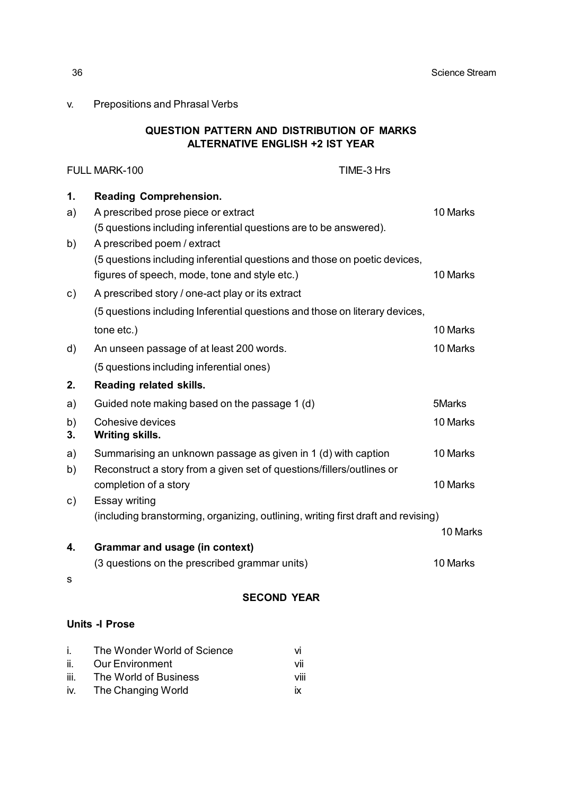v. Prepositions and Phrasal Verbs

#### **QUESTION PATTERN AND DISTRIBUTION OF MARKS ALTERNATIVE ENGLISH +2 IST YEAR**

|                       | FULL MARK-100                                                                     | TIME-3 Hrs |          |
|-----------------------|-----------------------------------------------------------------------------------|------------|----------|
| 1.                    | <b>Reading Comprehension.</b>                                                     |            |          |
| a)                    | A prescribed prose piece or extract                                               |            | 10 Marks |
|                       | (5 questions including inferential questions are to be answered).                 |            |          |
| b)                    | A prescribed poem / extract                                                       |            |          |
|                       | (5 questions including inferential questions and those on poetic devices,         |            |          |
|                       | figures of speech, mode, tone and style etc.)                                     |            | 10 Marks |
| C)                    | A prescribed story / one-act play or its extract                                  |            |          |
|                       | (5 questions including Inferential questions and those on literary devices,       |            |          |
|                       | tone etc.)                                                                        |            | 10 Marks |
| d)                    | An unseen passage of at least 200 words.                                          |            | 10 Marks |
|                       | (5 questions including inferential ones)                                          |            |          |
| 2.                    | Reading related skills.                                                           |            |          |
| a)                    | Guided note making based on the passage 1 (d)                                     |            | 5Marks   |
| b)                    | Cohesive devices                                                                  |            | 10 Marks |
| 3.                    | <b>Writing skills.</b>                                                            |            |          |
| a)                    | Summarising an unknown passage as given in 1 (d) with caption                     |            | 10 Marks |
| b)                    | Reconstruct a story from a given set of questions/fillers/outlines or             |            |          |
|                       | completion of a story                                                             |            | 10 Marks |
| C)                    | Essay writing                                                                     |            |          |
|                       | (including branstorming, organizing, outlining, writing first draft and revising) |            |          |
|                       |                                                                                   |            | 10 Marks |
| 4.                    | <b>Grammar and usage (in context)</b>                                             |            |          |
|                       | (3 questions on the prescribed grammar units)                                     |            | 10 Marks |
| s                     |                                                                                   |            |          |
|                       | <b>SECOND YEAR</b>                                                                |            |          |
| <b>Units -I Prose</b> |                                                                                   |            |          |
| i.                    | The Wonder World of Science<br>Vİ                                                 |            |          |
| ii.                   | <b>Our Environment</b><br>vii                                                     |            |          |

ii. Our Environment vii iii. The World of Business viii iv. The Changing World ix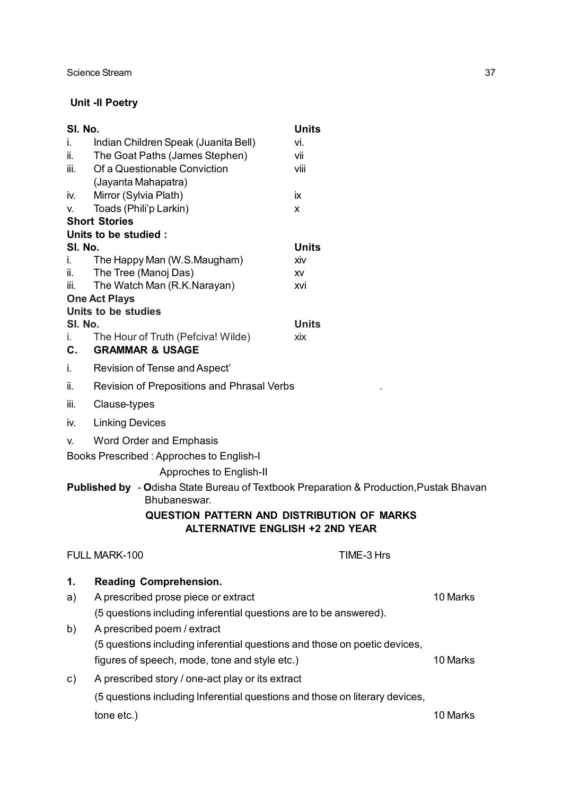# **Unit -II Poetry**

| SI. No.  |                                                                                                                   | <b>Units</b>        |          |
|----------|-------------------------------------------------------------------------------------------------------------------|---------------------|----------|
| i.       | Indian Children Speak (Juanita Bell)                                                                              | vi.                 |          |
| ii.      | The Goat Paths (James Stephen)                                                                                    | vii                 |          |
| iii.     | Of a Questionable Conviction                                                                                      | viii                |          |
|          | (Jayanta Mahapatra)                                                                                               |                     |          |
| İV.      | Mirror (Sylvia Plath)                                                                                             | ix                  |          |
| v.       | Toads (Phili'p Larkin)<br><b>Short Stories</b>                                                                    | x                   |          |
|          | Units to be studied :                                                                                             |                     |          |
| SI. No.  |                                                                                                                   | <b>Units</b>        |          |
| İ.       | The Happy Man (W.S.Maugham)                                                                                       | XİV                 |          |
| ii.      | The Tree (Manoj Das)                                                                                              | XV                  |          |
| iii.     | The Watch Man (R.K.Narayan)                                                                                       | xvi                 |          |
|          | <b>One Act Plays</b>                                                                                              |                     |          |
|          | Units to be studies                                                                                               |                     |          |
| SI. No.  | The Hour of Truth (Pefciva! Wilde)                                                                                | <b>Units</b><br>xix |          |
| i.<br>C. | <b>GRAMMAR &amp; USAGE</b>                                                                                        |                     |          |
| i.       | Revision of Tense and Aspect'                                                                                     |                     |          |
| ii.      | Revision of Prepositions and Phrasal Verbs                                                                        |                     |          |
| iii.     | Clause-types                                                                                                      |                     |          |
| iv.      | <b>Linking Devices</b>                                                                                            |                     |          |
| V.       | <b>Word Order and Emphasis</b>                                                                                    |                     |          |
|          | Books Prescribed: Approches to English-I                                                                          |                     |          |
|          | Approches to English-II                                                                                           |                     |          |
|          | <b>Published by - Odisha State Bureau of Textbook Preparation &amp; Production, Pustak Bhavan</b><br>Bhubaneswar. |                     |          |
|          | <b>QUESTION PATTERN AND DISTRIBUTION OF MARKS</b>                                                                 |                     |          |
|          | <b>ALTERNATIVE ENGLISH +2 2ND YEAR</b>                                                                            |                     |          |
|          | FULL MARK-100                                                                                                     | TIME-3 Hrs          |          |
| 1.       | <b>Reading Comprehension.</b>                                                                                     |                     |          |
| a)       | A prescribed prose piece or extract                                                                               |                     | 10 Marks |
|          | (5 questions including inferential questions are to be answered).                                                 |                     |          |
| b)       | A prescribed poem / extract                                                                                       |                     |          |
|          | (5 questions including inferential questions and those on poetic devices,                                         |                     |          |
|          | figures of speech, mode, tone and style etc.)                                                                     |                     | 10 Marks |
| C)       | A prescribed story / one-act play or its extract                                                                  |                     |          |
|          | (5 questions including Inferential questions and those on literary devices,                                       |                     |          |
|          |                                                                                                                   |                     |          |
|          | tone etc.)                                                                                                        |                     | 10 Marks |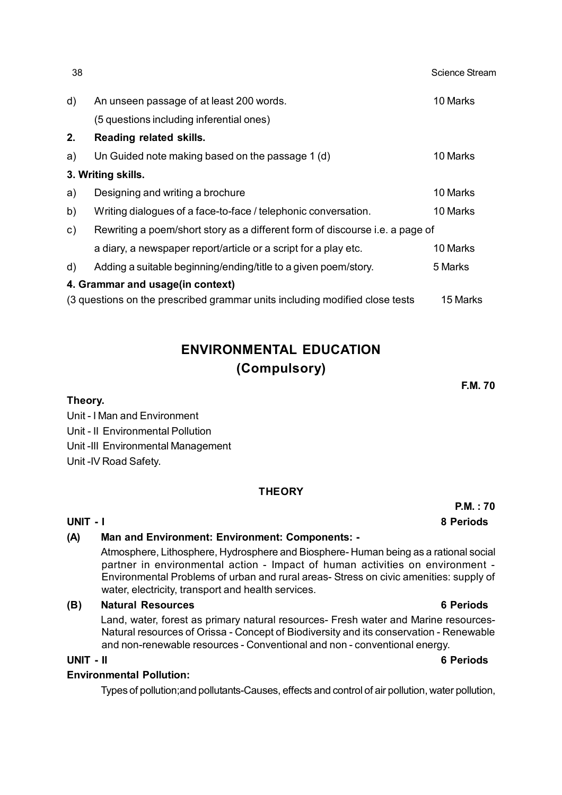| 38            |                                                                              | <b>Science Stream</b> |
|---------------|------------------------------------------------------------------------------|-----------------------|
| $\mathsf{d}$  | An unseen passage of at least 200 words.                                     | 10 Marks              |
|               | (5 questions including inferential ones)                                     |                       |
| 2.            | Reading related skills.                                                      |                       |
| a)            | Un Guided note making based on the passage 1 (d)                             | 10 Marks              |
|               | 3. Writing skills.                                                           |                       |
| a)            | Designing and writing a brochure                                             | 10 Marks              |
| b)            | Writing dialogues of a face-to-face / telephonic conversation.               | 10 Marks              |
| $\mathsf{c})$ | Rewriting a poem/short story as a different form of discourse i.e. a page of |                       |
|               | a diary, a newspaper report/article or a script for a play etc.              | 10 Marks              |
| d)            | Adding a suitable beginning/ending/title to a given poem/story.              | 5 Marks               |
|               | 4. Grammar and usage(in context)                                             |                       |
|               | (3 questions on the prescribed grammar units including modified close tests  | 15 Marks              |

# **ENVIRONMENTAL EDUCATION (Compulsory)**

**F.M. 70**

**P.M. : 70**

**Theory.** Unit - I Man and Environment Unit - II Environmental Pollution Unit -III Environmental Management

Unit -IV Road Safety.

# **THEORY**

**UNIT - I 8 Periods**

# **(A) Man and Environment: Environment: Components: -**

Atmosphere, Lithosphere, Hydrosphere and Biosphere- Human being as a rational social partner in environmental action - Impact of human activities on environment - Environmental Problems of urban and rural areas- Stress on civic amenities: supply of water, electricity, transport and health services.

# **(B) Natural Resources 6 Periods**

Land, water, forest as primary natural resources- Fresh water and Marine resources-Natural resources of Orissa - Concept of Biodiversity and its conservation - Renewable and non-renewable resources - Conventional and non - conventional energy.

**UNIT - II 6 Periods**

# **Environmental Pollution:**

Types of pollution;and pollutants-Causes, effects and control of air pollution, water pollution,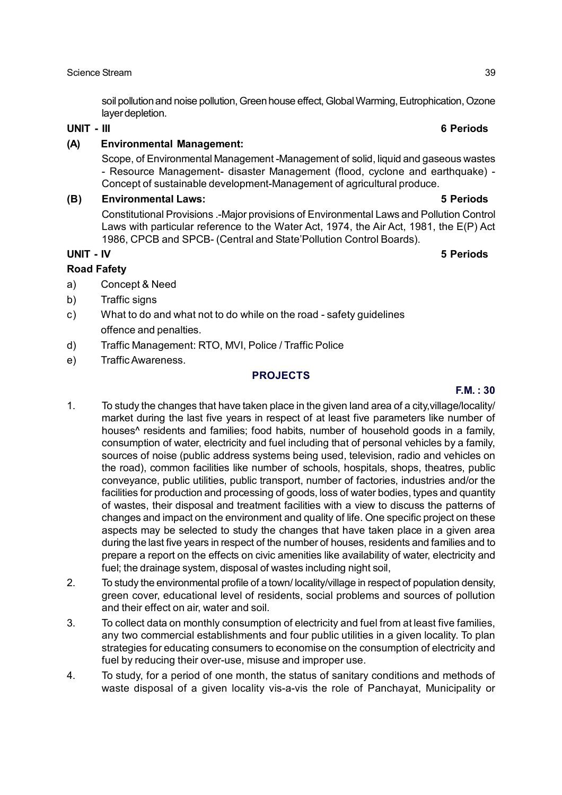soil pollution and noise pollution, Green house effect, Global Warming, Eutrophication, Ozone layer depletion.

### **UNIT - III 6 Periods**

### **(A) Environmental Management:**

Scope, of Environmental Management -Management of solid, liquid and gaseous wastes - Resource Management- disaster Management (flood, cyclone and earthquake) - Concept of sustainable development-Management of agricultural produce.

### **(B) Environmental Laws: 5 Periods**

Constitutional Provisions .-Major provisions of Environmental Laws and Pollution Control Laws with particular reference to the Water Act, 1974, the Air Act, 1981, the E(P) Act 1986, CPCB and SPCB- (Central and State'Pollution Control Boards).

### **UNIT - IV 5 Periods**

## **Road Fafety**

- a) Concept & Need
- b) Traffic signs
- c) What to do and what not to do while on the road safety guidelines offence and penalties.
- d) Traffic Management: RTO, MVI, Police / Traffic Police
- e) Traffic Awareness.

## **PROJECTS**

# **F.M. : 30**

- 1. To study the changes that have taken place in the given land area of a city,village/locality/ market during the last five years in respect of at least five parameters like number of houses^ residents and families; food habits, number of household goods in a family, consumption of water, electricity and fuel including that of personal vehicles by a family, sources of noise (public address systems being used, television, radio and vehicles on the road), common facilities like number of schools, hospitals, shops, theatres, public conveyance, public utilities, public transport, number of factories, industries and/or the facilities for production and processing of goods, loss of water bodies, types and quantity of wastes, their disposal and treatment facilities with a view to discuss the patterns of changes and impact on the environment and quality of life. One specific project on these aspects may be selected to study the changes that have taken place in a given area during the last five years in respect of the number of houses, residents and families and to prepare a report on the effects on civic amenities like availability of water, electricity and fuel; the drainage system, disposal of wastes including night soil,
- 2. To study the environmental profile of a town/ locality/village in respect of population density, green cover, educational level of residents, social problems and sources of pollution and their effect on air, water and soil.
- 3. To collect data on monthly consumption of electricity and fuel from at least five families, any two commercial establishments and four public utilities in a given locality. To plan strategies for educating consumers to economise on the consumption of electricity and fuel by reducing their over-use, misuse and improper use.
- 4. To study, for a period of one month, the status of sanitary conditions and methods of waste disposal of a given locality vis-a-vis the role of Panchayat, Municipality or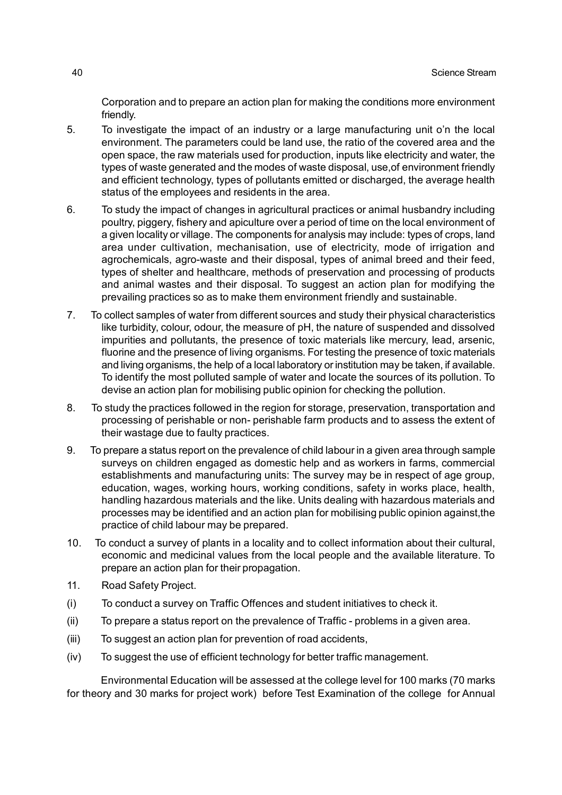Corporation and to prepare an action plan for making the conditions more environment friendly.

- 5. To investigate the impact of an industry or a large manufacturing unit o'n the local environment. The parameters could be land use, the ratio of the covered area and the open space, the raw materials used for production, inputs like electricity and water, the types of waste generated and the modes of waste disposal, use,of environment friendly and efficient technology, types of pollutants emitted or discharged, the average health status of the employees and residents in the area.
- 6. To study the impact of changes in agricultural practices or animal husbandry including poultry, piggery, fishery and apiculture over a period of time on the local environment of a given locality or village. The components for analysis may include: types of crops, land area under cultivation, mechanisation, use of electricity, mode of irrigation and agrochemicals, agro-waste and their disposal, types of animal breed and their feed, types of shelter and healthcare, methods of preservation and processing of products and animal wastes and their disposal. To suggest an action plan for modifying the prevailing practices so as to make them environment friendly and sustainable.
- 7. To collect samples of water from different sources and study their physical characteristics like turbidity, colour, odour, the measure of pH, the nature of suspended and dissolved impurities and pollutants, the presence of toxic materials like mercury, lead, arsenic, fluorine and the presence of living organisms. For testing the presence of toxic materials and living organisms, the help of a local laboratory or institution may be taken, if available. To identify the most polluted sample of water and locate the sources of its pollution. To devise an action plan for mobilising public opinion for checking the pollution.
- 8. To study the practices followed in the region for storage, preservation, transportation and processing of perishable or non- perishable farm products and to assess the extent of their wastage due to faulty practices.
- 9. To prepare a status report on the prevalence of child labour in a given area through sample surveys on children engaged as domestic help and as workers in farms, commercial establishments and manufacturing units: The survey may be in respect of age group, education, wages, working hours, working conditions, safety in works place, health, handling hazardous materials and the like. Units dealing with hazardous materials and processes may be identified and an action plan for mobilising public opinion against,the practice of child labour may be prepared.
- 10. To conduct a survey of plants in a locality and to collect information about their cultural, economic and medicinal values from the local people and the available literature. To prepare an action plan for their propagation.
- 11. Road Safety Project.
- (i) To conduct a survey on Traffic Offences and student initiatives to check it.
- (ii) To prepare a status report on the prevalence of Traffic problems in a given area.
- (iii) To suggest an action plan for prevention of road accidents,
- (iv) To suggest the use of efficient technology for better traffic management.

Environmental Education will be assessed at the college level for 100 marks (70 marks for theory and 30 marks for project work) before Test Examination of the college for Annual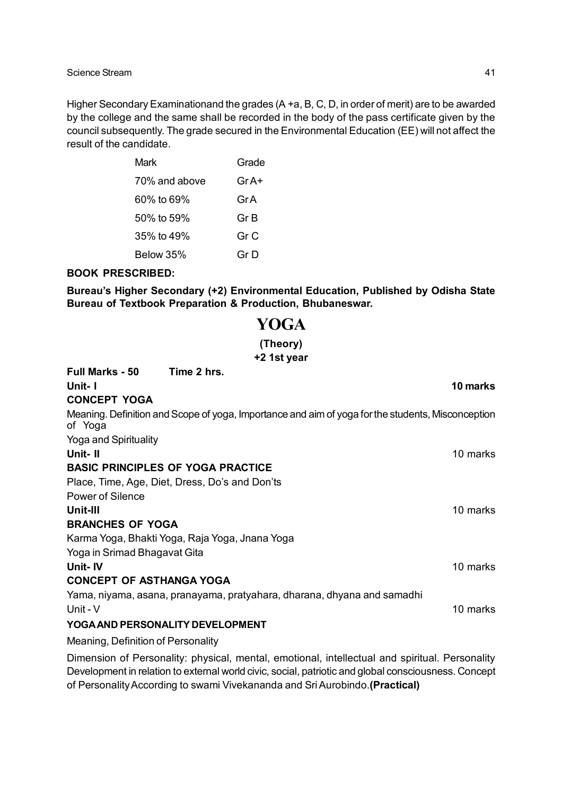Higher Secondary Examinationand the grades (A +a, B, C, D, in order of merit) are to be awarded by the college and the same shall be recorded in the body of the pass certificate given by the council subsequently. The grade secured in the Environmental Education (EE) will not affect the result of the candidate.

| Mark          | Grade |
|---------------|-------|
| 70% and above | Gr A+ |
| 60% to 69%    | GrA   |
| 50% to 59%    | Gr B  |
| 35% to 49%    | Gr C  |
| Below 35%     | Gr D  |

### **BOOK PRESCRIBED:**

**Bureau's Higher Secondary (+2) Environmental Education, Published by Odisha State Bureau of Textbook Preparation & Production, Bhubaneswar.**

# **YOGA (Theory) +2 1st year**

| <b>Full Marks - 50</b><br>Time 2 hrs.                                                                        |          |
|--------------------------------------------------------------------------------------------------------------|----------|
| Unit-I                                                                                                       | 10 marks |
| <b>CONCEPT YOGA</b>                                                                                          |          |
| Meaning. Definition and Scope of yoga, Importance and aim of yoga for the students, Misconception<br>of Yoga |          |
| Yoga and Spirituality                                                                                        |          |
| Unit-II                                                                                                      | 10 marks |
| <b>BASIC PRINCIPLES OF YOGA PRACTICE</b>                                                                     |          |
| Place, Time, Age, Diet, Dress, Do's and Don'ts                                                               |          |
| <b>Power of Silence</b>                                                                                      |          |
| Unit-III                                                                                                     | 10 marks |
| <b>BRANCHES OF YOGA</b>                                                                                      |          |
| Karma Yoga, Bhakti Yoga, Raja Yoga, Jnana Yoga                                                               |          |
| Yoga in Srimad Bhagavat Gita                                                                                 |          |
| Unit- IV                                                                                                     | 10 marks |
| <b>CONCEPT OF ASTHANGA YOGA</b>                                                                              |          |
| Yama, niyama, asana, pranayama, pratyahara, dharana, dhyana and samadhi                                      |          |
| Unit - V                                                                                                     | 10 marks |
| YOGA AND PERSONALITY DEVELOPMENT                                                                             |          |
| Meaning, Definition of Personality                                                                           |          |

Dimension of Personality: physical, mental, emotional, intellectual and spiritual. Personality Development in relation to external world civic, social, patriotic and global consciousness. Concept of Personality According to swami Vivekananda and Sri Aurobindo.**(Practical)**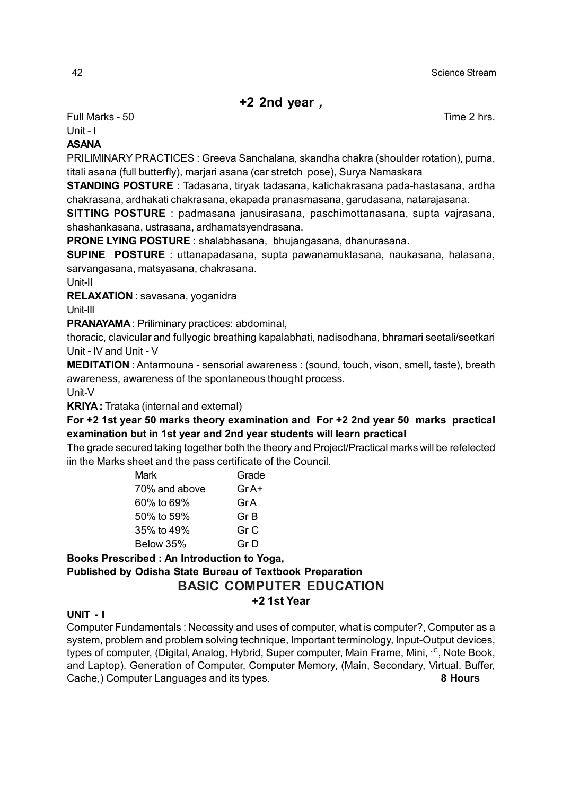# **+2 2nd year** *,*

Full Marks - 50 Time 2 hrs.

Unit - I

# **ASANA**

PRILIMINARY PRACTICES : Greeva Sanchalana, skandha chakra (shoulder rotation), purna, titali asana (full butterfly), marjari asana (car stretch pose), Surya Namaskara

**STANDING POSTURE** : Tadasana, tiryak tadasana, katichakrasana pada-hastasana, ardha chakrasana, ardhakati chakrasana, ekapada pranasmasana, garudasana, natarajasana.

**SITTING POSTURE** : padmasana janusirasana, paschimottanasana, supta vajrasana, shashankasana, ustrasana, ardhamatsyendrasana.

**PRONE LYING POSTURE** : shalabhasana, bhujangasana, dhanurasana.

**SUPINE POSTURE** : uttanapadasana, supta pawanamuktasana, naukasana, halasana, sarvangasana, matsyasana, chakrasana.

Unit-II

**RELAXATION** : savasana, yoganidra

Unit-III

**PRANAYAMA** : Priliminary practices: abdominal,

thoracic, clavicular and fullyogic breathing kapalabhati, nadisodhana, bhramari seetali/seetkari Unit - IV and Unit - V

**MEDITATION** : Antarmouna - sensorial awareness : (sound, touch, vison, smell, taste), breath awareness, awareness of the spontaneous thought process.

Unit-V

**KRIYA :** Trataka (internal and external)

**For +2 1st year 50 marks theory examination and For +2 2nd year 50 marks practical examination but in 1st year and 2nd year students will learn practical**

The grade secured taking together both the theory and Project/Practical marks will be refelected iin the Marks sheet and the pass certificate of the Council.

| Mark          | Grade |
|---------------|-------|
| 70% and above | Gr A+ |
| 60% to 69%    | GrA   |
| 50% to 59%    | Gr B  |
| 35% to 49%    | Gr C  |
| Below 35%     | Gr D  |

## **Books Prescribed : An Introduction to Yoga, Published by Odisha State Bureau of Textbook Preparation BASIC COMPUTER EDUCATION +2 1st Year**

# **UNIT - I**

Computer Fundamentals : Necessity and uses of computer, what is computer?, Computer as a system, problem and problem solving technique, Important terminology, Input-Output devices, types of computer, (Digital, Analog, Hybrid, Super computer, Main Frame, Mini, JC, Note Book, and Laptop). Generation of Computer, Computer Memory, (Main, Secondary, Virtual. Buffer, Cache,) Computer Languages and its types. **8 Hours**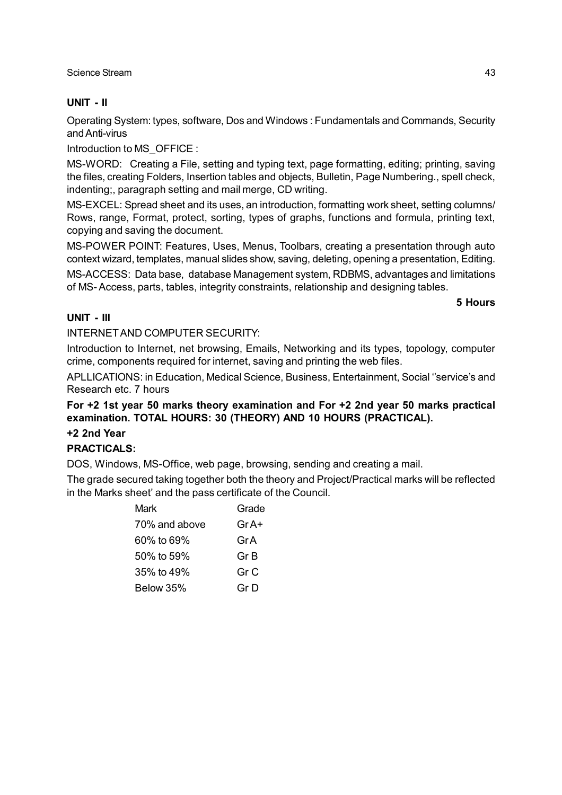# **UNIT - II**

Operating System: types, software, Dos and Windows : Fundamentals and Commands, Security and Anti-virus

Introduction to MS\_OFFICE :

MS-WORD: Creating a File, setting and typing text, page formatting, editing; printing, saving the files, creating Folders, Insertion tables and objects, Bulletin, Page Numbering., spell check, indenting;, paragraph setting and mail merge, CD writing.

MS-EXCEL: Spread sheet and its uses, an introduction, formatting work sheet, setting columns/ Rows, range, Format, protect, sorting, types of graphs, functions and formula, printing text, copying and saving the document.

MS-POWER POINT: Features, Uses, Menus, Toolbars, creating a presentation through auto context wizard, templates, manual slides show, saving, deleting, opening a presentation, Editing.

MS-ACCESS: Data base, database Management system, RDBMS, advantages and limitations of MS- Access, parts, tables, integrity constraints, relationship and designing tables.

**5 Hours**

## **UNIT - III**

INTERNET AND COMPUTER SECURITY:

Introduction to Internet, net browsing, Emails, Networking and its types, topology, computer crime, components required for internet, saving and printing the web files.

APLLICATIONS: in Education, Medical Science, Business, Entertainment, Social ''service's and Research etc. 7 hours

## **For +2 1st year 50 marks theory examination and For +2 2nd year 50 marks practical examination. TOTAL HOURS: 30 (THEORY) AND 10 HOURS (PRACTICAL).**

### **+2 2nd Year**

# **PRACTICALS:**

DOS, Windows, MS-Office, web page, browsing, sending and creating a mail.

The grade secured taking together both the theory and Project/Practical marks will be reflected in the Marks sheet' and the pass certificate of the Council.

| Mark          | Grade |
|---------------|-------|
| 70% and above | Gr A+ |
| 60% to 69%    | Gr A  |
| 50% to 59%    | Gr B  |
| 35% to 49%    | Gr C  |
| Below 35%     | Gr D  |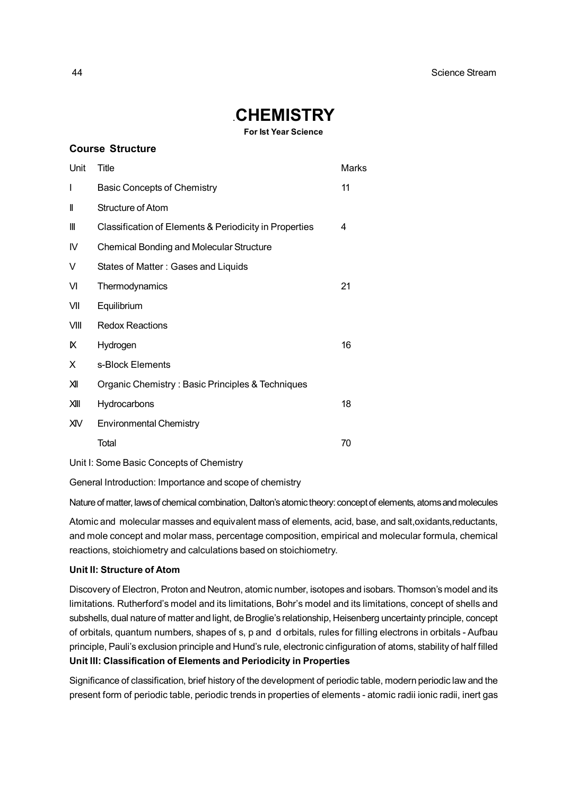# .**CHEMISTRY**

**For Ist Year Science**

|                                          | <b>Course Structure</b>                                |       |  |
|------------------------------------------|--------------------------------------------------------|-------|--|
| Unit                                     | Title                                                  | Marks |  |
| I                                        | <b>Basic Concepts of Chemistry</b>                     | 11    |  |
| II                                       | <b>Structure of Atom</b>                               |       |  |
| Ш                                        | Classification of Elements & Periodicity in Properties | 4     |  |
| IV                                       | <b>Chemical Bonding and Molecular Structure</b>        |       |  |
| V                                        | States of Matter: Gases and Liquids                    |       |  |
| VI                                       | Thermodynamics                                         | 21    |  |
| VII                                      | Equilibrium                                            |       |  |
| VIII                                     | <b>Redox Reactions</b>                                 |       |  |
| к                                        | Hydrogen                                               | 16    |  |
| X                                        | s-Block Elements                                       |       |  |
| ЖI                                       | Organic Chemistry: Basic Principles & Techniques       |       |  |
| XIII                                     | Hydrocarbons                                           | 18    |  |
| XIV                                      | <b>Environmental Chemistry</b>                         |       |  |
|                                          | Total                                                  | 70    |  |
| Unit I: Some Basic Concepts of Chemistry |                                                        |       |  |

General Introduction: Importance and scope of chemistry

Nature of matter, laws of chemical combination, Dalton's atomic theory: concept of elements, atoms and molecules

Atomic and molecular masses and equivalent mass of elements, acid, base, and salt,oxidants, reductants, and mole concept and molar mass, percentage composition, empirical and molecular formula, chemical reactions, stoichiometry and calculations based on stoichiometry.

### **Unit II: Structure of Atom**

Discovery of Electron, Proton and Neutron, atomic number, isotopes and isobars. Thomson's model and its limitations. Rutherford's model and its limitations, Bohr's model and its limitations, concept of shells and subshells, dual nature of matter and light, de Broglie's relationship, Heisenberg uncertainty principle, concept of orbitals, quantum numbers, shapes of s, p and d orbitals, rules for filling electrons in orbitals - Aufbau principle, Pauli's exclusion principle and Hund's rule, electronic cinfiguration of atoms, stability of half filled **Unit III: Classification of Elements and Periodicity in Properties**

Significance of classification, brief history of the development of periodic table, modern periodic law and the present form of periodic table, periodic trends in properties of elements - atomic radii ionic radii, inert gas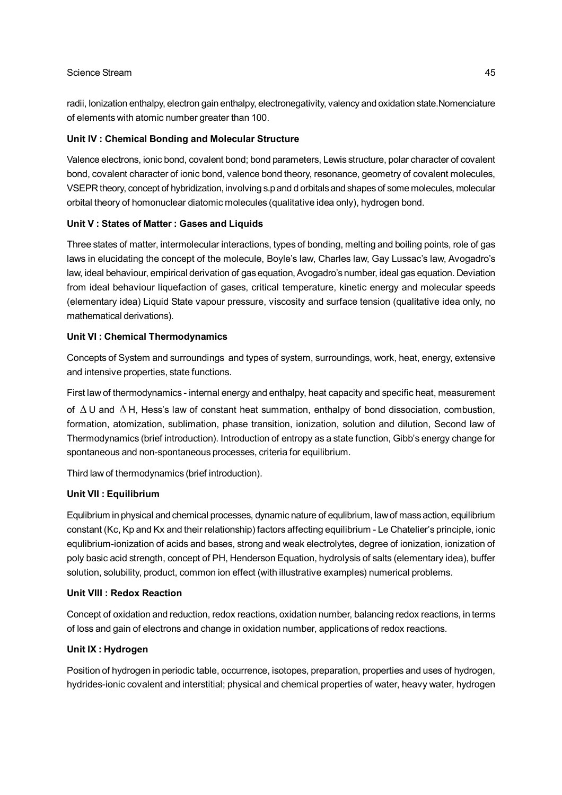radii, Ionization enthalpy, electron gain enthalpy, electronegativity, valency and oxidation state.Nomenciature of elements with atomic number greater than 100.

### **Unit IV : Chemical Bonding and Molecular Structure**

Valence electrons, ionic bond, covalent bond; bond parameters, Lewis structure, polar character of covalent bond, covalent character of ionic bond, valence bond theory, resonance, geometry of covalent molecules, VSEPR theory, concept of hybridization, involving s.p and d orbitals and shapes of some molecules, molecular orbital theory of homonuclear diatomic molecules (qualitative idea only), hydrogen bond.

### **Unit V : States of Matter : Gases and Liquids**

Three states of matter, intermolecular interactions, types of bonding, melting and boiling points, role of gas laws in elucidating the concept of the molecule, Boyle's law, Charles law, Gay Lussac's law, Avogadro's law, ideal behaviour, empirical derivation of gas equation, Avogadro's number, ideal gas equation. Deviation from ideal behaviour liquefaction of gases, critical temperature, kinetic energy and molecular speeds (elementary idea) Liquid State vapour pressure, viscosity and surface tension (qualitative idea only, no mathematical derivations).

### **Unit VI : Chemical Thermodynamics**

Concepts of System and surroundings and types of system, surroundings, work, heat, energy, extensive and intensive properties, state functions.

First law of thermodynamics - internal energy and enthalpy, heat capacity and specific heat, measurement of  $\Delta U$  and  $\Delta H$ , Hess's law of constant heat summation, enthalpy of bond dissociation, combustion, formation, atomization, sublimation, phase transition, ionization, solution and dilution, Second law of Thermodynamics (brief introduction). Introduction of entropy as a state function, Gibb's energy change for spontaneous and non-spontaneous processes, criteria for equilibrium.

Third law of thermodynamics (brief introduction).

### **Unit VII : Equilibrium**

Equlibrium in physical and chemical processes, dynamic nature of equlibrium, law of mass action, equilibrium constant (Kc, Kp and Kx and their relationship) factors affecting equilibrium - Le Chatelier's principle, ionic equlibrium-ionization of acids and bases, strong and weak electrolytes, degree of ionization, ionization of poly basic acid strength, concept of PH, Henderson Equation, hydrolysis of salts (elementary idea), buffer solution, solubility, product, common ion effect (with illustrative examples) numerical problems.

### **Unit VIII : Redox Reaction**

Concept of oxidation and reduction, redox reactions, oxidation number, balancing redox reactions, in terms of loss and gain of electrons and change in oxidation number, applications of redox reactions.

### **Unit IX : Hydrogen**

Position of hydrogen in periodic table, occurrence, isotopes, preparation, properties and uses of hydrogen, hydrides-ionic covalent and interstitial; physical and chemical properties of water, heavy water, hydrogen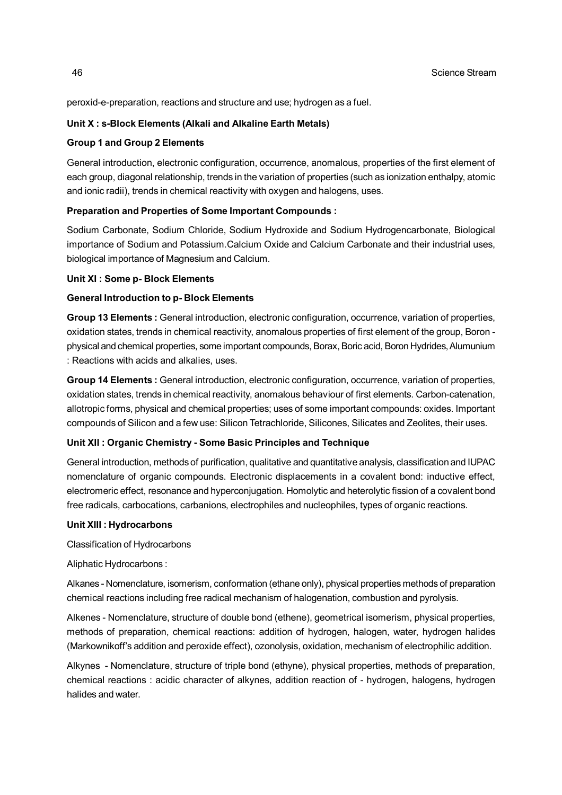peroxid-e-preparation, reactions and structure and use; hydrogen as a fuel.

### **Unit X : s-Block Elements (Alkali and Alkaline Earth Metals)**

### **Group 1 and Group 2 Elements**

General introduction, electronic configuration, occurrence, anomalous, properties of the first element of each group, diagonal relationship, trends in the variation of properties (such as ionization enthalpy, atomic and ionic radii), trends in chemical reactivity with oxygen and halogens, uses.

### **Preparation and Properties of Some Important Compounds :**

Sodium Carbonate, Sodium Chloride, Sodium Hydroxide and Sodium Hydrogencarbonate, Biological importance of Sodium and Potassium.Calcium Oxide and Calcium Carbonate and their industrial uses, biological importance of Magnesium and Calcium.

### **Unit XI : Some p- Block Elements**

### **General Introduction to p- Block Elements**

**Group 13 Elements :** General introduction, electronic configuration, occurrence, variation of properties, oxidation states, trends in chemical reactivity, anomalous properties of first element of the group, Boron physical and chemical properties, some important compounds, Borax, Boric acid, Boron Hydrides, Alumunium : Reactions with acids and alkalies, uses.

**Group 14 Elements :** General introduction, electronic configuration, occurrence, variation of properties, oxidation states, trends in chemical reactivity, anomalous behaviour of first elements. Carbon-catenation, allotropic forms, physical and chemical properties; uses of some important compounds: oxides. Important compounds of Silicon and a few use: Silicon Tetrachloride, Silicones, Silicates and Zeolites, their uses.

### **Unit XII : Organic Chemistry - Some Basic Principles and Technique**

General introduction, methods of purification, qualitative and quantitative analysis, classification and IUPAC nomenclature of organic compounds. Electronic displacements in a covalent bond: inductive effect, electromeric effect, resonance and hyperconjugation. Homolytic and heterolytic fission of a covalent bond free radicals, carbocations, carbanions, electrophiles and nucleophiles, types of organic reactions.

### **Unit XIII : Hydrocarbons**

Classification of Hydrocarbons

Aliphatic Hydrocarbons :

Alkanes - Nomenclature, isomerism, conformation (ethane only), physical properties methods of preparation chemical reactions including free radical mechanism of halogenation, combustion and pyrolysis.

Alkenes - Nomenclature, structure of double bond (ethene), geometrical isomerism, physical properties, methods of preparation, chemical reactions: addition of hydrogen, halogen, water, hydrogen halides (Markownikoff's addition and peroxide effect), ozonolysis, oxidation, mechanism of electrophilic addition.

Alkynes - Nomenclature, structure of triple bond (ethyne), physical properties, methods of preparation, chemical reactions : acidic character of alkynes, addition reaction of - hydrogen, halogens, hydrogen halides and water.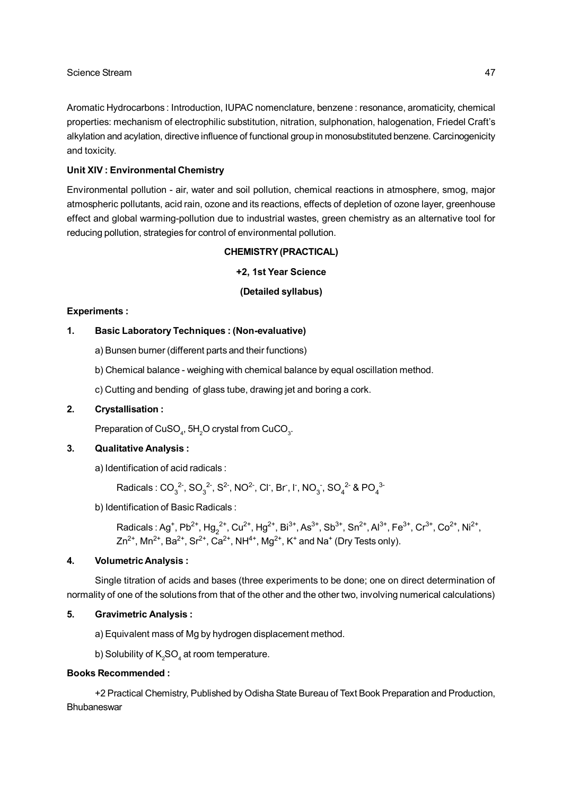Aromatic Hydrocarbons : Introduction, IUPAC nomenclature, benzene : resonance, aromaticity, chemical properties: mechanism of electrophilic substitution, nitration, sulphonation, halogenation, Friedel Craft's alkylation and acylation, directive influence of functional group in monosubstituted benzene. Carcinogenicity and toxicity.

### **Unit XIV : Environmental Chemistry**

Environmental pollution - air, water and soil pollution, chemical reactions in atmosphere, smog, major atmospheric pollutants, acid rain, ozone and its reactions, effects of depletion of ozone layer, greenhouse effect and global warming-pollution due to industrial wastes, green chemistry as an alternative tool for reducing pollution, strategies for control of environmental pollution.

### **CHEMISTRY (PRACTICAL)**

### **+2, 1st Year Science**

### **(Detailed syllabus)**

### **Experiments :**

### **1. Basic Laboratory Techniques : (Non-evaluative)**

- a) Bunsen burner (different parts and their functions)
- b) Chemical balance weighing with chemical balance by equal oscillation method.
- c) Cutting and bending of glass tube, drawing jet and boring a cork.

### **2. Crystallisation :**

Preparation of CuSO $_{\textrm{\tiny{4}}}$ , 5H $_{\textrm{\tiny{2}}}$ O crystal from CuCO $_{\textrm{\tiny{3}}}$ .

### **3. Qualitative Analysis :**

a) Identification of acid radicals :

Radicals : CO $_3^2$ , SO $_3^2$ , S<sup>2-</sup>, NO<sup>2-</sup>, Cl<sup>-</sup>, Br<sup>-</sup>, I<sup>-</sup>, NO<sub>3</sub><sup>-</sup>, SO<sub>4</sub><sup>2-</sup> & PO<sub>4</sub><sup>3-</sup>

b) Identification of Basic Radicals :

Radicals : Ag<sup>+</sup>, Pb<sup>2+</sup>, Hg<sub>2</sub><sup>2+</sup>, Cu<sup>2+</sup>, Hg<sup>2+</sup>, Bi<sup>3+</sup>, As<sup>3+</sup>, Sb<sup>3+</sup>, Sn<sup>2+</sup>, Al<sup>3+</sup>, Fe<sup>3+</sup>, Cr<sup>3+</sup>, Co<sup>2+</sup>, Ni<sup>2+</sup>, Zn<sup>2+</sup>, Mn<sup>2+</sup>, Ba<sup>2+</sup>, Sr<sup>2+</sup>, Ca<sup>2+</sup>, NH<sup>4+</sup>, Mg<sup>2+</sup>, K<sup>+</sup> and Na<sup>+</sup> (Dry Tests only).

### **4. Volumetric Analysis :**

Single titration of acids and bases (three experiments to be done; one on direct determination of normality of one of the solutions from that of the other and the other two, involving numerical calculations)

### **5. Gravimetric Analysis :**

a) Equivalent mass of Mg by hydrogen displacement method.

b) Solubility of  $\mathsf{K}_2\mathsf{SO}_4$  at room temperature.

### **Books Recommended :**

+2 Practical Chemistry, Published by Odisha State Bureau of Text Book Preparation and Production, **Bhubaneswar**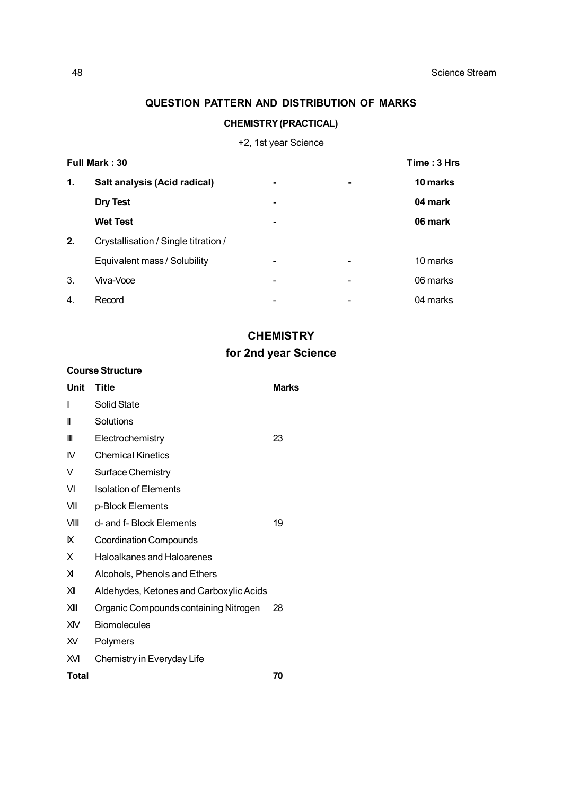# **QUESTION PATTERN AND DISTRIBUTION OF MARKS**

# **CHEMISTRY (PRACTICAL)**

# +2, 1st year Science

| Full Mark: 30 |                                      |   | Time: 3 Hrs |          |
|---------------|--------------------------------------|---|-------------|----------|
| 1.            | Salt analysis (Acid radical)         | - |             | 10 marks |
|               | <b>Dry Test</b>                      | - |             | 04 mark  |
|               | <b>Wet Test</b>                      | - |             | 06 mark  |
| 2.            | Crystallisation / Single titration / |   |             |          |
|               | Equivalent mass / Solubility         |   |             | 10 marks |
| 3.            | Viva-Voce                            |   |             | 06 marks |
| 4.            | Record                               |   |             | 04 marks |

# **CHEMISTRY**

# **for 2nd year Science**

### **Course Structure**

| Unit         | <b>Title</b>                            | <b>Marks</b> |
|--------------|-----------------------------------------|--------------|
| I            | Solid State                             |              |
| Ш            | Solutions                               |              |
| Ш            | Electrochemistry                        | 23           |
| IV           | <b>Chemical Kinetics</b>                |              |
| V            | Surface Chemistry                       |              |
| VI           | <b>Isolation of Elements</b>            |              |
| VII          | p-Block Elements                        |              |
| VIII         | d- and f- Block Elements                | 19           |
| ĸ            | <b>Coordination Compounds</b>           |              |
| X            | <b>Haloalkanes and Haloarenes</b>       |              |
| X            | Alcohols, Phenols and Ethers            |              |
| $\mathsf{M}$ | Aldehydes, Ketones and Carboxylic Acids |              |
| X            | Organic Compounds containing Nitrogen   | 28           |
| <b>XIV</b>   | <b>Biomolecules</b>                     |              |
| XV.          | Polymers                                |              |
| Жl           | Chemistry in Everyday Life              |              |
| Total        |                                         | 70           |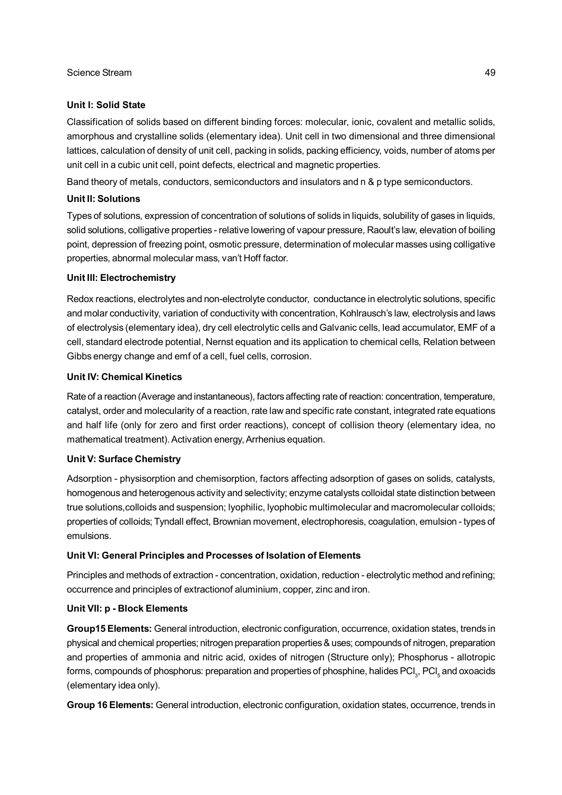### **Unit I: Solid State**

Classification of solids based on different binding forces: molecular, ionic, covalent and metallic solids, amorphous and crystalline solids (elementary idea). Unit cell in two dimensional and three dimensional lattices, calculation of density of unit cell, packing in solids, packing efficiency, voids, number of atoms per unit cell in a cubic unit cell, point defects, electrical and magnetic properties.

Band theory of metals, conductors, semiconductors and insulators and n & p type semiconductors.

### **Unit II: Solutions**

Types of solutions, expression of concentration of solutions of solids in liquids, solubility of gases in liquids, solid solutions, colligative properties - relative lowering of vapour pressure, Raoult's law, elevation of boiling point, depression of freezing point, osmotic pressure, determination of molecular masses using colligative properties, abnormal molecular mass, van't Hoff factor.

### **Unit III: Electrochemistry**

Redox reactions, electrolytes and non-electrolyte conductor, conductance in electrolytic solutions, specific and molar conductivity, variation of conductivity with concentration, Kohlrausch's law, electrolysis and laws of electrolysis (elementary idea), dry cell electrolytic cells and Galvanic cells, lead accumulator, EMF of a cell, standard electrode potential, Nernst equation and its application to chemical cells, Relation between Gibbs energy change and emf of a cell, fuel cells, corrosion.

### **Unit IV: Chemical Kinetics**

Rate of a reaction (Average and instantaneous), factors affecting rate of reaction: concentration, temperature, catalyst, order and molecularity of a reaction, rate law and specific rate constant, integrated rate equations and half life (only for zero and first order reactions), concept of collision theory (elementary idea, no mathematical treatment). Activation energy, Arrhenius equation.

### **Unit V: Surface Chemistry**

Adsorption - physisorption and chemisorption, factors affecting adsorption of gases on solids, catalysts, homogenous and heterogenous activity and selectivity; enzyme catalysts colloidal state distinction between true solutions,colloids and suspension; lyophilic, lyophobic multimolecular and macromolecular colloids; properties of colloids; Tyndall effect, Brownian movement, electrophoresis, coagulation, emulsion - types of emulsions.

### **Unit VI: General Principles and Processes of Isolation of Elements**

Principles and methods of extraction - concentration, oxidation, reduction - electrolytic method and refining; occurrence and principles of extractionof aluminium, copper, zinc and iron.

### **Unit VII: p - Block Elements**

**Group15 Elements:** General introduction, electronic configuration, occurrence, oxidation states, trends in physical and chemical properties; nitrogen preparation properties & uses; compounds of nitrogen, preparation and properties of ammonia and nitric acid, oxides of nitrogen (Structure only); Phosphorus - allotropic forms, compounds of phosphorus: preparation and properties of phosphine, halides  ${\rm PCl}_3, {\rm PCl}_5$  and oxoacids (elementary idea only).

**Group 16 Elements:** General introduction, electronic configuration, oxidation states, occurrence, trends in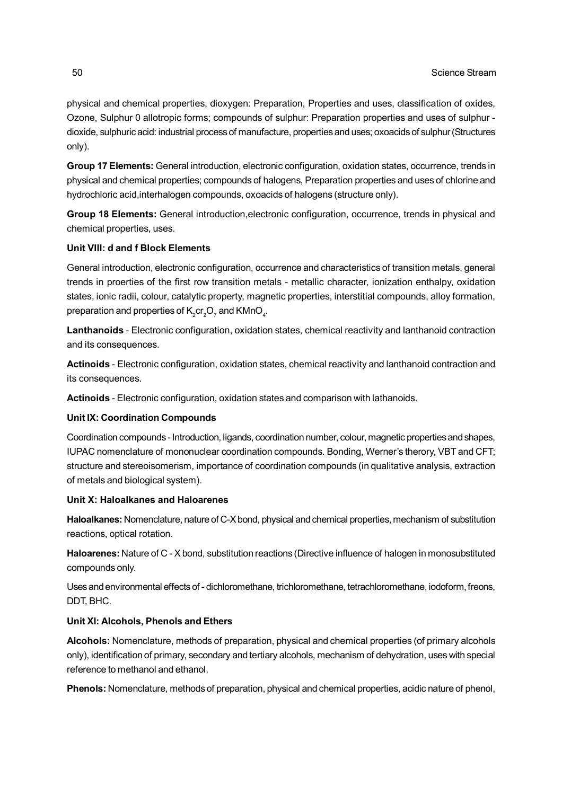physical and chemical properties, dioxygen: Preparation, Properties and uses, classification of oxides, Ozone, Sulphur 0 allotropic forms; compounds of sulphur: Preparation properties and uses of sulphur dioxide, sulphuric acid: industrial process of manufacture, properties and uses; oxoacids of sulphur (Structures only).

**Group 17 Elements:** General introduction, electronic configuration, oxidation states, occurrence, trends in physical and chemical properties; compounds of halogens, Preparation properties and uses of chlorine and hydrochloric acid,interhalogen compounds, oxoacids of halogens (structure only).

**Group 18 Elements:** General introduction,electronic configuration, occurrence, trends in physical and chemical properties, uses.

### **Unit VIII: d and f Block Elements**

General introduction, electronic configuration, occurrence and characteristics of transition metals, general trends in proerties of the first row transition metals - metallic character, ionization enthalpy, oxidation states, ionic radii, colour, catalytic property, magnetic properties, interstitial compounds, alloy formation, preparation and properties of  $\mathsf{K}^{\vphantom{\dagger}}_{2}\mathsf{cr}^{\vphantom{\dagger}}_{2}\mathsf{O}^{\vphantom{\dagger}}_{7}$  and  $\mathsf{KMnO}_{4}.$ 

**Lanthanoids** - Electronic configuration, oxidation states, chemical reactivity and lanthanoid contraction and its consequences.

**Actinoids** - Electronic configuration, oxidation states, chemical reactivity and lanthanoid contraction and its consequences.

**Actinoids** - Electronic configuration, oxidation states and comparison with lathanoids.

### **Unit IX: Coordination Compounds**

Coordination compounds - Introduction, ligands, coordination number, colour, magnetic properties and shapes, IUPAC nomenclature of mononuclear coordination compounds. Bonding, Werner's therory, VBT and CFT; structure and stereoisomerism, importance of coordination compounds (in qualitative analysis, extraction of metals and biological system).

### **Unit X: Haloalkanes and Haloarenes**

**Haloalkanes:** Nomenclature, nature of C-X bond, physical and chemical properties, mechanism of substitution reactions, optical rotation.

**Haloarenes:** Nature of C - X bond, substitution reactions (Directive influence of halogen in monosubstituted compounds only.

Uses and environmental effects of - dichloromethane, trichloromethane, tetrachloromethane, iodoform, freons, DDT, BHC.

### **Unit XI: Alcohols, Phenols and Ethers**

**Alcohols:** Nomenclature, methods of preparation, physical and chemical properties (of primary alcohols only), identification of primary, secondary and tertiary alcohols, mechanism of dehydration, uses with special reference to methanol and ethanol.

**Phenols:** Nomenclature, methods of preparation, physical and chemical properties, acidic nature of phenol,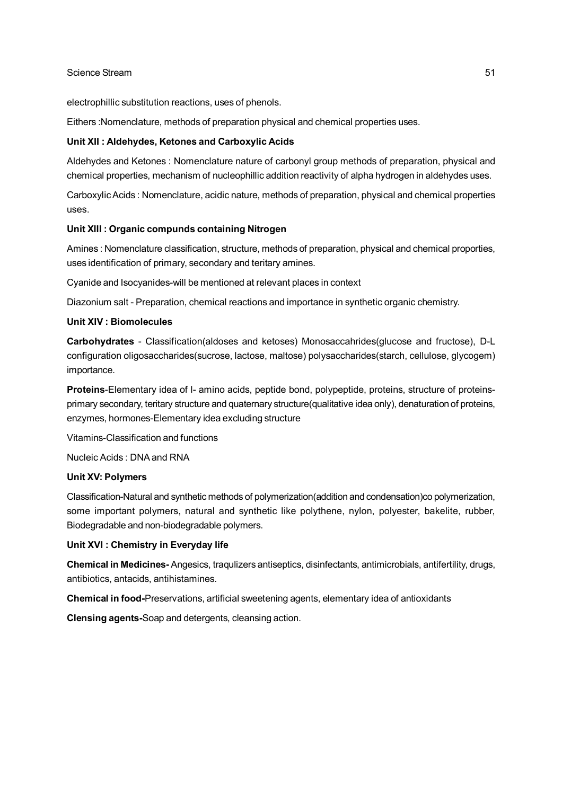electrophillic substitution reactions, uses of phenols.

Eithers :Nomenclature, methods of preparation physical and chemical properties uses.

### **Unit XII : Aldehydes, Ketones and Carboxylic Acids**

Aldehydes and Ketones : Nomenclature nature of carbonyl group methods of preparation, physical and chemical properties, mechanism of nucleophillic addition reactivity of alpha hydrogen in aldehydes uses.

Carboxylic Acids : Nomenclature, acidic nature, methods of preparation, physical and chemical properties uses.

### **Unit XIII : Organic compunds containing Nitrogen**

Amines : Nomenclature classification, structure, methods of preparation, physical and chemical proporties, uses identification of primary, secondary and teritary amines.

Cyanide and Isocyanides-will be mentioned at relevant places in context

Diazonium salt - Preparation, chemical reactions and importance in synthetic organic chemistry.

### **Unit XIV : Biomolecules**

**Carbohydrates** - Classification(aldoses and ketoses) Monosaccahrides(glucose and fructose), D-L configuration oligosaccharides(sucrose, lactose, maltose) polysaccharides(starch, cellulose, glycogem) importance.

**Proteins**-Elementary idea of l- amino acids, peptide bond, polypeptide, proteins, structure of proteinsprimary secondary, teritary structure and quaternary structure(qualitative idea only), denaturation of proteins, enzymes, hormones-Elementary idea excluding structure

Vitamins-Classification and functions

Nucleic Acids : DNA and RNA

### **Unit XV: Polymers**

Classification-Natural and synthetic methods of polymerization(addition and condensation)co polymerization, some important polymers, natural and synthetic like polythene, nylon, polyester, bakelite, rubber, Biodegradable and non-biodegradable polymers.

### **Unit XVI : Chemistry in Everyday life**

**Chemical in Medicines-** Angesics, traqulizers antiseptics, disinfectants, antimicrobials, antifertility, drugs, antibiotics, antacids, antihistamines.

**Chemical in food-**Preservations, artificial sweetening agents, elementary idea of antioxidants

**Clensing agents-**Soap and detergents, cleansing action.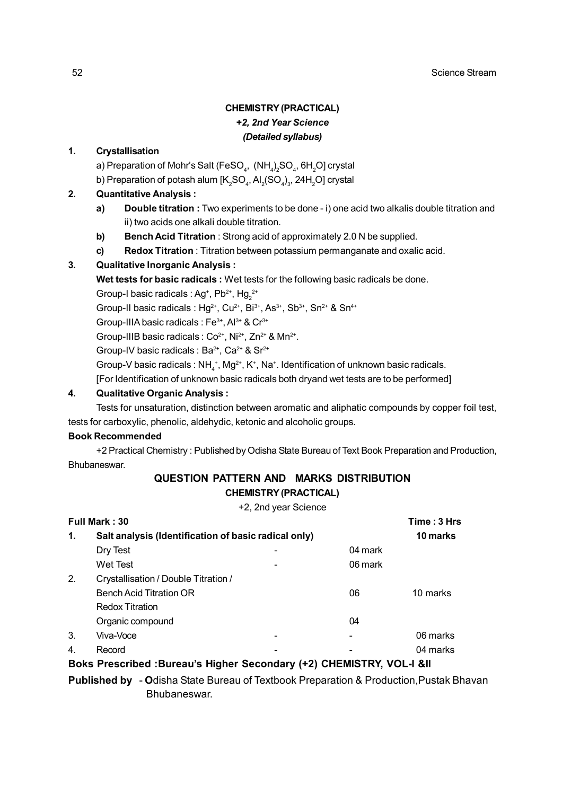# **CHEMISTRY (PRACTICAL)** *+2, 2nd Year Science (Detailed syllabus)*

### **1. Crystallisation**

- a) Preparation of Mohr's Salt (FeSO $_{\scriptscriptstyle 4}$ ,  $\,$  (NH $_{\scriptscriptstyle 4}$ ) $_{\scriptscriptstyle 2}$ SO $_{\scriptscriptstyle 4}$ , 6H $_{\scriptscriptstyle 2}$ O] crystal
- b) Preparation of potash alum [K $_{\rm 2}$ SO $_{\rm 4}$ , Al $_{\rm 2}$ (SO $_{\rm 4}$ ) $_{\rm 3}$ , 24H $_{\rm 2}$ O] crystal

### **2. Quantitative Analysis :**

- **a) Double titration :** Two experiments to be done i) one acid two alkalis double titration and ii) two acids one alkali double titration.
- **b) Bench Acid Titration** : Strong acid of approximately 2.0 N be supplied.
- **c) Redox Titration** : Titration between potassium permanganate and oxalic acid.

### **3. Qualitative Inorganic Analysis :**

**Wet tests for basic radicals :** Wet tests for the following basic radicals be done.

Group-I basic radicals : Ag<sup>+</sup>, Pb<sup>2+</sup>, Hg<sub>2</sub><sup>2+</sup>

Group-II basic radicals : Hg<sup>2+</sup>, Cu<sup>2+</sup>, Bi<sup>3+</sup>, As<sup>3+</sup>, Sb<sup>3+</sup>, Sn<sup>2+</sup> & Sn<sup>4+</sup>

Group-IIIA basic radicals : Fe<sup>3+</sup>, Al<sup>3+</sup> & Cr<sup>3+</sup>

Group-IIIB basic radicals :  $Co^{2+}$ , Ni<sup>2+</sup>, Zn<sup>2+</sup> & Mn<sup>2+</sup>.

Group-IV basic radicals : Ba<sup>2+</sup>, Ca<sup>2+</sup> & Sr<sup>2+</sup>

Group-V basic radicals : NH $_4^*$ , Mg<sup>2+</sup>, K<sup>+</sup>, Na<sup>+</sup>. Identification of unknown basic radicals.

[For Identification of unknown basic radicals both dryand wet tests are to be performed]

### **4. Qualitative Organic Analysis :**

Tests for unsaturation, distinction between aromatic and aliphatic compounds by copper foil test, tests for carboxylic, phenolic, aldehydic, ketonic and alcoholic groups.

### **Book Recommended**

+2 Practical Chemistry : Published by Odisha State Bureau of Text Book Preparation and Production, **Bhubaneswar** 

## **QUESTION PATTERN AND MARKS DISTRIBUTION CHEMISTRY (PRACTICAL)**

+2, 2nd year Science

|                  | Full Mark: 30                                                                   |         | Time: 3 Hrs |
|------------------|---------------------------------------------------------------------------------|---------|-------------|
| 1.               | Salt analysis (Identification of basic radical only)                            |         | 10 marks    |
|                  | Dry Test                                                                        | 04 mark |             |
|                  | <b>Wet Test</b>                                                                 | 06 mark |             |
| 2.               | Crystallisation / Double Titration /                                            |         |             |
|                  | <b>Bench Acid Titration OR</b>                                                  | 06      | 10 marks    |
|                  | <b>Redox Titration</b>                                                          |         |             |
|                  | Organic compound                                                                | 04      |             |
| 3.               | Viva-Voce                                                                       |         | 06 marks    |
| $\overline{4}$ . | Record                                                                          |         | 04 marks    |
|                  | <b>Boks Prescribed :Bureau's Higher Secondary (+2) CHEMISTRY, VOL-I &amp;II</b> |         |             |

**Published by** - **O**disha State Bureau of Textbook Preparation & Production,Pustak Bhavan Bhubaneswar.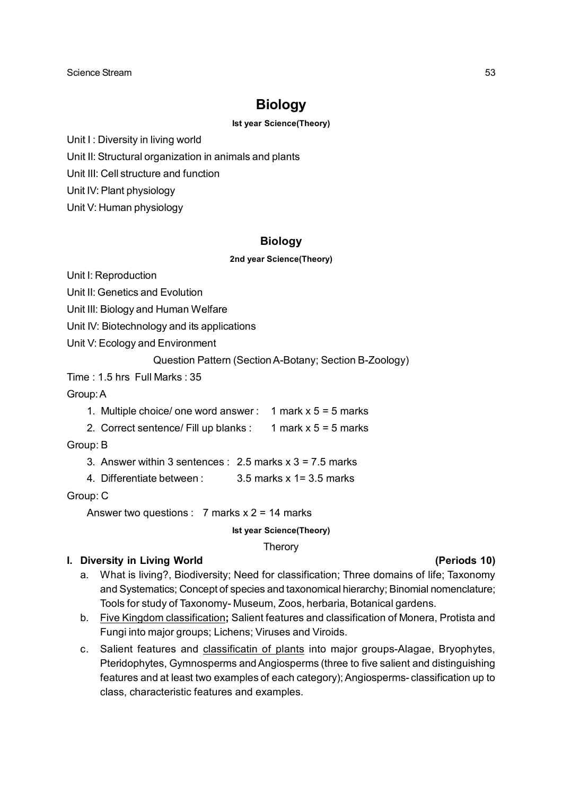# **Biology**

### **Ist year Science(Theory)**

Unit I: Diversity in living world

Unit II: Structural organization in animals and plants

Unit III: Cell structure and function

Unit IV: Plant physiology

Unit V: Human physiology

# **Biology**

### **2nd year Science(Theory)**

Unit I: Reproduction

Unit II: Genetics and Evolution

Unit III: Biology and Human Welfare

Unit IV: Biotechnology and its applications

Unit V: Ecology and Environment

Question Pattern (Section A-Botany; Section B-Zoology)

Time : 1.5 hrs Full Marks : 35

Group: A

1. Multiple choice/ one word answer: 1 mark  $x$  5 = 5 marks

2. Correct sentence/ Fill up blanks :  $1$  mark  $x$  5 = 5 marks

Group: B

3. Answer within 3 sentences :  $2.5$  marks  $x$  3 = 7.5 marks

4. Differentiate between : 3.5 marks x 1= 3.5 marks

Group: C

Answer two questions :  $7$  marks  $x$  2 = 14 marks

### **Ist year Science(Theory)**

**Therory** 

# **I. Diversity in Living World (Periods 10)**

- a. What is living?, Biodiversity; Need for classification; Three domains of life; Taxonomy and Systematics; Concept of species and taxonomical hierarchy; Binomial nomenclature; Tools for study of Taxonomy- Museum, Zoos, herbaria, Botanical gardens.
- b. Five Kingdom classification**;** Salient features and classification of Monera, Protista and Fungi into major groups; Lichens; Viruses and Viroids.
- c. Salient features and classificatin of plants into major groups-Alagae, Bryophytes, Pteridophytes, Gymnosperms and Angiosperms (three to five salient and distinguishing features and at least two examples of each category); Angiosperms- classification up to class, characteristic features and examples.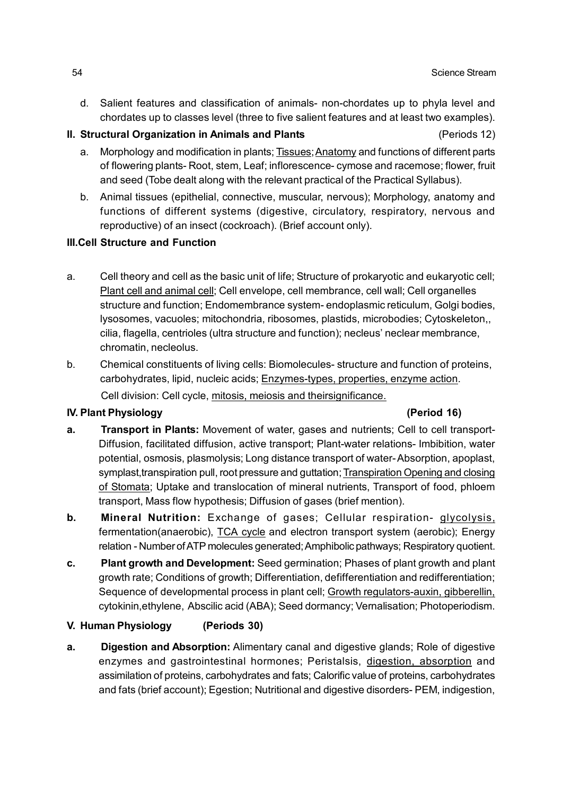d. Salient features and classification of animals- non-chordates up to phyla level and chordates up to classes level (three to five salient features and at least two examples).

# **II. Structural Organization in Animals and Plants** (Periods 12)

- a. Morphology and modification in plants; Tissues; Anatomy and functions of different parts of flowering plants- Root, stem, Leaf; inflorescence- cymose and racemose; flower, fruit and seed (Tobe dealt along with the relevant practical of the Practical Syllabus).
- b. Animal tissues (epithelial, connective, muscular, nervous); Morphology, anatomy and functions of different systems (digestive, circulatory, respiratory, nervous and reproductive) of an insect (cockroach). (Brief account only).

# **III.Cell Structure and Function**

- a. Cell theory and cell as the basic unit of life; Structure of prokaryotic and eukaryotic cell; Plant cell and animal cell; Cell envelope, cell membrance, cell wall; Cell organelles structure and function; Endomembrance system- endoplasmic reticulum, Golgi bodies, lysosomes, vacuoles; mitochondria, ribosomes, plastids, microbodies; Cytoskeleton,, cilia, flagella, centrioles (ultra structure and function); necleus' neclear membrance, chromatin, necleolus.
- b. Chemical constituents of living cells: Biomolecules- structure and function of proteins, carbohydrates, lipid, nucleic acids; Enzymes-types, properties, enzyme action. Cell division: Cell cycle, mitosis, meiosis and theirsignificance.

# **IV. Plant Physiology (Period 16)**

- **a. Transport in Plants:** Movement of water, gases and nutrients; Cell to cell transport-Diffusion, facilitated diffusion, active transport; Plant-water relations- Imbibition, water potential, osmosis, plasmolysis; Long distance transport of water- Absorption, apoplast, symplast, transpiration pull, root pressure and guttation; Transpiration Opening and closing of Stomata; Uptake and translocation of mineral nutrients, Transport of food, phloem transport, Mass flow hypothesis; Diffusion of gases (brief mention).
- **b. Mineral Nutrition:** Exchange of gases; Cellular respiration- glycolysis, fermentation(anaerobic), TCA cycle and electron transport system (aerobic); Energy relation - Number of ATP molecules generated; Amphibolic pathways; Respiratory quotient.
- **c. Plant growth and Development:** Seed germination; Phases of plant growth and plant growth rate; Conditions of growth; Differentiation, defifferentiation and redifferentiation; Sequence of developmental process in plant cell; Growth regulators-auxin, gibberellin, cytokinin,ethylene, Abscilic acid (ABA); Seed dormancy; Vernalisation; Photoperiodism.

# **V. Human Physiology (Periods 30)**

**a. Digestion and Absorption:** Alimentary canal and digestive glands; Role of digestive enzymes and gastrointestinal hormones; Peristalsis, digestion, absorption and assimilation of proteins, carbohydrates and fats; Calorific value of proteins, carbohydrates and fats (brief account); Egestion; Nutritional and digestive disorders- PEM, indigestion,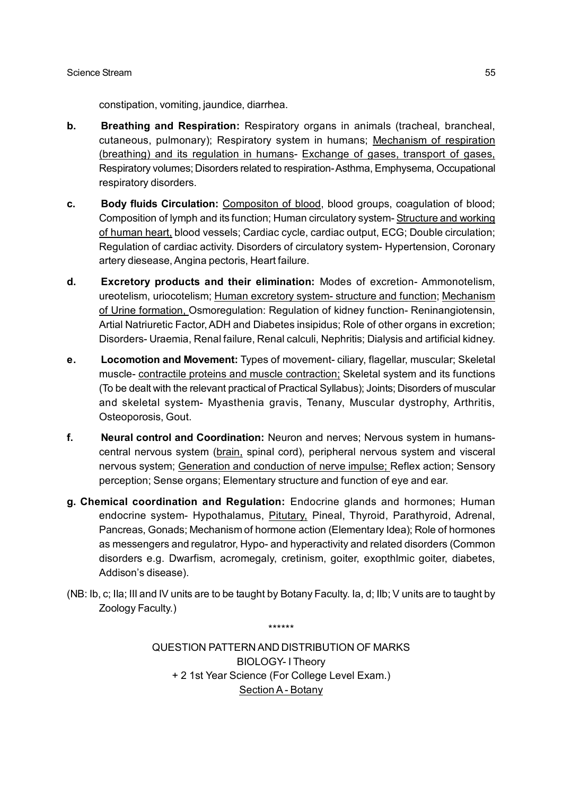constipation, vomiting, jaundice, diarrhea.

- **b. Breathing and Respiration:** Respiratory organs in animals (tracheal, brancheal, cutaneous, pulmonary); Respiratory system in humans; Mechanism of respiration (breathing) and its regulation in humans- Exchange of gases, transport of gases, Respiratory volumes; Disorders related to respiration- Asthma, Emphysema, Occupational respiratory disorders.
- **c. Body fluids Circulation:** Compositon of blood, blood groups, coagulation of blood; Composition of lymph and its function; Human circulatory system- Structure and working of human heart, blood vessels; Cardiac cycle, cardiac output, ECG; Double circulation; Regulation of cardiac activity. Disorders of circulatory system- Hypertension, Coronary artery diesease, Angina pectoris, Heart failure.
- **d. Excretory products and their elimination:** Modes of excretion- Ammonotelism, ureotelism, uriocotelism; Human excretory system- structure and function; Mechanism of Urine formation, Osmoregulation: Regulation of kidney function- Reninangiotensin, Artial Natriuretic Factor, ADH and Diabetes insipidus; Role of other organs in excretion; Disorders- Uraemia, Renal failure, Renal calculi, Nephritis; Dialysis and artificial kidney.
- **e. Locomotion and Movement:** Types of movement- ciliary, flagellar, muscular; Skeletal muscle- contractile proteins and muscle contraction; Skeletal system and its functions (To be dealt with the relevant practical of Practical Syllabus); Joints; Disorders of muscular and skeletal system- Myasthenia gravis, Tenany, Muscular dystrophy, Arthritis, Osteoporosis, Gout.
- **f. Neural control and Coordination:** Neuron and nerves; Nervous system in humanscentral nervous system (brain, spinal cord), peripheral nervous system and visceral nervous system; Generation and conduction of nerve impulse; Reflex action; Sensory perception; Sense organs; Elementary structure and function of eye and ear.
- **g. Chemical coordination and Regulation:** Endocrine glands and hormones; Human endocrine system- Hypothalamus, Pitutary, Pineal, Thyroid, Parathyroid, Adrenal, Pancreas, Gonads; Mechanism of hormone action (Elementary Idea); Role of hormones as messengers and regulatror, Hypo- and hyperactivity and related disorders (Common disorders e.g. Dwarfism, acromegaly, cretinism, goiter, exopthlmic goiter, diabetes, Addison's disease).
- (NB: Ib, c; IIa; III and IV units are to be taught by Botany Faculty. Ia, d; IIb; V units are to taught by Zoology Faculty.)

\*\*\*\*\*\*

QUESTION PATTERN AND DISTRIBUTION OF MARKS BIOLOGY- I Theory + 2 1st Year Science (For College Level Exam.) Section A - Botany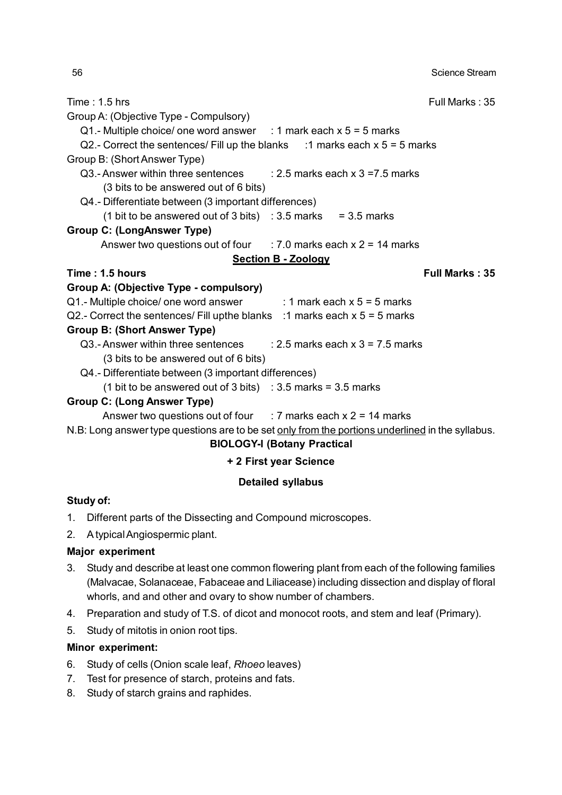Time : 1.5 hrs Full Marks : 35 Group A: (Objective Type - Compulsory) Q1.- Multiple choice/ one word answer : 1 mark each  $x$  5 = 5 marks Q2.- Correct the sentences/ Fill up the blanks  $\therefore$  1 marks each x 5 = 5 marks Group B: (Short Answer Type) Q3.- Answer within three sentences  $\qquad \therefore$  2.5 marks each x 3 = 7.5 marks (3 bits to be answered out of 6 bits) Q4.- Differentiate between (3 important differences) (1 bit to be answered out of 3 bits) :  $3.5$  marks =  $3.5$  marks **Group C: (LongAnswer Type)** Answer two questions out of four  $\therefore$  7.0 marks each x 2 = 14 marks **Section B - Zoology Time : 1.5 hours Full Marks : 35 Group A: (Objective Type - compulsory)**  $Q1$ .- Multiple choice/ one word answer : 1 mark each  $x 5 = 5$  marks Q2.- Correct the sentences/ Fill upthe blanks :1 marks each  $x$  5 = 5 marks **Group B: (Short Answer Type)** Q3.- Answer within three sentences :  $2.5$  marks each x 3 = 7.5 marks (3 bits to be answered out of 6 bits) Q4.- Differentiate between (3 important differences) (1 bit to be answered out of 3 bits) :  $3.5$  marks =  $3.5$  marks

### **Group C: (Long Answer Type)**

Answer two questions out of four  $\therefore$  7 marks each x 2 = 14 marks

N.B: Long answer type questions are to be set only from the portions underlined in the syllabus.

### **BIOLOGY-I (Botany Practical**

# **+ 2 First year Science**

# **Detailed syllabus**

### **Study of:**

- 1. Different parts of the Dissecting and Compound microscopes.
- 2. A typical Angiospermic plant.

### **Major experiment**

- 3. Study and describe at least one common flowering plant from each of the following families (Malvacae, Solanaceae, Fabaceae and Liliacease) including dissection and display of floral whorls, and and other and ovary to show number of chambers.
- 4. Preparation and study of T.S. of dicot and monocot roots, and stem and leaf (Primary).
- 5. Study of mitotis in onion root tips.

### **Minor experiment:**

- 6. Study of cells (Onion scale leaf, *Rhoeo* leaves)
- 7. Test for presence of starch, proteins and fats.
- 8. Study of starch grains and raphides.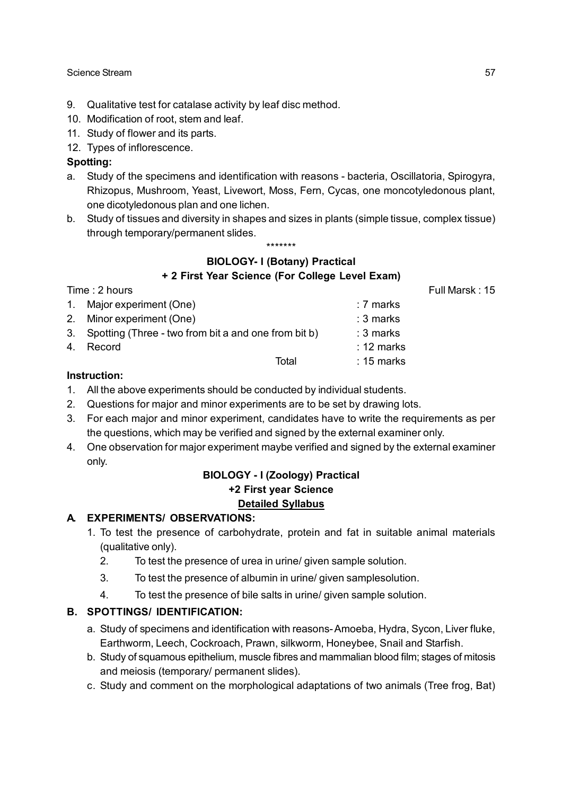- 9. Qualitative test for catalase activity by leaf disc method.
- 10. Modification of root, stem and leaf.
- 11. Study of flower and its parts.
- 12. Types of inflorescence.

### **Spotting:**

- a. Study of the specimens and identification with reasons bacteria, Oscillatoria, Spirogyra, Rhizopus, Mushroom, Yeast, Livewort, Moss, Fern, Cycas, one moncotyledonous plant, one dicotyledonous plan and one lichen.
- b. Study of tissues and diversity in shapes and sizes in plants (simple tissue, complex tissue) through temporary/permanent slides.

### \*\*\*\*\*\*\*

# **BIOLOGY- I (Botany) Practical**

**+ 2 First Year Science (For College Level Exam)**

|                                                                                      |                                                         | Full Marsk: 15 |
|--------------------------------------------------------------------------------------|---------------------------------------------------------|----------------|
|                                                                                      | : 7 marks                                               |                |
|                                                                                      | : 3 marks                                               |                |
|                                                                                      | $: 3$ marks                                             |                |
|                                                                                      | $: 12 \text{ marks}$                                    |                |
| Total                                                                                | $: 15$ marks                                            |                |
| Time: 2 hours<br>1. Major experiment (One)<br>2. Minor experiment (One)<br>4. Record | 3. Spotting (Three - two from bit a and one from bit b) |                |

### **Instruction:**

- 1. All the above experiments should be conducted by individual students.
- 2. Questions for major and minor experiments are to be set by drawing lots.
- 3. For each major and minor experiment, candidates have to write the requirements as per the questions, which may be verified and signed by the external examiner only.
- 4. One observation for major experiment maybe verified and signed by the external examiner only.

# **BIOLOGY - I (Zoology) Practical +2 First year Science Detailed Syllabus**

# **A. EXPERIMENTS/ OBSERVATIONS:**

- 1. To test the presence of carbohydrate, protein and fat in suitable animal materials (qualitative only).
	- 2. To test the presence of urea in urine/ given sample solution.
	- 3. To test the presence of albumin in urine/ given samplesolution.
	- 4. To test the presence of bile salts in urine/ given sample solution.

# **B. SPOTTINGS/ IDENTIFICATION:**

- a. Study of specimens and identification with reasons- Amoeba, Hydra, Sycon, Liver fluke, Earthworm, Leech, Cockroach, Prawn, silkworm, Honeybee, Snail and Starfish.
- b. Study of squamous epithelium, muscle fibres and mammalian blood film; stages of mitosis and meiosis (temporary/ permanent slides).
- c. Study and comment on the morphological adaptations of two animals (Tree frog, Bat)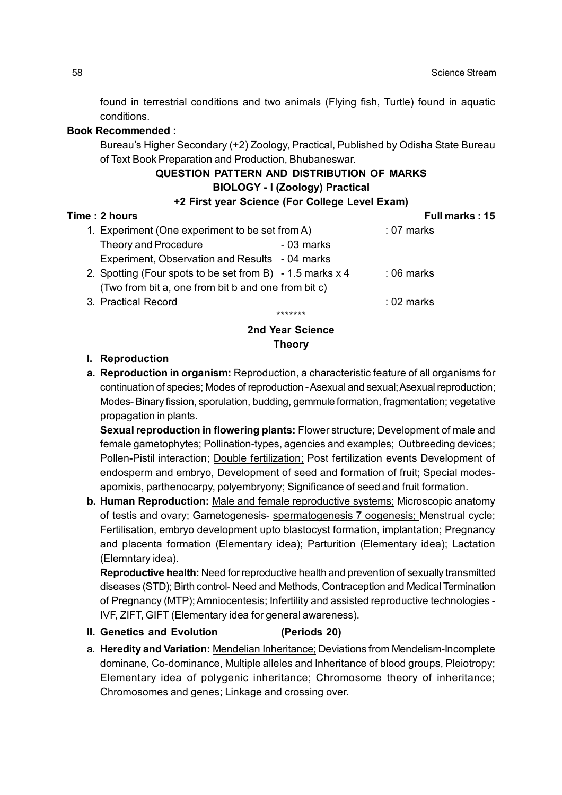found in terrestrial conditions and two animals (Flying fish, Turtle) found in aquatic conditions.

# **Book Recommended :**

Bureau's Higher Secondary (+2) Zoology, Practical, Published by Odisha State Bureau of Text Book Preparation and Production, Bhubaneswar.

# **QUESTION PATTERN AND DISTRIBUTION OF MARKS BIOLOGY - I (Zoology) Practical**

# **+2 First year Science (For College Level Exam)**

| Time: 2 hours                                                                                                    | Full marks: 15 |
|------------------------------------------------------------------------------------------------------------------|----------------|
| 1. Experiment (One experiment to be set from A)                                                                  | $: 07$ marks   |
| Theory and Procedure<br>$-03$ marks                                                                              |                |
| Experiment, Observation and Results - 04 marks                                                                   |                |
| 2. Spotting (Four spots to be set from B) - 1.5 marks x 4<br>(Two from bit a, one from bit b and one from bit c) | $:06$ marks    |
| 3. Practical Record                                                                                              | $: 02$ marks   |
|                                                                                                                  |                |

# **2nd Year Science Theory**

## **I. Reproduction**

**a. Reproduction in organism:** Reproduction, a characteristic feature of all organisms for continuation of species; Modes of reproduction - Asexual and sexual; Asexual reproduction; Modes- Binary fission, sporulation, budding, gemmule formation, fragmentation; vegetative propagation in plants.

**Sexual reproduction in flowering plants:** Flower structure; Development of male and female gametophytes; Pollination-types, agencies and examples; Outbreeding devices; Pollen-Pistil interaction; Double fertilization; Post fertilization events Development of endosperm and embryo, Development of seed and formation of fruit; Special modesapomixis, parthenocarpy, polyembryony; Significance of seed and fruit formation.

**b. Human Reproduction:** Male and female reproductive systems; Microscopic anatomy of testis and ovary; Gametogenesis- spermatogenesis 7 oogenesis; Menstrual cycle; Fertilisation, embryo development upto blastocyst formation, implantation; Pregnancy and placenta formation (Elementary idea); Parturition (Elementary idea); Lactation (Elemntary idea).

**Reproductive health:** Need for reproductive health and prevention of sexually transmitted diseases (STD); Birth control- Need and Methods, Contraception and Medical Termination of Pregnancy (MTP); Amniocentesis; Infertility and assisted reproductive technologies - IVF, ZIFT, GIFT (Elementary idea for general awareness).

- **II. Genetics and Evolution (Periods 20)**
- a. **Heredity and Variation:** Mendelian Inheritance; Deviations from Mendelism-Incomplete dominane, Co-dominance, Multiple alleles and Inheritance of blood groups, Pleiotropy; Elementary idea of polygenic inheritance; Chromosome theory of inheritance; Chromosomes and genes; Linkage and crossing over.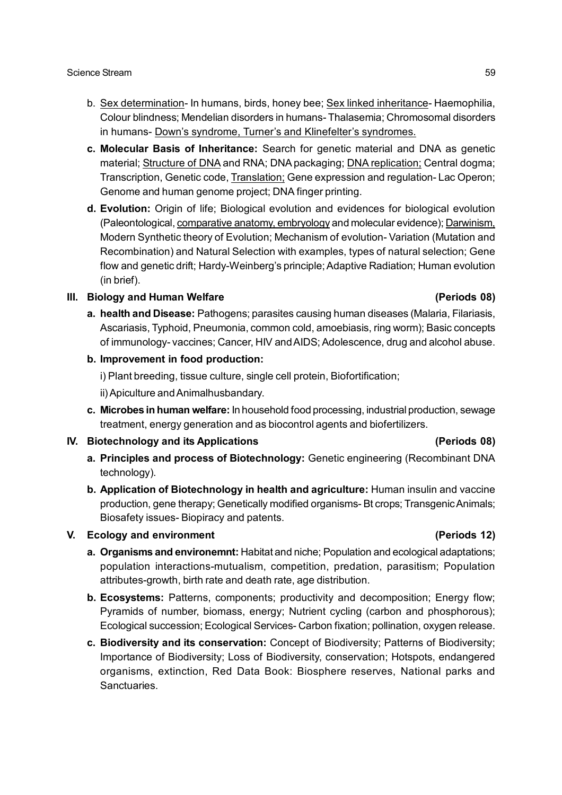- b. Sex determination- In humans, birds, honey bee; Sex linked inheritance- Haemophilia, Colour blindness; Mendelian disorders in humans- Thalasemia; Chromosomal disorders in humans- Down's syndrome, Turner's and Klinefelter's syndromes.
- **c. Molecular Basis of Inheritance:** Search for genetic material and DNA as genetic material; Structure of DNA and RNA; DNA packaging; DNA replication; Central dogma; Transcription, Genetic code, Translation; Gene expression and regulation- Lac Operon; Genome and human genome project; DNA finger printing.
- **d. Evolution:** Origin of life; Biological evolution and evidences for biological evolution (Paleontological, comparative anatomy, embryology and molecular evidence); Darwinism, Modern Synthetic theory of Evolution; Mechanism of evolution- Variation (Mutation and Recombination) and Natural Selection with examples, types of natural selection; Gene flow and genetic drift; Hardy-Weinberg's principle; Adaptive Radiation; Human evolution (in brief).

### **III. Biology and Human Welfare (Periods 08)**

**a. health and Disease:** Pathogens; parasites causing human diseases (Malaria, Filariasis, Ascariasis, Typhoid, Pneumonia, common cold, amoebiasis, ring worm); Basic concepts of immunology- vaccines; Cancer, HIV and AIDS; Adolescence, drug and alcohol abuse.

## **b. Improvement in food production:**

i) Plant breeding, tissue culture, single cell protein, Biofortification;

ii) Apiculture and Animalhusbandary.

**c. Microbes in human welfare:** In household food processing, industrial production, sewage treatment, energy generation and as biocontrol agents and biofertilizers.

# **IV. Biotechnology and its Applications (Periods 08)**

- **a. Principles and process of Biotechnology:** Genetic engineering (Recombinant DNA technology).
- **b. Application of Biotechnology in health and agriculture:** Human insulin and vaccine production, gene therapy; Genetically modified organisms- Bt crops; Transgenic Animals; Biosafety issues- Biopiracy and patents.

### **V. Ecology and environment (Periods 12)**

# **a. Organisms and environemnt:** Habitat and niche; Population and ecological adaptations; population interactions-mutualism, competition, predation, parasitism; Population attributes-growth, birth rate and death rate, age distribution.

- **b. Ecosystems:** Patterns, components; productivity and decomposition; Energy flow; Pyramids of number, biomass, energy; Nutrient cycling (carbon and phosphorous); Ecological succession; Ecological Services- Carbon fixation; pollination, oxygen release.
- **c. Biodiversity and its conservation:** Concept of Biodiversity; Patterns of Biodiversity; Importance of Biodiversity; Loss of Biodiversity, conservation; Hotspots, endangered organisms, extinction, Red Data Book: Biosphere reserves, National parks and Sanctuaries.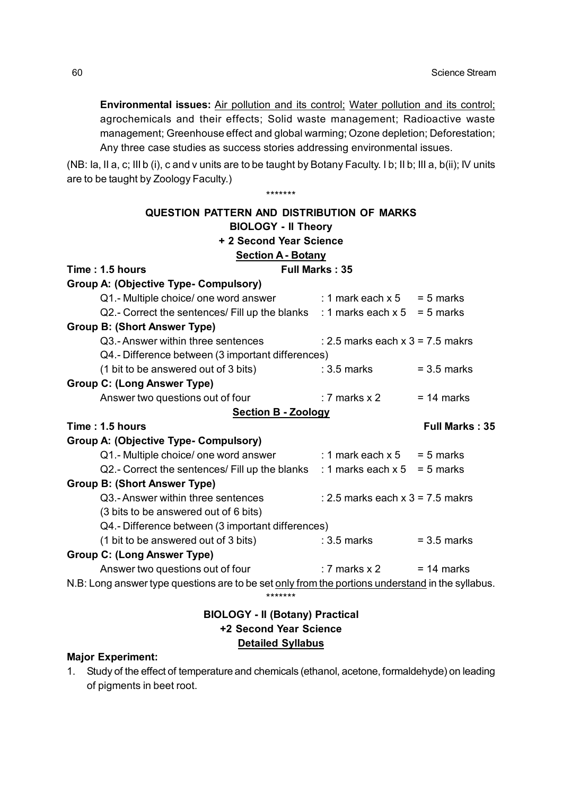**Environmental issues:** Air pollution and its control; Water pollution and its control; agrochemicals and their effects; Solid waste management; Radioactive waste management; Greenhouse effect and global warming; Ozone depletion; Deforestation; Any three case studies as success stories addressing environmental issues.

(NB: Ia, II a, c; III b (i), c and v units are to be taught by Botany Faculty. I b; II b; III a, b(ii); IV units are to be taught by Zoology Faculty.)

\*\*\*\*\*\*\*

| QUESTION PATTERN AND DISTRIBUTION OF MARKS                                    |                                                                                                  |                       |  |  |  |  |
|-------------------------------------------------------------------------------|--------------------------------------------------------------------------------------------------|-----------------------|--|--|--|--|
| <b>BIOLOGY - II Theory</b>                                                    |                                                                                                  |                       |  |  |  |  |
| + 2 Second Year Science                                                       |                                                                                                  |                       |  |  |  |  |
| <b>Section A - Botany</b><br>Time: 1.5 hours                                  | <b>Full Marks: 35</b>                                                                            |                       |  |  |  |  |
| Group A: (Objective Type- Compulsory)                                         |                                                                                                  |                       |  |  |  |  |
| Q1.- Multiple choice/ one word answer                                         | $: 1$ mark each x 5 = 5 marks                                                                    |                       |  |  |  |  |
| Q2.- Correct the sentences/ Fill up the blanks : 1 marks each $x 5 = 5$ marks |                                                                                                  |                       |  |  |  |  |
| <b>Group B: (Short Answer Type)</b>                                           |                                                                                                  |                       |  |  |  |  |
| Q3.-Answer within three sentences                                             | : 2.5 marks each $x$ 3 = 7.5 makrs                                                               |                       |  |  |  |  |
| Q4.- Difference between (3 important differences)                             |                                                                                                  |                       |  |  |  |  |
| (1 bit to be answered out of 3 bits)                                          | $: 3.5$ marks                                                                                    | $= 3.5$ marks         |  |  |  |  |
| <b>Group C: (Long Answer Type)</b>                                            |                                                                                                  |                       |  |  |  |  |
| Answer two questions out of four                                              | : 7 marks $x$ 2                                                                                  | $= 14$ marks          |  |  |  |  |
| <b>Section B - Zoology</b>                                                    |                                                                                                  |                       |  |  |  |  |
| Time: 1.5 hours                                                               |                                                                                                  | <b>Full Marks: 35</b> |  |  |  |  |
| <b>Group A: (Objective Type- Compulsory)</b>                                  |                                                                                                  |                       |  |  |  |  |
| Q1.- Multiple choice/ one word answer                                         | : 1 mark each $x 5 = 5$ marks                                                                    |                       |  |  |  |  |
| Q2.- Correct the sentences/ Fill up the blanks : 1 marks each $x 5 = 5$ marks |                                                                                                  |                       |  |  |  |  |
| <b>Group B: (Short Answer Type)</b>                                           |                                                                                                  |                       |  |  |  |  |
| Q3.-Answer within three sentences                                             | : 2.5 marks each $x$ 3 = 7.5 makrs                                                               |                       |  |  |  |  |
| (3 bits to be answered out of 6 bits)                                         |                                                                                                  |                       |  |  |  |  |
| Q4.- Difference between (3 important differences)                             |                                                                                                  |                       |  |  |  |  |
| (1 bit to be answered out of 3 bits)                                          | $: 3.5$ marks                                                                                    | $= 3.5$ marks         |  |  |  |  |
| <b>Group C: (Long Answer Type)</b>                                            |                                                                                                  |                       |  |  |  |  |
| Answer two questions out of four                                              | : 7 marks $x$ 2                                                                                  | $= 14$ marks          |  |  |  |  |
|                                                                               | N.B: Long answer type questions are to be set only from the portions understand in the syllabus. |                       |  |  |  |  |
| *******                                                                       |                                                                                                  |                       |  |  |  |  |
| <b>BIOLOGY - II (Botany) Practical</b>                                        |                                                                                                  |                       |  |  |  |  |

# **+2 Second Year Science Detailed Syllabus**

## **Major Experiment:**

1. Study of the effect of temperature and chemicals (ethanol, acetone, formaldehyde) on leading of pigments in beet root.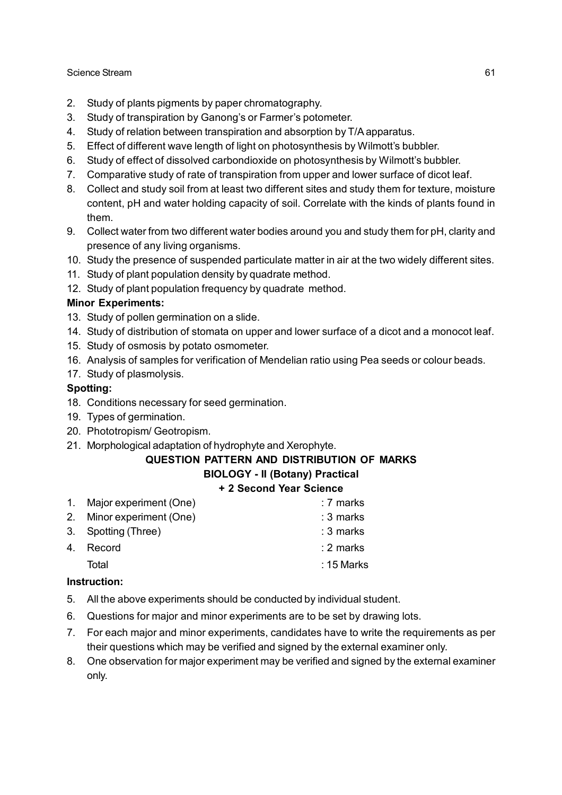- 2. Study of plants pigments by paper chromatography.
- 3. Study of transpiration by Ganong's or Farmer's potometer.
- 4. Study of relation between transpiration and absorption by T/A apparatus.
- 5. Effect of different wave length of light on photosynthesis by Wilmott's bubbler.
- 6. Study of effect of dissolved carbondioxide on photosynthesis by Wilmott's bubbler.
- 7. Comparative study of rate of transpiration from upper and lower surface of dicot leaf.
- 8. Collect and study soil from at least two different sites and study them for texture, moisture content, pH and water holding capacity of soil. Correlate with the kinds of plants found in them.
- 9. Collect water from two different water bodies around you and study them for pH, clarity and presence of any living organisms.
- 10. Study the presence of suspended particulate matter in air at the two widely different sites.
- 11. Study of plant population density by quadrate method.
- 12. Study of plant population frequency by quadrate method.

# **Minor Experiments:**

- 13. Study of pollen germination on a slide.
- 14. Study of distribution of stomata on upper and lower surface of a dicot and a monocot leaf.
- 15. Study of osmosis by potato osmometer.
- 16. Analysis of samples for verification of Mendelian ratio using Pea seeds or colour beads.
- 17. Study of plasmolysis.

# **Spotting:**

- 18. Conditions necessary for seed germination.
- 19. Types of germination.
- 20. Phototropism/ Geotropism.
- 21. Morphological adaptation of hydrophyte and Xerophyte.

# **QUESTION PATTERN AND DISTRIBUTION OF MARKS**

# **BIOLOGY - II (Botany) Practical**

# **+ 2 Second Year Science**

| 1. Major experiment (One) | : 7 marks    |
|---------------------------|--------------|
| 2. Minor experiment (One) | : 3 marks    |
| 3. Spotting (Three)       | $: 3$ marks  |
| 4. Record                 | : 2 marks    |
| Total                     | $: 15$ Marks |
|                           |              |

# **Instruction:**

- 5. All the above experiments should be conducted by individual student.
- 6. Questions for major and minor experiments are to be set by drawing lots.
- 7. For each major and minor experiments, candidates have to write the requirements as per their questions which may be verified and signed by the external examiner only.
- 8. One observation for major experiment may be verified and signed by the external examiner only.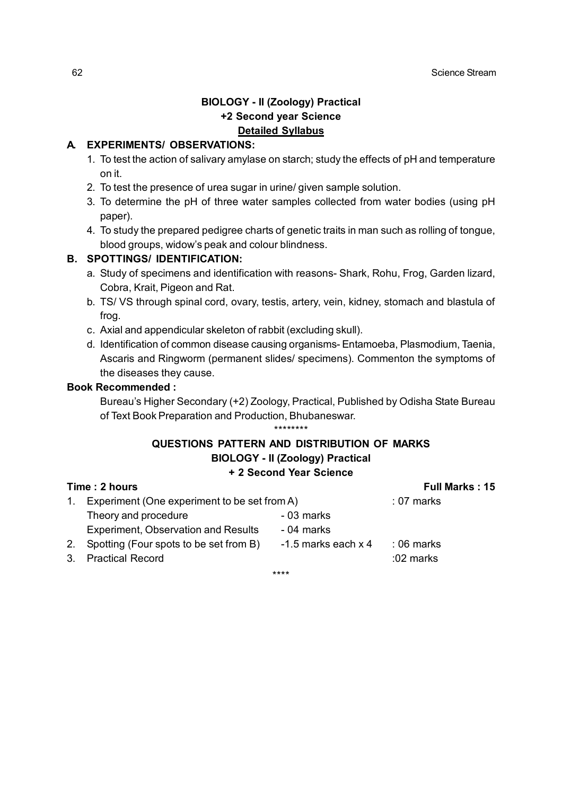# **BIOLOGY - II (Zoology) Practical +2 Second year Science Detailed Syllabus**

# **A. EXPERIMENTS/ OBSERVATIONS:**

- 1. To test the action of salivary amylase on starch; study the effects of pH and temperature on it.
- 2. To test the presence of urea sugar in urine/ given sample solution.
- 3. To determine the pH of three water samples collected from water bodies (using pH paper).
- 4. To study the prepared pedigree charts of genetic traits in man such as rolling of tongue, blood groups, widow's peak and colour blindness.

### **B. SPOTTINGS/ IDENTIFICATION:**

- a. Study of specimens and identification with reasons- Shark, Rohu, Frog, Garden lizard, Cobra, Krait, Pigeon and Rat.
- b. TS/ VS through spinal cord, ovary, testis, artery, vein, kidney, stomach and blastula of frog.
- c. Axial and appendicular skeleton of rabbit (excluding skull).
- d. Identification of common disease causing organisms- Entamoeba, Plasmodium, Taenia, Ascaris and Ringworm (permanent slides/ specimens). Commenton the symptoms of the diseases they cause.

## **Book Recommended :**

Bureau's Higher Secondary (+2) Zoology, Practical, Published by Odisha State Bureau of Text Book Preparation and Production, Bhubaneswar. \*\*\*\*\*\*\*\*

### **QUESTIONS PATTERN AND DISTRIBUTION OF MARKS BIOLOGY - II (Zoology) Practical + 2 Second Year Science**

|                |                                              | T Z SECURIU TEAT SCIENCE |                       |
|----------------|----------------------------------------------|--------------------------|-----------------------|
|                | Time: 2 hours                                |                          | <b>Full Marks: 15</b> |
|                | Experiment (One experiment to be set from A) |                          | $: 07$ marks          |
|                | Theory and procedure                         | - 03 marks               |                       |
|                | <b>Experiment, Observation and Results</b>   | - 04 marks               |                       |
| 2 <sub>1</sub> | Spotting (Four spots to be set from B)       | $-1.5$ marks each $x$ 4  | $:06$ marks           |
|                | 3. Practical Record                          |                          | :02 marks             |

\*\*\*\*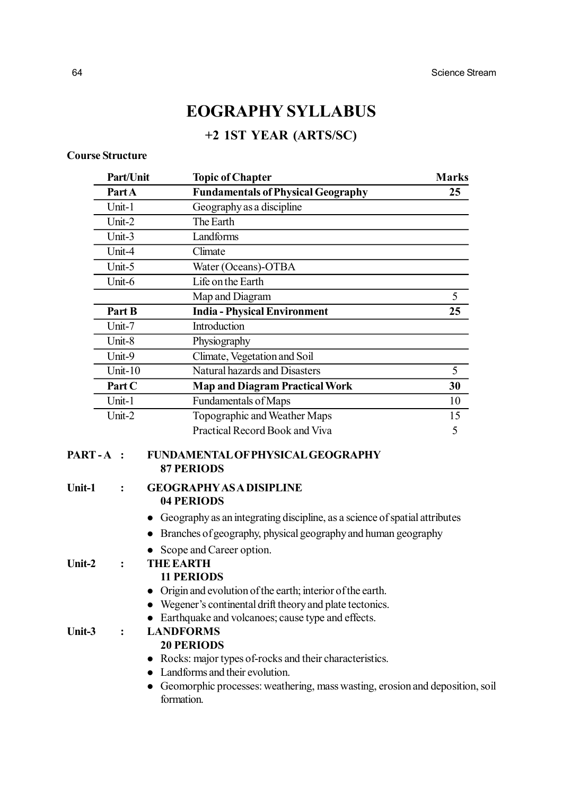# **EOGRAPHY SYLLABUS**

# **+2 1ST YEAR (ARTS/SC)**

# **Course Structure**

|                          | Part/Unit      | <b>Topic of Chapter</b>                                                                                 | <b>Marks</b> |
|--------------------------|----------------|---------------------------------------------------------------------------------------------------------|--------------|
|                          | Part A         | <b>Fundamentals of Physical Geography</b>                                                               | 25           |
|                          | Unit-1         | Geography as a discipline                                                                               |              |
|                          | Unit-2         | The Earth                                                                                               |              |
|                          | Unit-3         | Landforms                                                                                               |              |
|                          | Unit-4         | Climate                                                                                                 |              |
|                          | Unit-5         | Water (Oceans)-OTBA                                                                                     |              |
|                          | Unit-6         | Life on the Earth                                                                                       |              |
|                          |                | Map and Diagram                                                                                         | 5            |
|                          | Part B         | <b>India - Physical Environment</b>                                                                     | 25           |
|                          | Unit-7         | Introduction                                                                                            |              |
|                          | Unit-8         | Physiography                                                                                            |              |
|                          | Unit-9         | Climate, Vegetation and Soil                                                                            |              |
|                          | Unit- $10$     | Natural hazards and Disasters                                                                           | 5            |
|                          | Part C         | <b>Map and Diagram Practical Work</b>                                                                   | 30           |
|                          | Unit-1         | Fundamentals of Maps                                                                                    | 10           |
|                          | Unit-2         | Topographic and Weather Maps                                                                            | 15           |
|                          |                | Practical Record Book and Viva                                                                          | 5            |
| <b>PART-A:</b><br>Unit-1 | $\ddot{\cdot}$ | FUNDAMENTAL OF PHYSICAL GEOGRAPHY<br><b>87 PERIODS</b><br><b>GEOGRAPHY AS A DISIPLINE</b><br>04 PERIODS |              |
|                          |                | Geography as an integrating discipline, as a science of spatial attributes                              |              |
|                          |                | Branches of geography, physical geography and human geography                                           |              |
|                          |                | Scope and Career option.                                                                                |              |
| Unit-2                   | $\ddot{\cdot}$ | <b>THE EARTH</b>                                                                                        |              |
|                          |                | <b>11 PERIODS</b>                                                                                       |              |
|                          |                | Origin and evolution of the earth; interior of the earth.                                               |              |
|                          |                | Wegener's continental drift theory and plate tectonics.                                                 |              |
|                          |                | Earthquake and volcanoes; cause type and effects.                                                       |              |
| Unit-3                   | $\ddot{\cdot}$ | <b>LANDFORMS</b>                                                                                        |              |
|                          |                | <b>20 PERIODS</b>                                                                                       |              |
|                          |                | Rocks: major types of-rocks and their characteristics.                                                  |              |
|                          |                | Landforms and their evolution.                                                                          |              |
|                          |                | Geomorphic processes: weathering, mass wasting, erosion and deposition, soil<br>formation.              |              |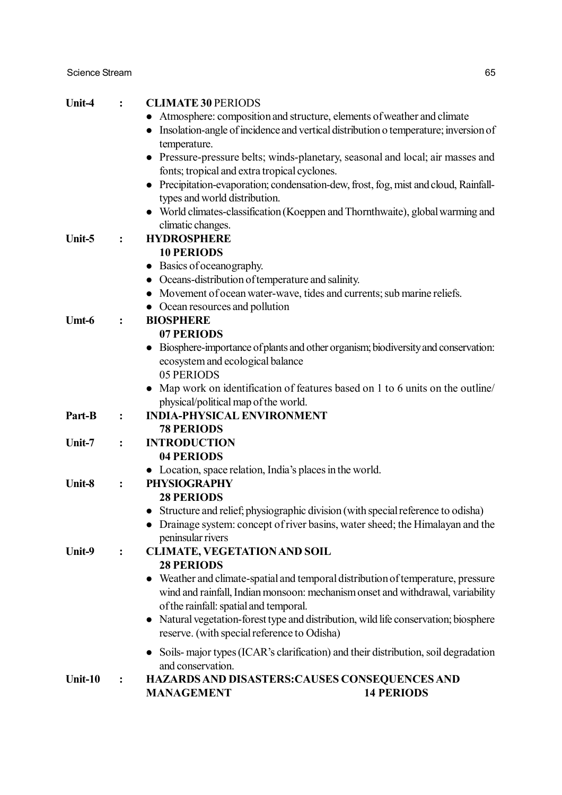| Unit-4  |                | <b>CLIMATE 30 PERIODS</b><br>Atmosphere: composition and structure, elements of weather and climate<br>Insolation-angle of incidence and vertical distribution o temperature; inversion of<br>temperature. |
|---------|----------------|------------------------------------------------------------------------------------------------------------------------------------------------------------------------------------------------------------|
|         |                | • Pressure-pressure belts; winds-planetary, seasonal and local; air masses and                                                                                                                             |
|         |                | fonts; tropical and extra tropical cyclones.                                                                                                                                                               |
|         |                | Precipitation-evaporation; condensation-dew, frost, fog, mist and cloud, Rainfall-                                                                                                                         |
|         |                | types and world distribution.                                                                                                                                                                              |
|         |                | World climates-classification (Koeppen and Thornthwaite), global warming and<br>climatic changes.                                                                                                          |
| Unit-5  | :              | <b>HYDROSPHERE</b>                                                                                                                                                                                         |
|         |                | <b>10 PERIODS</b>                                                                                                                                                                                          |
|         |                | Basics of oceanography.<br>$\bullet$                                                                                                                                                                       |
|         |                | Oceans-distribution of temperature and salinity.                                                                                                                                                           |
|         |                | Movement of ocean water-wave, tides and currents; sub marine reliefs.                                                                                                                                      |
|         |                | • Ocean resources and pollution                                                                                                                                                                            |
| Umt-6   | $\ddot{\cdot}$ | <b>BIOSPHERE</b>                                                                                                                                                                                           |
|         |                | 07 PERIODS                                                                                                                                                                                                 |
|         |                | Biosphere-importance of plants and other organism; biodiversity and conservation:                                                                                                                          |
|         |                | ecosystem and ecological balance                                                                                                                                                                           |
|         |                | 05 PERIODS                                                                                                                                                                                                 |
|         |                | Map work on identification of features based on 1 to 6 units on the outline/                                                                                                                               |
|         |                | physical/political map of the world.                                                                                                                                                                       |
| Part-B  | $\ddot{\cdot}$ | <b>INDIA-PHYSICAL ENVIRONMENT</b>                                                                                                                                                                          |
|         |                | <b>78 PERIODS</b>                                                                                                                                                                                          |
| Unit-7  | $\ddot{\cdot}$ | <b>INTRODUCTION</b>                                                                                                                                                                                        |
|         |                | 04 PERIODS                                                                                                                                                                                                 |
|         |                | • Location, space relation, India's places in the world.                                                                                                                                                   |
| Unit-8  | $\ddot{\cdot}$ | <b>PHYSIOGRAPHY</b>                                                                                                                                                                                        |
|         |                | <b>28 PERIODS</b>                                                                                                                                                                                          |
|         |                | • Structure and relief; physiographic division (with special reference to odisha)                                                                                                                          |
|         |                | Drainage system: concept of river basins, water sheed; the Himalayan and the                                                                                                                               |
|         |                | peninsular rivers                                                                                                                                                                                          |
| Unit-9  | $\ddot{\cdot}$ | <b>CLIMATE, VEGETATION AND SOIL</b>                                                                                                                                                                        |
|         |                | <b>28 PERIODS</b>                                                                                                                                                                                          |
|         |                | Weather and climate-spatial and temporal distribution of temperature, pressure<br>$\bullet$                                                                                                                |
|         |                | wind and rainfall, Indian monsoon: mechanism onset and withdrawal, variability                                                                                                                             |
|         |                | of the rainfall: spatial and temporal.                                                                                                                                                                     |
|         |                | Natural vegetation-forest type and distribution, wild life conservation; biosphere                                                                                                                         |
|         |                | reserve. (with special reference to Odisha)                                                                                                                                                                |
|         |                | Soils- major types (ICAR's clarification) and their distribution, soil degradation                                                                                                                         |
|         |                | and conservation.                                                                                                                                                                                          |
| Unit-10 | $\ddot{\cdot}$ | HAZARDS AND DISASTERS: CAUSES CONSEQUENCES AND                                                                                                                                                             |
|         |                | <b>14 PERIODS</b><br><b>MANAGEMENT</b>                                                                                                                                                                     |
|         |                |                                                                                                                                                                                                            |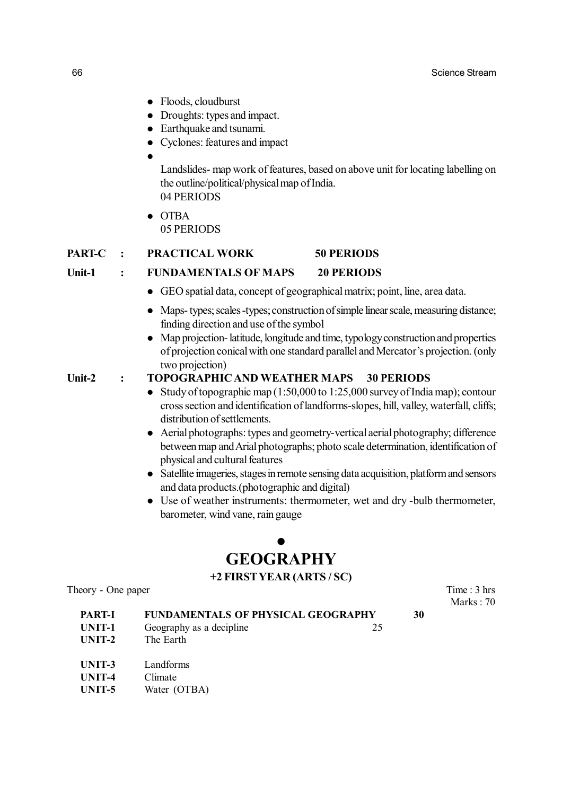- Floods, cloudburst
- Droughts: types and impact.
- Earthquake and tsunami.
- Cyclones: features and impact
- $\bullet$

Landslides- map work of features, based on above unit for locating labelling on the outline/political/physical map of India. 04 PERIODS

 $\bullet$  OTBA 05 PERIODS

### **PART-C : PRACTICAL WORK 50 PERIODS**

### **Unit-1 : FUNDAMENTALS OF MAPS 20 PERIODS**

- GEO spatial data, concept of geographical matrix; point, line, area data.
- Maps- types; scales -types; construction of simple linear scale, measuring distance; finding direction and use of the symbol
- Map projection- latitude, longitude and time, typology construction and properties of projection conical with one standard parallel and Mercator's projection. (only two projection)

## **Unit-2 : TOPOGRAPHIC AND WEATHER MAPS 30 PERIODS**

- Study of topographic map  $(1:50,000$  to  $1:25,000$  survey of India map); contour cross section and identification of landforms-slopes, hill, valley, waterfall, cliffs; distribution of settlements.
- Aerial photographs: types and geometry-vertical aerial photography; difference between map and Arial photographs; photo scale determination, identification of physical and cultural features
- Satellite imageries, stages in remote sensing data acquisition, platform and sensors and data products.(photographic and digital)
- Use of weather instruments: thermometer, wet and dry -bulb thermometer, barometer, wind vane, rain gauge

# $\bullet$ **GEOGRAPHY**

# **+2 FIRST YEAR (ARTS / SC)**

Theory - One paper Time : 3 hrs Marks : 70

| PART-I | <b>FUNDAMENTALS OF PHYSICAL GEOGRAPHY</b> |  |
|--------|-------------------------------------------|--|
|        |                                           |  |

- UNIT-1 Geography as a decipline 25
- **UNIT-2** The Earth
- **UNIT-3** Landforms
- **UNIT-4** Climate
- **UNIT-5** Water (OTBA)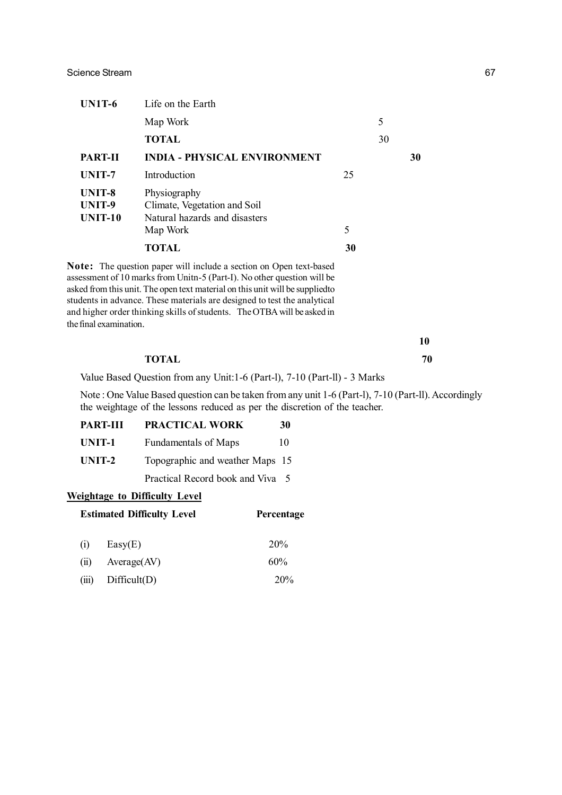| <b>UN1T-6</b>               | Life on the Earth                                                                         |    |    |    |
|-----------------------------|-------------------------------------------------------------------------------------------|----|----|----|
|                             | Map Work                                                                                  |    | 5  |    |
|                             | <b>TOTAL</b>                                                                              |    | 30 |    |
| <b>PART-II</b>              | <b>INDIA - PHYSICAL ENVIRONMENT</b>                                                       |    |    | 30 |
| UNIT-7                      | Introduction                                                                              | 25 |    |    |
| UNIT-8<br>UNIT-9<br>UNIT-10 | Physiography<br>Climate, Vegetation and Soil<br>Natural hazards and disasters<br>Map Work | 5  |    |    |
|                             | <b>TOTAL</b>                                                                              | 30 |    |    |
|                             | <b>Note:</b> The question paper will include a section on Open text-based                 |    |    |    |

assessment of 10 marks from Unitn-5 (Part-I). No other question will be asked from this unit. The open text material on this unit will be suppliedto students in advance. These materials are designed to test the analytical and higher order thinking skills of students. The OTBA will be asked in the final examination.

| TOTAL | 70 |
|-------|----|

Value Based Question from any Unit:1-6 (Part-l), 7-10 (Part-ll) - 3 Marks

Note : One Value Based question can be taken from any unit 1-6 (Part-l), 7-10 (Part-ll). Accordingly the weightage of the lessons reduced as per the discretion of the teacher.

| <b>PART-III</b> | PRACTICAL WORK                   | 30 |
|-----------------|----------------------------------|----|
| UNIT-1          | <b>Fundamentals of Maps</b>      | 10 |
| UNIT-2          | Topographic and weather Maps 15  |    |
|                 | Practical Record book and Viva 5 |    |
|                 |                                  |    |

### **Weightage to Difficulty Level**

|                | <b>Estimated Difficulty Level</b> | Percentage |
|----------------|-----------------------------------|------------|
| (i)            | Easy(E)                           | 20%        |
| $\overline{u}$ | Average (AV)                      | 60%        |
| (iii)          | Difficult(D)                      | 20%        |

**10**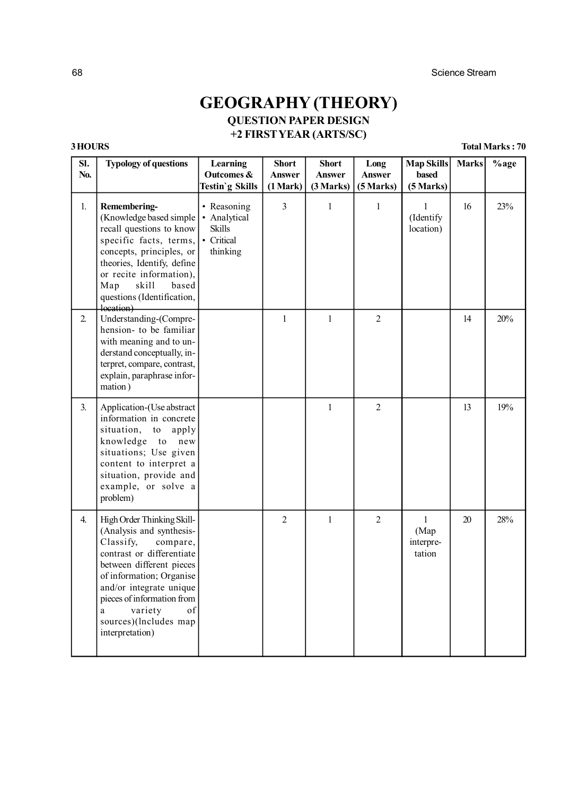# **GEOGRAPHY (THEORY) QUESTION PAPER DESIGN**

# **+2 FIRST YEAR (ARTS/SC)**

**3 HOURS Total Marks : 70**

| SI.<br>No. | <b>Typology of questions</b>                                                                                                                                                                                                                                                                    | Learning<br>Outcomes &<br>Testin'g Skills                              | <b>Short</b><br>Answer<br>(1 Mark) | <b>Short</b><br><b>Answer</b><br>(3 Marks) | Long<br>Answer<br>(5 Marks) | <b>Map Skills</b><br>based<br>(5 Marks)     | <b>Marks</b> | %age |
|------------|-------------------------------------------------------------------------------------------------------------------------------------------------------------------------------------------------------------------------------------------------------------------------------------------------|------------------------------------------------------------------------|------------------------------------|--------------------------------------------|-----------------------------|---------------------------------------------|--------------|------|
| 1.         | Remembering-<br>(Knowledge based simple)<br>recall questions to know<br>specific facts, terms,<br>concepts, principles, or<br>theories, Identify, define<br>or recite information),<br>skill<br>Map<br>based<br>questions (Identification,<br>location)                                         | • Reasoning<br>• Analytical<br><b>Skills</b><br>• Critical<br>thinking | 3                                  | $\mathbf{1}$                               | $\mathbf{1}$                | $\mathbf{1}$<br>(Identify<br>location)      | 16           | 23%  |
| 2.         | Understanding-(Compre-<br>hension- to be familiar<br>with meaning and to un-<br>derstand conceptually, in-<br>terpret, compare, contrast,<br>explain, paraphrase infor-<br>mation)                                                                                                              |                                                                        | $\mathbf{1}$                       | $\mathbf{1}$                               | $\overline{2}$              |                                             | 14           | 20%  |
| 3.         | Application-(Use abstract<br>information in concrete<br>situation,<br>to<br>apply<br>knowledge<br>to<br>new<br>situations; Use given<br>content to interpret a<br>situation, provide and<br>example, or solve a<br>problem)                                                                     |                                                                        |                                    | 1                                          | $\overline{2}$              |                                             | 13           | 19%  |
| 4.         | High Order Thinking Skill-<br>(Analysis and synthesis-<br>compare,<br>Classify,<br>contrast or differentiate<br>between different pieces<br>of information; Organise<br>and/or integrate unique<br>pieces of information from<br>variety<br>of<br>a<br>sources)(lncludes map<br>interpretation) |                                                                        | $\overline{2}$                     | $\mathbf{1}$                               | $\overline{2}$              | $\mathbf{1}$<br>(Map<br>interpre-<br>tation | 20           | 28%  |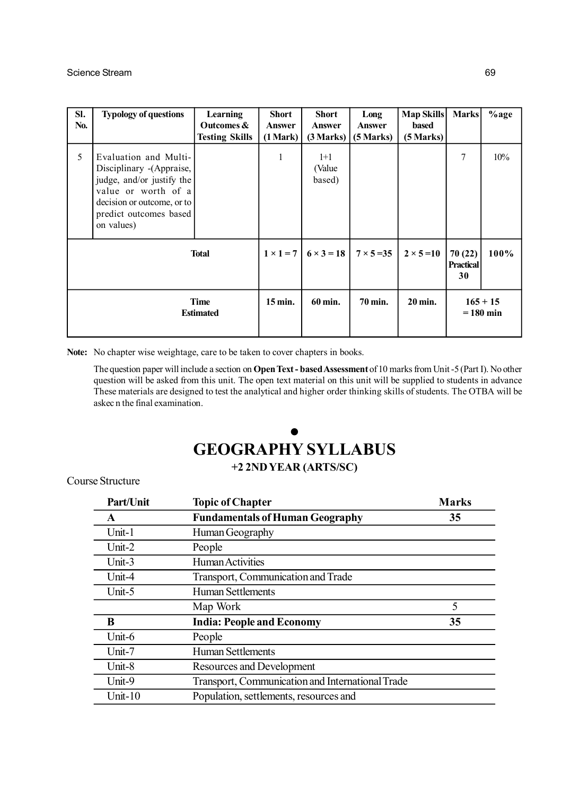| SI.<br>No.               | <b>Typology of questions</b>                                                                                                                                                 | Learning<br>Outcomes &<br><b>Testing Skills</b> | <b>Short</b><br><b>Answer</b><br>(1 Mark) | <b>Short</b><br><b>Answer</b><br>(3 Marks) | Long<br><b>Answer</b><br>(5 Marks) | <b>Map Skills</b><br>based<br>(5 Marks) | <b>Marks</b>              | $%$ age |
|--------------------------|------------------------------------------------------------------------------------------------------------------------------------------------------------------------------|-------------------------------------------------|-------------------------------------------|--------------------------------------------|------------------------------------|-----------------------------------------|---------------------------|---------|
| 5                        | Evaluation and Multi-<br>Disciplinary - (Appraise,<br>judge, and/or justify the<br>value or worth of a<br>decision or outcome, or to<br>predict outcomes based<br>on values) |                                                 | 1                                         | $1+1$<br>(Value<br>based)                  |                                    |                                         | 7                         | 10%     |
| <b>Total</b>             |                                                                                                                                                                              | $1 \times 1 = 7$                                | $6 \times 3 = 18$                         | $7 \times 5 = 35$                          | $2 \times 5 = 10$                  | 70(22)<br><b>Practical</b><br>30        | 100%                      |         |
| Time<br><b>Estimated</b> |                                                                                                                                                                              | $15 \,\mathrm{min}$ .                           | 60 min.                                   | 70 min.                                    | 20 min.                            |                                         | $165 + 15$<br>$= 180$ min |         |

**Note:** No chapter wise weightage, care to be taken to cover chapters in books.

The question paper will include a section on **Open Text - based Assessment** of 10 marks from Unit -5 (Part I). No other question will be asked from this unit. The open text material on this unit will be supplied to students in advance These materials are designed to test the analytical and higher order thinking skills of students. The OTBA will be askec n the final examination.

# $\bullet$ **GEOGRAPHY SYLLABUS +2 2ND YEAR (ARTS/SC)**

Course Structure

| Part/Unit  | <b>Topic of Chapter</b>                          | <b>Marks</b> |
|------------|--------------------------------------------------|--------------|
| A          | <b>Fundamentals of Human Geography</b>           | 35           |
| Unit-1     | Human Geography                                  |              |
| Unit- $2$  | People                                           |              |
| Unit-3     | Human Activities                                 |              |
| Unit-4     | Transport, Communication and Trade               |              |
| Unit-5     | Human Settlements                                |              |
|            | Map Work                                         | 5            |
| B          | <b>India: People and Economy</b>                 | 35           |
| Unit-6     | People                                           |              |
| Unit-7     | Human Settlements                                |              |
| Unit-8     | <b>Resources and Development</b>                 |              |
| Unit-9     | Transport, Communication and International Trade |              |
| Unit- $10$ | Population, settlements, resources and           |              |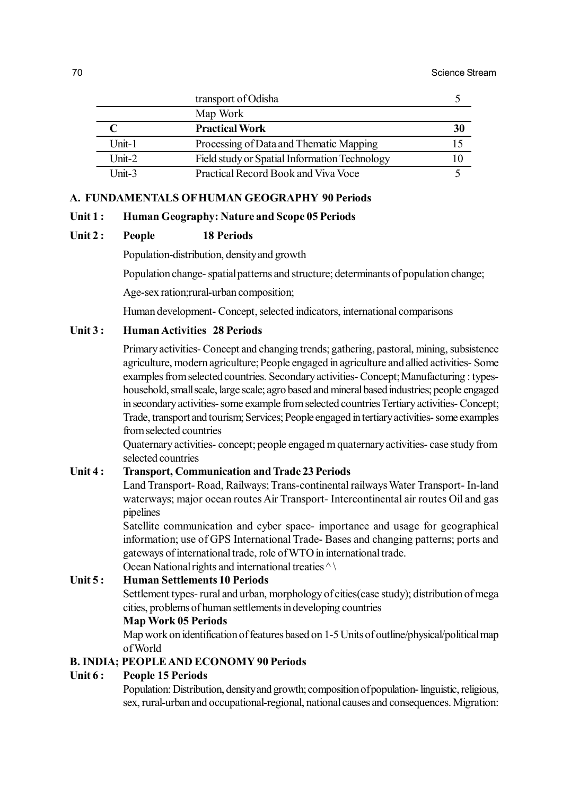|          | transport of Odisha                           |    |
|----------|-----------------------------------------------|----|
|          | Map Work                                      |    |
|          | <b>Practical Work</b>                         | 30 |
| Unit-1   | Processing of Data and Thematic Mapping       |    |
| $Unit-2$ | Field study or Spatial Information Technology |    |
| $Unit-3$ | Practical Record Book and Viva Voce           |    |

# **A. FUNDAMENTALS OF HUMAN GEOGRAPHY 90 Periods**

### **Unit 1 : Human Geography: Nature and Scope 05 Periods**

# **Unit 2 : People 18 Periods**

Population-distribution, density and growth

Population change- spatial patterns and structure; determinants of population change;

Age-sex ration;rural-urban composition;

Human development- Concept, selected indicators, international comparisons

## **Unit 3 : Human Activities 28 Periods**

Primary activities- Concept and changing trends; gathering, pastoral, mining, subsistence agriculture, modern agriculture; People engaged in agriculture and allied activities- Some examples from selected countries. Secondary activities- Concept; Manufacturing : typeshousehold, small scale, large scale; agro based and mineral based industries; people engaged in secondary activities- some example from selected countries Tertiary activities- Concept; Trade, transport and tourism; Services; People engaged in tertiary activities- some examples from selected countries

Quaternary activities- concept; people engaged m quaternary activities- case study from selected countries

# **Unit 4 : Transport, Communication and Trade 23 Periods**

Land Transport- Road, Railways; Trans-continental railways Water Transport- In-land waterways; major ocean routes Air Transport- Intercontinental air routes Oil and gas pipelines

Satellite communication and cyber space- importance and usage for geographical information; use of GPS International Trade- Bases and changing patterns; ports and gateways of international trade, role of WTO in international trade.

Ocean National rights and international treaties  $\wedge \wedge$ 

## **Unit 5 : Human Settlements 10 Periods**

Settlement types- rural and urban, morphology of cities(case study); distribution of mega cities, problems of human settlements in developing countries

# **Map Work 05 Periods**

Map work on identification of features based on 1-5 Units of outline/physical/political map of World

# **B. INDIA; PEOPLE AND ECONOMY 90 Periods**

# **Unit 6 : People 15 Periods**

Population: Distribution, density and growth; composition of population- linguistic, religious, sex, rural-urban and occupational-regional, national causes and consequences. Migration: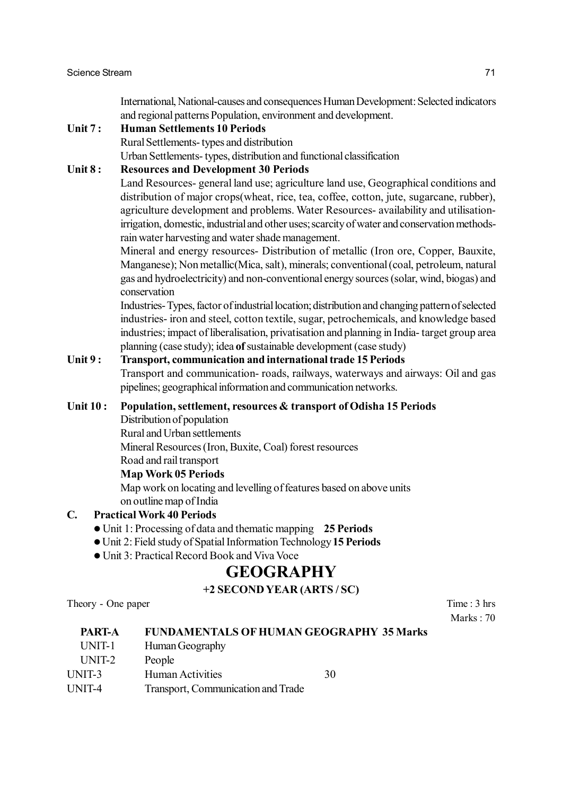International, National-causes and consequences Human Development: Selected indicators and regional patterns Population, environment and development.

### **Unit 7 : Human Settlements 10 Periods**

Rural Settlements- types and distribution

Urban Settlements- types, distribution and functional classification

# **Unit 8 : Resources and Development 30 Periods**

Land Resources- general land use; agriculture land use, Geographical conditions and distribution of major crops(wheat, rice, tea, coffee, cotton, jute, sugarcane, rubber), agriculture development and problems. Water Resources- availability and utilisationirrigation, domestic, industrial and other uses; scarcity of water and conservation methodsrain water harvesting and water shade management.

Mineral and energy resources- Distribution of metallic (Iron ore, Copper, Bauxite, Manganese); Non metallic(Mica, salt), minerals; conventional (coal, petroleum, natural gas and hydroelectricity) and non-conventional energy sources (solar, wind, biogas) and conservation

Industries- Types, factor of industrial location; distribution and changing pattern of selected industries- iron and steel, cotton textile, sugar, petrochemicals, and knowledge based industries; impact of liberalisation, privatisation and planning in India- target group area planning (case study); idea **of** sustainable development (case study)

## **Unit 9 : Transport, communication and international trade 15 Periods**

Transport and communication- roads, railways, waterways and airways: Oil and gas pipelines; geographical information and communication networks.

# **Unit 10 : Population, settlement, resources & transport of Odisha 15 Periods**

- Distribution of population
- Rural and Urban settlements

Mineral Resources (Iron, Buxite, Coal) forest resources

Road and rail transport

### **Map Work 05 Periods**

Map work on locating and levelling of features based on above units on outline map of India

# **C. Practical Work 40 Periods**

- Unit 1: Processing of data and thematic mapping **25 Periods**
- Unit 2: Field study of Spatial Information Technology **15 Periods**
- Unit 3: Practical Record Book and Viva Voce

# **GEOGRAPHY**

# **+2 SECOND YEAR (ARTS / SC)**

Theory - One paper Time : 3 hrs

Marks  $\cdot$  70

| <b>PART-A</b> | <b>FUNDAMENTALS OF HUMAN GEOGRAPHY 35 Marks</b> |    |
|---------------|-------------------------------------------------|----|
| UNIT-1        | Human Geography                                 |    |
| UNIT-2        | People                                          |    |
| UNIT-3        | Human Activities                                | 30 |
| UNIT-4        | Transport, Communication and Trade              |    |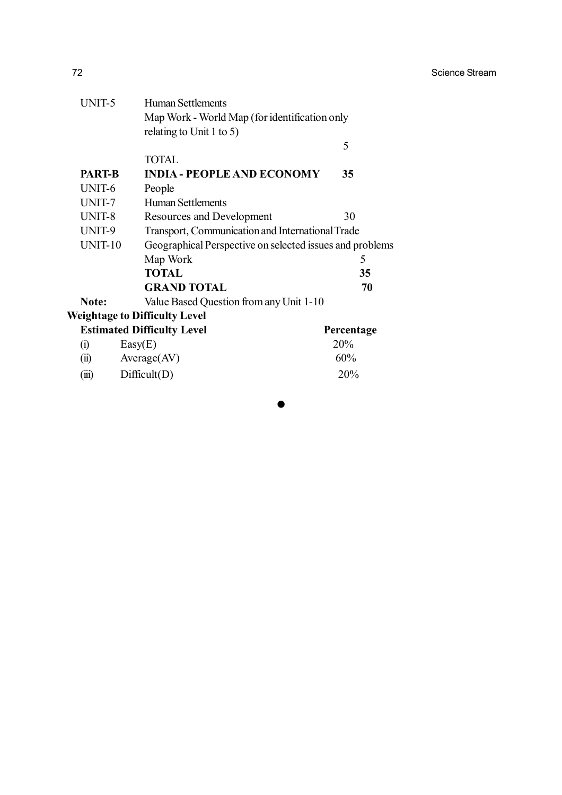| UNIT-5         | Human Settlements                                        |                                               |  |  |
|----------------|----------------------------------------------------------|-----------------------------------------------|--|--|
|                |                                                          | Map Work - World Map (for identification only |  |  |
|                | relating to Unit 1 to 5)                                 |                                               |  |  |
|                |                                                          | 5                                             |  |  |
|                | <b>TOTAL</b>                                             |                                               |  |  |
| <b>PART-B</b>  | <b>INDIA - PEOPLE AND ECONOMY</b>                        | 35                                            |  |  |
| UNIT-6         | People                                                   |                                               |  |  |
| UNIT-7         | <b>Human Settlements</b>                                 |                                               |  |  |
| UNIT-8         | Resources and Development                                | 30                                            |  |  |
| UNIT-9         | Transport, Communication and International Trade         |                                               |  |  |
| <b>UNIT-10</b> | Geographical Perspective on selected issues and problems |                                               |  |  |
|                | Map Work                                                 | 5                                             |  |  |
|                | <b>TOTAL</b>                                             | 35                                            |  |  |
|                | <b>GRAND TOTAL</b>                                       | 70                                            |  |  |
| Note:          | Value Based Question from any Unit 1-10                  |                                               |  |  |
|                | <b>Weightage to Difficulty Level</b>                     |                                               |  |  |
|                | <b>Estimated Difficulty Level</b>                        | Percentage                                    |  |  |
| (i)            | Easy(E)                                                  | 20%                                           |  |  |
| (ii)           | Average(AV)                                              | 60%                                           |  |  |
| (iii)          | Difficult(D)                                             | 20%                                           |  |  |
|                |                                                          |                                               |  |  |

h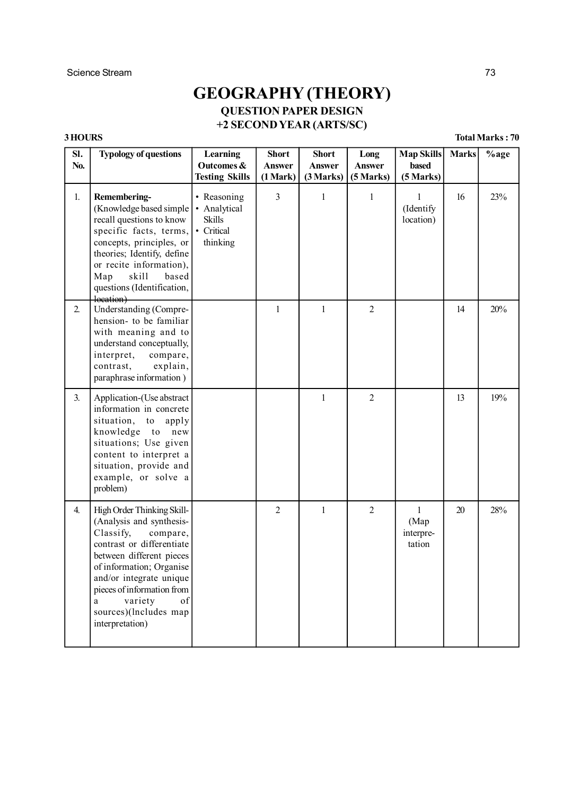# **GEOGRAPHY (THEORY) QUESTION PAPER DESIGN +2 SECOND YEAR (ARTS/SC)**

**3 HOURS Total Marks : 70**

| SI.<br>No. | <b>Typology of questions</b>                                                                                                                                                                                                                                                                    | Learning<br>Outcomes &<br><b>Testing Skills</b>                        | <b>Short</b><br><b>Answer</b><br>(1 Mark) | <b>Short</b><br><b>Answer</b><br>(3 Marks) | Long<br><b>Answer</b><br>(5 Marks) | <b>Map Skills</b><br>based<br>(5 Marks)     | <b>Marks</b> | $%$ age |
|------------|-------------------------------------------------------------------------------------------------------------------------------------------------------------------------------------------------------------------------------------------------------------------------------------------------|------------------------------------------------------------------------|-------------------------------------------|--------------------------------------------|------------------------------------|---------------------------------------------|--------------|---------|
| 1.         | Remembering-<br>(Knowledge based simple)<br>recall questions to know<br>specific facts, terms,<br>concepts, principles, or<br>theories; Identify, define<br>or recite information),<br>skill<br>Map<br>based<br>questions (Identification,<br>location)                                         | • Reasoning<br>• Analytical<br><b>Skills</b><br>• Critical<br>thinking | 3                                         | $\mathbf{1}$                               | $\mathbf{1}$                       | $\mathbf{1}$<br>(Identify<br>location)      | 16           | 23%     |
| 2.         | Understanding (Compre-<br>hension- to be familiar<br>with meaning and to<br>understand conceptually,<br>interpret,<br>compare,<br>contrast,<br>explain,<br>paraphrase information)                                                                                                              |                                                                        | 1                                         | 1                                          | $\overline{2}$                     |                                             | 14           | 20%     |
| 3.         | Application-(Use abstract<br>information in concrete<br>situation,<br>${\rm to}$<br>apply<br>knowledge<br>to<br>new<br>situations; Use given<br>content to interpret a<br>situation, provide and<br>example, or solve a<br>problem)                                                             |                                                                        |                                           | $\mathbf{1}$                               | $\overline{2}$                     |                                             | 13           | 19%     |
| 4.         | High Order Thinking Skill-<br>(Analysis and synthesis-<br>Classify,<br>compare,<br>contrast or differentiate<br>between different pieces<br>of information; Organise<br>and/or integrate unique<br>pieces of information from<br>of<br>variety<br>a<br>sources)(lncludes map<br>interpretation) |                                                                        | $\overline{2}$                            | $\mathbf{1}$                               | $\overline{2}$                     | $\mathbf{1}$<br>(Map<br>interpre-<br>tation | 20           | 28%     |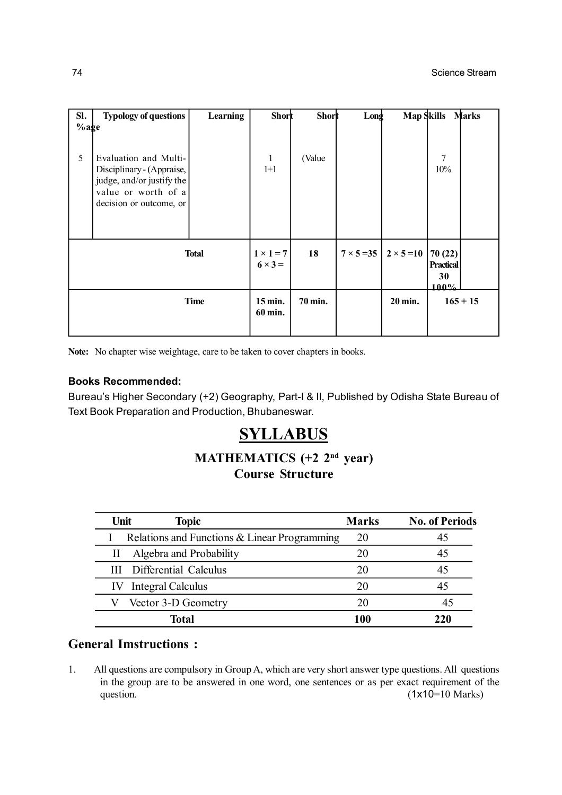| SI.          | <b>Typology of questions</b>                                                                                                      | <b>Learning</b> | <b>Short</b>                       | Short   | Long | <b>Map Skills</b>                     |                                           | Marks      |
|--------------|-----------------------------------------------------------------------------------------------------------------------------------|-----------------|------------------------------------|---------|------|---------------------------------------|-------------------------------------------|------------|
| $%$ age<br>5 | Evaluation and Multi-<br>Disciplinary - (Appraise,<br>judge, and/or justify the<br>value or worth of a<br>decision or outcome, or |                 | 1<br>$1+1$                         | (Value  |      |                                       | $\overline{7}$<br>10%                     |            |
|              |                                                                                                                                   | <b>Total</b>    | $1 \times 1 = 7$<br>$6 \times 3 =$ | 18      |      | $7 \times 5 = 35$   $2 \times 5 = 10$ | 70 (22)<br><b>Practical</b><br>30<br>100% |            |
|              |                                                                                                                                   | <b>Time</b>     | 15 min.<br>60 min.                 | 70 min. |      | 20 min.                               |                                           | $165 + 15$ |

**Note:** No chapter wise weightage, care to be taken to cover chapters in books.

### **Books Recommended:**

Bureau's Higher Secondary (+2) Geography, Part-I & II, Published by Odisha State Bureau of Text Book Preparation and Production, Bhubaneswar.

# **SYLLABUS**

# **MATHEMATICS (+2 2nd year) Course Structure**

| Unit | <b>Topic</b>                                 | <b>Marks</b> | <b>No. of Periods</b> |
|------|----------------------------------------------|--------------|-----------------------|
|      | Relations and Functions & Linear Programming | 20           | 45                    |
|      | Algebra and Probability                      | 20           | 45                    |
|      | <b>III</b> Differential Calculus             | 20           |                       |
|      | Integral Calculus                            | 20           |                       |
|      | Vector 3-D Geometry                          | 20           |                       |
|      | <b>Total</b>                                 | 100          | 220                   |

# **General Imstructions :**

1. All questions are compulsory in Group A, which are very short answer type questions. All questions in the group are to be answered in one word, one sentences or as per exact requirement of the question. (1x10=10 Marks)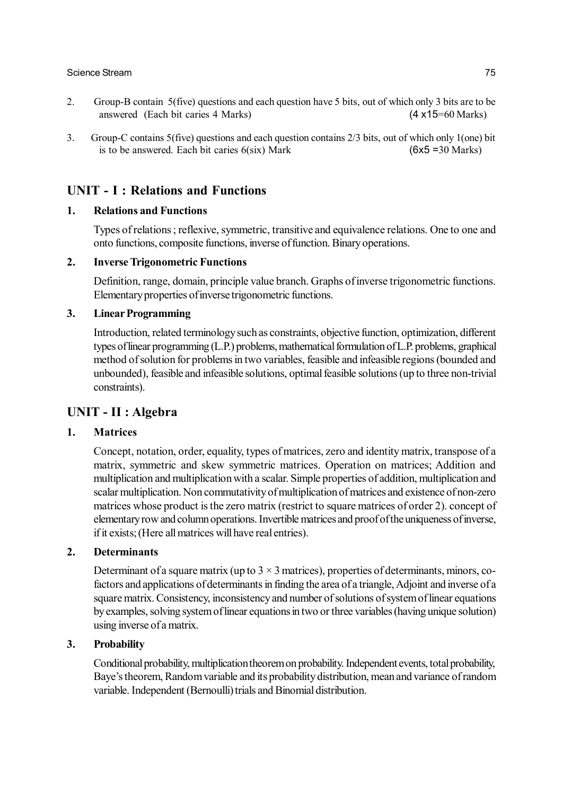### Science Stream 75

- 2. Group-B contain 5(five) questions and each question have 5 bits, out of which only 3 bits are to be answered (Each bit caries 4 Marks) (4 x15=60 Marks)
- 3. Group-C contains 5(five) questions and each question contains 2/3 bits, out of which only 1(one) bit is to be answered. Each bit caries  $6(six)$  Mark (6x5 = 30 Marks)

# **UNIT - I : Relations and Functions**

### **1. Relations and Functions**

Types of relations ; reflexive, symmetric, transitive and equivalence relations. One to one and onto functions, composite functions, inverse of function. Binary operations.

### **2. Inverse Trigonometric Functions**

Definition, range, domain, principle value branch. Graphs of inverse trigonometric functions. Elementary properties of inverse trigonometric functions.

### **3. Linear Programming**

Introduction, related terminology such as constraints, objective function, optimization, different types of linear programming (L.P.) problems, mathematical formulation of L.P. problems, graphical method of solution for problems in two variables, feasible and infeasible regions (bounded and unbounded), feasible and infeasible solutions, optimal feasible solutions (up to three non-trivial constraints).

### **UNIT - II : Algebra**

### **1. Matrices**

Concept, notation, order, equality, types of matrices, zero and identity matrix, transpose of a matrix, symmetric and skew symmetric matrices. Operation on matrices; Addition and multiplication and multiplication with a scalar. Simple properties of addition, multiplication and scalar multiplication. Non commutativity of multiplication of matrices and existence of non-zero matrices whose product is the zero matrix (restrict to square matrices of order 2). concept of elementary row and column operations. Invertible matrices and proof of the uniqueness of inverse, if it exists; (Here all matrices will have real entries).

### **2. Determinants**

Determinant of a square matrix (up to  $3 \times 3$  matrices), properties of determinants, minors, cofactors and applications of determinants in finding the area of a triangle, Adjoint and inverse of a square matrix. Consistency, inconsistency and number of solutions of system of linear equations by examples, solving system of linear equations in two or three variables (having unique solution) using inverse of a matrix.

### **3. Probability**

Conditional probability, multiplication theorem on probability. Independent events, total probability, Baye's theorem, Random variable and its probability distribution, mean and variance of random variable. Independent (Bernoulli) trials and Binomial distribution.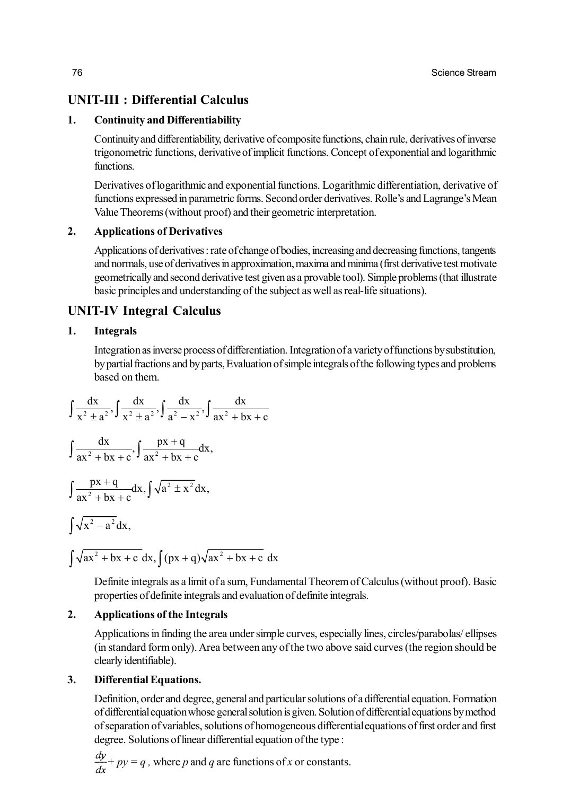# **UNIT-III : Differential Calculus**

# **1. Continuity and Differentiability**

Continuity and differentiability, derivative of composite functions, chain rule, derivatives of inverse trigonometric functions, derivative of implicit functions. Concept of exponential and logarithmic functions.

Derivatives of logarithmic and exponential functions. Logarithmic differentiation, derivative of functions expressed in parametric forms. Second order derivatives. Rolle's and Lagrange's Mean Value Theorems (without proof) and their geometric interpretation.

# **2. Applications of Derivatives**

Applications of derivatives : rate of change of bodies, increasing and decreasing functions, tangents and normals, use of derivatives in approximation, maxima and minima (first derivative test motivate geometrically and second derivative test given as a provable tool). Simple problems (that illustrate basic principles and understanding of the subject as well as real-life situations).

# **UNIT-IV Integral Calculus**

# **1. Integrals**

Integration as inverse process of differentiation. Integration of a variety of functions by substitution, by partial fractions and by parts, Evaluation of simple integrals of the following types and problems based on them.

$$
\int \frac{dx}{x^2 \pm a^2}, \int \frac{dx}{x^2 \pm a^2}, \int \frac{dx}{a^2 - x^2}, \int \frac{dx}{ax^2 + bx + c}
$$
  

$$
\int \frac{dx}{ax^2 + bx + c}, \int \frac{px + q}{ax^2 + bx + c} dx,
$$
  

$$
\int \frac{px + q}{ax^2 + bx + c} dx, \int \sqrt{a^2 \pm x^2} dx,
$$
  

$$
\int \sqrt{x^2 - a^2} dx,
$$

 $\int \sqrt{ax^2 + bx + c} dx$ ,  $\int (px + q) \sqrt{ax^2 + bx + c} dx$ 

Definite integrals as a limit of a sum, Fundamental Theorem of Calculus (without proof). Basic properties of definite integrals and evaluation of definite integrals.

# **2. Applications of the Integrals**

Applications in finding the area under simple curves, especially lines, circles/parabolas/ ellipses (in standard form only). Area between any of the two above said curves (the region should be clearly identifiable).

# **3. Differential Equations.**

Definition, order and degree, general and particular solutions of a differential equation. Formation of differential equation whose general solution is given. Solution of differential equations by method of separation of variables, solutions of homogeneous differentialequations of first order and first degree. Solutions of linear differential equation of the type :

$$
\frac{dy}{dx} + py = q
$$
, where p and q are functions of x or constants.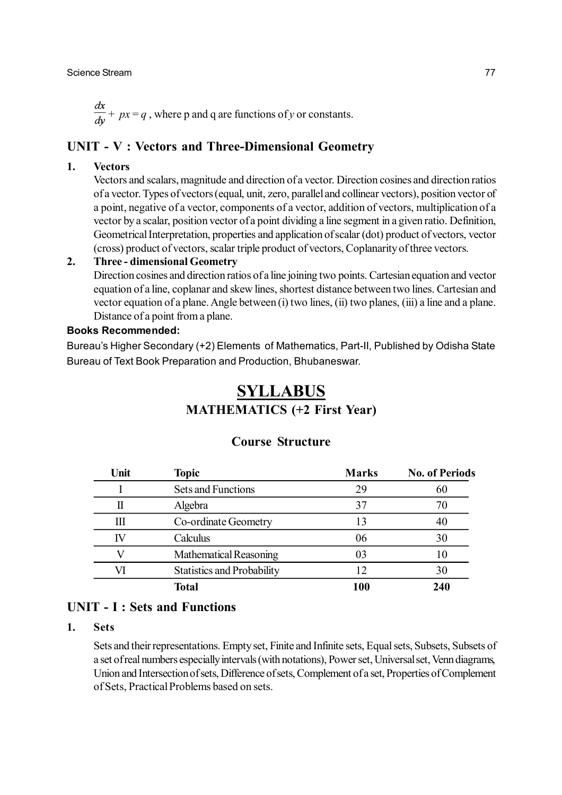### Science Stream 77

 $\frac{dx}{dy} + px = q$ , where p and q are functions of *y* or constants.

# **UNIT - V : Vectors and Three-Dimensional Geometry**

### **1. Vectors**

Vectors and scalars, magnitude and direction of a vector. Direction cosines and direction ratios of a vector. Types of vectors (equal, unit, zero, parallel and collinear vectors), position vector of a point, negative of a vector, components of a vector, addition of vectors, multiplication of a vector by a scalar, position vector of a point dividing a line segment in a given ratio. Definition, Geometrical Interpretation, properties and application of scalar (dot) product of vectors, vector (cross) product of vectors, scalar triple product of vectors, Coplanarity of three vectors.

### **2. Three - dimensional Geometry**

Direction cosines and direction ratios of a line joining two points. Cartesian equation and vector equation of a line, coplanar and skew lines, shortest distance between two lines. Cartesian and vector equation of a plane. Angle between (i) two lines, (ii) two planes, (iii) a line and a plane. Distance of a point from a plane.

### **Books Recommended:**

Bureau's Higher Secondary (+2) Elements of Mathematics, Part-II, Published by Odisha State Bureau of Text Book Preparation and Production, Bhubaneswar.

# **SYLLABUS MATHEMATICS (+2 First Year)**

| Unit | <b>Topic</b>                      | <b>Marks</b> | <b>No. of Periods</b> |
|------|-----------------------------------|--------------|-----------------------|
|      | Sets and Functions                | 29           | 60                    |
|      | Algebra                           | 37           | 70                    |
| Ш    | Co-ordinate Geometry              | 13           | 40                    |
| IV   | Calculus                          | 06           | 30                    |
|      | Mathematical Reasoning            | 03           | 10                    |
| VI   | <b>Statistics and Probability</b> | 12           | 30                    |
|      | <b>Total</b>                      | 100          | 240                   |

### **Course Structure**

# **UNIT - I : Sets and Functions**

## **1. Sets**

Sets and their representations. Empty set, Finite and Infinite sets, Equal sets, Subsets, Subsets of a set of real numbers especially intervals (with notations), Power set, Universal set, Venn diagrams, Union and Intersection of sets, Difference of sets, Complement of a set, Properties of Complement of Sets, Practical Problems based on sets.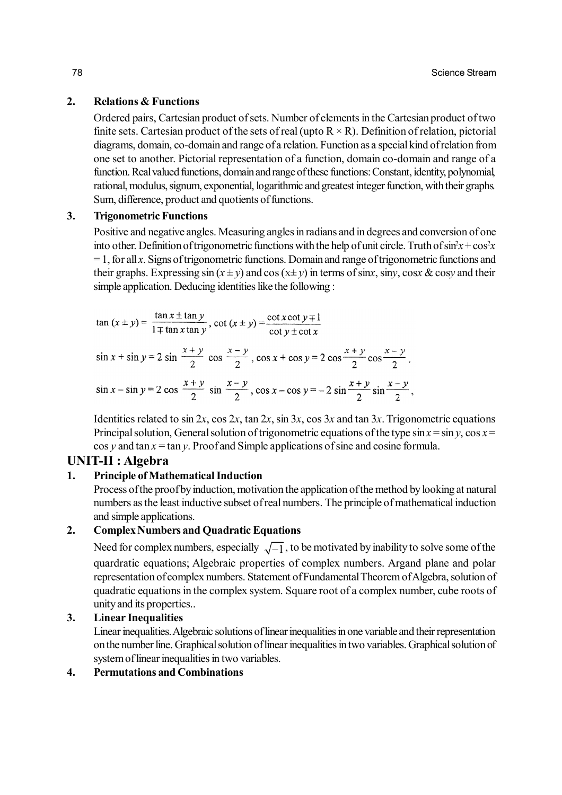### **2. Relations & Functions**

Ordered pairs, Cartesian product of sets. Number of elements in the Cartesian product of two finite sets. Cartesian product of the sets of real (upto  $R \times R$ ). Definition of relation, pictorial diagrams, domain, co-domain and range of a relation. Function as a special kind of relation from one set to another. Pictorial representation of a function, domain co-domain and range of a function. Real valued functions, domain and range of these functions: Constant, identity, polynomial, rational, modulus, signum, exponential, logarithmic and greatest integer function, with their graphs. Sum, difference, product and quotients of functions.

### **3. Trigonometric Functions**

Positive and negative angles. Measuring angles in radians and in degrees and conversion of one into other. Definition of trigonometric functions with the help of unit circle. Truth of  $\sin^2 x + \cos^2 x$  $= 1$ , for all *x*. Signs of trigonometric functions. Domain and range of trigonometric functions and their graphs. Expressing  $\sin(x \pm y)$  and  $\cos(x \pm y)$  in terms of  $\sin x$ ,  $\sin y$ ,  $\cos x \& \cos y$  and their simple application. Deducing identities like the following :

 $\tan (x \pm y) = \frac{\tan x \pm \tan y}{1 \mp \tan x \tan y}$ ,  $\cot (x \pm y) = \frac{\cot x \cot y \mp 1}{\cot y \pm \cot x}$ 

$$
\sin x + \sin y = 2 \sin \frac{x+y}{2} \cos \frac{x-y}{2}, \cos x + \cos y = 2 \cos \frac{x+y}{2} \cos \frac{x-y}{2},
$$
  

$$
\sin x - \sin y = 2 \cos \frac{x+y}{2} \sin \frac{x-y}{2}, \cos x - \cos y = -2 \sin \frac{x+y}{2} \sin \frac{x-y}{2},
$$

Identities related to  $\sin 2x$ ,  $\cos 2x$ ,  $\tan 2x$ ,  $\sin 3x$ ,  $\cos 3x$  and  $\tan 3x$ . Trigonometric equations Principal solution, General solution of trigonometric equations of the type  $\sin x = \sin y$ ,  $\cos x =$  $\cos y$  and  $\tan x = \tan y$ . Proof and Simple applications of sine and cosine formula.

# **UNIT-II : Algebra**

### **1. Principle of Mathematical Induction**

Process of the proof by induction, motivation the application of the method by looking at natural numbers as the least inductive subset of real numbers. The principle of mathematical induction and simple applications.

# **2. Complex Numbers and Quadratic Equations**

Need for complex numbers, especially  $\sqrt{-1}$ , to be motivated by inability to solve some of the quardratic equations; Algebraic properties of complex numbers. Argand plane and polar representation of complex numbers. Statement of Fundamental Theorem of Algebra, solution of quadratic equations in the complex system. Square root of a complex number, cube roots of unity and its properties..

### **3. Linear Inequalities**

Linear inequalities. Algebraic solutions of linear inequalities in one variable and their representation on the number line. Graphical solution of linear inequalities in two variables. Graphical solution of system of linear inequalities in two variables.

### **4. Permutations and Combinations**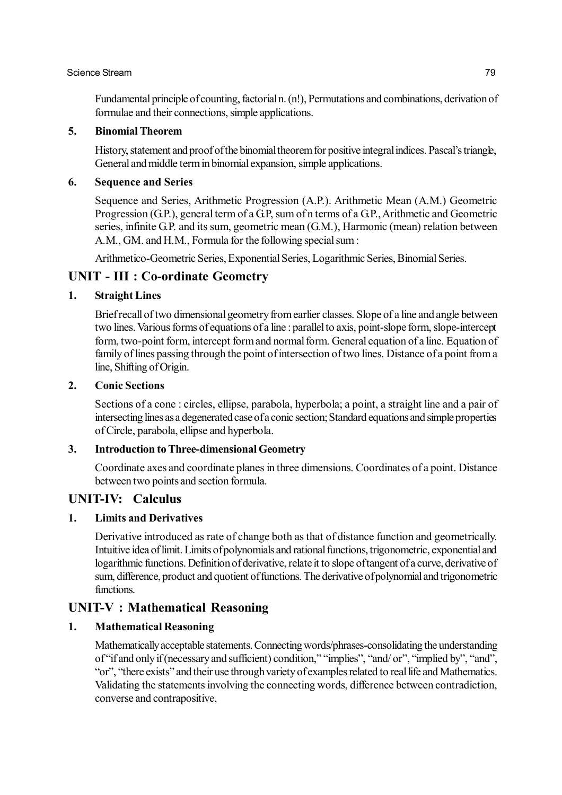### Science Stream 79

Fundamental principle of counting, factorial n. (n!), Permutations and combinations, derivation of formulae and their connections, simple applications.

## **5. Binomial Theorem**

History, statement and proof of the binomial theorem for positive integral indices. Pascal's triangle, General and middle term in binomial expansion, simple applications.

### **6. Sequence and Series**

Sequence and Series, Arithmetic Progression (A.P.). Arithmetic Mean (A.M.) Geometric Progression (G.P.), general term of a G.P. sum of n terms of a G.P., Arithmetic and Geometric series, infinite G.P. and its sum, geometric mean (G.M.), Harmonic (mean) relation between A.M., GM. and H.M., Formula for the following special sum :

Arithmetico-Geometric Series, Exponential Series, Logarithmic Series, Binomial Series.

# **UNIT - III : Co-ordinate Geometry**

### **1. Straight Lines**

Brief recall of two dimensional geometry from earlier classes. Slope of a line and angle between two lines. Various forms of equations of a line : parallel to axis, point-slope form, slope-intercept form, two-point form, intercept form and normal form. General equation of a line. Equation of family of lines passing through the point of intersection of two lines. Distance of a point from a line, Shifting of Origin.

### **2. Conic Sections**

Sections of a cone : circles, ellipse, parabola, hyperbola; a point, a straight line and a pair of intersecting lines as a degenerated case of a conic section; Standard equations and simple properties of Circle, parabola, ellipse and hyperbola.

## **3. Introduction to Three-dimensional Geometry**

Coordinate axes and coordinate planes in three dimensions. Coordinates of a point. Distance between two points and section formula.

# **UNIT-IV: Calculus**

### **1. Limits and Derivatives**

Derivative introduced as rate of change both as that of distance function and geometrically. Intuitive idea of limit. Limits of polynomials and rational functions, trigonometric, exponential and logarithmic functions. Definition of derivative, relate it to slope of tangent of a curve, derivative of sum, difference, product and quotient of functions. The derivative of polynomial and trigonometric functions.

# **UNIT-V : Mathematical Reasoning**

### **1. Mathematical Reasoning**

Mathematically acceptable statements. Connecting words/phrases-consolidating the understanding of "if and only if (necessary and sufficient) condition," "implies", "and/ or", "implied by", "and", "or", "there exists" and their use through variety of examples related to real life and Mathematics. Validating the statements involving the connecting words, difference between contradiction, converse and contrapositive,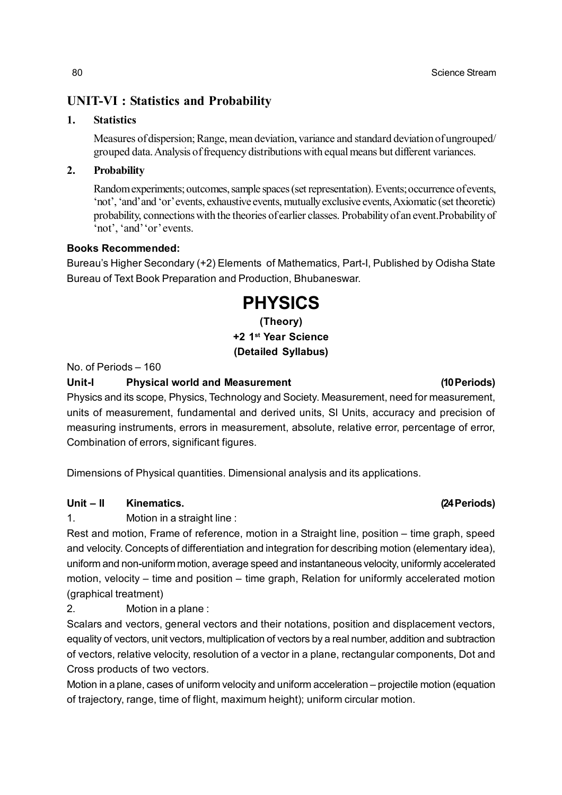# **UNIT-VI : Statistics and Probability**

## **1. Statistics**

Measures of dispersion; Range, mean deviation, variance and standard deviation of ungrouped/ grouped data. Analysis of frequency distributions with equal means but different variances.

### **2. Probability**

Random experiments; outcomes, sample spaces (set representation). Events; occurrence of events, 'not', 'and' and 'or' events, exhaustive events, mutually exclusive events, Axiomatic (set theoretic) probability, connections with the theories of earlier classes. Probability of an event.Probability of 'not', 'and' 'or' events.

### **Books Recommended:**

Bureau's Higher Secondary (+2) Elements of Mathematics, Part-I, Published by Odisha State Bureau of Text Book Preparation and Production, Bhubaneswar.

# **PHYSICS**

**(Theory) +2 1st Year Science (Detailed Syllabus)**

No. of Periods – 160

### **Unit-I Physical world and Measurement (10 Periods)**

Physics and its scope, Physics, Technology and Society. Measurement, need for measurement, units of measurement, fundamental and derived units, Sl Units, accuracy and precision of measuring instruments, errors in measurement, absolute, relative error, percentage of error, Combination of errors, significant figures.

Dimensions of Physical quantities. Dimensional analysis and its applications.

# **Unit – II Kinematics. (24 Periods)**

1. Motion in a straight line :

Rest and motion, Frame of reference, motion in a Straight line, position – time graph, speed and velocity. Concepts of differentiation and integration for describing motion (elementary idea), uniform and non-uniform motion, average speed and instantaneous velocity, uniformly accelerated motion, velocity – time and position – time graph, Relation for uniformly accelerated motion (graphical treatment)

2. Motion in a plane :

Scalars and vectors, general vectors and their notations, position and displacement vectors, equality of vectors, unit vectors, multiplication of vectors by a real number, addition and subtraction of vectors, relative velocity, resolution of a vector in a plane, rectangular components, Dot and Cross products of two vectors.

Motion in a plane, cases of uniform velocity and uniform acceleration – projectile motion (equation of trajectory, range, time of flight, maximum height); uniform circular motion.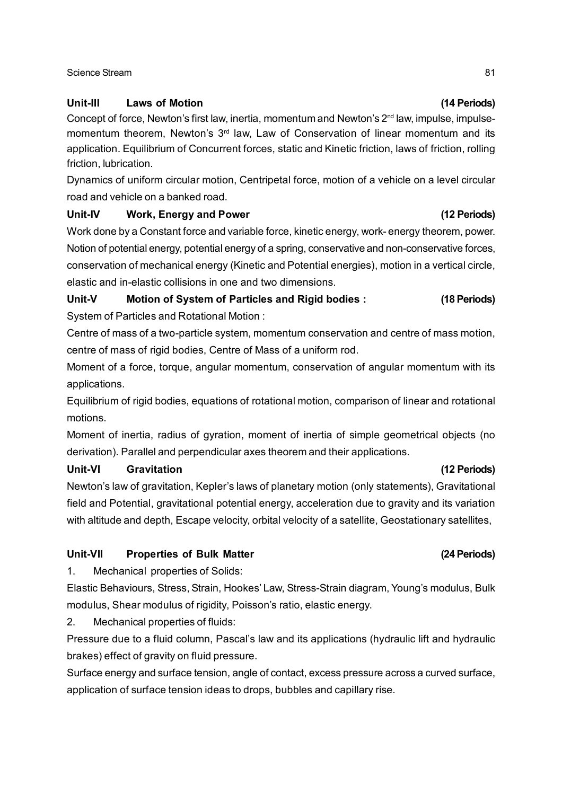### Science Stream 81

## **Unit-III Laws of Motion (14 Periods)**

Concept of force, Newton's first law, inertia, momentum and Newton's 2<sup>nd</sup> law, impulse, impulsemomentum theorem, Newton's 3<sup>rd</sup> law, Law of Conservation of linear momentum and its application. Equilibrium of Concurrent forces, static and Kinetic friction, laws of friction, rolling friction, lubrication.

Dynamics of uniform circular motion, Centripetal force, motion of a vehicle on a level circular road and vehicle on a banked road.

## **Unit-IV Work, Energy and Power (12 Periods)**

Work done by a Constant force and variable force, kinetic energy, work- energy theorem, power. Notion of potential energy, potential energy of a spring, conservative and non-conservative forces, conservation of mechanical energy (Kinetic and Potential energies), motion in a vertical circle, elastic and in-elastic collisions in one and two dimensions.

# **Unit-V Motion of System of Particles and Rigid bodies : (18 Periods)**

System of Particles and Rotational Motion :

Centre of mass of a two-particle system, momentum conservation and centre of mass motion, centre of mass of rigid bodies, Centre of Mass of a uniform rod.

Moment of a force, torque, angular momentum, conservation of angular momentum with its applications.

Equilibrium of rigid bodies, equations of rotational motion, comparison of linear and rotational motions.

Moment of inertia, radius of gyration, moment of inertia of simple geometrical objects (no derivation). Parallel and perpendicular axes theorem and their applications.

# **Unit-VI Gravitation (12 Periods)**

Newton's law of gravitation, Kepler's laws of planetary motion (only statements), Gravitational field and Potential, gravitational potential energy, acceleration due to gravity and its variation with altitude and depth, Escape velocity, orbital velocity of a satellite, Geostationary satellites,

# **Unit-VII Properties of Bulk Matter (24 Periods)**

1. Mechanical properties of Solids:

Elastic Behaviours, Stress, Strain, Hookes' Law, Stress-Strain diagram, Young's modulus, Bulk modulus, Shear modulus of rigidity, Poisson's ratio, elastic energy.

2. Mechanical properties of fluids:

Pressure due to a fluid column, Pascal's law and its applications (hydraulic lift and hydraulic brakes) effect of gravity on fluid pressure.

Surface energy and surface tension, angle of contact, excess pressure across a curved surface, application of surface tension ideas to drops, bubbles and capillary rise.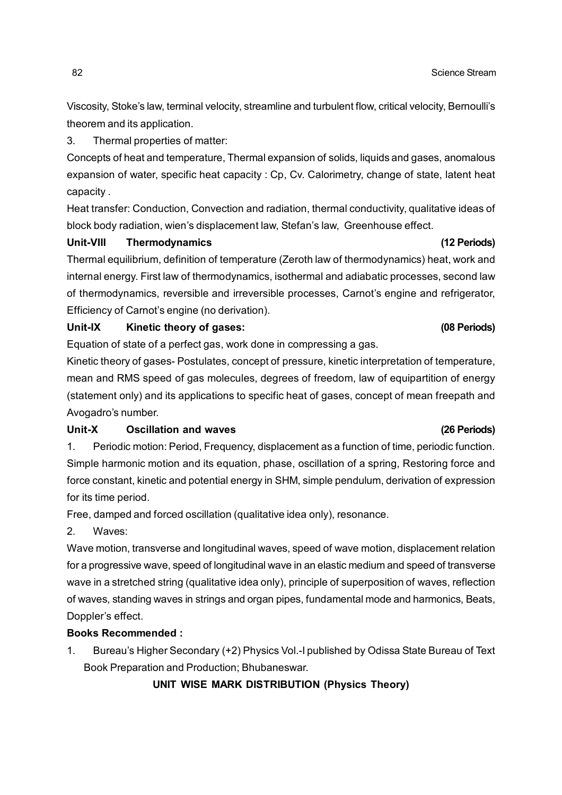Viscosity, Stoke's law, terminal velocity, streamline and turbulent flow, critical velocity, Bernoulli's theorem and its application.

3. Thermal properties of matter:

Concepts of heat and temperature, Thermal expansion of solids, liquids and gases, anomalous expansion of water, specific heat capacity : Cp, Cv. Calorimetry, change of state, latent heat capacity .

Heat transfer: Conduction, Convection and radiation, thermal conductivity, qualitative ideas of block body radiation, wien's displacement law, Stefan's law, Greenhouse effect.

**Unit-VIII Thermodynamics (12 Periods)**

Thermal equilibrium, definition of temperature (Zeroth law of thermodynamics) heat, work and internal energy. First law of thermodynamics, isothermal and adiabatic processes, second law of thermodynamics, reversible and irreversible processes, Carnot's engine and refrigerator, Efficiency of Carnot's engine (no derivation).

# **Unit-IX Kinetic theory of gases: (08 Periods)**

Equation of state of a perfect gas, work done in compressing a gas.

Kinetic theory of gases- Postulates, concept of pressure, kinetic interpretation of temperature, mean and RMS speed of gas molecules, degrees of freedom, law of equipartition of energy (statement only) and its applications to specific heat of gases, concept of mean freepath and Avogadro's number.

## **Unit-X Oscillation and waves (26 Periods)**

1. Periodic motion: Period, Frequency, displacement as a function of time, periodic function. Simple harmonic motion and its equation, phase, oscillation of a spring, Restoring force and force constant, kinetic and potential energy in SHM, simple pendulum, derivation of expression for its time period.

Free, damped and forced oscillation (qualitative idea only), resonance.

2. Waves:

Wave motion, transverse and longitudinal waves, speed of wave motion, displacement relation for a progressive wave, speed of longitudinal wave in an elastic medium and speed of transverse wave in a stretched string (qualitative idea only), principle of superposition of waves, reflection of waves, standing waves in strings and organ pipes, fundamental mode and harmonics, Beats, Doppler's effect.

# **Books Recommended :**

1. Bureau's Higher Secondary (+2) Physics Vol.-I published by Odissa State Bureau of Text Book Preparation and Production; Bhubaneswar.

**UNIT WISE MARK DISTRIBUTION (Physics Theory)**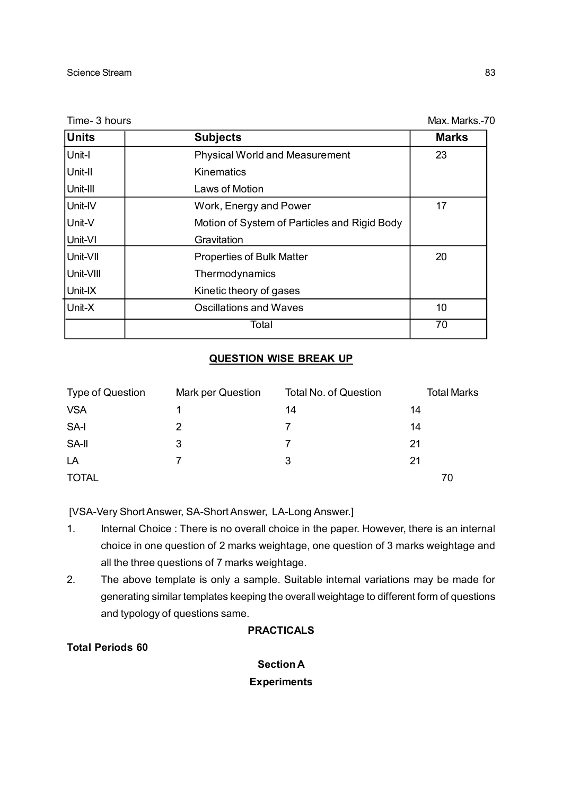Time- 3 hours Max. Marks.-70

| <b>Physical World and Measurement</b>        |    |
|----------------------------------------------|----|
|                                              | 23 |
| <b>Kinematics</b>                            |    |
| Laws of Motion                               |    |
| Work, Energy and Power                       | 17 |
| Motion of System of Particles and Rigid Body |    |
| Gravitation                                  |    |
| 20<br><b>Properties of Bulk Matter</b>       |    |
| Thermodynamics                               |    |
| Kinetic theory of gases                      |    |
| <b>Oscillations and Waves</b>                | 10 |
| Total                                        | 70 |
|                                              |    |

### **QUESTION WISE BREAK UP**

| <b>Type of Question</b> | Mark per Question | <b>Total No. of Question</b> | <b>Total Marks</b> |
|-------------------------|-------------------|------------------------------|--------------------|
| <b>VSA</b>              |                   | 14                           | 14                 |
| SA-I                    | 2                 |                              | 14                 |
| SA-II                   | 3                 |                              | 21                 |
| LA                      |                   | 3                            | 21                 |
| <b>TOTAL</b>            |                   |                              | 70                 |

[VSA-Very Short Answer, SA-Short Answer, LA-Long Answer.]

- 1. Internal Choice : There is no overall choice in the paper. However, there is an internal choice in one question of 2 marks weightage, one question of 3 marks weightage and all the three questions of 7 marks weightage.
- 2. The above template is only a sample. Suitable internal variations may be made for generating similar templates keeping the overall weightage to different form of questions and typology of questions same.

# **PRACTICALS**

**Total Periods 60**

**Section A Experiments**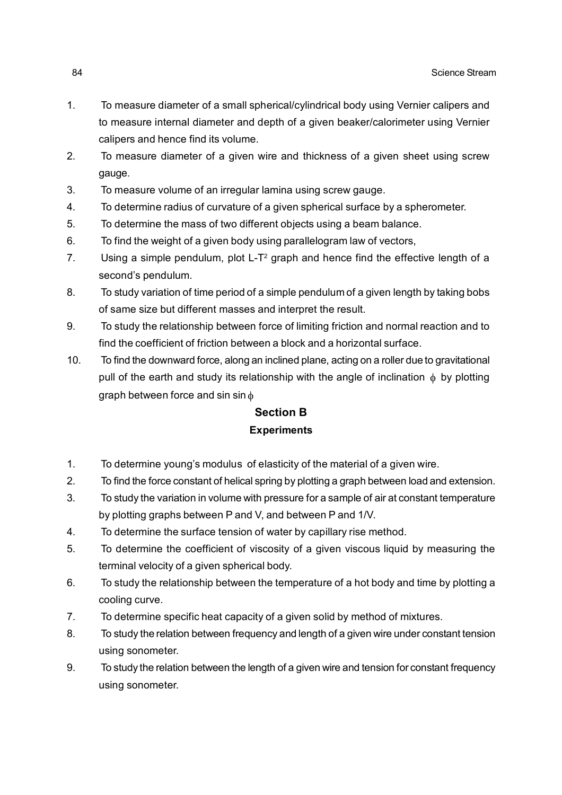- 1. To measure diameter of a small spherical/cylindrical body using Vernier calipers and to measure internal diameter and depth of a given beaker/calorimeter using Vernier calipers and hence find its volume.
- 2. To measure diameter of a given wire and thickness of a given sheet using screw gauge.
- 3. To measure volume of an irregular lamina using screw gauge.
- 4. To determine radius of curvature of a given spherical surface by a spherometer.
- 5. To determine the mass of two different objects using a beam balance.
- 6. To find the weight of a given body using parallelogram law of vectors,
- 7. Using a simple pendulum, plot L- $T^2$  graph and hence find the effective length of a second's pendulum.
- 8. To study variation of time period of a simple pendulum of a given length by taking bobs of same size but different masses and interpret the result.
- 9. To study the relationship between force of limiting friction and normal reaction and to find the coefficient of friction between a block and a horizontal surface.
- 10. To find the downward force, along an inclined plane, acting on a roller due to gravitational pull of the earth and study its relationship with the angle of inclination  $\phi$  by plotting graph between force and sin sin  $\phi$

# **Section B Experiments**

- 1. To determine young's modulus of elasticity of the material of a given wire.
- 2. To find the force constant of helical spring by plotting a graph between load and extension.
- 3. To study the variation in volume with pressure for a sample of air at constant temperature by plotting graphs between P and V, and between P and 1/V.
- 4. To determine the surface tension of water by capillary rise method.
- 5. To determine the coefficient of viscosity of a given viscous liquid by measuring the terminal velocity of a given spherical body.
- 6. To study the relationship between the temperature of a hot body and time by plotting a cooling curve.
- 7. To determine specific heat capacity of a given solid by method of mixtures.
- 8. To study the relation between frequency and length of a given wire under constant tension using sonometer.
- 9. To study the relation between the length of a given wire and tension for constant frequency using sonometer.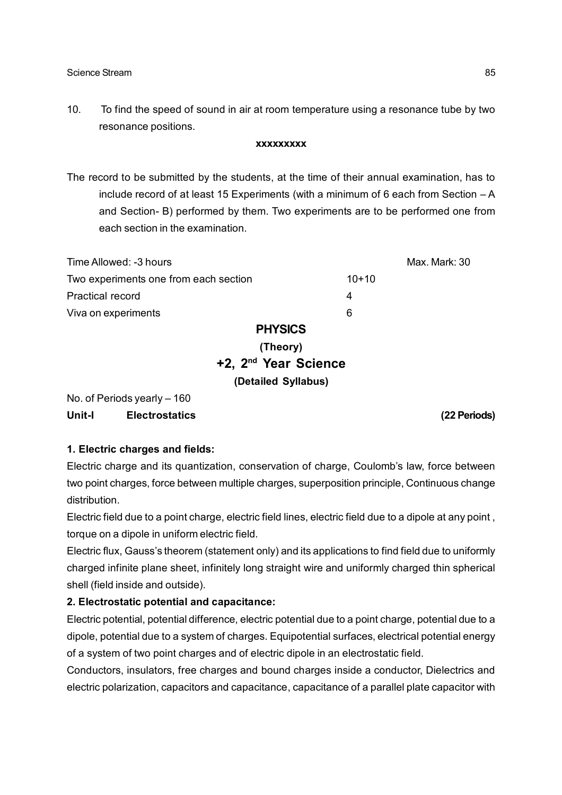10. To find the speed of sound in air at room temperature using a resonance tube by two resonance positions.

### **xxxxxxxxx**

The record to be submitted by the students, at the time of their annual examination, has to include record of at least 15 Experiments (with a minimum of 6 each from Section  $-A$ and Section- B) performed by them. Two experiments are to be performed one from each section in the examination.

| Time Allowed: -3 hours                |                |         | Max. Mark: 30 |
|---------------------------------------|----------------|---------|---------------|
| Two experiments one from each section |                | $10+10$ |               |
| <b>Practical record</b>               |                | 4       |               |
| Viva on experiments                   |                | 6       |               |
|                                       | <b>PHYSICS</b> |         |               |

# **(Theory) +2, 2nd Year Science (Detailed Syllabus)**

No. of Periods yearly – 160 **Unit-I Electrostatics (22 Periods)**

### **1. Electric charges and fields:**

Electric charge and its quantization, conservation of charge, Coulomb's law, force between two point charges, force between multiple charges, superposition principle, Continuous change distribution.

Electric field due to a point charge, electric field lines, electric field due to a dipole at any point , torque on a dipole in uniform electric field.

Electric flux, Gauss's theorem (statement only) and its applications to find field due to uniformly charged infinite plane sheet, infinitely long straight wire and uniformly charged thin spherical shell (field inside and outside).

### **2. Electrostatic potential and capacitance:**

Electric potential, potential difference, electric potential due to a point charge, potential due to a dipole, potential due to a system of charges. Equipotential surfaces, electrical potential energy of a system of two point charges and of electric dipole in an electrostatic field.

Conductors, insulators, free charges and bound charges inside a conductor, Dielectrics and electric polarization, capacitors and capacitance, capacitance of a parallel plate capacitor with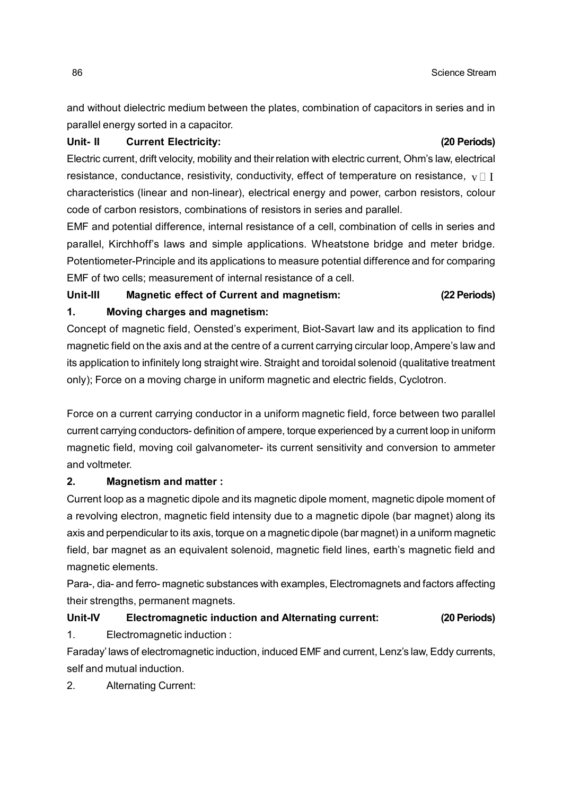and without dielectric medium between the plates, combination of capacitors in series and in parallel energy sorted in a capacitor.

### **Unit- II Current Electricity: (20 Periods)**

Electric current, drift velocity, mobility and their relation with electric current, Ohm's law, electrical resistance, conductance, resistivity, conductivity, effect of temperature on resistance,  $\mathbf{v} \cap \mathbf{I}$ characteristics (linear and non-linear), electrical energy and power, carbon resistors, colour code of carbon resistors, combinations of resistors in series and parallel.

EMF and potential difference, internal resistance of a cell, combination of cells in series and parallel, Kirchhoff's laws and simple applications. Wheatstone bridge and meter bridge. Potentiometer-Principle and its applications to measure potential difference and for comparing EMF of two cells; measurement of internal resistance of a cell.

# **Unit-III Magnetic effect of Current and magnetism: (22 Periods) 1. Moving charges and magnetism:**

Concept of magnetic field, Oensted's experiment, Biot-Savart law and its application to find magnetic field on the axis and at the centre of a current carrying circular loop, Ampere's law and its application to infinitely long straight wire. Straight and toroidal solenoid (qualitative treatment only); Force on a moving charge in uniform magnetic and electric fields, Cyclotron.

Force on a current carrying conductor in a uniform magnetic field, force between two parallel current carrying conductors- definition of ampere, torque experienced by a current loop in uniform magnetic field, moving coil galvanometer- its current sensitivity and conversion to ammeter and voltmeter.

### **2. Magnetism and matter :**

Current loop as a magnetic dipole and its magnetic dipole moment, magnetic dipole moment of a revolving electron, magnetic field intensity due to a magnetic dipole (bar magnet) along its axis and perpendicular to its axis, torque on a magnetic dipole (bar magnet) in a uniform magnetic field, bar magnet as an equivalent solenoid, magnetic field lines, earth's magnetic field and magnetic elements.

Para-, dia- and ferro- magnetic substances with examples, Electromagnets and factors affecting their strengths, permanent magnets.

# **Unit-IV Electromagnetic induction and Alternating current: (20 Periods)**

1. Electromagnetic induction :

Faraday' laws of electromagnetic induction, induced EMF and current, Lenz's law, Eddy currents, self and mutual induction.

2. Alternating Current: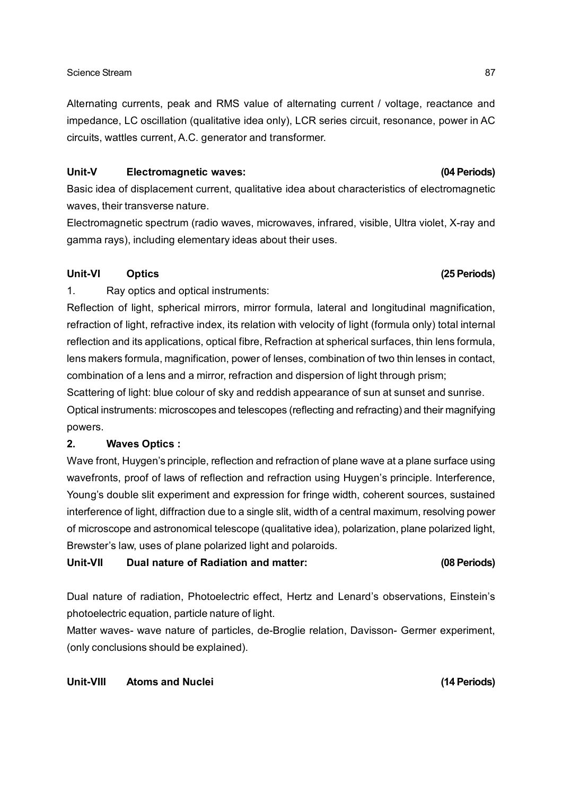### Science Stream 87

Alternating currents, peak and RMS value of alternating current / voltage, reactance and impedance, LC oscillation (qualitative idea only), LCR series circuit, resonance, power in AC circuits, wattles current, A.C. generator and transformer.

### **Unit-V Electromagnetic waves: (04 Periods)**

Basic idea of displacement current, qualitative idea about characteristics of electromagnetic waves, their transverse nature.

Electromagnetic spectrum (radio waves, microwaves, infrared, visible, Ultra violet, X-ray and gamma rays), including elementary ideas about their uses.

### **Unit-VI Optics (25 Periods)**

1. Ray optics and optical instruments:

Reflection of light, spherical mirrors, mirror formula, lateral and longitudinal magnification, refraction of light, refractive index, its relation with velocity of light (formula only) total internal reflection and its applications, optical fibre, Refraction at spherical surfaces, thin lens formula, lens makers formula, magnification, power of lenses, combination of two thin lenses in contact, combination of a lens and a mirror, refraction and dispersion of light through prism;

Scattering of light: blue colour of sky and reddish appearance of sun at sunset and sunrise. Optical instruments: microscopes and telescopes (reflecting and refracting) and their magnifying powers.

### **2. Waves Optics :**

Wave front, Huygen's principle, reflection and refraction of plane wave at a plane surface using wavefronts, proof of laws of reflection and refraction using Huygen's principle. Interference, Young's double slit experiment and expression for fringe width, coherent sources, sustained interference of light, diffraction due to a single slit, width of a central maximum, resolving power of microscope and astronomical telescope (qualitative idea), polarization, plane polarized light, Brewster's law, uses of plane polarized light and polaroids.

**Unit-VII Dual nature of Radiation and matter: (08 Periods)**

Dual nature of radiation, Photoelectric effect, Hertz and Lenard's observations, Einstein's photoelectric equation, particle nature of light.

Matter waves- wave nature of particles, de-Broglie relation, Davisson- Germer experiment, (only conclusions should be explained).

### **Unit-VIII Atoms and Nuclei (14 Periods)**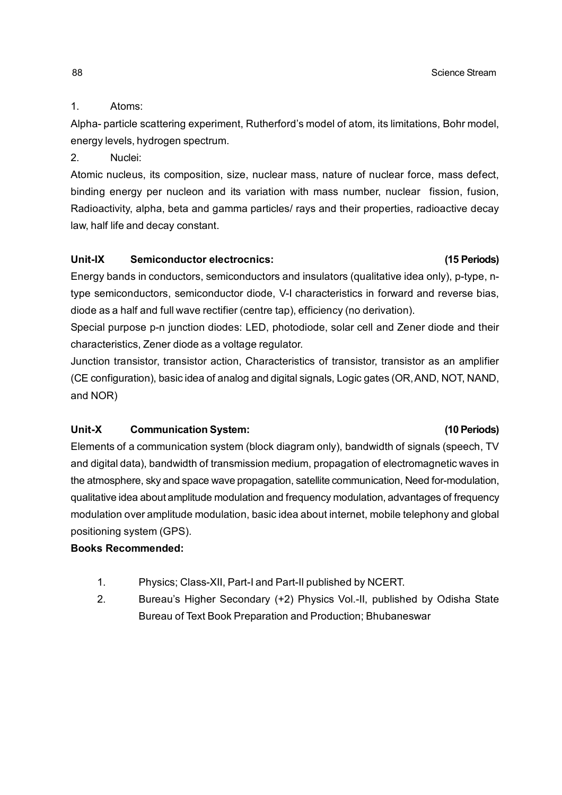## 1. Atoms:

Alpha- particle scattering experiment, Rutherford's model of atom, its limitations, Bohr model, energy levels, hydrogen spectrum.

2. Nuclei:

Atomic nucleus, its composition, size, nuclear mass, nature of nuclear force, mass defect, binding energy per nucleon and its variation with mass number, nuclear fission, fusion, Radioactivity, alpha, beta and gamma particles/ rays and their properties, radioactive decay law, half life and decay constant.

## **Unit-IX Semiconductor electrocnics: (15 Periods)**

Energy bands in conductors, semiconductors and insulators (qualitative idea only), p-type, ntype semiconductors, semiconductor diode, V-I characteristics in forward and reverse bias, diode as a half and full wave rectifier (centre tap), efficiency (no derivation).

Special purpose p-n junction diodes: LED, photodiode, solar cell and Zener diode and their characteristics, Zener diode as a voltage regulator.

Junction transistor, transistor action, Characteristics of transistor, transistor as an amplifier (CE configuration), basic idea of analog and digital signals, Logic gates (OR, AND, NOT, NAND, and NOR)

# **Unit-X Communication System: (10 Periods)**

Elements of a communication system (block diagram only), bandwidth of signals (speech, TV and digital data), bandwidth of transmission medium, propagation of electromagnetic waves in the atmosphere, sky and space wave propagation, satellite communication, Need for-modulation, qualitative idea about amplitude modulation and frequency modulation, advantages of frequency modulation over amplitude modulation, basic idea about internet, mobile telephony and global positioning system (GPS).

# **Books Recommended:**

- 1. Physics; Class-XII, Part-I and Part-II published by NCERT.
- 2. Bureau's Higher Secondary (+2) Physics Vol.-II, published by Odisha State Bureau of Text Book Preparation and Production; Bhubaneswar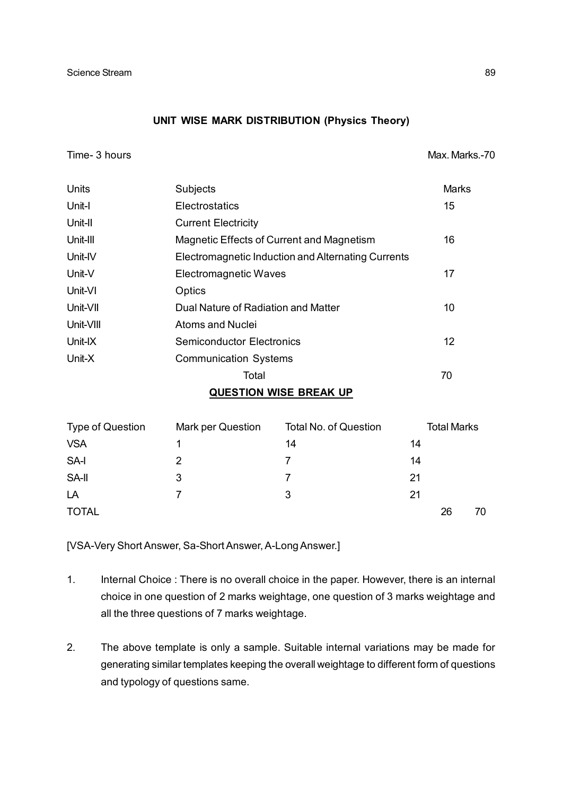### **UNIT WISE MARK DISTRIBUTION (Physics Theory)**

Time- 3 hours and the state of the state of the state of the Max. Marks.-70

| <b>Units</b> | Subjects                                           | <b>Marks</b>    |
|--------------|----------------------------------------------------|-----------------|
| Unit-l       | Electrostatics                                     | 15              |
| Unit-II      | <b>Current Electricity</b>                         |                 |
| Unit-III     | Magnetic Effects of Current and Magnetism          | 16              |
| Unit-IV      | Electromagnetic Induction and Alternating Currents |                 |
| Unit-V       | <b>Electromagnetic Waves</b>                       | 17              |
| Unit-VI      | Optics                                             |                 |
| Unit-VII     | Dual Nature of Radiation and Matter                | 10              |
| Unit-VIII    | Atoms and Nuclei                                   |                 |
| Unit-IX      | <b>Semiconductor Electronics</b>                   | 12 <sup>2</sup> |
| Unit-X       | <b>Communication Systems</b>                       |                 |
|              | Total                                              | 70              |
|              | <b>QUESTION WISE BREAK UP</b>                      |                 |
|              |                                                    |                 |

| Type of Question | Mark per Question | <b>Total No. of Question</b> |    | <b>Total Marks</b> |    |
|------------------|-------------------|------------------------------|----|--------------------|----|
| <b>VSA</b>       |                   | 14                           | 14 |                    |    |
| SA-I             | 2                 |                              | 14 |                    |    |
| SA-II            | 3                 |                              | 21 |                    |    |
| LA               | 7                 | 3                            | 21 |                    |    |
| <b>TOTAL</b>     |                   |                              |    | 26                 | 70 |

[VSA-Very Short Answer, Sa-Short Answer, A-Long Answer.]

- 1. Internal Choice : There is no overall choice in the paper. However, there is an internal choice in one question of 2 marks weightage, one question of 3 marks weightage and all the three questions of 7 marks weightage.
- 2. The above template is only a sample. Suitable internal variations may be made for generating similar templates keeping the overall weightage to different form of questions and typology of questions same.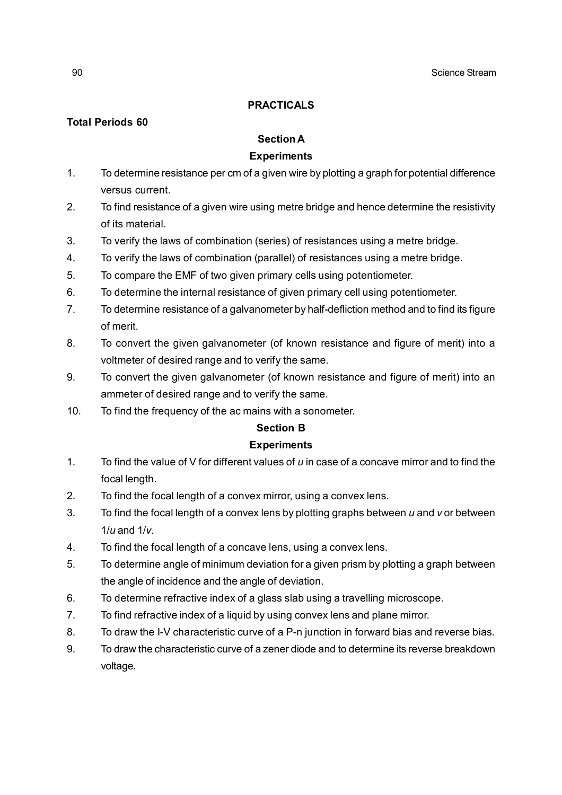### **PRACTICALS**

## **Total Periods 60**

### **Section A**

### **Experiments**

- 1. To determine resistance per cm of a given wire by plotting a graph for potential difference versus current.
- 2. To find resistance of a given wire using metre bridge and hence determine the resistivity of its material.
- 3. To verify the laws of combination (series) of resistances using a metre bridge.
- 4. To verify the laws of combination (parallel) of resistances using a metre bridge.
- 5. To compare the EMF of two given primary cells using potentiometer.
- 6. To determine the internal resistance of given primary cell using potentiometer.
- 7. To determine resistance of a galvanometer by half-defliction method and to find its figure of merit.
- 8. To convert the given galvanometer (of known resistance and figure of merit) into a voltmeter of desired range and to verify the same.
- 9. To convert the given galvanometer (of known resistance and figure of merit) into an ammeter of desired range and to verify the same.
- 10. To find the frequency of the ac mains with a sonometer.

### **Section B**

### **Experiments**

- 1. To find the value of V for different values of *u* in case of a concave mirror and to find the focal length.
- 2. To find the focal length of a convex mirror, using a convex lens.
- 3. To find the focal length of a convex lens by plotting graphs between *u* and *v* or between 1/*u* and 1/*v*.
- 4. To find the focal length of a concave lens, using a convex lens.
- 5. To determine angle of minimum deviation for a given prism by plotting a graph between the angle of incidence and the angle of deviation.
- 6. To determine refractive index of a glass slab using a travelling microscope.
- 7. To find refractive index of a liquid by using convex lens and plane mirror.
- 8. To draw the I-V characteristic curve of a P-n junction in forward bias and reverse bias.
- 9. To draw the characteristic curve of a zener diode and to determine its reverse breakdown voltage.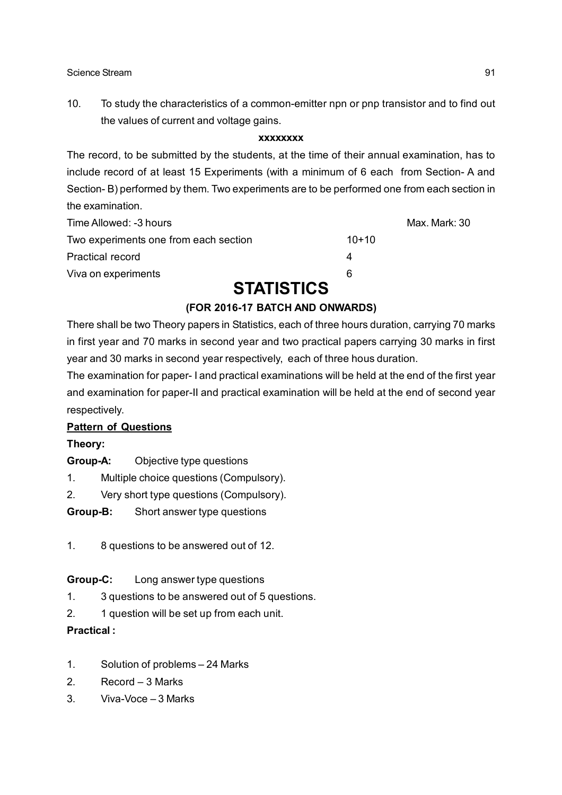10. To study the characteristics of a common-emitter npn or pnp transistor and to find out the values of current and voltage gains.

### **xxxxxxxx**

The record, to be submitted by the students, at the time of their annual examination, has to include record of at least 15 Experiments (with a minimum of 6 each from Section- A and Section- B) performed by them. Two experiments are to be performed one from each section in the examination.

| Time Allowed: -3 hours                |         | Max. Mark: 30 |
|---------------------------------------|---------|---------------|
| Two experiments one from each section | $10+10$ |               |
| <b>Practical record</b>               |         |               |
| Viva on experiments                   | 6       |               |
|                                       |         |               |

# **STATISTICS**

# **(FOR 2016-17 BATCH AND ONWARDS)**

There shall be two Theory papers in Statistics, each of three hours duration, carrying 70 marks in first year and 70 marks in second year and two practical papers carrying 30 marks in first year and 30 marks in second year respectively, each of three hous duration.

The examination for paper- I and practical examinations will be held at the end of the first year and examination for paper-II and practical examination will be held at the end of second year respectively.

# **Pattern of Questions**

# **Theory:**

- **Group-A:** Objective type questions
- 1. Multiple choice questions (Compulsory).
- 2. Very short type questions (Compulsory).
- **Group-B:** Short answer type questions
- 1. 8 questions to be answered out of 12.

# **Group-C:** Long answer type questions

- 1. 3 questions to be answered out of 5 questions.
- 2. 1 question will be set up from each unit.

# **Practical :**

- 1. Solution of problems 24 Marks
- 2. Record 3 Marks
- 3. Viva-Voce 3 Marks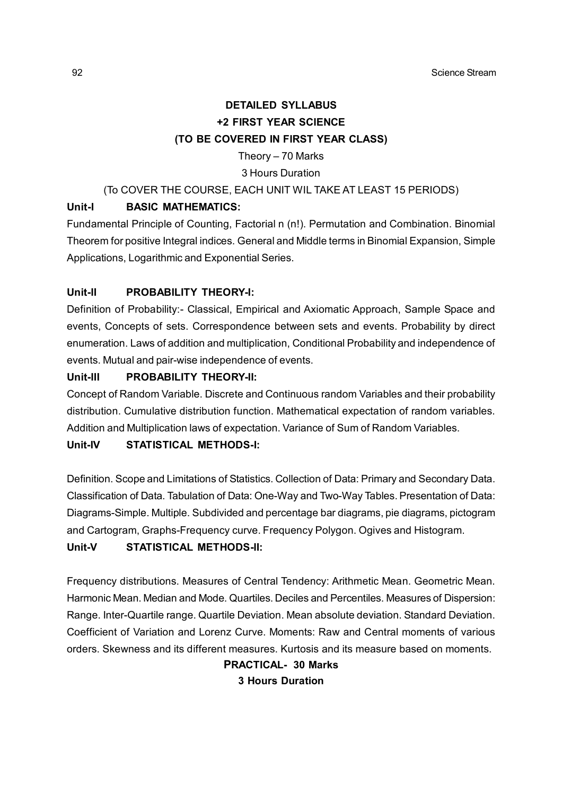# **DETAILED SYLLABUS +2 FIRST YEAR SCIENCE (TO BE COVERED IN FIRST YEAR CLASS)**

### Theory – 70 Marks

### 3 Hours Duration

### (To COVER THE COURSE, EACH UNIT WIL TAKE AT LEAST 15 PERIODS)

### **Unit-I BASIC MATHEMATICS:**

Fundamental Principle of Counting, Factorial n (n!). Permutation and Combination. Binomial Theorem for positive Integral indices. General and Middle terms in Binomial Expansion, Simple Applications, Logarithmic and Exponential Series.

### **Unit-II PROBABILITY THEORY-I:**

Definition of Probability:- Classical, Empirical and Axiomatic Approach, Sample Space and events, Concepts of sets. Correspondence between sets and events. Probability by direct enumeration. Laws of addition and multiplication, Conditional Probability and independence of events. Mutual and pair-wise independence of events.

### **Unit-III PROBABILITY THEORY-II:**

Concept of Random Variable. Discrete and Continuous random Variables and their probability distribution. Cumulative distribution function. Mathematical expectation of random variables. Addition and Multiplication laws of expectation. Variance of Sum of Random Variables.

### **Unit-IV STATISTICAL METHODS-I:**

Definition. Scope and Limitations of Statistics. Collection of Data: Primary and Secondary Data. Classification of Data. Tabulation of Data: One-Way and Two-Way Tables. Presentation of Data: Diagrams-Simple. Multiple. Subdivided and percentage bar diagrams, pie diagrams, pictogram and Cartogram, Graphs-Frequency curve. Frequency Polygon. Ogives and Histogram. **Unit-V STATISTICAL METHODS-II:**

Frequency distributions. Measures of Central Tendency: Arithmetic Mean. Geometric Mean. Harmonic Mean. Median and Mode. Quartiles. Deciles and Percentiles. Measures of Dispersion: Range. Inter-Quartile range. Quartile Deviation. Mean absolute deviation. Standard Deviation. Coefficient of Variation and Lorenz Curve. Moments: Raw and Central moments of various orders. Skewness and its different measures. Kurtosis and its measure based on moments.

> **PRACTICAL- 30 Marks 3 Hours Duration**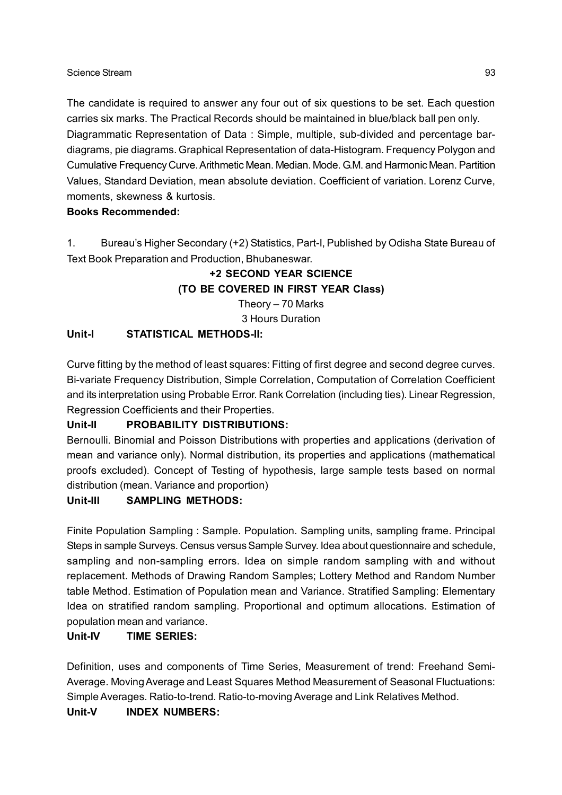### Science Stream 93

The candidate is required to answer any four out of six questions to be set. Each question carries six marks. The Practical Records should be maintained in blue/black ball pen only. Diagrammatic Representation of Data : Simple, multiple, sub-divided and percentage bardiagrams, pie diagrams. Graphical Representation of data-Histogram. Frequency Polygon and Cumulative Frequency Curve. Arithmetic Mean. Median. Mode. G.M. and Harmonic Mean. Partition Values, Standard Deviation, mean absolute deviation. Coefficient of variation. Lorenz Curve, moments, skewness & kurtosis.

### **Books Recommended:**

1. Bureau's Higher Secondary (+2) Statistics, Part-I, Published by Odisha State Bureau of Text Book Preparation and Production, Bhubaneswar.

# **+2 SECOND YEAR SCIENCE (TO BE COVERED IN FIRST YEAR Class)**

Theory – 70 Marks

3 Hours Duration

## **Unit-I STATISTICAL METHODS-II:**

Curve fitting by the method of least squares: Fitting of first degree and second degree curves. Bi-variate Frequency Distribution, Simple Correlation, Computation of Correlation Coefficient and its interpretation using Probable Error. Rank Correlation (including ties). Linear Regression, Regression Coefficients and their Properties.

# **Unit-II PROBABILITY DISTRIBUTIONS:**

Bernoulli. Binomial and Poisson Distributions with properties and applications (derivation of mean and variance only). Normal distribution, its properties and applications (mathematical proofs excluded). Concept of Testing of hypothesis, large sample tests based on normal distribution (mean. Variance and proportion)

### **Unit-III SAMPLING METHODS:**

Finite Population Sampling : Sample. Population. Sampling units, sampling frame. Principal Steps in sample Surveys. Census versus Sample Survey. Idea about questionnaire and schedule, sampling and non-sampling errors. Idea on simple random sampling with and without replacement. Methods of Drawing Random Samples; Lottery Method and Random Number table Method. Estimation of Population mean and Variance. Stratified Sampling: Elementary Idea on stratified random sampling. Proportional and optimum allocations. Estimation of population mean and variance.

### **Unit-IV TIME SERIES:**

Definition, uses and components of Time Series, Measurement of trend: Freehand Semi-Average. Moving Average and Least Squares Method Measurement of Seasonal Fluctuations: Simple Averages. Ratio-to-trend. Ratio-to-moving Average and Link Relatives Method.

### **Unit-V INDEX NUMBERS:**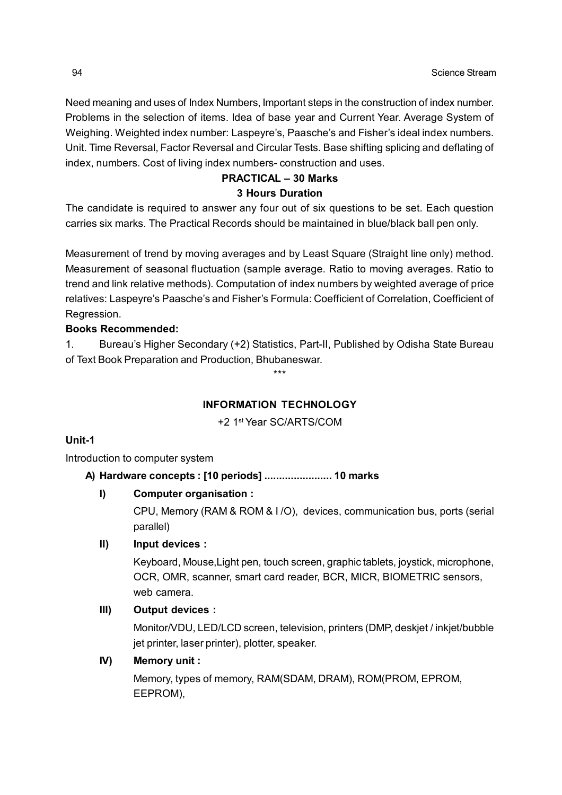Need meaning and uses of Index Numbers, Important steps in the construction of index number. Problems in the selection of items. Idea of base year and Current Year. Average System of Weighing. Weighted index number: Laspeyre's, Paasche's and Fisher's ideal index numbers. Unit. Time Reversal, Factor Reversal and Circular Tests. Base shifting splicing and deflating of index, numbers. Cost of living index numbers- construction and uses.

### **PRACTICAL – 30 Marks 3 Hours Duration**

The candidate is required to answer any four out of six questions to be set. Each question carries six marks. The Practical Records should be maintained in blue/black ball pen only.

Measurement of trend by moving averages and by Least Square (Straight line only) method. Measurement of seasonal fluctuation (sample average. Ratio to moving averages. Ratio to trend and link relative methods). Computation of index numbers by weighted average of price relatives: Laspeyre's Paasche's and Fisher's Formula: Coefficient of Correlation, Coefficient of Regression.

# **Books Recommended:**

1. Bureau's Higher Secondary (+2) Statistics, Part-II, Published by Odisha State Bureau of Text Book Preparation and Production, Bhubaneswar.

\*\*\*

# **INFORMATION TECHNOLOGY**

+2 1st Year SC/ARTS/COM

### **Unit-1**

Introduction to computer system

# **A) Hardware concepts : [10 periods] ....................... 10 marks**

# **I) Computer organisation :**

CPU, Memory (RAM & ROM & I /O), devices, communication bus, ports (serial parallel)

# **II) Input devices :**

Keyboard, Mouse,Light pen, touch screen, graphic tablets, joystick, microphone, OCR, OMR, scanner, smart card reader, BCR, MICR, BIOMETRIC sensors, web camera.

# **III) Output devices :**

Monitor/VDU, LED/LCD screen, television, printers (DMP, deskjet / inkjet/bubble jet printer, laser printer), plotter, speaker.

# **IV) Memory unit :**

Memory, types of memory, RAM(SDAM, DRAM), ROM(PROM, EPROM, EEPROM),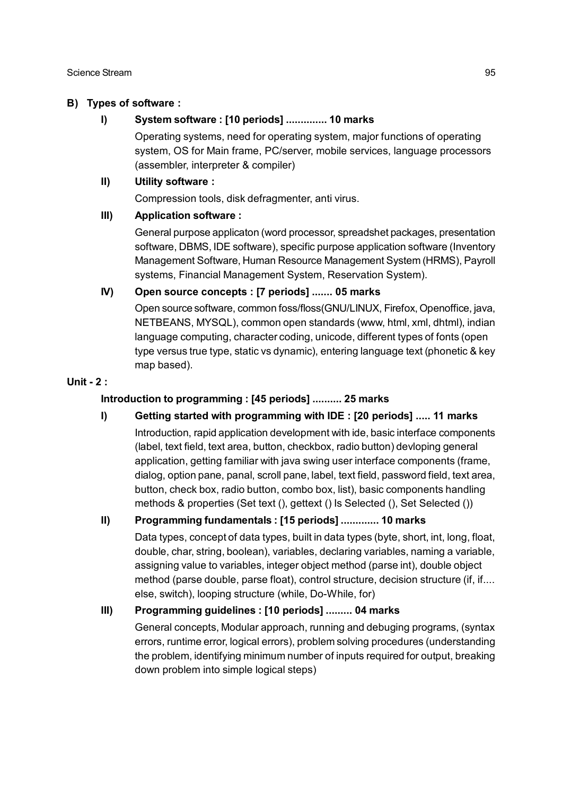### **B) Types of software :**

### **I) System software : [10 periods] .............. 10 marks**

Operating systems, need for operating system, major functions of operating system, OS for Main frame, PC/server, mobile services, language processors (assembler, interpreter & compiler)

### **II) Utility software :**

Compression tools, disk defragmenter, anti virus.

### **III) Application software :**

General purpose applicaton (word processor, spreadshet packages, presentation software, DBMS, IDE software), specific purpose application software (Inventory Management Software, Human Resource Management System (HRMS), Payroll systems, Financial Management System, Reservation System).

### **IV) Open source concepts : [7 periods] ....... 05 marks**

Open source software, common foss/floss(GNU/LINUX, Firefox, Openoffice, java, NETBEANS, MYSQL), common open standards (www, html, xml, dhtml), indian language computing, character coding, unicode, different types of fonts (open type versus true type, static vs dynamic), entering language text (phonetic & key map based).

### **Unit - 2 :**

## **Introduction to programming : [45 periods] .......... 25 marks**

- **I) Getting started with programming with IDE : [20 periods] ..... 11 marks**
	- Introduction, rapid application development with ide, basic interface components (label, text field, text area, button, checkbox, radio button) devloping general application, getting familiar with java swing user interface components (frame, dialog, option pane, panal, scroll pane, label, text field, password field, text area, button, check box, radio button, combo box, list), basic components handling methods & properties (Set text (), gettext () Is Selected (), Set Selected ())

# **II) Programming fundamentals : [15 periods] ............. 10 marks**

Data types, concept of data types, built in data types (byte, short, int, long, float, double, char, string, boolean), variables, declaring variables, naming a variable, assigning value to variables, integer object method (parse int), double object method (parse double, parse float), control structure, decision structure (if, if.... else, switch), looping structure (while, Do-While, for)

# **III) Programming guidelines : [10 periods] ......... 04 marks**

General concepts, Modular approach, running and debuging programs, (syntax errors, runtime error, logical errors), problem solving procedures (understanding the problem, identifying minimum number of inputs required for output, breaking down problem into simple logical steps)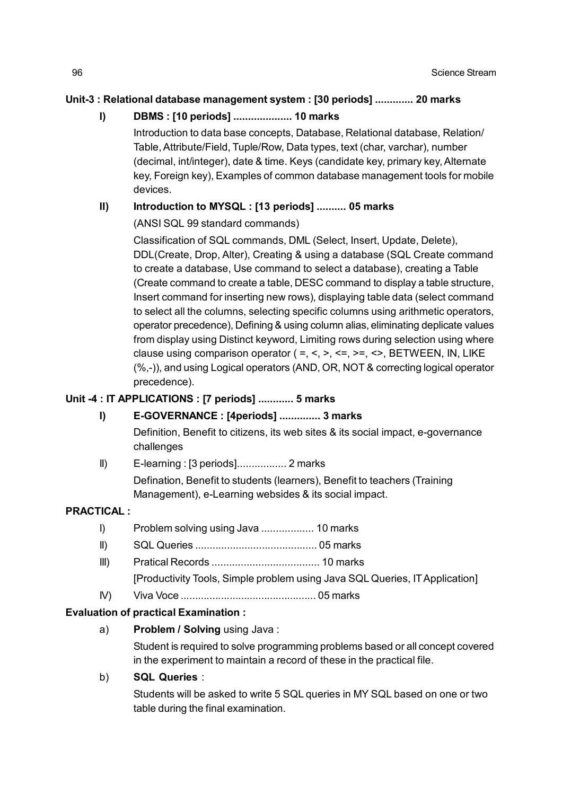## **Unit-3 : Relational database management system : [30 periods] ............. 20 marks**

# **I) DBMS : [10 periods] .................... 10 marks**

Introduction to data base concepts, Database, Relational database, Relation/ Table, Attribute/Field, Tuple/Row, Data types, text (char, varchar), number (decimal, int/integer), date & time. Keys (candidate key, primary key, Alternate key, Foreign key), Examples of common database management tools for mobile devices.

# **II) Introduction to MYSQL : [13 periods] .......... 05 marks**

## (ANSI SQL 99 standard commands)

Classification of SQL commands, DML (Select, Insert, Update, Delete), DDL(Create, Drop, Alter), Creating & using a database (SQL Create command to create a database, Use command to select a database), creating a Table (Create command to create a table, DESC command to display a table structure, Insert command for inserting new rows), displaying table data (select command to select all the columns, selecting specific columns using arithmetic operators, operator precedence), Defining & using column alias, eliminating deplicate values from display using Distinct keyword, Limiting rows during selection using where clause using comparison operator (=, <, >, <=, >=, <>, BETWEEN, IN, LIKE (%,-)), and using Logical operators (AND, OR, NOT & correcting logical operator precedence).

# **Unit -4 : IT APPLICATIONS : [7 periods] ............ 5 marks**

# **I) E-GOVERNANCE : [4periods] .............. 3 marks**

Definition, Benefit to citizens, its web sites & its social impact, e-governance challenges

II) E-learning : [3 periods]................. 2 marks Defination, Benefit to students (learners), Benefit to teachers (Training Management), e-Learning websides & its social impact.

### **PRACTICAL :**

- I) Problem solving using Java .................. 10 marks
- II) SQL Queries .......................................... 05 marks
- III) Pratical Records ..................................... 10 marks
	- [Productivity Tools, Simple problem using Java SQL Queries, IT Application]
- IV) Viva Voce ............................................... 05 marks

### **Evaluation of practical Examination :**

a) **Problem / Solving** using Java :

Student is required to solve programming problems based or all concept covered in the experiment to maintain a record of these in the practical file.

# b) **SQL Queries** :

Students will be asked to write 5 SQL queries in MY SQL based on one or two table during the final examination.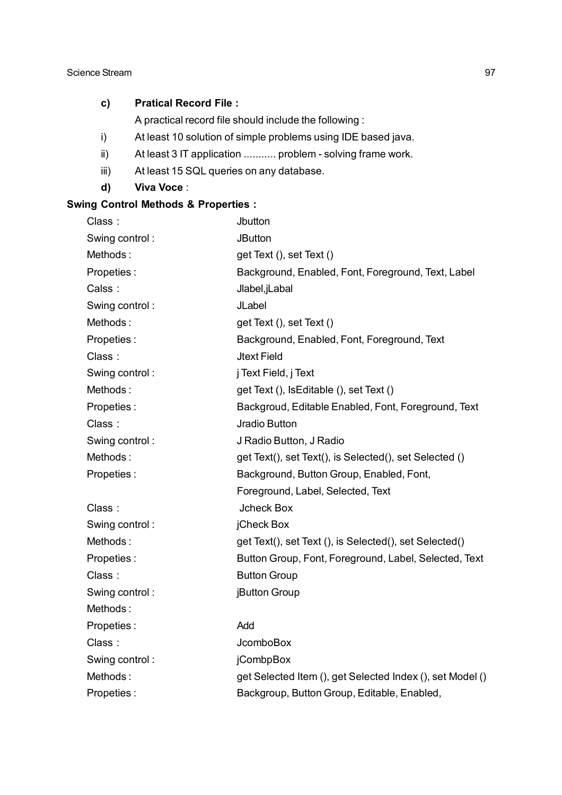### **c) Pratical Record File :**

A practical record file should include the following :

- i) At least 10 solution of simple problems using IDE based java.
- ii) At least 3 IT application ........... problem solving frame work.
- iii) At least 15 SQL queries on any database.
- **d) Viva Voce** :

# **Swing Control Methods & Properties :**

| Class:         | Jbutton                                                   |
|----------------|-----------------------------------------------------------|
| Swing control: | <b>JButton</b>                                            |
| Methods:       | get Text (), set Text ()                                  |
| Propeties:     | Background, Enabled, Font, Foreground, Text, Label        |
| Calss:         | Jlabel, jLabal                                            |
| Swing control: | JLabel                                                    |
| Methods:       | get Text (), set Text ()                                  |
| Propeties:     | Background, Enabled, Font, Foreground, Text               |
| Class:         | <b>Jtext Field</b>                                        |
| Swing control: | j Text Field, j Text                                      |
| Methods:       | get Text (), IsEditable (), set Text ()                   |
| Propeties:     | Backgroud, Editable Enabled, Font, Foreground, Text       |
| Class:         | Jradio Button                                             |
| Swing control: | J Radio Button, J Radio                                   |
| Methods:       | get Text(), set Text(), is Selected(), set Selected ()    |
| Propeties:     | Background, Button Group, Enabled, Font,                  |
|                | Foreground, Label, Selected, Text                         |
| Class:         | <b>Jcheck Box</b>                                         |
| Swing control: | jCheck Box                                                |
| Methods:       | get Text(), set Text (), is Selected(), set Selected()    |
| Propeties:     | Button Group, Font, Foreground, Label, Selected, Text     |
| Class:         | <b>Button Group</b>                                       |
| Swing control: | jButton Group                                             |
| Methods:       |                                                           |
| Propeties:     | Add                                                       |
| Class:         | <b>JcomboBox</b>                                          |
| Swing control: | jCombpBox                                                 |
| Methods:       | get Selected Item (), get Selected Index (), set Model () |
| Propeties:     | Backgroup, Button Group, Editable, Enabled,               |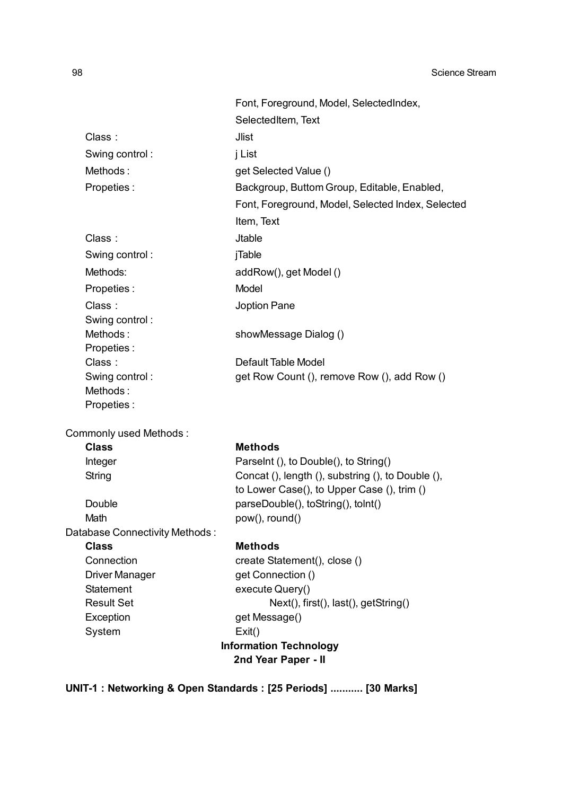|                                | Font, Foreground, Model, SelectedIndex,           |
|--------------------------------|---------------------------------------------------|
|                                | SelectedItem, Text                                |
| Class:                         | <b>Jlist</b>                                      |
| Swing control:                 | j List                                            |
| Methods:                       | get Selected Value ()                             |
| Propeties:                     | Backgroup, Buttom Group, Editable, Enabled,       |
|                                | Font, Foreground, Model, Selected Index, Selected |
|                                | Item, Text                                        |
| Class:                         | <b>Jtable</b>                                     |
|                                |                                                   |
| Swing control:                 | jTable                                            |
| Methods:                       | addRow(), get Model()                             |
| Propeties:                     | Model                                             |
| Class:                         | Joption Pane                                      |
| Swing control:                 |                                                   |
| Methods:                       | showMessage Dialog ()                             |
| Propeties:<br>Class:           | Default Table Model                               |
| Swing control:                 | get Row Count (), remove Row (), add Row ()       |
| Methods:                       |                                                   |
| Propeties:                     |                                                   |
| Commonly used Methods:         |                                                   |
| <b>Class</b>                   | <b>Methods</b>                                    |
| Integer                        | Parselnt (), to Double(), to String()             |
| String                         | Concat (), length (), substring (), to Double (), |
|                                | to Lower Case(), to Upper Case (), trim ()        |
| Double                         | parseDouble(), toString(), toInt()                |
| Math                           | pow(), round()                                    |
| Database Connectivity Methods: |                                                   |
| <b>Class</b><br>Connection     | <b>Methods</b><br>create Statement(), close ()    |
| <b>Driver Manager</b>          | get Connection ()                                 |
| <b>Statement</b>               | execute Query()                                   |
| <b>Result Set</b>              | Next(), first(), last(), getString()              |
| Exception                      | get Message()                                     |
| System                         | Exit()                                            |
|                                |                                                   |

**Information Technology**

**2nd Year Paper - II**

**UNIT-1 : Networking & Open Standards : [25 Periods] ........... [30 Marks]**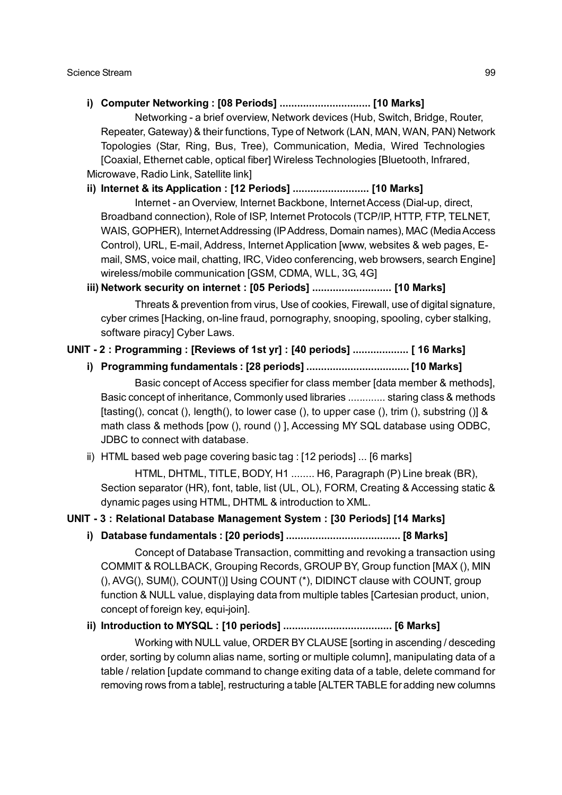**i) Computer Networking : [08 Periods] ............................... [10 Marks]**

Networking - a brief overview, Network devices (Hub, Switch, Bridge, Router, Repeater, Gateway) & their functions, Type of Network (LAN, MAN, WAN, PAN) Network Topologies (Star, Ring, Bus, Tree), Communication, Media, Wired Technologies [Coaxial, Ethernet cable, optical fiber] Wireless Technologies [Bluetooth, Infrared, Microwave, Radio Link, Satellite link]

**ii) Internet & its Application : [12 Periods] .......................... [10 Marks]**

Internet - an Overview, Internet Backbone, Internet Access (Dial-up, direct, Broadband connection), Role of ISP, Internet Protocols (TCP/IP, HTTP, FTP, TELNET, WAIS, GOPHER), Internet Addressing (IP Address, Domain names), MAC (Media Access Control), URL, E-mail, Address, Internet Application [www, websites & web pages, Email, SMS, voice mail, chatting, IRC, Video conferencing, web browsers, search Engine] wireless/mobile communication [GSM, CDMA, WLL, 3G, 4G]

**iii) Network security on internet : [05 Periods] ........................... [10 Marks]**

Threats & prevention from virus, Use of cookies, Firewall, use of digital signature, cyber crimes [Hacking, on-line fraud, pornography, snooping, spooling, cyber stalking, software piracy] Cyber Laws.

### **UNIT - 2 : Programming : [Reviews of 1st yr] : [40 periods] ................... [ 16 Marks]**

**i) Programming fundamentals : [28 periods] ................................... [10 Marks]**

Basic concept of Access specifier for class member [data member & methods], Basic concept of inheritance, Commonly used libraries ............. staring class & methods [tasting(), concat (), length(), to lower case (), to upper case (), trim (), substring ()] & math class & methods [pow (), round () ], Accessing MY SQL database using ODBC, JDBC to connect with database.

ii) HTML based web page covering basic tag : [12 periods] ... [6 marks]

HTML, DHTML, TITLE, BODY, H1 ........ H6, Paragraph (P) Line break (BR), Section separator (HR), font, table, list (UL, OL), FORM, Creating & Accessing static & dynamic pages using HTML, DHTML & introduction to XML.

### **UNIT - 3 : Relational Database Management System : [30 Periods] [14 Marks]**

**i) Database fundamentals : [20 periods] ....................................... [8 Marks]**

Concept of Database Transaction, committing and revoking a transaction using COMMIT & ROLLBACK, Grouping Records, GROUP BY, Group function [MAX (), MIN (), AVG(), SUM(), COUNT()] Using COUNT (\*), DIDINCT clause with COUNT, group function & NULL value, displaying data from multiple tables [Cartesian product, union, concept of foreign key, equi-join].

# **ii) Introduction to MYSQL : [10 periods] ..................................... [6 Marks]**

Working with NULL value, ORDER BY CLAUSE [sorting in ascending / desceding order, sorting by column alias name, sorting or multiple column], manipulating data of a table / relation [update command to change exiting data of a table, delete command for removing rows from a table], restructuring a table [ALTER TABLE for adding new columns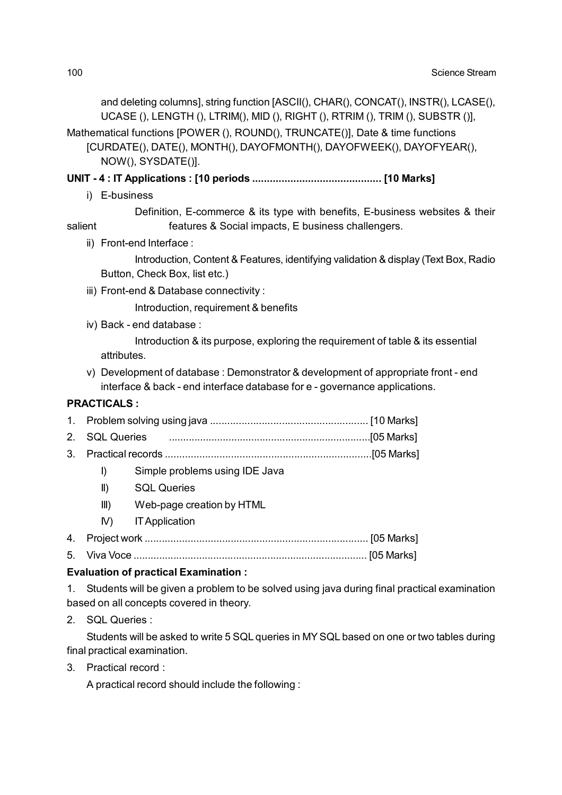and deleting columns], string function [ASCII(), CHAR(), CONCAT(), INSTR(), LCASE(), UCASE (), LENGTH (), LTRIM(), MID (), RIGHT (), RTRIM (), TRIM (), SUBSTR ()],

Mathematical functions [POWER (), ROUND(), TRUNCATE()], Date & time functions

[CURDATE(), DATE(), MONTH(), DAYOFMONTH(), DAYOFWEEK(), DAYOFYEAR(), NOW(), SYSDATE()].

**UNIT - 4 : IT Applications : [10 periods ............................................ [10 Marks]**

i) E-business

Definition, E-commerce & its type with benefits, E-business websites & their salient **features & Social impacts, E business challengers.** 

ii) Front-end Interface :

Introduction, Content & Features, identifying validation & display (Text Box, Radio Button, Check Box, list etc.)

iii) Front-end & Database connectivity :

Introduction, requirement & benefits

iv) Back - end database :

Introduction & its purpose, exploring the requirement of table & its essential attributes.

v) Development of database : Demonstrator & development of appropriate front - end interface & back - end interface database for e - governance applications.

### **PRACTICALS :**

- I) Simple problems using IDE Java
- II) SQL Queries
- III) Web-page creation by HTML
- IV) IT Application
- 4. Project work .............................................................................. [05 Marks]
- 5. Viva Voce .................................................................................. [05 Marks]

### **Evaluation of practical Examination :**

1. Students will be given a problem to be solved using java during final practical examination based on all concepts covered in theory.

2. SQL Queries :

Students will be asked to write 5 SQL queries in MY SQL based on one or two tables during final practical examination.

3. Practical record :

A practical record should include the following :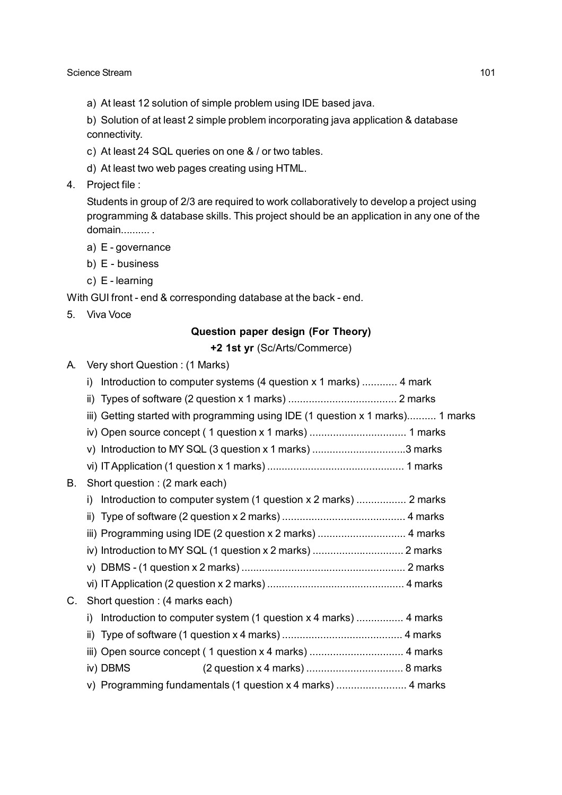a) At least 12 solution of simple problem using IDE based java.

b) Solution of at least 2 simple problem incorporating java application & database connectivity.

- c) At least 24 SQL queries on one & / or two tables.
- d) At least two web pages creating using HTML.
- 4. Project file :

Students in group of 2/3 are required to work collaboratively to develop a project using programming & database skills. This project should be an application in any one of the domain.......... .

- a) E governance
- b) E business
- c) E learning

With GUI front - end & corresponding database at the back - end.

5. Viva Voce

### **Question paper design (For Theory)**

**+2 1st yr** (Sc/Arts/Commerce)

| А. | Very short Question: (1 Marks)                                                 |  |  |
|----|--------------------------------------------------------------------------------|--|--|
|    | Introduction to computer systems (4 question x 1 marks)  4 mark<br>i)          |  |  |
|    |                                                                                |  |  |
|    | iii) Getting started with programming using IDE (1 question x 1 marks) 1 marks |  |  |
|    |                                                                                |  |  |
|    | v) Introduction to MY SQL (3 question x 1 marks) 3 marks                       |  |  |
|    |                                                                                |  |  |
| В. | Short question : (2 mark each)                                                 |  |  |
|    | Introduction to computer system (1 question x 2 marks)  2 marks<br>i)          |  |  |
|    |                                                                                |  |  |
|    |                                                                                |  |  |
|    |                                                                                |  |  |
|    |                                                                                |  |  |
|    |                                                                                |  |  |
| C. | Short question : (4 marks each)                                                |  |  |
|    | Introduction to computer system (1 question x 4 marks)  4 marks<br>i)          |  |  |
|    |                                                                                |  |  |
|    |                                                                                |  |  |
|    | iv) DBMS                                                                       |  |  |
|    | v) Programming fundamentals (1 question x 4 marks)  4 marks                    |  |  |
|    |                                                                                |  |  |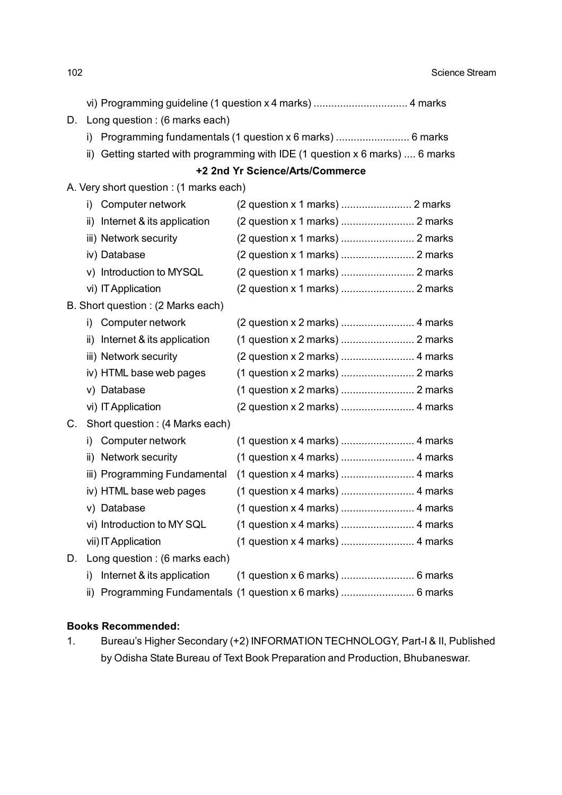vi) Programming guideline (1 question x 4 marks) ................................ 4 marks

- D. Long question : (6 marks each)
	- i) Programming fundamentals (1 question x 6 marks) .............................. 6 marks
	- ii) Getting started with programming with IDE (1 question x 6 marks) .... 6 marks

## **+2 2nd Yr Science/Arts/Commerce**

### A. Very short question : (1 marks each)

|    | i)  | Computer network                  |                                                              |
|----|-----|-----------------------------------|--------------------------------------------------------------|
|    | ii) | Internet & its application        |                                                              |
|    |     | iii) Network security             | (2 question x 1 marks)  2 marks                              |
|    |     | iv) Database                      |                                                              |
|    |     | v) Introduction to MYSQL          |                                                              |
|    |     | vi) IT Application                |                                                              |
|    |     | B. Short question: (2 Marks each) |                                                              |
|    | i)  | Computer network                  |                                                              |
|    |     | ii) Internet & its application    |                                                              |
|    |     | iii) Network security             |                                                              |
|    |     | iv) HTML base web pages           |                                                              |
|    |     | v) Database                       | (1 question x 2 marks)  2 marks                              |
|    |     | vi) IT Application                |                                                              |
| С. |     | Short question: (4 Marks each)    |                                                              |
|    | i)  | Computer network                  | (1 question x 4 marks)  4 marks                              |
|    |     | ii) Network security              |                                                              |
|    |     | iii) Programming Fundamental      |                                                              |
|    |     | iv) HTML base web pages           |                                                              |
|    |     | v) Database                       |                                                              |
|    |     | vi) Introduction to MY SQL        | (1 question x 4 marks)  4 marks                              |
|    |     | vii) IT Application               |                                                              |
| D. |     | Long question : (6 marks each)    |                                                              |
|    | i)  | Internet & its application        |                                                              |
|    |     |                                   | ii) Programming Fundamentals (1 question x 6 marks)  6 marks |

## **Books Recommended:**

1. Bureau's Higher Secondary (+2) INFORMATION TECHNOLOGY, Part-I & II, Published by Odisha State Bureau of Text Book Preparation and Production, Bhubaneswar.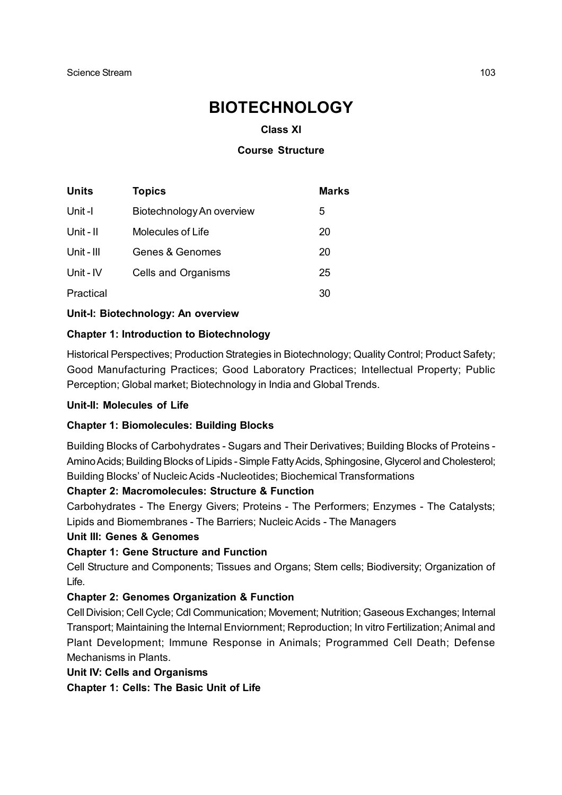# **BIOTECHNOLOGY**

## **Class XI**

### **Course Structure**

| Units      | <b>Topics</b>             | <b>Marks</b> |
|------------|---------------------------|--------------|
| Unit-I     | Biotechnology An overview | 5            |
| Unit - II  | Molecules of Life         | 20           |
| Unit - III | Genes & Genomes           | 20           |
| Unit - IV  | Cells and Organisms       | 25           |
| Practical  |                           | 30           |

**Unit-I: Biotechnology: An overview**

### **Chapter 1: Introduction to Biotechnology**

Historical Perspectives; Production Strategies in Biotechnology; Quality Control; Product Safety; Good Manufacturing Practices; Good Laboratory Practices; Intellectual Property; Public Perception; Global market; Biotechnology in India and Global Trends.

### **Unit-II: Molecules of Life**

### **Chapter 1: Biomolecules: Building Blocks**

Building Blocks of Carbohydrates - Sugars and Their Derivatives; Building Blocks of Proteins - Amino Acids; Building Blocks of Lipids - Simple Fatty Acids, Sphingosine, Glycerol and Cholesterol; Building Blocks' of Nucleic Acids -Nucleotides; Biochemical Transformations

### **Chapter 2: Macromolecules: Structure & Function**

Carbohydrates - The Energy Givers; Proteins - The Performers; Enzymes - The Catalysts; Lipids and Biomembranes - The Barriers; Nucleic Acids - The Managers

### **Unit III: Genes & Genomes**

### **Chapter 1: Gene Structure and Function**

Cell Structure and Components; Tissues and Organs; Stem cells; Biodiversity; Organization of Life.

### **Chapter 2: Genomes Organization & Function**

Cell Division; Cell Cycle; Cdl Communication; Movement; Nutrition; Gaseous Exchanges; Internal Transport; Maintaining the Internal Enviornment; Reproduction; In vitro Fertilization; Animal and Plant Development; Immune Response in Animals; Programmed Cell Death; Defense Mechanisms in Plants.

### **Unit IV: Cells and Organisms**

**Chapter 1: Cells: The Basic Unit of Life**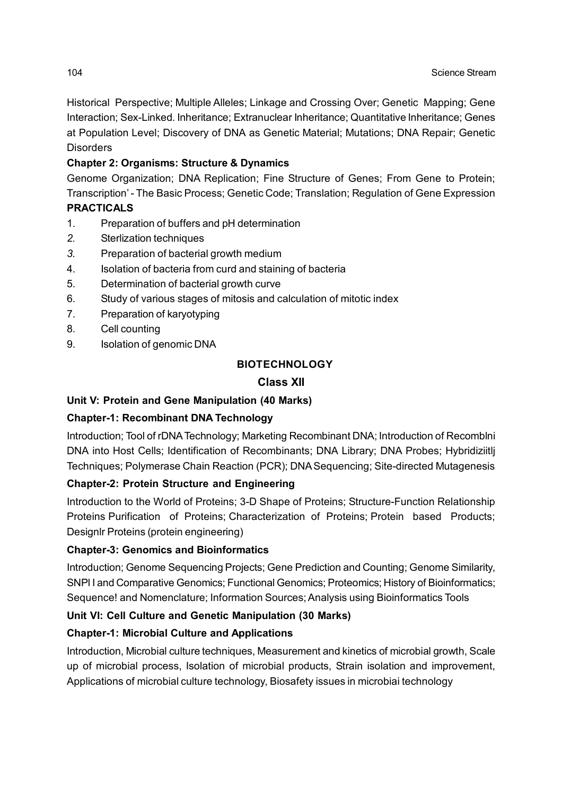Historical Perspective; Multiple Alleles; Linkage and Crossing Over; Genetic Mapping; Gene Interaction; Sex-Linked. Inheritance; Extranuclear Inheritance; Quantitative Inheritance; Genes at Population Level; Discovery of DNA as Genetic Material; Mutations; DNA Repair; Genetic **Disorders** 

# **Chapter 2: Organisms: Structure & Dynamics**

Genome Organization; DNA Replication; Fine Structure of Genes; From Gene to Protein; Transcription' - The Basic Process; Genetic Code; Translation; Regulation of Gene Expression **PRACTICALS**

- 1. Preparation of buffers and pH determination
- *2.* Sterlization techniques
- *3.* Preparation of bacterial growth medium
- 4. Isolation of bacteria from curd and staining of bacteria
- 5. Determination of bacterial growth curve
- 6. Study of various stages of mitosis and calculation of mitotic index
- 7. Preparation of karyotyping
- 8. Cell counting
- 9. Isolation of genomic DNA

# **BIOTECHNOLOGY**

# **Class XII**

# **Unit V: Protein and Gene Manipulation (40 Marks)**

# **Chapter-1: Recombinant DNA Technology**

Introduction; Tool of rDNA Technology; Marketing Recombinant DNA; Introduction of Recomblni DNA into Host Cells; Identification of Recombinants; DNA Library; DNA Probes; Hybridiziitlj Techniques; Polymerase Chain Reaction (PCR); DNA Sequencing; Site-directed Mutagenesis

# **Chapter-2: Protein Structure and Engineering**

Introduction to the World of Proteins; 3-D Shape of Proteins; Structure-Function Relationship Proteins Purification of Proteins; Characterization of Proteins; Protein based Products; Designlr Proteins (protein engineering)

# **Chapter-3: Genomics and Bioinformatics**

Introduction; Genome Sequencing Projects; Gene Prediction and Counting; Genome Similarity, SNPl I and Comparative Genomics; Functional Genomics; Proteomics; History of Bioinformatics; Sequence! and Nomenclature; Information Sources; Analysis using Bioinformatics Tools

# **Unit VI: Cell Culture and Genetic Manipulation (30 Marks)**

# **Chapter-1: Microbial Culture and Applications**

Introduction, Microbial culture techniques, Measurement and kinetics of microbial growth, Scale up of microbial process, Isolation of microbial products, Strain isolation and improvement, Applications of microbial culture technology, Biosafety issues in microbiai technology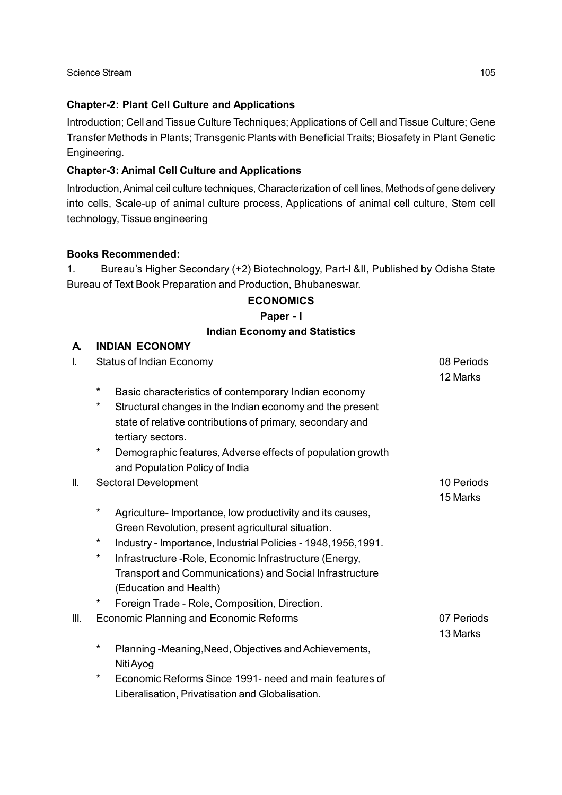## **Chapter-2: Plant Cell Culture and Applications**

Introduction; Cell and Tissue Culture Techniques; Applications of Cell and Tissue Culture; Gene Transfer Methods in Plants; Transgenic Plants with Beneficial Traits; Biosafety in Plant Genetic Engineering.

# **Chapter-3: Animal Cell Culture and Applications**

Introduction, Animal ceil culture techniques, Characterization of cell lines, Methods of gene delivery into cells, Scale-up of animal culture process, Applications of animal cell culture, Stem cell technology, Tissue engineering

### **Books Recommended:**

1. Bureau's Higher Secondary (+2) Biotechnology, Part-I &II, Published by Odisha State Bureau of Text Book Preparation and Production, Bhubaneswar.

### **ECONOMICS**

### **Paper - I**

### **Indian Economy and Statistics**

| A.   | <b>INDIAN ECONOMY</b>                                                                             |                        |  |
|------|---------------------------------------------------------------------------------------------------|------------------------|--|
| I.   | <b>Status of Indian Economy</b>                                                                   | 08 Periods<br>12 Marks |  |
|      | $^\star$<br>Basic characteristics of contemporary Indian economy                                  |                        |  |
|      | $^\star$<br>Structural changes in the Indian economy and the present                              |                        |  |
|      | state of relative contributions of primary, secondary and                                         |                        |  |
|      | tertiary sectors.                                                                                 |                        |  |
|      | *<br>Demographic features, Adverse effects of population growth<br>and Population Policy of India |                        |  |
| II.  | Sectoral Development                                                                              | 10 Periods             |  |
|      |                                                                                                   | 15 Marks               |  |
|      | *<br>Agriculture-Importance, low productivity and its causes,                                     |                        |  |
|      | Green Revolution, present agricultural situation.<br>$^\star$                                     |                        |  |
|      | Industry - Importance, Industrial Policies - 1948, 1956, 1991.                                    |                        |  |
|      | $^\star$<br>Infrastructure - Role, Economic Infrastructure (Energy,                               |                        |  |
|      | Transport and Communications) and Social Infrastructure                                           |                        |  |
|      | (Education and Health)                                                                            |                        |  |
|      | *<br>Foreign Trade - Role, Composition, Direction.                                                |                        |  |
| III. | Economic Planning and Economic Reforms                                                            | 07 Periods             |  |
|      |                                                                                                   | 13 Marks               |  |
|      | $^\star$<br>Planning -Meaning, Need, Objectives and Achievements,                                 |                        |  |
|      | Niti Ayog                                                                                         |                        |  |
|      | $^\star$<br>Economic Reforms Since 1991- need and main features of                                |                        |  |
|      | Liberalisation, Privatisation and Globalisation.                                                  |                        |  |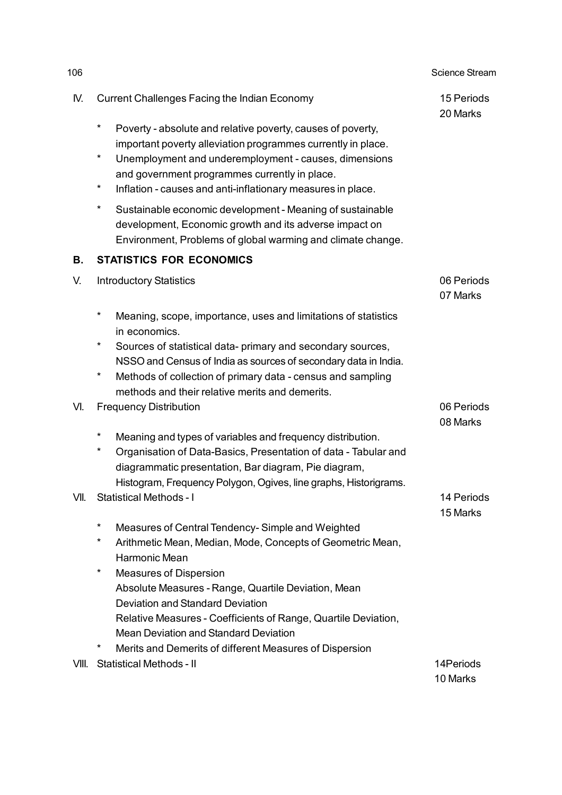| 106   |                                                                                                                                                                                                                                                                                 | <b>Science Stream</b>  |
|-------|---------------------------------------------------------------------------------------------------------------------------------------------------------------------------------------------------------------------------------------------------------------------------------|------------------------|
| IV.   | <b>Current Challenges Facing the Indian Economy</b>                                                                                                                                                                                                                             | 15 Periods<br>20 Marks |
|       | $^\star$<br>Poverty - absolute and relative poverty, causes of poverty,<br>important poverty alleviation programmes currently in place.<br>$^\star$<br>Unemployment and underemployment - causes, dimensions<br>and government programmes currently in place.                   |                        |
|       | *<br>Inflation - causes and anti-inflationary measures in place.                                                                                                                                                                                                                |                        |
|       | $^\star$<br>Sustainable economic development - Meaning of sustainable<br>development, Economic growth and its adverse impact on<br>Environment, Problems of global warming and climate change.                                                                                  |                        |
| В.    | <b>STATISTICS FOR ECONOMICS</b>                                                                                                                                                                                                                                                 |                        |
| V.    | <b>Introductory Statistics</b>                                                                                                                                                                                                                                                  | 06 Periods<br>07 Marks |
|       | $^\star$<br>Meaning, scope, importance, uses and limitations of statistics<br>in economics.                                                                                                                                                                                     |                        |
|       | *<br>Sources of statistical data- primary and secondary sources,<br>NSSO and Census of India as sources of secondary data in India.                                                                                                                                             |                        |
|       | *<br>Methods of collection of primary data - census and sampling<br>methods and their relative merits and demerits.                                                                                                                                                             |                        |
| VI.   | <b>Frequency Distribution</b>                                                                                                                                                                                                                                                   | 06 Periods<br>08 Marks |
|       | $\ast$<br>Meaning and types of variables and frequency distribution.<br>$^\star$<br>Organisation of Data-Basics, Presentation of data - Tabular and<br>diagrammatic presentation, Bar diagram, Pie diagram,<br>Histogram, Frequency Polygon, Ogives, line graphs, Historigrams. |                        |
| VII.  | <b>Statistical Methods - I</b>                                                                                                                                                                                                                                                  | 14 Periods<br>15 Marks |
|       | $\ast$<br>Measures of Central Tendency-Simple and Weighted<br>*<br>Arithmetic Mean, Median, Mode, Concepts of Geometric Mean,<br>Harmonic Mean                                                                                                                                  |                        |
|       | $^\star$<br><b>Measures of Dispersion</b><br>Absolute Measures - Range, Quartile Deviation, Mean<br>Deviation and Standard Deviation                                                                                                                                            |                        |
|       | Relative Measures - Coefficients of Range, Quartile Deviation,<br><b>Mean Deviation and Standard Deviation</b><br>$^\star$                                                                                                                                                      |                        |
| VIII. | Merits and Demerits of different Measures of Dispersion<br><b>Statistical Methods - II</b>                                                                                                                                                                                      | 14Periods<br>10 Marks  |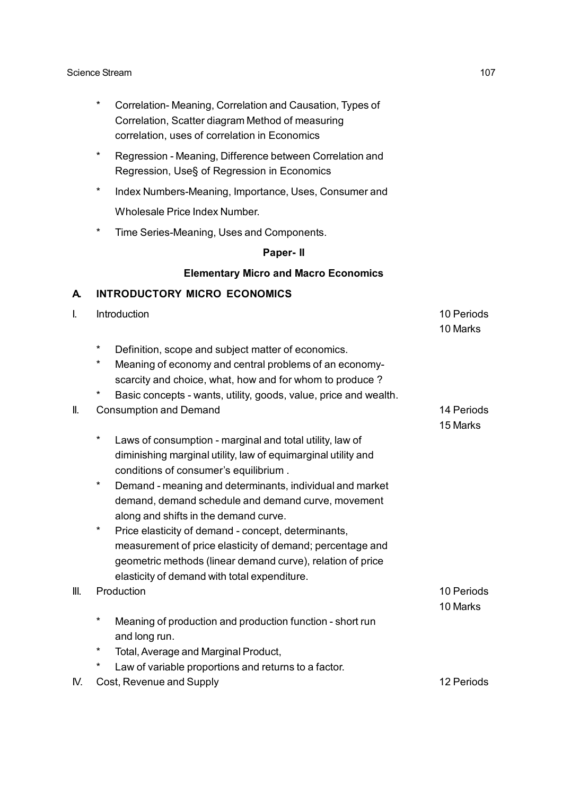- \* Correlation- Meaning, Correlation and Causation, Types of Correlation, Scatter diagram Method of measuring correlation, uses of correlation in Economics
- Regression Meaning, Difference between Correlation and Regression, Use§ of Regression in Economics
- Index Numbers-Meaning, Importance, Uses, Consumer and Wholesale Price Index Number.
- Time Series-Meaning, Uses and Components.

### **Paper- II**

### **Elementary Micro and Macro Economics**

### **A. INTRODUCTORY MICRO ECONOMICS**

I. Introduction **10 Periods** 10 Periods **10 Periods** 10 Marks \* Definition, scope and subject matter of economics. Meaning of economy and central problems of an economyscarcity and choice, what, how and for whom to produce ? Basic concepts - wants, utility, goods, value, price and wealth. II. Consumption and Demand 14 Periods 14 Periods 15 Marks Laws of consumption - marginal and total utility, law of diminishing marginal utility, law of equimarginal utility and conditions of consumer's equilibrium . Demand - meaning and determinants, individual and market demand, demand schedule and demand curve, movement along and shifts in the demand curve. Price elasticity of demand - concept, determinants, measurement of price elasticity of demand; percentage and geometric methods (linear demand curve), relation of price elasticity of demand with total expenditure. III. Production **10 Periods** 10 Marks Meaning of production and production function - short run and long run. Total, Average and Marginal Product, Law of variable proportions and returns to a factor. IV. Cost, Revenue and Supply 12 Periods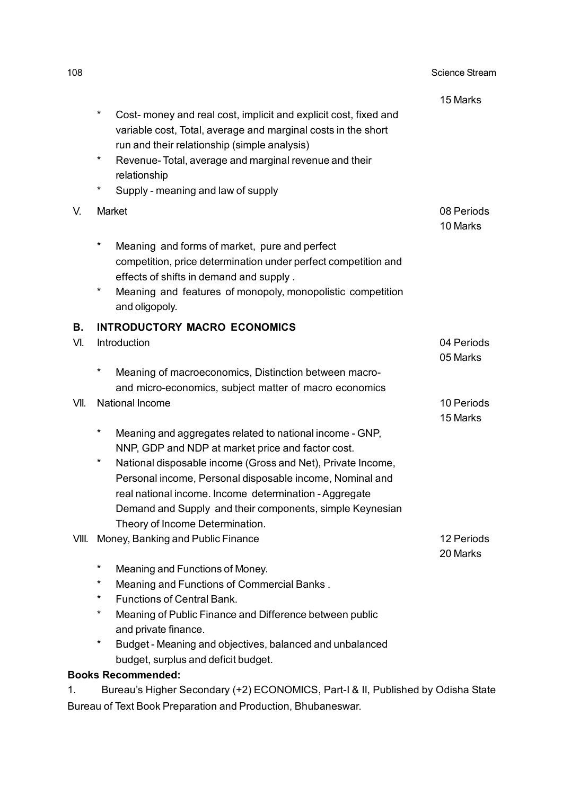| 108   |                                                                                                                                                                                               | <b>Science Stream</b>  |
|-------|-----------------------------------------------------------------------------------------------------------------------------------------------------------------------------------------------|------------------------|
|       |                                                                                                                                                                                               | 15 Marks               |
|       | $^\star$<br>Cost- money and real cost, implicit and explicit cost, fixed and<br>variable cost, Total, average and marginal costs in the short<br>run and their relationship (simple analysis) |                        |
|       | $^\star$<br>Revenue-Total, average and marginal revenue and their<br>relationship                                                                                                             |                        |
|       | $\ast$<br>Supply - meaning and law of supply                                                                                                                                                  |                        |
| V.    | Market                                                                                                                                                                                        | 08 Periods             |
|       |                                                                                                                                                                                               | 10 Marks               |
|       | $^\star$<br>Meaning and forms of market, pure and perfect                                                                                                                                     |                        |
|       | competition, price determination under perfect competition and                                                                                                                                |                        |
|       | effects of shifts in demand and supply.                                                                                                                                                       |                        |
|       | $\ast$<br>Meaning and features of monopoly, monopolistic competition<br>and oligopoly.                                                                                                        |                        |
| В.    | <b>INTRODUCTORY MACRO ECONOMICS</b>                                                                                                                                                           |                        |
| VI.   | Introduction                                                                                                                                                                                  | 04 Periods             |
|       |                                                                                                                                                                                               | 05 Marks               |
|       | *<br>Meaning of macroeconomics, Distinction between macro-                                                                                                                                    |                        |
|       | and micro-economics, subject matter of macro economics                                                                                                                                        |                        |
| VII.  | National Income                                                                                                                                                                               | 10 Periods<br>15 Marks |
|       | $^\star$<br>Meaning and aggregates related to national income - GNP,                                                                                                                          |                        |
|       | NNP, GDP and NDP at market price and factor cost.                                                                                                                                             |                        |
|       | $^\star$<br>National disposable income (Gross and Net), Private Income,                                                                                                                       |                        |
|       | Personal income, Personal disposable income, Nominal and                                                                                                                                      |                        |
|       | real national income. Income determination - Aggregate                                                                                                                                        |                        |
|       | Demand and Supply and their components, simple Keynesian                                                                                                                                      |                        |
|       | Theory of Income Determination.                                                                                                                                                               |                        |
| VIII. | Money, Banking and Public Finance                                                                                                                                                             | 12 Periods<br>20 Marks |
|       | $\ast$<br>Meaning and Functions of Money.                                                                                                                                                     |                        |
|       | $^\star$<br>Meaning and Functions of Commercial Banks.                                                                                                                                        |                        |
|       | $\ast$<br><b>Functions of Central Bank.</b>                                                                                                                                                   |                        |
|       | $^\star$<br>Meaning of Public Finance and Difference between public                                                                                                                           |                        |
|       | and private finance.<br>*                                                                                                                                                                     |                        |
|       | Budget - Meaning and objectives, balanced and unbalanced                                                                                                                                      |                        |
|       | budget, surplus and deficit budget.<br><b>Books Recommended:</b>                                                                                                                              |                        |
|       |                                                                                                                                                                                               |                        |

1. Bureau's Higher Secondary (+2) ECONOMICS, Part-I & II, Published by Odisha State Bureau of Text Book Preparation and Production, Bhubaneswar.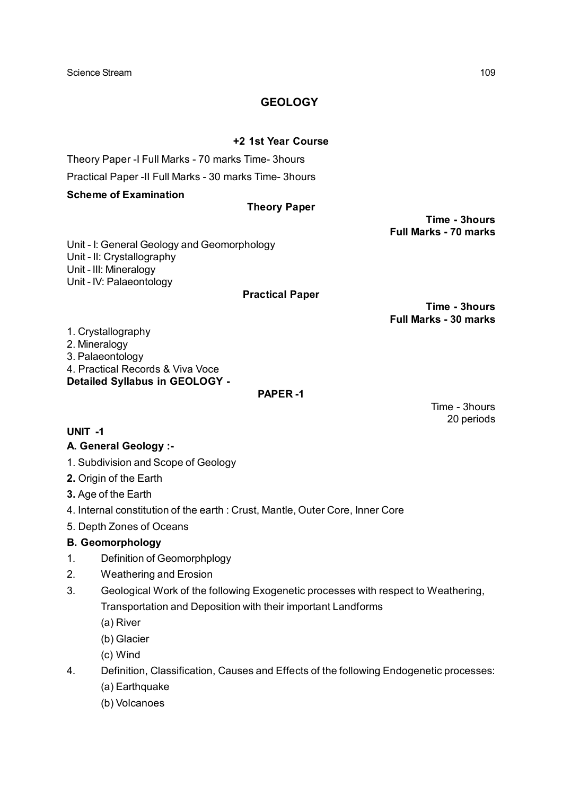### **GEOLOGY**

#### **+2 1st Year Course**

Theory Paper -I Full Marks - 70 marks Time- 3hours

Practical Paper -II Full Marks - 30 marks Time- 3hours

#### **Scheme of Examination**

#### **Theory Paper**

**Time - 3hours Full Marks - 70 marks**

Unit - I: General Geology and Geomorphology Unit - II: Crystallography Unit - III: Mineralogy Unit - IV: Palaeontology

#### **Practical Paper**

**Time - 3hours Full Marks - 30 marks**

> Time - 3hours 20 periods

1. Crystallography 2. Mineralogy 3. Palaeontology 4. Practical Records & Viva Voce **Detailed Syllabus in GEOLOGY -**

#### **PAPER -1**

**UNIT -1**

#### **A. General Geology :-**

- 1. Subdivision and Scope of Geology
- **2.** Origin of the Earth
- **3.** Age of the Earth
- 4. Internal constitution of the earth : Crust, Mantle, Outer Core, Inner Core
- 5. Depth Zones of Oceans

#### **B. Geomorphology**

- 1. Definition of Geomorphplogy
- 2. Weathering and Erosion
- 3. Geological Work of the following Exogenetic processes with respect to Weathering, Transportation and Deposition with their important Landforms
	- (a) River
	- (b) Glacier
	- (c) Wind
- 4. Definition, Classification, Causes and Effects of the following Endogenetic processes: (a) Earthquake
	- (b) Volcanoes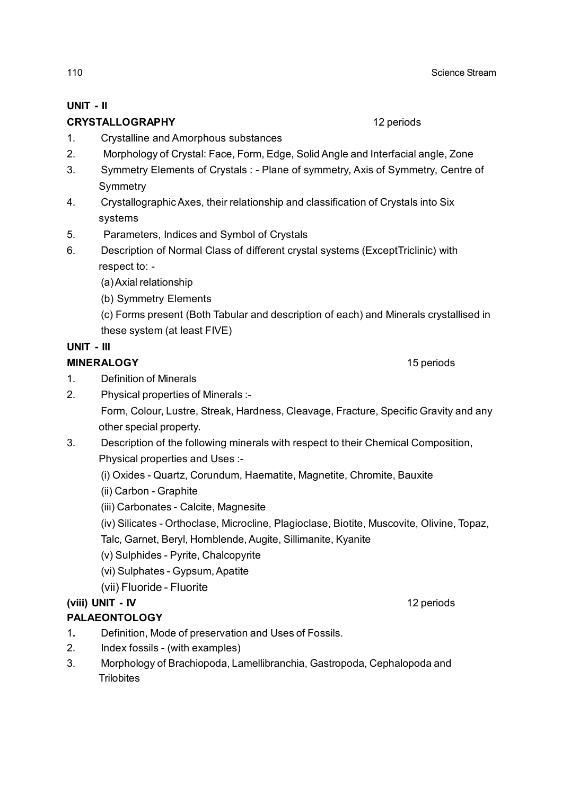# **UNIT - II**

## **CRYSTALLOGRAPHY** 12 periods

- 1. Crystalline and Amorphous substances
- 2. Morphology of Crystal: Face, Form, Edge, Solid Angle and Interfacial angle, Zone
- 3. Symmetry Elements of Crystals : Plane of symmetry, Axis of Symmetry, Centre of **Symmetry**
- 4. Crystallographic Axes, their relationship and classification of Crystals into Six systems
- 5. Parameters, Indices and Symbol of Crystals
- 6. Description of Normal Class of different crystal systems (ExceptTriclinic) with respect to: -
	- (a) Axial relationship
	- (b) Symmetry Elements
	- (c) Forms present (Both Tabular and description of each) and Minerals crystallised in these system (at least FIVE)

## **UNIT - III**

## **MINERALOGY** 15 periods

1. Definition of Minerals

- 2. Physical properties of Minerals :-
	- Form, Colour, Lustre, Streak, Hardness, Cleavage, Fracture, Specific Gravity and any other special property.
- 3. Description of the following minerals with respect to their Chemical Composition, Physical properties and Uses :-
	- (i) Oxides Quartz, Corundum, Haematite, Magnetite, Chromite, Bauxite
	- (ii) Carbon Graphite
	- (iii) Carbonates Calcite, Magnesite
	- (iv) Silicates Orthoclase, Microcline, Plagioclase, Biotite, Muscovite, Olivine, Topaz,
	- Talc, Garnet, Beryl, Hornblende, Augite, Sillimanite, Kyanite
	- (v) Sulphides Pyrite, Chalcopyrite
	- (vi) Sulphates Gypsum, Apatite
	- (vii) Fluoride Fluorite

## **(viii) UNIT - IV** 12 periods

## **PALAEONTOLOGY**

- 1**.** Definition, Mode of preservation and Uses of Fossils.
- 2. Index fossils (with examples)
- 3. Morphology of Brachiopoda, Lamellibranchia, Gastropoda, Cephalopoda and **Trilobites**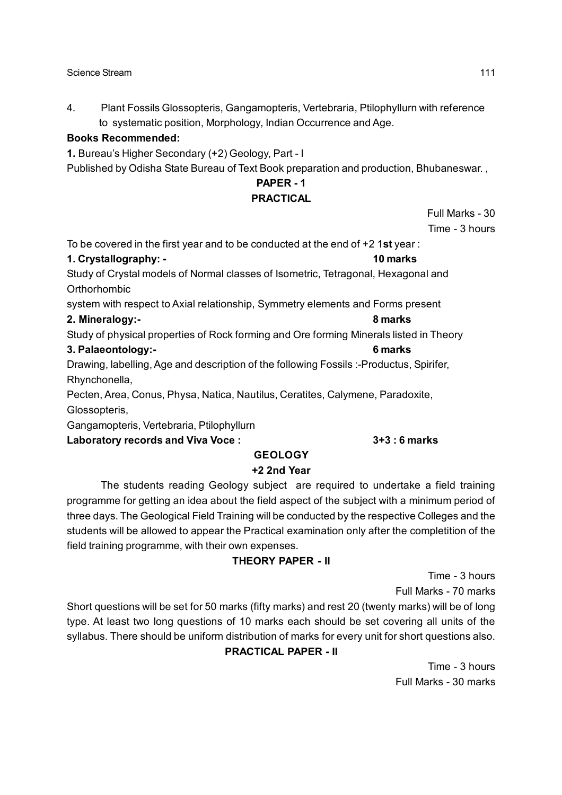#### Science Stream 111 and the stream of the stream in the stream of the stream in the stream of the stream in the stream of the stream in the stream in the stream of the stream in the stream in the stream in the stream in the

4. Plant Fossils Glossopteris, Gangamopteris, Vertebraria, Ptilophyllurn with reference to systematic position, Morphology, Indian Occurrence and Age.

#### **Books Recommended:**

**1.** Bureau's Higher Secondary (+2) Geology, Part - I

Published by Odisha State Bureau of Text Book preparation and production, Bhubaneswar. ,

## **PAPER - 1**

#### **PRACTICAL**

Full Marks - 30 Time - 3 hours

To be covered in the first year and to be conducted at the end of +2 1**st** year :

#### **1. Crystallography: - 10 marks**

Study of Crystal models of Normal classes of Isometric, Tetragonal, Hexagonal and **Orthorhombic** 

system with respect to Axial relationship, Symmetry elements and Forms present

#### **2. Mineralogy:- 8 marks**

Study of physical properties of Rock forming and Ore forming Minerals listed in Theory

#### **3. Palaeontology:- 6 marks**

Drawing, labelling, Age and description of the following Fossils :-Productus, Spirifer, Rhynchonella,

Pecten, Area, Conus, Physa, Natica, Nautilus, Ceratites, Calymene, Paradoxite, Glossopteris,

Gangamopteris, Vertebraria, Ptilophyllurn

#### **Laboratory records and Viva Voce : 3+3 : 6 marks**

#### **GEOLOGY**

#### **+2 2nd Year**

The students reading Geology subject are required to undertake a field training programme for getting an idea about the field aspect of the subject with a minimum period of three days. The Geological Field Training will be conducted by the respective Colleges and the students will be allowed to appear the Practical examination only after the completition of the field training programme, with their own expenses.

#### **THEORY PAPER - II**

Time - 3 hours Full Marks - 70 marks

Short questions will be set for 50 marks (fifty marks) and rest 20 (twenty marks) will be of long type. At least two long questions of 10 marks each should be set covering all units of the syllabus. There should be uniform distribution of marks for every unit for short questions also.

#### **PRACTICAL PAPER - II**

Time - 3 hours Full Marks - 30 marks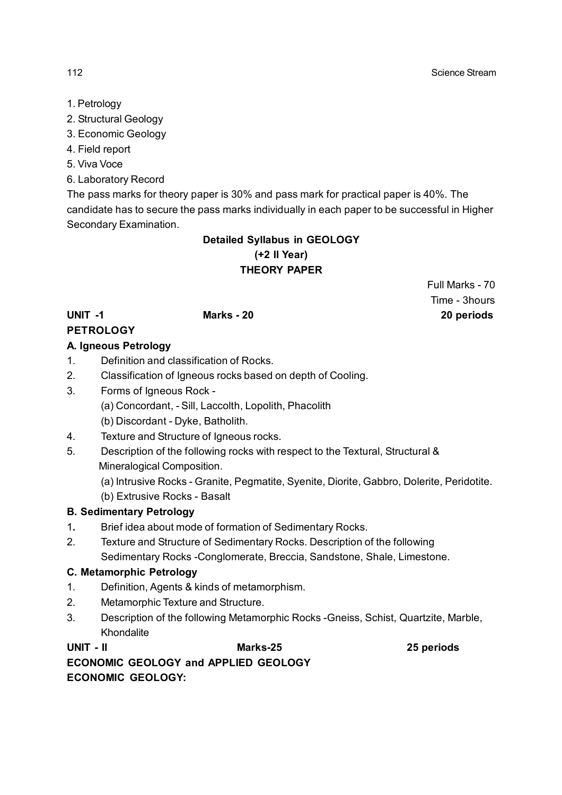- 1. Petrology
- 2. Structural Geology
- 3. Economic Geology
- 4. Field report
- 5. Viva Voce
- 6. Laboratory Record

The pass marks for theory paper is 30% and pass mark for practical paper is 40%. The candidate has to secure the pass marks individually in each paper to be successful in Higher Secondary Examination.

### **Detailed Syllabus in GEOLOGY (+2 II Year) THEORY PAPER**

#### **PETROLOGY A. Igneous Petrology**

- 1. Definition and classification of Rocks.
- 2. Classification of Igneous rocks based on depth of Cooling.
- 3. Forms of Igneous Rock
	- (a) Concordant, Sill, Laccolth, Lopolith, Phacolith
	- (b) Discordant Dyke, Batholith.
- 4. Texture and Structure of Igneous rocks.
- 5. Description of the following rocks with respect to the Textural, Structural & Mineralogical Composition.
	- (a) Intrusive Rocks Granite, Pegmatite, Syenite, Diorite, Gabbro, Dolerite, Peridotite.
	- (b) Extrusive Rocks Basalt

#### **B. Sedimentary Petrology**

- 1**.** Brief idea about mode of formation of Sedimentary Rocks.
- 2. Texture and Structure of Sedimentary Rocks. Description of the following Sedimentary Rocks -Conglomerate, Breccia, Sandstone, Shale, Limestone.

#### **C. Metamorphic Petrology**

- 1. Definition, Agents & kinds of metamorphism.
- 2. Metamorphic Texture and Structure.
- 3. Description of the following Metamorphic Rocks -Gneiss, Schist, Quartzite, Marble, Khondalite

**UNIT - II Marks-25 25 periods ECONOMIC GEOLOGY and APPLIED GEOLOGY ECONOMIC GEOLOGY:**

Full Marks - 70 Time - 3hours **UNIT -1 Marks - 20 20 periods**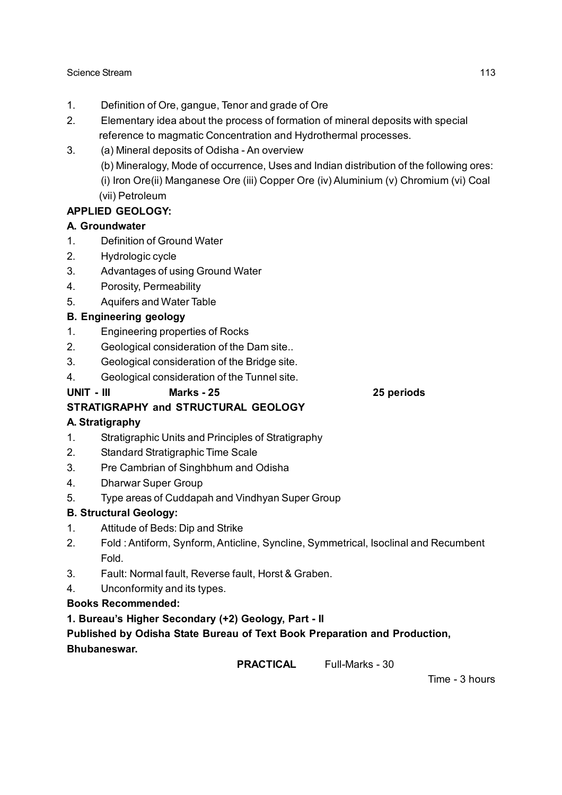- 1. Definition of Ore, gangue, Tenor and grade of Ore
- 2. Elementary idea about the process of formation of mineral deposits with special reference to magmatic Concentration and Hydrothermal processes.
- 3. (a) Mineral deposits of Odisha An overview
	- (b) Mineralogy, Mode of occurrence, Uses and Indian distribution of the following ores:
	- (i) Iron Ore(ii) Manganese Ore (iii) Copper Ore (iv) Aluminium (v) Chromium (vi) Coal (vii) Petroleum

## **APPLIED GEOLOGY:**

### **A. Groundwater**

- 1. Definition of Ground Water
- 2. Hydrologic cycle
- 3. Advantages of using Ground Water
- 4. Porosity, Permeability
- 5. Aquifers and Water Table

### **B. Engineering geology**

- 1. Engineering properties of Rocks
- 2. Geological consideration of the Dam site..
- 3. Geological consideration of the Bridge site.
- 4. Geological consideration of the Tunnel site.

#### **UNIT - III Marks - 25 25 periods**

## **STRATIGRAPHY and STRUCTURAL GEOLOGY**

## **A. Stratigraphy**

- 1. Stratigraphic Units and Principles of Stratigraphy
- 2. Standard Stratigraphic Time Scale
- 3. Pre Cambrian of Singhbhum and Odisha
- 4. Dharwar Super Group
- 5. Type areas of Cuddapah and Vindhyan Super Group

#### **B. Structural Geology:**

- 1. Attitude of Beds: Dip and Strike
- 2. Fold : Antiform, Synform, Anticline, Syncline, Symmetrical, Isoclinal and Recumbent Fold.
- 3. Fault: Normal fault, Reverse fault, Horst & Graben.
- 4. Unconformity and its types.

#### **Books Recommended:**

**1. Bureau's Higher Secondary (+2) Geology, Part - II**

### **Published by Odisha State Bureau of Text Book Preparation and Production, Bhubaneswar.**

**PRACTICAL** Full-Marks - 30

Time - 3 hours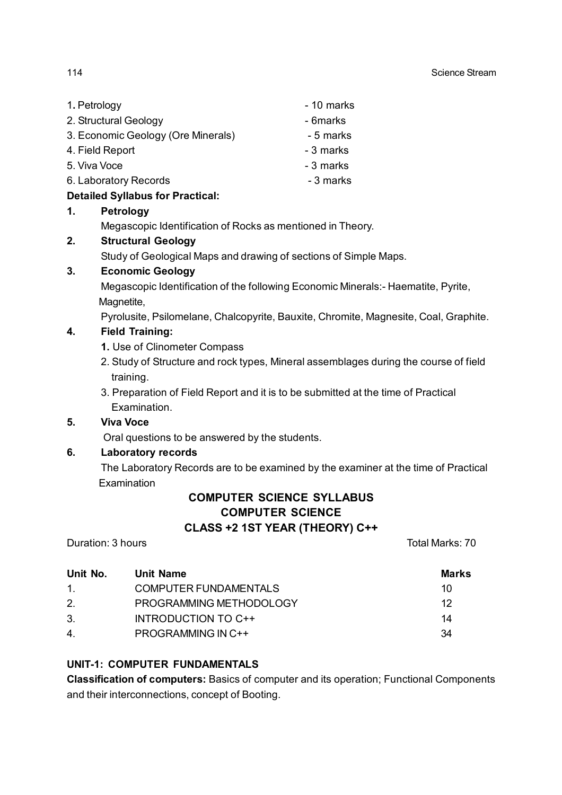| 1. Petrology                       | - 10 marks |
|------------------------------------|------------|
| 2. Structural Geology              | - 6marks   |
| 3. Economic Geology (Ore Minerals) | - 5 marks  |
| 4. Field Report                    | - 3 marks  |
| 5. Viva Voce                       | - 3 marks  |
| 6. Laboratory Records              | - 3 marks  |
| .                                  |            |

#### **Detailed Syllabus for Practical: 1. Petrology**

Megascopic Identification of Rocks as mentioned in Theory.

#### **2. Structural Geology**

Study of Geological Maps and drawing of sections of Simple Maps.

#### **3. Economic Geology**

Megascopic Identification of the following Economic Minerals:- Haematite, Pyrite, Magnetite.

Pyrolusite, Psilomelane, Chalcopyrite, Bauxite, Chromite, Magnesite, Coal, Graphite.

#### **4. Field Training:**

- **1.** Use of Clinometer Compass
- 2. Study of Structure and rock types, Mineral assemblages during the course of field training.
- 3. Preparation of Field Report and it is to be submitted at the time of Practical Examination.

#### **5. Viva Voce**

Oral questions to be answered by the students.

#### **6. Laboratory records**

The Laboratory Records are to be examined by the examiner at the time of Practical Examination

## **COMPUTER SCIENCE SYLLABUS COMPUTER SCIENCE CLASS +2 1ST YEAR (THEORY) C++**

Duration: 3 hours **Total Marks: 70** 

| Unit No. | Unit Name                 | <b>Marks</b> |
|----------|---------------------------|--------------|
| 1.       | COMPUTER FUNDAMENTALS     | 10           |
| 2.       | PROGRAMMING METHODOLOGY   | 12           |
| 3.       | INTRODUCTION TO C++       | 14           |
| 4.       | <b>PROGRAMMING IN C++</b> | 34           |

#### **UNIT-1: COMPUTER FUNDAMENTALS**

**Classification of computers:** Basics of computer and its operation; Functional Components and their interconnections, concept of Booting.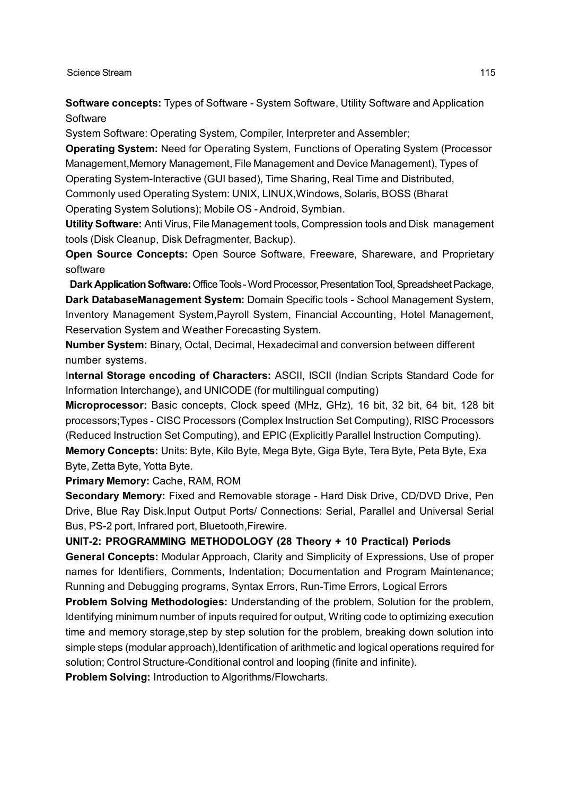**Software concepts:** Types of Software - System Software, Utility Software and Application **Software** 

System Software: Operating System, Compiler, Interpreter and Assembler;

**Operating System:** Need for Operating System, Functions of Operating System (Processor Management,Memory Management, File Management and Device Management), Types of Operating System-Interactive (GUI based), Time Sharing, Real Time and Distributed, Commonly used Operating System: UNIX, LINUX,Windows, Solaris, BOSS (Bharat

Operating System Solutions); Mobile OS - Android, Symbian.

**Utility Software:** Anti Virus, File Management tools, Compression tools and Disk management tools (Disk Cleanup, Disk Defragmenter, Backup).

**Open Source Concepts:** Open Source Software, Freeware, Shareware, and Proprietary software

 **Dark Application Software:** Office Tools - Word Processor, Presentation Tool, Spreadsheet Package, **Dark DatabaseManagement System:** Domain Specific tools - School Management System, Inventory Management System,Payroll System, Financial Accounting, Hotel Management, Reservation System and Weather Forecasting System.

**Number System:** Binary, Octal, Decimal, Hexadecimal and conversion between different number systems.

I**nternal Storage encoding of Characters:** ASCII, ISCII (Indian Scripts Standard Code for Information Interchange), and UNICODE (for multilingual computing)

**Microprocessor:** Basic concepts, Clock speed (MHz, GHz), 16 bit, 32 bit, 64 bit, 128 bit processors;Types - CISC Processors (Complex Instruction Set Computing), RISC Processors (Reduced Instruction Set Computing), and EPIC (Explicitly Parallel Instruction Computing).

**Memory Concepts:** Units: Byte, Kilo Byte, Mega Byte, Giga Byte, Tera Byte, Peta Byte, Exa Byte, Zetta Byte, Yotta Byte.

**Primary Memory:** Cache, RAM, ROM

**Secondary Memory:** Fixed and Removable storage - Hard Disk Drive, CD/DVD Drive, Pen Drive, Blue Ray Disk.Input Output Ports/ Connections: Serial, Parallel and Universal Serial Bus, PS-2 port, Infrared port, Bluetooth,Firewire.

#### **UNIT-2: PROGRAMMING METHODOLOGY (28 Theory + 10 Practical) Periods**

**General Concepts:** Modular Approach, Clarity and Simplicity of Expressions, Use of proper names for Identifiers, Comments, Indentation; Documentation and Program Maintenance; Running and Debugging programs, Syntax Errors, Run-Time Errors, Logical Errors

**Problem Solving Methodologies:** Understanding of the problem, Solution for the problem, Identifying minimum number of inputs required for output, Writing code to optimizing execution time and memory storage,step by step solution for the problem, breaking down solution into simple steps (modular approach), Identification of arithmetic and logical operations required for solution; Control Structure-Conditional control and looping (finite and infinite).

**Problem Solving:** Introduction to Algorithms/Flowcharts.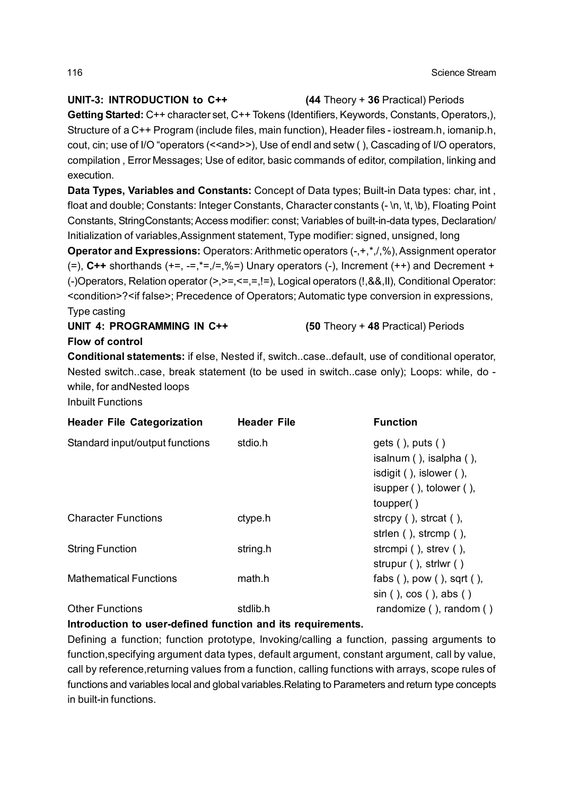#### **UNIT-3: INTRODUCTION to C++ (44** Theory + **36** Practical) Periods

**Getting Started:** C++ character set, C++ Tokens (Identifiers, Keywords, Constants, Operators,), Structure of a C++ Program (include files, main function), Header files - iostream.h, iomanip.h, cout, cin; use of I/O "operators (<<and>>), Use of endl and setw (), Cascading of I/O operators, compilation , Error Messages; Use of editor, basic commands of editor, compilation, linking and execution.

**Data Types, Variables and Constants:** Concept of Data types; Built-in Data types: char, int , float and double; Constants: Integer Constants, Character constants (- \n, \t, \b), Floating Point Constants, StringConstants; Access modifier: const; Variables of built-in-data types, Declaration/ Initialization of variables,Assignment statement, Type modifier: signed, unsigned, long

**Operator and Expressions:** Operators: Arithmetic operators (-,+,\*,/,%), Assignment operator  $(=)$ ,  $C++$  shorthands  $(+=,-=,-,-,-,-)$  Unary operators  $(-)$ , Increment  $(++)$  and Decrement + (-)Operators, Relation operator (>,>=,<=,=,!=), Logical operators (!,&&,II), Conditional Operator: <condition>?<if false>; Precedence of Operators; Automatic type conversion in expressions, Type casting

**UNIT 4: PROGRAMMING IN C++ (50** Theory + **48** Practical) Periods

### **Flow of control**

**Conditional statements:** if else, Nested if, switch..case..default, use of conditional operator, Nested switch..case, break statement (to be used in switch..case only); Loops: while, do while, for andNested loops

Inbuilt Functions

| <b>Header File Categorization</b> | <b>Header File</b> | <b>Function</b>                                                                                                                  |
|-----------------------------------|--------------------|----------------------------------------------------------------------------------------------------------------------------------|
| Standard input/output functions   | stdio.h            | $gets($ , puts()<br>isalnum $($ ), isalpha $($ ),<br>isdigit $($ ), islower $($ ),<br>isupper $($ ), tolower $($ ),<br>toupper() |
| <b>Character Functions</b>        | ctype.h            | strcpy $($ ), strcat $($ ),<br>strien $($ ), strcmp $($ ),                                                                       |
| <b>String Function</b>            | string.h           | strcmpi $($ ), strev $($ ),<br>strupur (), strlwr ()                                                                             |
| <b>Mathematical Functions</b>     | math.h             | fabs $($ ), pow $($ ), sqrt $($ $),$<br>$sin($ , $cos($ , $abs($                                                                 |
| <b>Other Functions</b>            | stdlib.h           | randomize $($ ), random $($ $)$                                                                                                  |

## **Introduction to user-defined function and its requirements.**

Defining a function; function prototype, Invoking/calling a function, passing arguments to function,specifying argument data types, default argument, constant argument, call by value, call by reference,returning values from a function, calling functions with arrays, scope rules of functions and variables local and global variables.Relating to Parameters and return type concepts in built-in functions.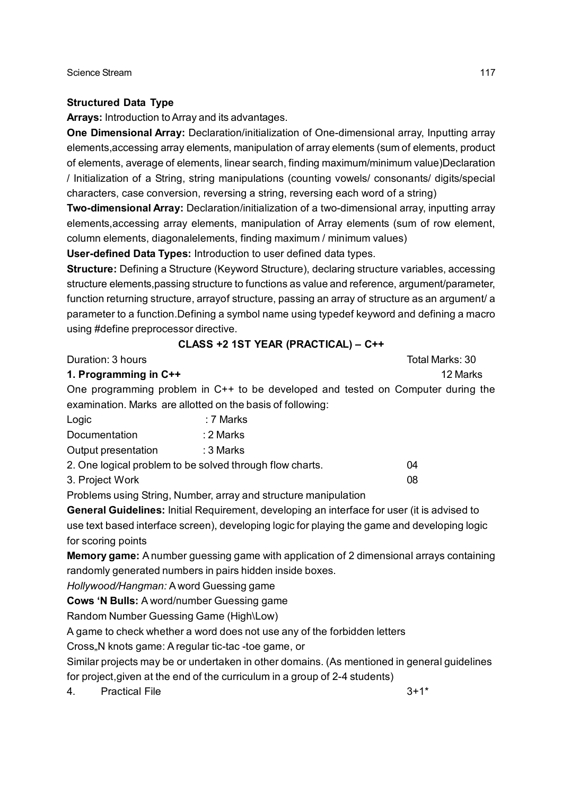#### **Structured Data Type**

**Arrays:** Introduction to Array and its advantages.

**One Dimensional Array:** Declaration/initialization of One-dimensional array, Inputting array elements,accessing array elements, manipulation of array elements (sum of elements, product of elements, average of elements, linear search, finding maximum/minimum value)Declaration / Initialization of a String, string manipulations (counting vowels/ consonants/ digits/special characters, case conversion, reversing a string, reversing each word of a string)

**Two-dimensional Array:** Declaration/initialization of a two-dimensional array, inputting array elements,accessing array elements, manipulation of Array elements (sum of row element, column elements, diagonalelements, finding maximum / minimum values)

**User-defined Data Types:** Introduction to user defined data types.

**Structure:** Defining a Structure (Keyword Structure), declaring structure variables, accessing structure elements,passing structure to functions as value and reference, argument/parameter, function returning structure, arrayof structure, passing an array of structure as an argument/ a parameter to a function.Defining a symbol name using typedef keyword and defining a macro using #define preprocessor directive.

| using #define preprocessor directive. |                                                                                                                                                            |                 |
|---------------------------------------|------------------------------------------------------------------------------------------------------------------------------------------------------------|-----------------|
|                                       | CLASS +2 1ST YEAR (PRACTICAL) - C++                                                                                                                        |                 |
| Duration: 3 hours                     |                                                                                                                                                            | Total Marks: 30 |
| 1. Programming in C++                 |                                                                                                                                                            | 12 Marks        |
|                                       | One programming problem in C++ to be developed and tested on Computer during the                                                                           |                 |
|                                       | examination. Marks are allotted on the basis of following:                                                                                                 |                 |
| Logic                                 | : 7 Marks                                                                                                                                                  |                 |
| Documentation                         | : 2 Marks                                                                                                                                                  |                 |
| Output presentation                   | $:3$ Marks                                                                                                                                                 |                 |
|                                       | 2. One logical problem to be solved through flow charts.                                                                                                   | 04              |
| 3. Project Work                       |                                                                                                                                                            | 08              |
|                                       | Problems using String, Number, array and structure manipulation                                                                                            |                 |
|                                       | <b>General Guidelines:</b> Initial Requirement, developing an interface for user (it is advised to                                                         |                 |
|                                       | use text based interface screen), developing logic for playing the game and developing logic                                                               |                 |
| for scoring points                    |                                                                                                                                                            |                 |
|                                       | <b>Memory game:</b> A number guessing game with application of 2 dimensional arrays containing<br>randomly generated numbers in pairs hidden inside boxes. |                 |
|                                       |                                                                                                                                                            |                 |

*Hollywood/Hangman:* A word Guessing game

**Cows 'N Bulls:** A word/number Guessing game

Random Number Guessing Game (High\Low)

A game to check whether a word does not use any of the forbidden letters

Cross. N knots game: A regular tic-tac -toe game, or

Similar projects may be or undertaken in other domains. (As mentioned in general guidelines for project,given at the end of the curriculum in a group of 2-4 students)

4. Practical File 3+1\*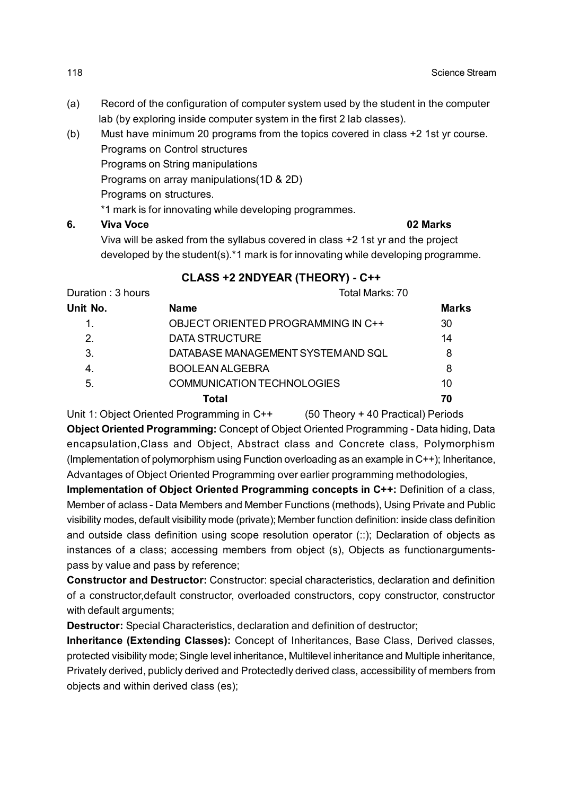- (a) Record of the configuration of computer system used by the student in the computer lab (by exploring inside computer system in the first 2 lab classes).
- (b) Must have minimum 20 programs from the topics covered in class +2 1st yr course. Programs on Control structures Programs on String manipulations Programs on array manipulations(1D & 2D) Programs on structures. \*1 mark is for innovating while developing programmes. **6. Viva Voce 02 Marks**

Viva will be asked from the syllabus covered in class +2 1st yr and the project developed by the student(s).\*1 mark is for innovating while developing programme.

#### **CLASS +2 2NDYEAR (THEORY) - C++**

| Duration: 3 hours | Total Marks: 70                    |              |  |
|-------------------|------------------------------------|--------------|--|
| Unit No.          | <b>Name</b>                        | <b>Marks</b> |  |
|                   | OBJECT ORIENTED PROGRAMMING IN C++ | 30           |  |
| 2 <sub>1</sub>    | DATA STRUCTURE                     | 14           |  |
| 3.                | DATABASE MANAGEMENT SYSTEM AND SQL | 8            |  |
| 4.                | <b>BOOLEAN ALGEBRA</b>             | 8            |  |
| 5.                | <b>COMMUNICATION TECHNOLOGIES</b>  | 10           |  |
|                   | Total                              | 70           |  |

Unit 1: Object Oriented Programming in C++ (50 Theory + 40 Practical) Periods **Object Oriented Programming:** Concept of Object Oriented Programming - Data hiding, Data encapsulation,Class and Object, Abstract class and Concrete class, Polymorphism (Implementation of polymorphism using Function overloading as an example in C++); Inheritance, Advantages of Object Oriented Programming over earlier programming methodologies,

**Implementation of Object Oriented Programming concepts in C++:** Definition of a class, Member of aclass - Data Members and Member Functions (methods), Using Private and Public visibility modes, default visibility mode (private); Member function definition: inside class definition and outside class definition using scope resolution operator (::); Declaration of objects as instances of a class; accessing members from object (s), Objects as functionargumentspass by value and pass by reference;

**Constructor and Destructor:** Constructor: special characteristics, declaration and definition of a constructor,default constructor, overloaded constructors, copy constructor, constructor with default arguments;

**Destructor:** Special Characteristics, declaration and definition of destructor;

**Inheritance (Extending Classes):** Concept of Inheritances, Base Class, Derived classes, protected visibility mode; Single level inheritance, Multilevel inheritance and Multiple inheritance, Privately derived, publicly derived and Protectedly derived class, accessibility of members from objects and within derived class (es);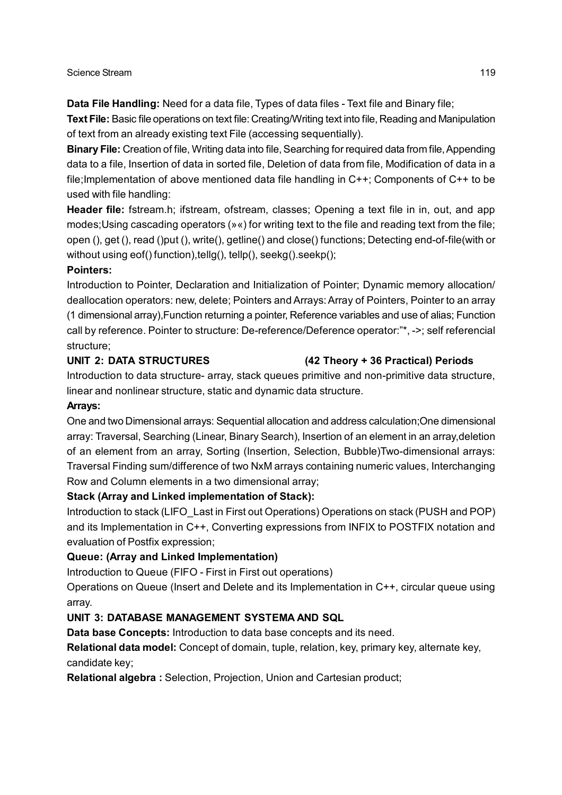**Data File Handling:** Need for a data file, Types of data files - Text file and Binary file;

**Text File:** Basic file operations on text file: Creating/Writing text into file, Reading and Manipulation of text from an already existing text File (accessing sequentially).

**Binary File:** Creation of file, Writing data into file, Searching for required data from file, Appending data to a file, Insertion of data in sorted file, Deletion of data from file, Modification of data in a file;Implementation of above mentioned data file handling in C++; Components of C++ to be used with file handling:

**Header file:** fstream.h; ifstream, ofstream, classes; Opening a text file in in, out, and app modes;Using cascading operators (»«) for writing text to the file and reading text from the file; open (), get (), read ()put (), write(), getline() and close() functions; Detecting end-of-file(with or without using eof() function), tellg(), tellp(), seekg().seekp();

#### **Pointers:**

Introduction to Pointer, Declaration and Initialization of Pointer; Dynamic memory allocation/ deallocation operators: new, delete; Pointers and Arrays: Array of Pointers, Pointer to an array (1 dimensional array),Function returning a pointer, Reference variables and use of alias; Function call by reference. Pointer to structure: De-reference/Deference operator:"\*, ->; self referencial structure;

#### **UNIT 2: DATA STRUCTURES (42 Theory + 36 Practical) Periods**

Introduction to data structure- array, stack queues primitive and non-primitive data structure, linear and nonlinear structure, static and dynamic data structure.

#### **Arrays:**

One and two Dimensional arrays: Sequential allocation and address calculation;One dimensional array: Traversal, Searching (Linear, Binary Search), Insertion of an element in an array,deletion of an element from an array, Sorting (Insertion, Selection, Bubble)Two-dimensional arrays: Traversal Finding sum/difference of two NxM arrays containing numeric values, Interchanging Row and Column elements in a two dimensional array;

## **Stack (Array and Linked implementation of Stack):**

Introduction to stack (LIFO\_Last in First out Operations) Operations on stack (PUSH and POP) and its Implementation in C++, Converting expressions from INFIX to POSTFIX notation and evaluation of Postfix expression;

## **Queue: (Array and Linked Implementation)**

Introduction to Queue (FIFO - First in First out operations)

Operations on Queue (Insert and Delete and its Implementation in C++, circular queue using array.

## **UNIT 3: DATABASE MANAGEMENT SYSTEMA AND SQL**

**Data base Concepts:** Introduction to data base concepts and its need.

**Relational data model:** Concept of domain, tuple, relation, key, primary key, alternate key, candidate key;

**Relational algebra :** Selection, Projection, Union and Cartesian product;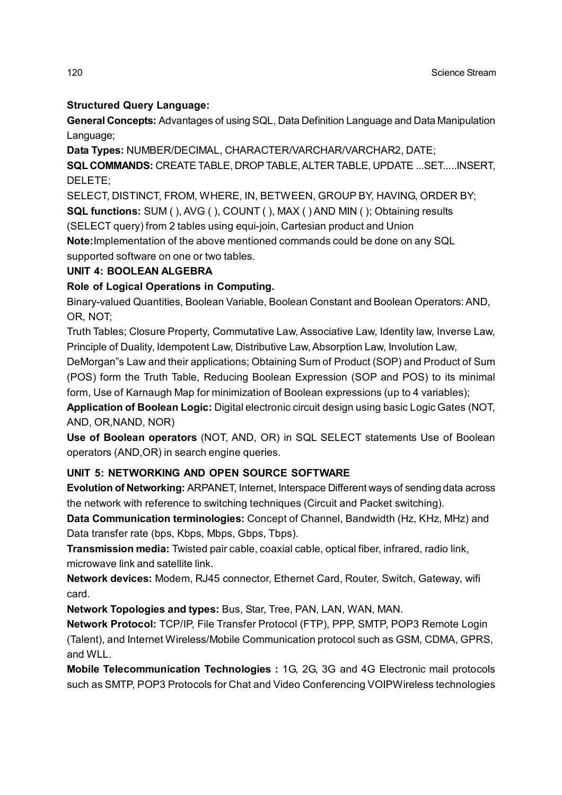## **Structured Query Language:**

**General Concepts:** Advantages of using SQL, Data Definition Language and Data Manipulation Language;

**Data Types:** NUMBER/DECIMAL, CHARACTER/VARCHAR/VARCHAR2, DATE;

**SQL COMMANDS:** CREATE TABLE, DROP TABLE, ALTER TABLE, UPDATE ...SET.....INSERT, DELETE;

SELECT, DISTINCT, FROM, WHERE, IN, BETWEEN, GROUP BY, HAVING, ORDER BY; **SQL functions:** SUM ( ), AVG ( ), COUNT ( ), MAX ( ) AND MIN ( ); Obtaining results (SELECT query) from 2 tables using equi-join, Cartesian product and Union **Note:**Implementation of the above mentioned commands could be done on any SQL

supported software on one or two tables.

#### **UNIT 4: BOOLEAN ALGEBRA**

### **Role of Logical Operations in Computing.**

Binary-valued Quantities, Boolean Variable, Boolean Constant and Boolean Operators: AND, OR, NOT;

Truth Tables; Closure Property, Commutative Law, Associative Law, Identity law, Inverse Law, Principle of Duality, Idempotent Law, Distributive Law, Absorption Law, Involution Law,

DeMorgan"s Law and their applications; Obtaining Sum of Product (SOP) and Product of Sum (POS) form the Truth Table, Reducing Boolean Expression (SOP and POS) to its minimal form, Use of Karnaugh Map for minimization of Boolean expressions (up to 4 variables);

**Application of Boolean Logic:** Digital electronic circuit design using basic Logic Gates (NOT, AND, OR,NAND, NOR)

**Use of Boolean operators** (NOT, AND, OR) in SQL SELECT statements Use of Boolean operators (AND,OR) in search engine queries.

## **UNIT 5: NETWORKING AND OPEN SOURCE SOFTWARE**

**Evolution of Networking:** ARPANET, Internet, Interspace Different ways of sending data across the network with reference to switching techniques (Circuit and Packet switching).

**Data Communication terminologies:** Concept of Channel, Bandwidth (Hz, KHz, MHz) and Data transfer rate (bps, Kbps, Mbps, Gbps, Tbps).

**Transmission media:** Twisted pair cable, coaxial cable, optical fiber, infrared, radio link, microwave link and satellite link.

**Network devices:** Modem, RJ45 connector, Ethernet Card, Router, Switch, Gateway, wifi card.

**Network Topologies and types:** Bus, Star, Tree, PAN, LAN, WAN, MAN.

**Network Protocol:** TCP/IP, File Transfer Protocol (FTP), PPP, SMTP, POP3 Remote Login (Talent), and Internet Wireless/Mobile Communication protocol such as GSM, CDMA, GPRS, and WLL.

**Mobile Telecommunication Technologies :** 1G, 2G, 3G and 4G Electronic mail protocols such as SMTP, POP3 Protocols for Chat and Video Conferencing VOIPWireless technologies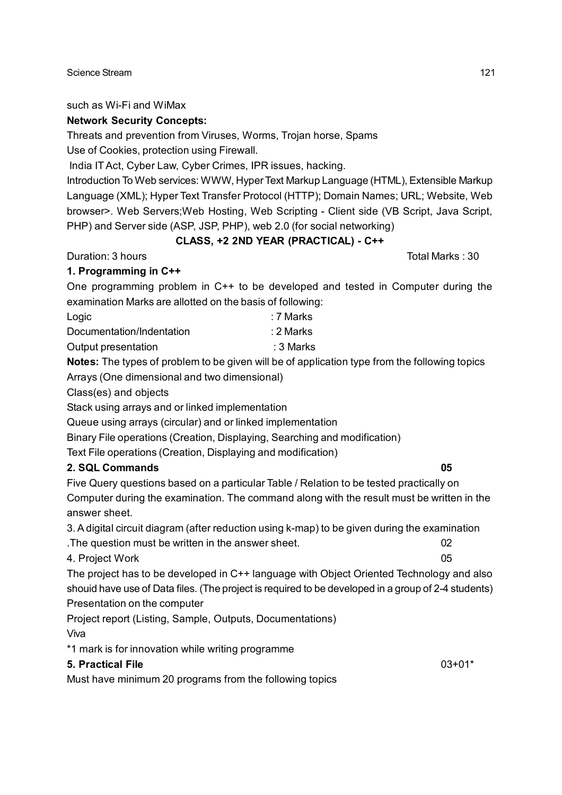such as Wi-Fi and WiMax

### **Network Security Concepts:**

Threats and prevention from Viruses, Worms, Trojan horse, Spams

Use of Cookies, protection using Firewall.

India IT Act, Cyber Law, Cyber Crimes, IPR issues, hacking.

Introduction To Web services: WWW, Hyper Text Markup Language (HTML), Extensible Markup Language (XML); Hyper Text Transfer Protocol (HTTP); Domain Names; URL; Website, Web browser>. Web Servers;Web Hosting, Web Scripting - Client side (VB Script, Java Script, PHP) and Server side (ASP, JSP, PHP), web 2.0 (for social networking)

## **CLASS, +2 2ND YEAR (PRACTICAL) - C++**

Duration: 3 hours **Total Marks** : 30

## **1. Programming in C++**

One programming problem in C++ to be developed and tested in Computer during the examination Marks are allotted on the basis of following:

| Logic                     | ∶7 Marks |
|---------------------------|----------|
| Documentation/Indentation | ∴2 Marks |
| Output presentation       | :3 Marks |

**Notes:** The types of problem to be given will be of application type from the following topics

Arrays (One dimensional and two dimensional)

Class(es) and objects

Stack using arrays and or linked implementation

Queue using arrays (circular) and or linked implementation

Binary File operations (Creation, Displaying, Searching and modification)

Text File operations (Creation, Displaying and modification)

## **2. SQL Commands 05**

Five Query questions based on a particular Table / Relation to be tested practically on Computer during the examination. The command along with the result must be written in the answer sheet.

3. A digital circuit diagram (after reduction using k-map) to be given during the examination .The question must be written in the answer sheet. 02

4. Project Work 05

The project has to be developed in C++ language with Object Oriented Technology and also shouid have use of Data files. (The project is required to be developed in a group of 2-4 students) Presentation on the computer

Project report (Listing, Sample, Outputs, Documentations)

Viva

\*1 mark is for innovation while writing programme

#### **5. Practical File** 03+01\*

Must have minimum 20 programs from the following topics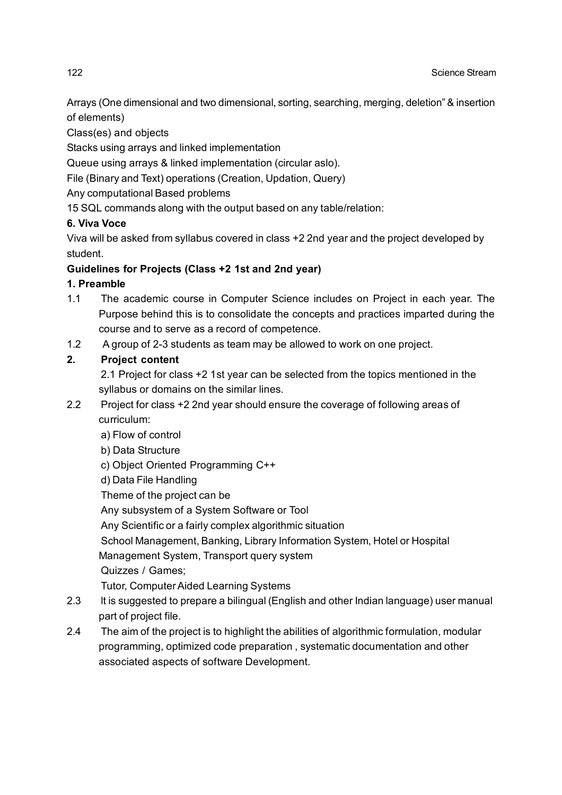Arrays (One dimensional and two dimensional, sorting, searching, merging, deletion" & insertion of elements)

Class(es) and objects

Stacks using arrays and linked implementation

Queue using arrays & linked implementation (circular aslo).

File (Binary and Text) operations (Creation, Updation, Query)

Any computational Based problems

15 SQL commands along with the output based on any table/relation:

## **6. Viva Voce**

Viva will be asked from syllabus covered in class +2 2nd year and the project developed by student.

## **Guidelines for Projects (Class +2 1st and 2nd year)**

## **1. Preamble**

- 1.1 The academic course in Computer Science includes on Project in each year. The Purpose behind this is to consolidate the concepts and practices imparted during the course and to serve as a record of competence.
- 1.2 A group of 2-3 students as team may be allowed to work on one project.

## **2. Project content**

2.1 Project for class +2 1st year can be selected from the topics mentioned in the syllabus or domains on the similar lines.

- 2.2 Project for class +2 2nd year should ensure the coverage of following areas of curriculum:
	- a) Flow of control
	- b) Data Structure

## c) Object Oriented Programming C++

d) Data File Handling

Theme of the project can be

Any subsystem of a System Software or Tool

Any Scientific or a fairly complex algorithmic situation

School Management, Banking, Library Information System, Hotel or Hospital

Management System, Transport query system

Quizzes / Games;

Tutor, Computer Aided Learning Systems

- 2.3 lt is suggested to prepare a bilingual (English and other Indian language) user manual part of project file.
- 2.4 The aim of the project is to highlight the abilities of algorithmic formulation, modular programming, optimized code preparation , systematic documentation and other associated aspects of software Development.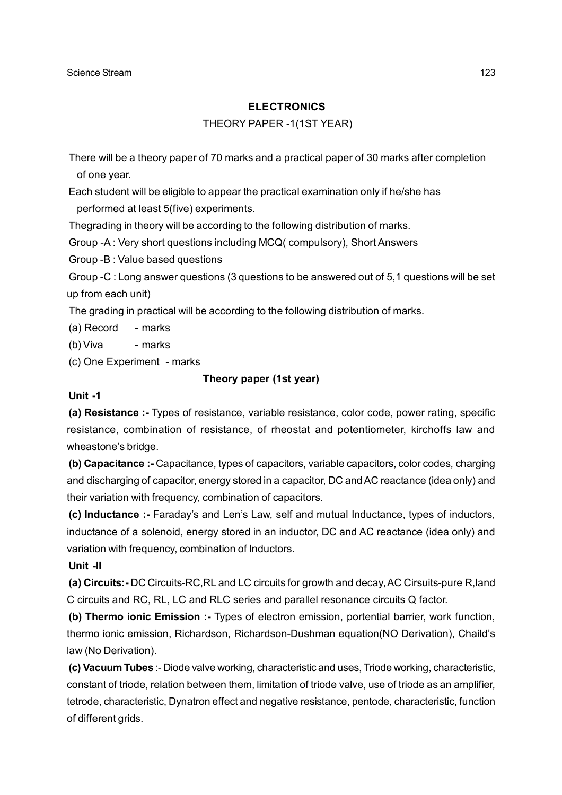#### **ELECTRONICS**

#### THEORY PAPER -1(1ST YEAR)

There will be a theory paper of 70 marks and a practical paper of 30 marks after completion of one year.

Each student will be eligible to appear the practical examination only if he/she has performed at least 5(five) experiments.

Thegrading in theory will be according to the following distribution of marks.

Group -A : Very short questions including MCQ( compulsory), Short Answers

Group -B : Value based questions

Group -C : Long answer questions (3 questions to be answered out of 5,1 questions will be set up from each unit)

The grading in practical will be according to the following distribution of marks.

(a) Record - marks

(b) Viva - marks

(c) One Experiment - marks

#### **Theory paper (1st year)**

#### **Unit -1**

**(a) Resistance :-** Types of resistance, variable resistance, color code, power rating, specific resistance, combination of resistance, of rheostat and potentiometer, kirchoffs law and wheastone's bridge.

**(b) Capacitance :-** Capacitance, types of capacitors, variable capacitors, color codes, charging and discharging of capacitor, energy stored in a capacitor, DC and AC reactance (idea only) and their variation with frequency, combination of capacitors.

**(c) Inductance :-** Faraday's and Len's Law, self and mutual Inductance, types of inductors, inductance of a solenoid, energy stored in an inductor, DC and AC reactance (idea only) and variation with frequency, combination of Inductors.

#### **Unit -II**

**(a) Circuits:-** DC Circuits-RC,RL and LC circuits for growth and decay, AC Cirsuits-pure R,Iand C circuits and RC, RL, LC and RLC series and parallel resonance circuits Q factor.

**(b) Thermo ionic Emission :-** Types of electron emission, portential barrier, work function, thermo ionic emission, Richardson, Richardson-Dushman equation(NO Derivation), Chaild's law (No Derivation).

**(c) Vacuum Tubes** :- Diode valve working, characteristic and uses, Triode working, characteristic, constant of triode, relation between them, limitation of triode valve, use of triode as an amplifier, tetrode, characteristic, Dynatron effect and negative resistance, pentode, characteristic, function of different grids.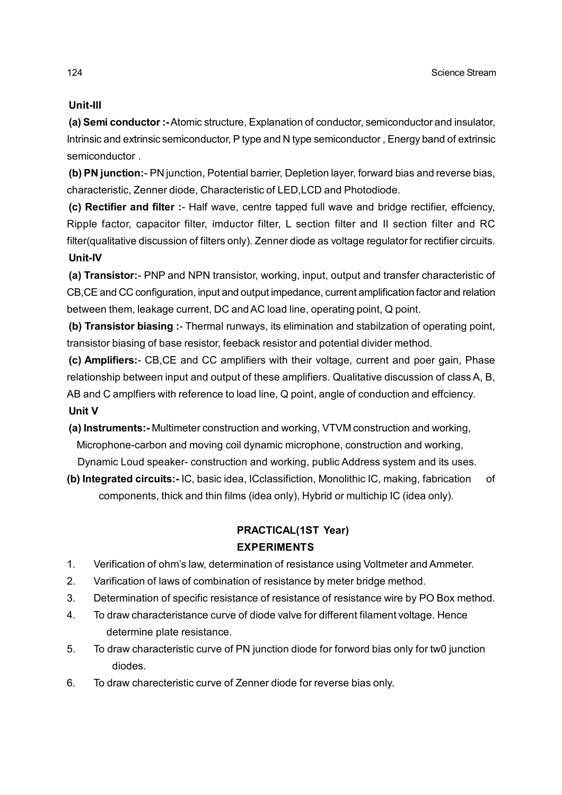### **Unit-III**

**(a) Semi conductor :-** Atomic structure, Explanation of conductor, semiconductor and insulator, Intrinsic and extrinsic semiconductor, P type and N type semiconductor , Energy band of extrinsic semiconductor .

**(b) PN junction:**- PN junction, Potential barrier, Depletion layer, forward bias and reverse bias, characteristic, Zenner diode, Characteristic of LED,LCD and Photodiode.

**(c) Rectifier and filter :**- Half wave, centre tapped full wave and bridge rectifier, effciency, Ripple factor, capacitor filter, imductor filter, L section filter and II section filter and RC filter(qualitative discussion of filters only). Zenner diode as voltage regulator for rectifier circuits. **Unit-IV**

**(a) Transistor:**- PNP and NPN transistor, working, input, output and transfer characteristic of CB,CE and CC configuration, input and output impedance, current amplification factor and relation between them, leakage current, DC and AC load line, operating point, Q point.

**(b) Transistor biasing :**- Thermal runways, its elimination and stabilzation of operating point, transistor biasing of base resistor, feeback resistor and potential divider method.

**(c) Amplifiers:**- CB,CE and CC amplifiers with their voltage, current and poer gain, Phase relationship between input and output of these amplifiers. Qualitative discussion of class A, B, AB and C amplfiers with reference to load line, Q point, angle of conduction and effciency. **Unit V**

- **(a) Instruments:-** Multimeter construction and working, VTVM construction and working, Microphone-carbon and moving coil dynamic microphone, construction and working, Dynamic Loud speaker- construction and working, public Address system and its uses.
- **(b) Integrated circuits:-** IC, basic idea, ICclassifiction, Monolithic IC, making, fabrication of components, thick and thin films (idea only), Hybrid or multichip IC (idea only).

## **PRACTICAL(1ST Year) EXPERIMENTS**

- 1. Verification of ohm's law, determination of resistance using Voltmeter and Ammeter.
- 2. Varification of laws of combination of resistance by meter bridge method.
- 3. Determination of specific resistance of resistance of resistance wire by PO Box method.
- 4. To draw characteristance curve of diode valve for different filament voltage. Hence determine plate resistance.
- 5. To draw characteristic curve of PN junction diode for forword bias only for tw0 junction diodes.
- 6. To draw charecteristic curve of Zenner diode for reverse bias only.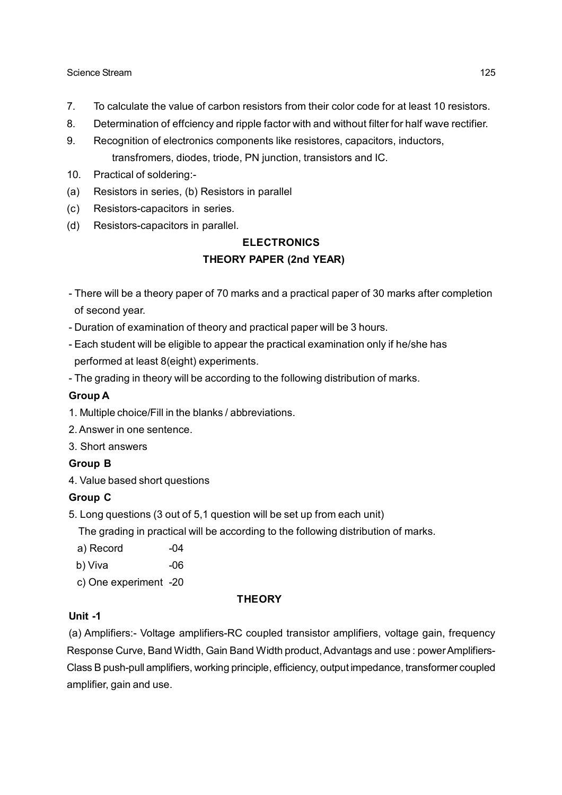- 7. To calculate the value of carbon resistors from their color code for at least 10 resistors.
- 8. Determination of effciency and ripple factor with and without filter for half wave rectifier.
- 9. Recognition of electronics components like resistores, capacitors, inductors, transfromers, diodes, triode, PN junction, transistors and IC.
- 10. Practical of soldering:-
- (a) Resistors in series, (b) Resistors in parallel
- (c) Resistors-capacitors in series.
- (d) Resistors-capacitors in parallel.

## **ELECTRONICS THEORY PAPER (2nd YEAR)**

- There will be a theory paper of 70 marks and a practical paper of 30 marks after completion of second year.
- Duration of examination of theory and practical paper will be 3 hours.
- Each student will be eligible to appear the practical examination only if he/she has performed at least 8(eight) experiments.
- The grading in theory will be according to the following distribution of marks.

#### **Group A**

- 1. Multiple choice/Fill in the blanks / abbreviations.
- 2. Answer in one sentence.
- 3. Short answers

#### **Group B**

4. Value based short questions

#### **Group C**

5. Long questions (3 out of 5,1 question will be set up from each unit)

The grading in practical will be according to the following distribution of marks.

- a) Record -04
- b) Viva -06
- c) One experiment -20

#### **THEORY**

#### **Unit -1**

(a) Amplifiers:- Voltage amplifiers-RC coupled transistor amplifiers, voltage gain, frequency Response Curve, Band Width, Gain Band Width product, Advantags and use : power Amplifiers-Class B push-pull amplifiers, working principle, efficiency, output impedance, transformer coupled amplifier, gain and use.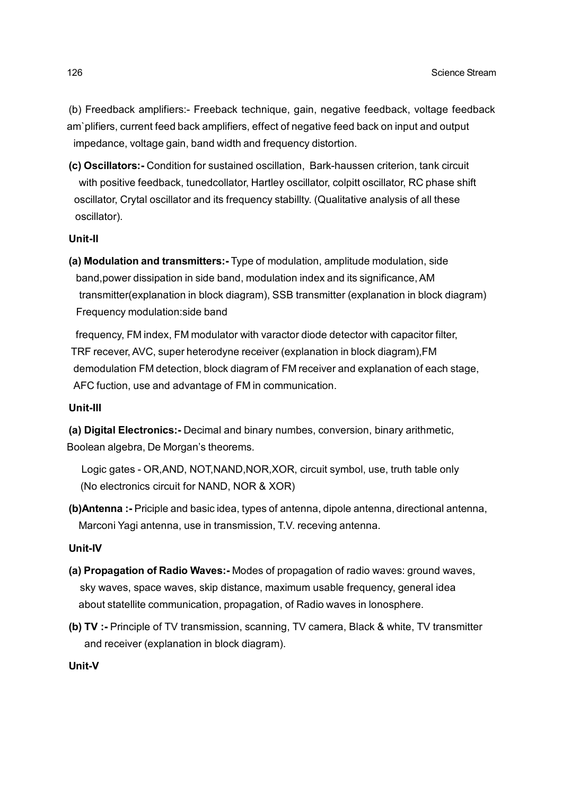(b) Freedback amplifiers:- Freeback technique, gain, negative feedback, voltage feedback am`plifiers, current feed back amplifiers, effect of negative feed back on input and output impedance, voltage gain, band width and frequency distortion.

**(c) Oscillators:-** Condition for sustained oscillation, Bark-haussen criterion, tank circuit with positive feedback, tunedcollator, Hartley oscillator, colpitt oscillator, RC phase shift oscillator, Crytal oscillator and its frequency stabillty. (Qualitative analysis of all these oscillator).

#### **Unit-II**

**(a) Modulation and transmitters:-** Type of modulation, amplitude modulation, side band,power dissipation in side band, modulation index and its significance, AM transmitter(explanation in block diagram), SSB transmitter (explanation in block diagram) Frequency modulation:side band

 frequency, FM index, FM modulator with varactor diode detector with capacitor filter, TRF recever, AVC, super heterodyne receiver (explanation in block diagram),FM demodulation FM detection, block diagram of FM receiver and explanation of each stage, AFC fuction, use and advantage of FM in communication.

#### **Unit-III**

**(a) Digital Electronics:-** Decimal and binary numbes, conversion, binary arithmetic, Boolean algebra, De Morgan's theorems.

 Logic gates - OR,AND, NOT,NAND,NOR,XOR, circuit symbol, use, truth table only (No electronics circuit for NAND, NOR & XOR)

**(b)Antenna :-** Priciple and basic idea, types of antenna, dipole antenna, directional antenna, Marconi Yagi antenna, use in transmission, T.V. receving antenna.

#### **Unit-IV**

- **(a) Propagation of Radio Waves:-** Modes of propagation of radio waves: ground waves, sky waves, space waves, skip distance, maximum usable frequency, general idea about statellite communication, propagation, of Radio waves in lonosphere.
- **(b) TV :-** Principle of TV transmission, scanning, TV camera, Black & white, TV transmitter and receiver (explanation in block diagram).

#### **Unit-V**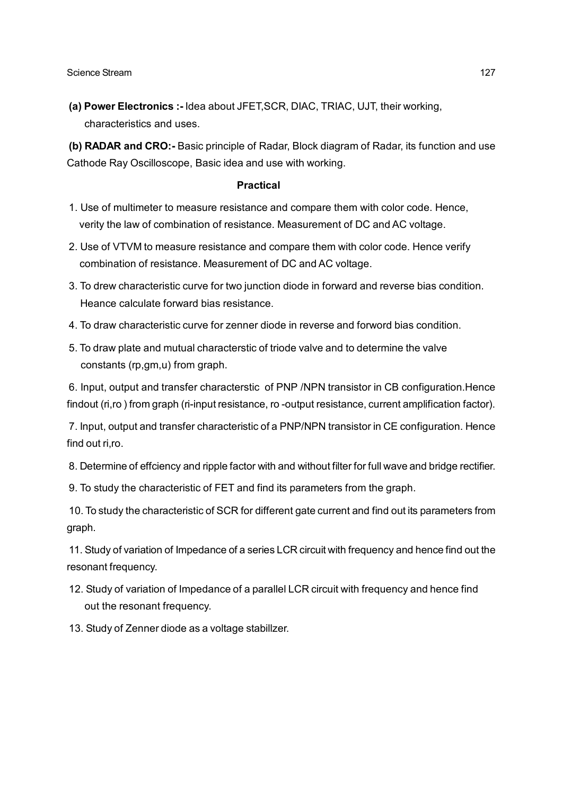**(a) Power Electronics :-** Idea about JFET,SCR, DIAC, TRIAC, UJT, their working, characteristics and uses.

**(b) RADAR and CRO:-** Basic principle of Radar, Block diagram of Radar, its function and use Cathode Ray Oscilloscope, Basic idea and use with working.

#### **Practical**

- 1. Use of multimeter to measure resistance and compare them with color code. Hence, verity the law of combination of resistance. Measurement of DC and AC voltage.
- 2. Use of VTVM to measure resistance and compare them with color code. Hence verify combination of resistance. Measurement of DC and AC voltage.
- 3. To drew characteristic curve for two junction diode in forward and reverse bias condition. Heance calculate forward bias resistance.
- 4. To draw characteristic curve for zenner diode in reverse and forword bias condition.
- 5. To draw plate and mutual characterstic of triode valve and to determine the valve constants (rp,gm,u) from graph.

6. Input, output and transfer characterstic of PNP /NPN transistor in CB configuration.Hence findout (ri,ro ) from graph (ri-input resistance, ro -output resistance, current amplification factor).

7. Input, output and transfer characteristic of a PNP/NPN transistor in CE configuration. Hence find out ri,ro.

8. Determine of effciency and ripple factor with and without filter for full wave and bridge rectifier.

9. To study the characteristic of FET and find its parameters from the graph.

10. To study the characteristic of SCR for different gate current and find out its parameters from graph.

11. Study of variation of Impedance of a series LCR circuit with frequency and hence find out the resonant frequency.

- 12. Study of variation of Impedance of a parallel LCR circuit with frequency and hence find out the resonant frequency.
- 13. Study of Zenner diode as a voltage stabillzer.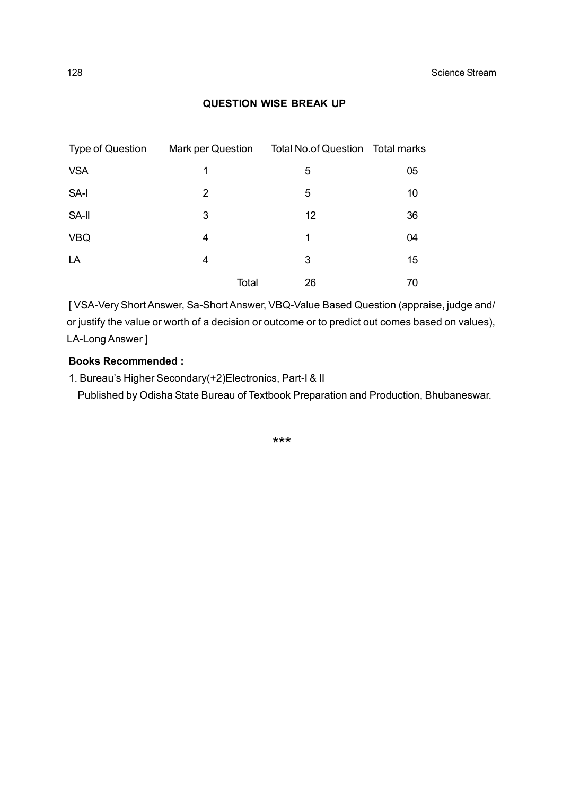#### **QUESTION WISE BREAK UP**

| <b>Type of Question</b> | <b>Mark per Question</b> | Total No.of Question Total marks |    |
|-------------------------|--------------------------|----------------------------------|----|
| <b>VSA</b>              | 1                        | 5                                | 05 |
| SA-I                    | 2                        | 5                                | 10 |
| SA-II                   | 3                        | 12                               | 36 |
| <b>VBQ</b>              | 4                        | 1                                | 04 |
| LA                      | 4                        | 3                                | 15 |
|                         | <b>Total</b>             | 26                               | 70 |

[ VSA-Very Short Answer, Sa-Short Answer, VBQ-Value Based Question (appraise, judge and/ or justify the value or worth of a decision or outcome or to predict out comes based on values), LA-Long Answer ]

## **Books Recommended :**

1. Bureau's Higher Secondary(+2)Electronics, Part-I & II

Published by Odisha State Bureau of Textbook Preparation and Production, Bhubaneswar.